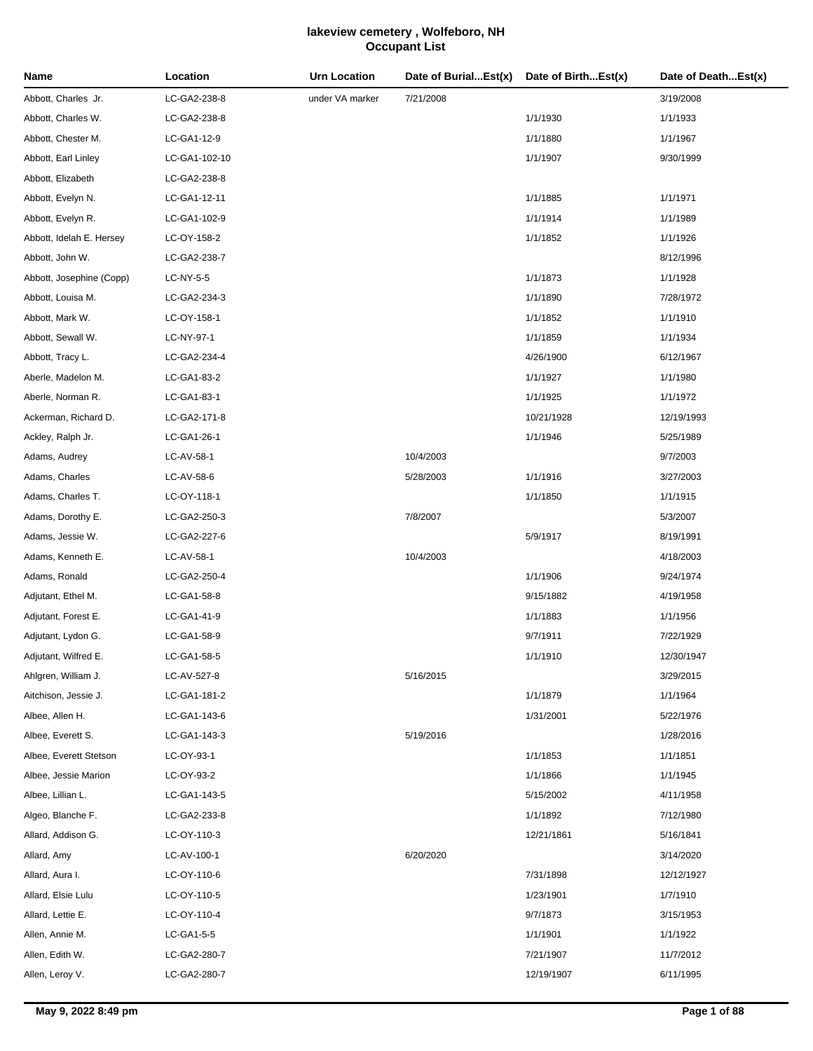| Name                     | Location      | <b>Urn Location</b> | Date of BurialEst(x) | Date of BirthEst(x) | Date of DeathEst(x) |
|--------------------------|---------------|---------------------|----------------------|---------------------|---------------------|
| Abbott, Charles Jr.      | LC-GA2-238-8  | under VA marker     | 7/21/2008            |                     | 3/19/2008           |
| Abbott, Charles W.       | LC-GA2-238-8  |                     |                      | 1/1/1930            | 1/1/1933            |
| Abbott, Chester M.       | LC-GA1-12-9   |                     |                      | 1/1/1880            | 1/1/1967            |
| Abbott, Earl Linley      | LC-GA1-102-10 |                     |                      | 1/1/1907            | 9/30/1999           |
| Abbott, Elizabeth        | LC-GA2-238-8  |                     |                      |                     |                     |
| Abbott, Evelyn N.        | LC-GA1-12-11  |                     |                      | 1/1/1885            | 1/1/1971            |
| Abbott, Evelyn R.        | LC-GA1-102-9  |                     |                      | 1/1/1914            | 1/1/1989            |
| Abbott, Idelah E. Hersey | LC-OY-158-2   |                     |                      | 1/1/1852            | 1/1/1926            |
| Abbott, John W.          | LC-GA2-238-7  |                     |                      |                     | 8/12/1996           |
| Abbott, Josephine (Copp) | LC-NY-5-5     |                     |                      | 1/1/1873            | 1/1/1928            |
| Abbott, Louisa M.        | LC-GA2-234-3  |                     |                      | 1/1/1890            | 7/28/1972           |
| Abbott, Mark W.          | LC-OY-158-1   |                     |                      | 1/1/1852            | 1/1/1910            |
| Abbott, Sewall W.        | LC-NY-97-1    |                     |                      | 1/1/1859            | 1/1/1934            |
| Abbott, Tracy L.         | LC-GA2-234-4  |                     |                      | 4/26/1900           | 6/12/1967           |
| Aberle, Madelon M.       | LC-GA1-83-2   |                     |                      | 1/1/1927            | 1/1/1980            |
| Aberle, Norman R.        | LC-GA1-83-1   |                     |                      | 1/1/1925            | 1/1/1972            |
| Ackerman, Richard D.     | LC-GA2-171-8  |                     |                      | 10/21/1928          | 12/19/1993          |
| Ackley, Ralph Jr.        | LC-GA1-26-1   |                     |                      | 1/1/1946            | 5/25/1989           |
| Adams, Audrey            | LC-AV-58-1    |                     | 10/4/2003            |                     | 9/7/2003            |
| Adams, Charles           | LC-AV-58-6    |                     | 5/28/2003            | 1/1/1916            | 3/27/2003           |
| Adams, Charles T.        | LC-OY-118-1   |                     |                      | 1/1/1850            | 1/1/1915            |
| Adams, Dorothy E.        | LC-GA2-250-3  |                     | 7/8/2007             |                     | 5/3/2007            |
| Adams, Jessie W.         | LC-GA2-227-6  |                     |                      | 5/9/1917            | 8/19/1991           |
| Adams, Kenneth E.        | LC-AV-58-1    |                     | 10/4/2003            |                     | 4/18/2003           |
| Adams, Ronald            | LC-GA2-250-4  |                     |                      | 1/1/1906            | 9/24/1974           |
| Adjutant, Ethel M.       | LC-GA1-58-8   |                     |                      | 9/15/1882           | 4/19/1958           |
| Adjutant, Forest E.      | LC-GA1-41-9   |                     |                      | 1/1/1883            | 1/1/1956            |
| Adjutant, Lydon G.       | LC-GA1-58-9   |                     |                      | 9/7/1911            | 7/22/1929           |
| Adjutant, Wilfred E.     | LC-GA1-58-5   |                     |                      | 1/1/1910            | 12/30/1947          |
| Ahlgren, William J.      | LC-AV-527-8   |                     | 5/16/2015            |                     | 3/29/2015           |
| Aitchison, Jessie J.     | LC-GA1-181-2  |                     |                      | 1/1/1879            | 1/1/1964            |
| Albee, Allen H.          | LC-GA1-143-6  |                     |                      | 1/31/2001           | 5/22/1976           |
| Albee, Everett S.        | LC-GA1-143-3  |                     | 5/19/2016            |                     | 1/28/2016           |
| Albee, Everett Stetson   | LC-OY-93-1    |                     |                      | 1/1/1853            | 1/1/1851            |
| Albee, Jessie Marion     | LC-OY-93-2    |                     |                      | 1/1/1866            | 1/1/1945            |
| Albee, Lillian L.        | LC-GA1-143-5  |                     |                      | 5/15/2002           | 4/11/1958           |
| Algeo, Blanche F.        | LC-GA2-233-8  |                     |                      | 1/1/1892            | 7/12/1980           |
| Allard, Addison G.       | LC-OY-110-3   |                     |                      | 12/21/1861          | 5/16/1841           |
| Allard, Amy              | LC-AV-100-1   |                     | 6/20/2020            |                     | 3/14/2020           |
| Allard, Aura I.          | LC-OY-110-6   |                     |                      | 7/31/1898           | 12/12/1927          |
| Allard, Elsie Lulu       | LC-OY-110-5   |                     |                      | 1/23/1901           | 1/7/1910            |
| Allard, Lettie E.        | LC-OY-110-4   |                     |                      | 9/7/1873            | 3/15/1953           |
| Allen, Annie M.          | LC-GA1-5-5    |                     |                      | 1/1/1901            | 1/1/1922            |
| Allen, Edith W.          | LC-GA2-280-7  |                     |                      | 7/21/1907           | 11/7/2012           |
| Allen, Leroy V.          | LC-GA2-280-7  |                     |                      | 12/19/1907          | 6/11/1995           |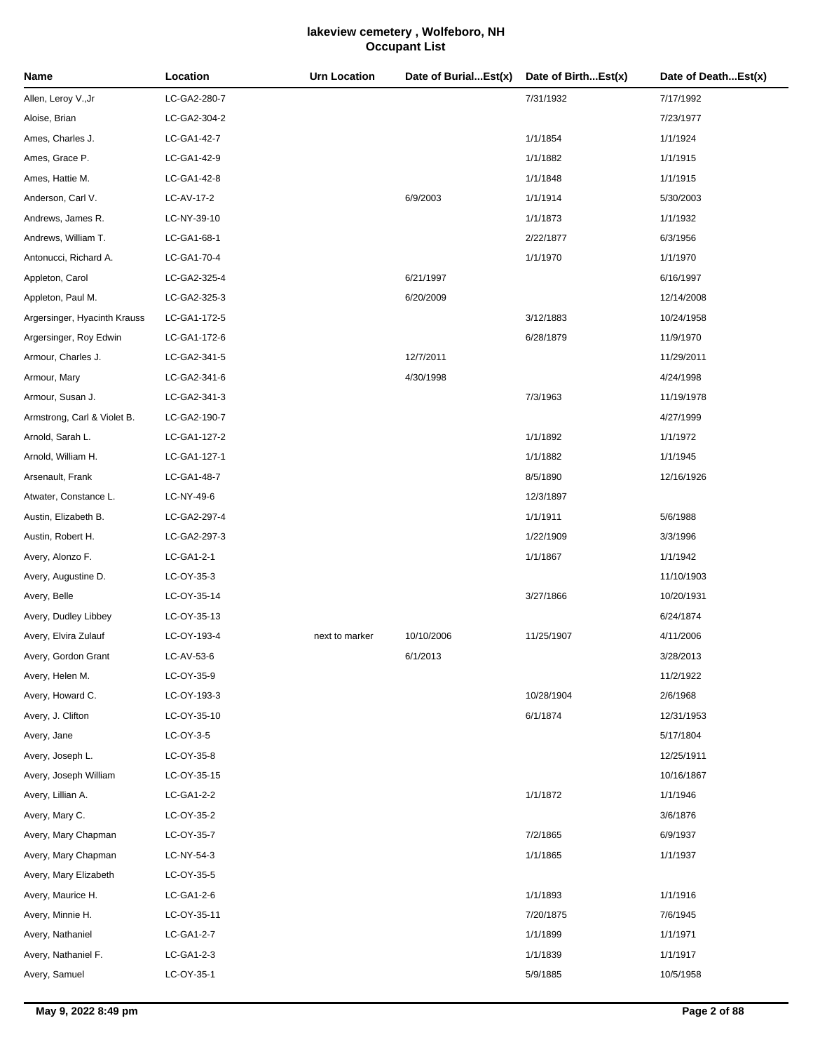| Name                         | Location     | <b>Urn Location</b> | Date of BurialEst(x) | Date of BirthEst(x) | Date of DeathEst(x) |
|------------------------------|--------------|---------------------|----------------------|---------------------|---------------------|
| Allen, Leroy V.,Jr           | LC-GA2-280-7 |                     |                      | 7/31/1932           | 7/17/1992           |
| Aloise, Brian                | LC-GA2-304-2 |                     |                      |                     | 7/23/1977           |
| Ames, Charles J.             | LC-GA1-42-7  |                     |                      | 1/1/1854            | 1/1/1924            |
| Ames, Grace P.               | LC-GA1-42-9  |                     |                      | 1/1/1882            | 1/1/1915            |
| Ames, Hattie M.              | LC-GA1-42-8  |                     |                      | 1/1/1848            | 1/1/1915            |
| Anderson, Carl V.            | LC-AV-17-2   |                     | 6/9/2003             | 1/1/1914            | 5/30/2003           |
| Andrews, James R.            | LC-NY-39-10  |                     |                      | 1/1/1873            | 1/1/1932            |
| Andrews, William T.          | LC-GA1-68-1  |                     |                      | 2/22/1877           | 6/3/1956            |
| Antonucci, Richard A.        | LC-GA1-70-4  |                     |                      | 1/1/1970            | 1/1/1970            |
| Appleton, Carol              | LC-GA2-325-4 |                     | 6/21/1997            |                     | 6/16/1997           |
| Appleton, Paul M.            | LC-GA2-325-3 |                     | 6/20/2009            |                     | 12/14/2008          |
| Argersinger, Hyacinth Krauss | LC-GA1-172-5 |                     |                      | 3/12/1883           | 10/24/1958          |
| Argersinger, Roy Edwin       | LC-GA1-172-6 |                     |                      | 6/28/1879           | 11/9/1970           |
| Armour, Charles J.           | LC-GA2-341-5 |                     | 12/7/2011            |                     | 11/29/2011          |
| Armour, Mary                 | LC-GA2-341-6 |                     | 4/30/1998            |                     | 4/24/1998           |
| Armour, Susan J.             | LC-GA2-341-3 |                     |                      | 7/3/1963            | 11/19/1978          |
| Armstrong, Carl & Violet B.  | LC-GA2-190-7 |                     |                      |                     | 4/27/1999           |
| Arnold, Sarah L.             | LC-GA1-127-2 |                     |                      | 1/1/1892            | 1/1/1972            |
| Arnold, William H.           | LC-GA1-127-1 |                     |                      | 1/1/1882            | 1/1/1945            |
| Arsenault, Frank             | LC-GA1-48-7  |                     |                      | 8/5/1890            | 12/16/1926          |
| Atwater, Constance L.        | LC-NY-49-6   |                     |                      | 12/3/1897           |                     |
| Austin, Elizabeth B.         | LC-GA2-297-4 |                     |                      | 1/1/1911            | 5/6/1988            |
| Austin, Robert H.            | LC-GA2-297-3 |                     |                      | 1/22/1909           | 3/3/1996            |
| Avery, Alonzo F.             | LC-GA1-2-1   |                     |                      | 1/1/1867            | 1/1/1942            |
| Avery, Augustine D.          | LC-OY-35-3   |                     |                      |                     | 11/10/1903          |
| Avery, Belle                 | LC-OY-35-14  |                     |                      | 3/27/1866           | 10/20/1931          |
| Avery, Dudley Libbey         | LC-OY-35-13  |                     |                      |                     | 6/24/1874           |
| Avery, Elvira Zulauf         | LC-OY-193-4  | next to marker      | 10/10/2006           | 11/25/1907          | 4/11/2006           |
| Avery, Gordon Grant          | LC-AV-53-6   |                     | 6/1/2013             |                     | 3/28/2013           |
| Avery, Helen M.              | LC-OY-35-9   |                     |                      |                     | 11/2/1922           |
| Avery, Howard C.             | LC-OY-193-3  |                     |                      | 10/28/1904          | 2/6/1968            |
| Avery, J. Clifton            | LC-OY-35-10  |                     |                      | 6/1/1874            | 12/31/1953          |
| Avery, Jane                  | LC-OY-3-5    |                     |                      |                     | 5/17/1804           |
| Avery, Joseph L.             | LC-OY-35-8   |                     |                      |                     | 12/25/1911          |
| Avery, Joseph William        | LC-OY-35-15  |                     |                      |                     | 10/16/1867          |
| Avery, Lillian A.            | LC-GA1-2-2   |                     |                      | 1/1/1872            | 1/1/1946            |
| Avery, Mary C.               | LC-OY-35-2   |                     |                      |                     | 3/6/1876            |
| Avery, Mary Chapman          | LC-OY-35-7   |                     |                      | 7/2/1865            | 6/9/1937            |
| Avery, Mary Chapman          | LC-NY-54-3   |                     |                      | 1/1/1865            | 1/1/1937            |
| Avery, Mary Elizabeth        | LC-OY-35-5   |                     |                      |                     |                     |
| Avery, Maurice H.            | LC-GA1-2-6   |                     |                      | 1/1/1893            | 1/1/1916            |
| Avery, Minnie H.             | LC-OY-35-11  |                     |                      | 7/20/1875           | 7/6/1945            |
| Avery, Nathaniel             | LC-GA1-2-7   |                     |                      | 1/1/1899            | 1/1/1971            |
| Avery, Nathaniel F.          | LC-GA1-2-3   |                     |                      | 1/1/1839            | 1/1/1917            |
| Avery, Samuel                | LC-OY-35-1   |                     |                      | 5/9/1885            | 10/5/1958           |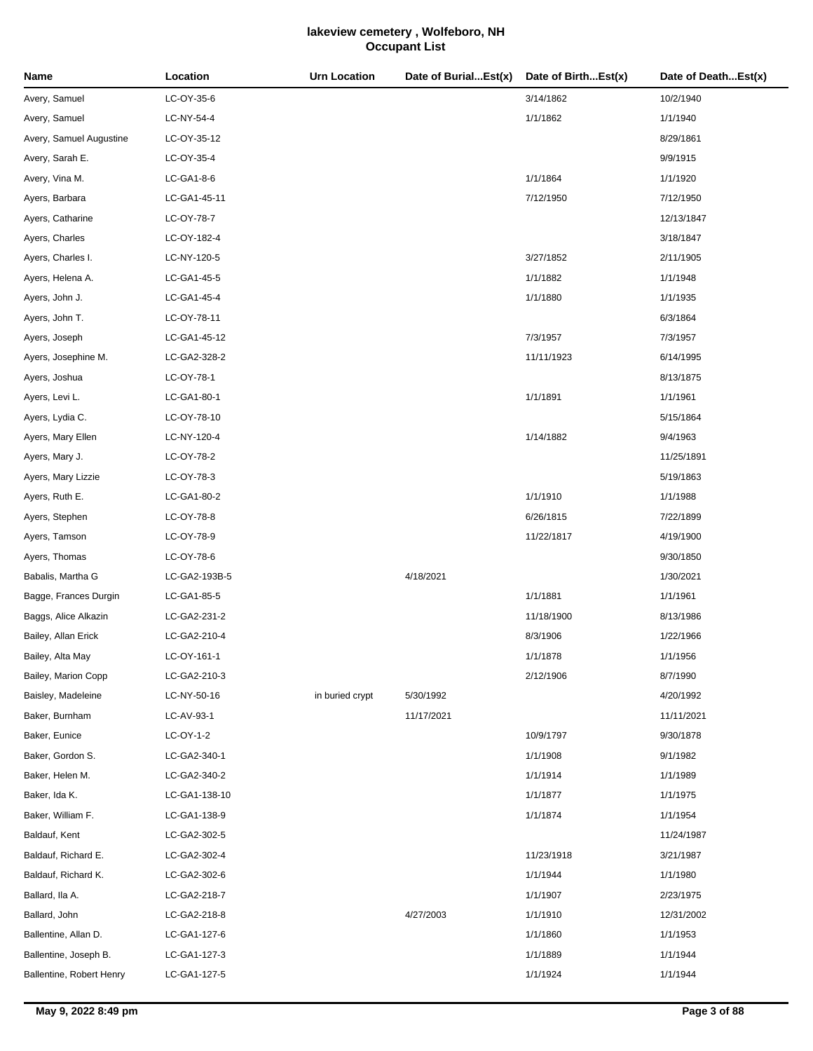| Name                     | Location      | <b>Urn Location</b> | Date of BurialEst(x) | Date of BirthEst(x) | Date of DeathEst(x) |
|--------------------------|---------------|---------------------|----------------------|---------------------|---------------------|
| Avery, Samuel            | LC-OY-35-6    |                     |                      | 3/14/1862           | 10/2/1940           |
| Avery, Samuel            | LC-NY-54-4    |                     |                      | 1/1/1862            | 1/1/1940            |
| Avery, Samuel Augustine  | LC-OY-35-12   |                     |                      |                     | 8/29/1861           |
| Avery, Sarah E.          | LC-OY-35-4    |                     |                      |                     | 9/9/1915            |
| Avery, Vina M.           | LC-GA1-8-6    |                     |                      | 1/1/1864            | 1/1/1920            |
| Ayers, Barbara           | LC-GA1-45-11  |                     |                      | 7/12/1950           | 7/12/1950           |
| Ayers, Catharine         | LC-OY-78-7    |                     |                      |                     | 12/13/1847          |
| Ayers, Charles           | LC-OY-182-4   |                     |                      |                     | 3/18/1847           |
| Ayers, Charles I.        | LC-NY-120-5   |                     |                      | 3/27/1852           | 2/11/1905           |
| Ayers, Helena A.         | LC-GA1-45-5   |                     |                      | 1/1/1882            | 1/1/1948            |
| Ayers, John J.           | LC-GA1-45-4   |                     |                      | 1/1/1880            | 1/1/1935            |
| Ayers, John T.           | LC-OY-78-11   |                     |                      |                     | 6/3/1864            |
| Ayers, Joseph            | LC-GA1-45-12  |                     |                      | 7/3/1957            | 7/3/1957            |
| Ayers, Josephine M.      | LC-GA2-328-2  |                     |                      | 11/11/1923          | 6/14/1995           |
| Ayers, Joshua            | LC-OY-78-1    |                     |                      |                     | 8/13/1875           |
| Ayers, Levi L.           | LC-GA1-80-1   |                     |                      | 1/1/1891            | 1/1/1961            |
| Ayers, Lydia C.          | LC-OY-78-10   |                     |                      |                     | 5/15/1864           |
| Ayers, Mary Ellen        | LC-NY-120-4   |                     |                      | 1/14/1882           | 9/4/1963            |
| Ayers, Mary J.           | LC-OY-78-2    |                     |                      |                     | 11/25/1891          |
| Ayers, Mary Lizzie       | LC-OY-78-3    |                     |                      |                     | 5/19/1863           |
| Ayers, Ruth E.           | LC-GA1-80-2   |                     |                      | 1/1/1910            | 1/1/1988            |
| Ayers, Stephen           | LC-OY-78-8    |                     |                      | 6/26/1815           | 7/22/1899           |
| Ayers, Tamson            | LC-OY-78-9    |                     |                      | 11/22/1817          | 4/19/1900           |
| Ayers, Thomas            | LC-OY-78-6    |                     |                      |                     | 9/30/1850           |
| Babalis, Martha G        | LC-GA2-193B-5 |                     | 4/18/2021            |                     | 1/30/2021           |
| Bagge, Frances Durgin    | LC-GA1-85-5   |                     |                      | 1/1/1881            | 1/1/1961            |
| Baggs, Alice Alkazin     | LC-GA2-231-2  |                     |                      | 11/18/1900          | 8/13/1986           |
| Bailey, Allan Erick      | LC-GA2-210-4  |                     |                      | 8/3/1906            | 1/22/1966           |
| Bailey, Alta May         | LC-OY-161-1   |                     |                      | 1/1/1878            | 1/1/1956            |
| Bailey, Marion Copp      | LC-GA2-210-3  |                     |                      | 2/12/1906           | 8/7/1990            |
| Baisley, Madeleine       | LC-NY-50-16   | in buried crypt     | 5/30/1992            |                     | 4/20/1992           |
| Baker, Burnham           | LC-AV-93-1    |                     | 11/17/2021           |                     | 11/11/2021          |
| Baker, Eunice            | LC-OY-1-2     |                     |                      | 10/9/1797           | 9/30/1878           |
| Baker, Gordon S.         | LC-GA2-340-1  |                     |                      | 1/1/1908            | 9/1/1982            |
| Baker, Helen M.          | LC-GA2-340-2  |                     |                      | 1/1/1914            | 1/1/1989            |
| Baker, Ida K.            | LC-GA1-138-10 |                     |                      | 1/1/1877            | 1/1/1975            |
| Baker, William F.        | LC-GA1-138-9  |                     |                      | 1/1/1874            | 1/1/1954            |
| Baldauf, Kent            | LC-GA2-302-5  |                     |                      |                     | 11/24/1987          |
| Baldauf, Richard E.      | LC-GA2-302-4  |                     |                      | 11/23/1918          | 3/21/1987           |
| Baldauf, Richard K.      | LC-GA2-302-6  |                     |                      | 1/1/1944            | 1/1/1980            |
| Ballard, Ila A.          | LC-GA2-218-7  |                     |                      | 1/1/1907            | 2/23/1975           |
| Ballard, John            | LC-GA2-218-8  |                     | 4/27/2003            | 1/1/1910            | 12/31/2002          |
| Ballentine, Allan D.     | LC-GA1-127-6  |                     |                      | 1/1/1860            | 1/1/1953            |
| Ballentine, Joseph B.    | LC-GA1-127-3  |                     |                      | 1/1/1889            | 1/1/1944            |
| Ballentine, Robert Henry | LC-GA1-127-5  |                     |                      | 1/1/1924            | 1/1/1944            |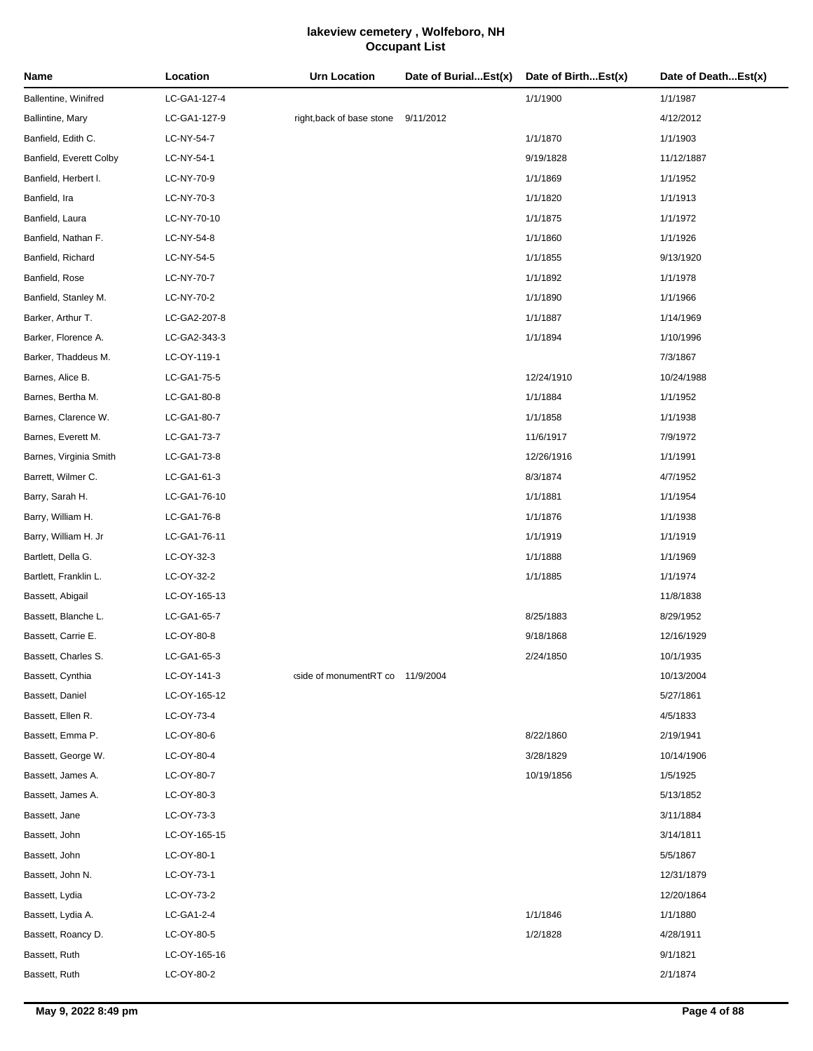| Name                    | Location     | <b>Urn Location</b>                                                                                    | Date of BurialEst(x) | Date of BirthEst(x) | Date of DeathEst(x) |
|-------------------------|--------------|--------------------------------------------------------------------------------------------------------|----------------------|---------------------|---------------------|
| Ballentine, Winifred    | LC-GA1-127-4 |                                                                                                        |                      | 1/1/1900            | 1/1/1987            |
| Ballintine, Mary        | LC-GA1-127-9 | right, back of base stone                                                                              | 9/11/2012            |                     | 4/12/2012           |
| Banfield, Edith C.      | LC-NY-54-7   |                                                                                                        |                      | 1/1/1870            | 1/1/1903            |
| Banfield, Everett Colby | LC-NY-54-1   |                                                                                                        |                      | 9/19/1828           | 11/12/1887          |
| Banfield, Herbert I.    | LC-NY-70-9   |                                                                                                        |                      | 1/1/1869            | 1/1/1952            |
| Banfield, Ira           | LC-NY-70-3   |                                                                                                        |                      | 1/1/1820            | 1/1/1913            |
| Banfield, Laura         | LC-NY-70-10  |                                                                                                        |                      | 1/1/1875            | 1/1/1972            |
| Banfield, Nathan F.     | LC-NY-54-8   |                                                                                                        |                      | 1/1/1860            | 1/1/1926            |
| Banfield, Richard       | LC-NY-54-5   |                                                                                                        |                      | 1/1/1855            | 9/13/1920           |
| Banfield, Rose          | LC-NY-70-7   |                                                                                                        |                      | 1/1/1892            | 1/1/1978            |
| Banfield, Stanley M.    | LC-NY-70-2   |                                                                                                        |                      | 1/1/1890            | 1/1/1966            |
| Barker, Arthur T.       | LC-GA2-207-8 |                                                                                                        |                      | 1/1/1887            | 1/14/1969           |
| Barker, Florence A.     | LC-GA2-343-3 |                                                                                                        |                      | 1/1/1894            | 1/10/1996           |
| Barker, Thaddeus M.     | LC-OY-119-1  |                                                                                                        |                      |                     | 7/3/1867            |
| Barnes, Alice B.        | LC-GA1-75-5  |                                                                                                        |                      | 12/24/1910          | 10/24/1988          |
| Barnes, Bertha M.       | LC-GA1-80-8  |                                                                                                        |                      | 1/1/1884            | 1/1/1952            |
| Barnes, Clarence W.     | LC-GA1-80-7  |                                                                                                        |                      | 1/1/1858            | 1/1/1938            |
| Barnes, Everett M.      | LC-GA1-73-7  |                                                                                                        |                      | 11/6/1917           | 7/9/1972            |
| Barnes, Virginia Smith  | LC-GA1-73-8  |                                                                                                        |                      | 12/26/1916          | 1/1/1991            |
| Barrett, Wilmer C.      | LC-GA1-61-3  |                                                                                                        |                      | 8/3/1874            | 4/7/1952            |
| Barry, Sarah H.         | LC-GA1-76-10 |                                                                                                        |                      | 1/1/1881            | 1/1/1954            |
| Barry, William H.       | LC-GA1-76-8  |                                                                                                        |                      | 1/1/1876            | 1/1/1938            |
| Barry, William H. Jr    | LC-GA1-76-11 |                                                                                                        |                      | 1/1/1919            | 1/1/1919            |
| Bartlett, Della G.      | LC-OY-32-3   |                                                                                                        |                      | 1/1/1888            | 1/1/1969            |
| Bartlett, Franklin L.   | LC-OY-32-2   |                                                                                                        |                      | 1/1/1885            | 1/1/1974            |
| Bassett, Abigail        | LC-OY-165-13 |                                                                                                        |                      |                     | 11/8/1838           |
| Bassett, Blanche L.     | LC-GA1-65-7  |                                                                                                        |                      | 8/25/1883           | 8/29/1952           |
| Bassett, Carrie E.      | LC-OY-80-8   |                                                                                                        |                      | 9/18/1868           | 12/16/1929          |
| Bassett, Charles S.     | LC-GA1-65-3  |                                                                                                        |                      | 2/24/1850           | 10/1/1935           |
| Bassett, Cynthia        | LC-OY-141-3  | <side 11="" 2004<="" 9="" co="" monumentrt="" of="" td=""><td></td><td></td><td>10/13/2004</td></side> |                      |                     | 10/13/2004          |
| Bassett, Daniel         | LC-OY-165-12 |                                                                                                        |                      |                     | 5/27/1861           |
| Bassett, Ellen R.       | LC-OY-73-4   |                                                                                                        |                      |                     | 4/5/1833            |
| Bassett, Emma P.        | LC-OY-80-6   |                                                                                                        |                      | 8/22/1860           | 2/19/1941           |
| Bassett, George W.      | LC-OY-80-4   |                                                                                                        |                      | 3/28/1829           | 10/14/1906          |
| Bassett, James A.       | LC-OY-80-7   |                                                                                                        |                      | 10/19/1856          | 1/5/1925            |
| Bassett, James A.       | LC-OY-80-3   |                                                                                                        |                      |                     | 5/13/1852           |
| Bassett, Jane           | LC-OY-73-3   |                                                                                                        |                      |                     | 3/11/1884           |
| Bassett, John           | LC-OY-165-15 |                                                                                                        |                      |                     | 3/14/1811           |
| Bassett, John           | LC-OY-80-1   |                                                                                                        |                      |                     | 5/5/1867            |
| Bassett, John N.        | LC-OY-73-1   |                                                                                                        |                      |                     | 12/31/1879          |
| Bassett, Lydia          | LC-OY-73-2   |                                                                                                        |                      |                     | 12/20/1864          |
| Bassett, Lydia A.       | LC-GA1-2-4   |                                                                                                        |                      | 1/1/1846            | 1/1/1880            |
| Bassett, Roancy D.      | LC-OY-80-5   |                                                                                                        |                      | 1/2/1828            | 4/28/1911           |
| Bassett, Ruth           | LC-OY-165-16 |                                                                                                        |                      |                     | 9/1/1821            |
| Bassett, Ruth           | LC-OY-80-2   |                                                                                                        |                      |                     | 2/1/1874            |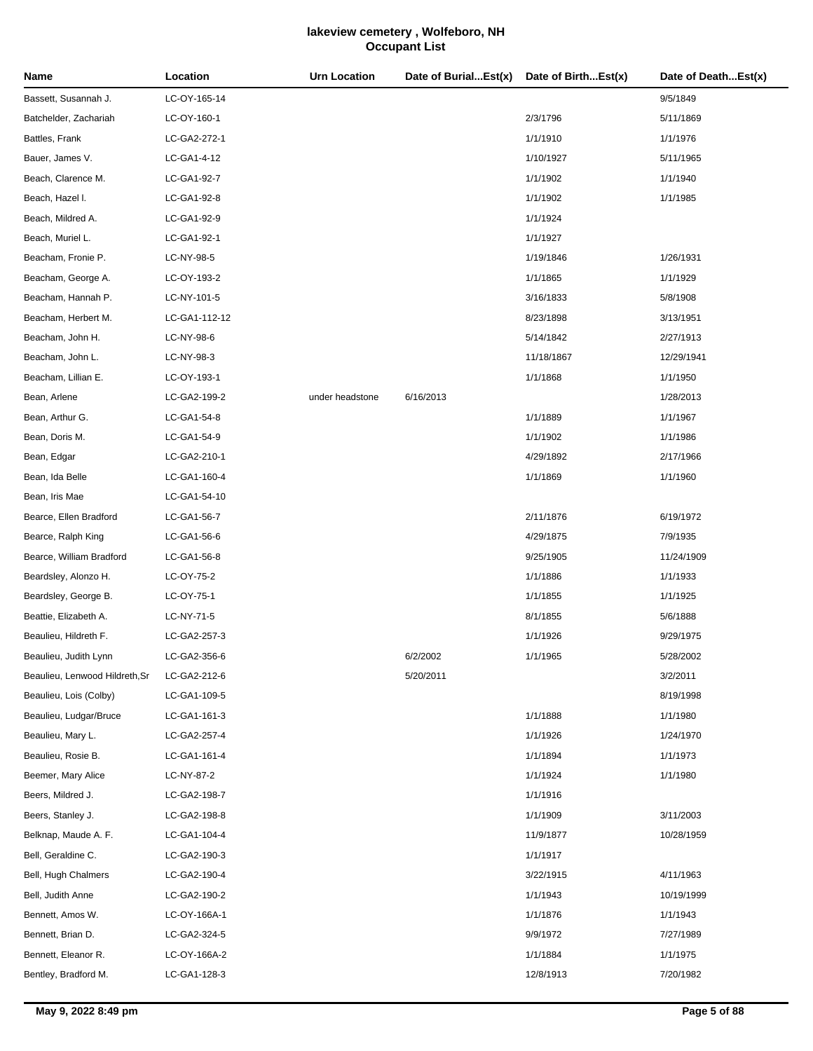| Name                           | Location      | Urn Location    | Date of BurialEst(x) | Date of BirthEst(x) | Date of DeathEst(x) |
|--------------------------------|---------------|-----------------|----------------------|---------------------|---------------------|
| Bassett, Susannah J.           | LC-OY-165-14  |                 |                      |                     | 9/5/1849            |
| Batchelder, Zachariah          | LC-OY-160-1   |                 |                      | 2/3/1796            | 5/11/1869           |
| Battles, Frank                 | LC-GA2-272-1  |                 |                      | 1/1/1910            | 1/1/1976            |
| Bauer, James V.                | LC-GA1-4-12   |                 |                      | 1/10/1927           | 5/11/1965           |
| Beach, Clarence M.             | LC-GA1-92-7   |                 |                      | 1/1/1902            | 1/1/1940            |
| Beach, Hazel I.                | LC-GA1-92-8   |                 |                      | 1/1/1902            | 1/1/1985            |
| Beach, Mildred A.              | LC-GA1-92-9   |                 |                      | 1/1/1924            |                     |
| Beach, Muriel L.               | LC-GA1-92-1   |                 |                      | 1/1/1927            |                     |
| Beacham, Fronie P.             | LC-NY-98-5    |                 |                      | 1/19/1846           | 1/26/1931           |
| Beacham, George A.             | LC-OY-193-2   |                 |                      | 1/1/1865            | 1/1/1929            |
| Beacham, Hannah P.             | LC-NY-101-5   |                 |                      | 3/16/1833           | 5/8/1908            |
| Beacham, Herbert M.            | LC-GA1-112-12 |                 |                      | 8/23/1898           | 3/13/1951           |
| Beacham, John H.               | LC-NY-98-6    |                 |                      | 5/14/1842           | 2/27/1913           |
| Beacham, John L.               | LC-NY-98-3    |                 |                      | 11/18/1867          | 12/29/1941          |
| Beacham, Lillian E.            | LC-OY-193-1   |                 |                      | 1/1/1868            | 1/1/1950            |
| Bean, Arlene                   | LC-GA2-199-2  | under headstone | 6/16/2013            |                     | 1/28/2013           |
| Bean, Arthur G.                | LC-GA1-54-8   |                 |                      | 1/1/1889            | 1/1/1967            |
| Bean, Doris M.                 | LC-GA1-54-9   |                 |                      | 1/1/1902            | 1/1/1986            |
| Bean, Edgar                    | LC-GA2-210-1  |                 |                      | 4/29/1892           | 2/17/1966           |
| Bean, Ida Belle                | LC-GA1-160-4  |                 |                      | 1/1/1869            | 1/1/1960            |
| Bean, Iris Mae                 | LC-GA1-54-10  |                 |                      |                     |                     |
| Bearce, Ellen Bradford         | LC-GA1-56-7   |                 |                      | 2/11/1876           | 6/19/1972           |
| Bearce, Ralph King             | LC-GA1-56-6   |                 |                      | 4/29/1875           | 7/9/1935            |
| Bearce, William Bradford       | LC-GA1-56-8   |                 |                      | 9/25/1905           | 11/24/1909          |
| Beardsley, Alonzo H.           | LC-OY-75-2    |                 |                      | 1/1/1886            | 1/1/1933            |
| Beardsley, George B.           | LC-OY-75-1    |                 |                      | 1/1/1855            | 1/1/1925            |
| Beattie, Elizabeth A.          | LC-NY-71-5    |                 |                      | 8/1/1855            | 5/6/1888            |
| Beaulieu, Hildreth F.          | LC-GA2-257-3  |                 |                      | 1/1/1926            | 9/29/1975           |
| Beaulieu, Judith Lynn          | LC-GA2-356-6  |                 | 6/2/2002             | 1/1/1965            | 5/28/2002           |
| Beaulieu, Lenwood Hildreth, Sr | LC-GA2-212-6  |                 | 5/20/2011            |                     | 3/2/2011            |
| Beaulieu, Lois (Colby)         | LC-GA1-109-5  |                 |                      |                     | 8/19/1998           |
| Beaulieu, Ludgar/Bruce         | LC-GA1-161-3  |                 |                      | 1/1/1888            | 1/1/1980            |
| Beaulieu, Mary L.              | LC-GA2-257-4  |                 |                      | 1/1/1926            | 1/24/1970           |
| Beaulieu, Rosie B.             | LC-GA1-161-4  |                 |                      | 1/1/1894            | 1/1/1973            |
| Beemer, Mary Alice             | LC-NY-87-2    |                 |                      | 1/1/1924            | 1/1/1980            |
| Beers, Mildred J.              | LC-GA2-198-7  |                 |                      | 1/1/1916            |                     |
| Beers, Stanley J.              | LC-GA2-198-8  |                 |                      | 1/1/1909            | 3/11/2003           |
| Belknap, Maude A. F.           | LC-GA1-104-4  |                 |                      | 11/9/1877           | 10/28/1959          |
| Bell, Geraldine C.             | LC-GA2-190-3  |                 |                      | 1/1/1917            |                     |
| Bell, Hugh Chalmers            | LC-GA2-190-4  |                 |                      | 3/22/1915           | 4/11/1963           |
| Bell, Judith Anne              | LC-GA2-190-2  |                 |                      | 1/1/1943            | 10/19/1999          |
| Bennett, Amos W.               | LC-OY-166A-1  |                 |                      | 1/1/1876            | 1/1/1943            |
| Bennett, Brian D.              | LC-GA2-324-5  |                 |                      | 9/9/1972            | 7/27/1989           |
| Bennett, Eleanor R.            | LC-OY-166A-2  |                 |                      | 1/1/1884            | 1/1/1975            |
| Bentley, Bradford M.           | LC-GA1-128-3  |                 |                      | 12/8/1913           | 7/20/1982           |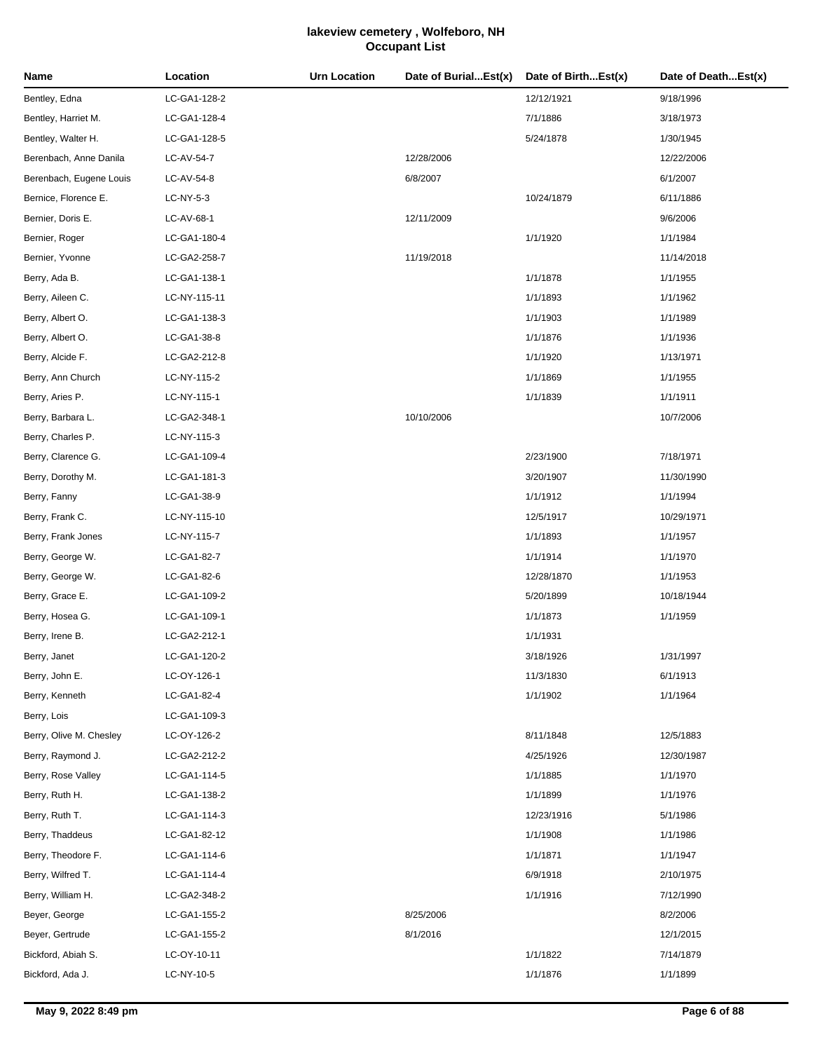| Name                    | Location     | <b>Urn Location</b> | Date of BurialEst(x) | Date of BirthEst(x) | Date of DeathEst(x) |
|-------------------------|--------------|---------------------|----------------------|---------------------|---------------------|
| Bentley, Edna           | LC-GA1-128-2 |                     |                      | 12/12/1921          | 9/18/1996           |
| Bentley, Harriet M.     | LC-GA1-128-4 |                     |                      | 7/1/1886            | 3/18/1973           |
| Bentley, Walter H.      | LC-GA1-128-5 |                     |                      | 5/24/1878           | 1/30/1945           |
| Berenbach, Anne Danila  | LC-AV-54-7   |                     | 12/28/2006           |                     | 12/22/2006          |
| Berenbach, Eugene Louis | LC-AV-54-8   |                     | 6/8/2007             |                     | 6/1/2007            |
| Bernice, Florence E.    | LC-NY-5-3    |                     |                      | 10/24/1879          | 6/11/1886           |
| Bernier, Doris E.       | LC-AV-68-1   |                     | 12/11/2009           |                     | 9/6/2006            |
| Bernier, Roger          | LC-GA1-180-4 |                     |                      | 1/1/1920            | 1/1/1984            |
| Bernier, Yvonne         | LC-GA2-258-7 |                     | 11/19/2018           |                     | 11/14/2018          |
| Berry, Ada B.           | LC-GA1-138-1 |                     |                      | 1/1/1878            | 1/1/1955            |
| Berry, Aileen C.        | LC-NY-115-11 |                     |                      | 1/1/1893            | 1/1/1962            |
| Berry, Albert O.        | LC-GA1-138-3 |                     |                      | 1/1/1903            | 1/1/1989            |
| Berry, Albert O.        | LC-GA1-38-8  |                     |                      | 1/1/1876            | 1/1/1936            |
| Berry, Alcide F.        | LC-GA2-212-8 |                     |                      | 1/1/1920            | 1/13/1971           |
| Berry, Ann Church       | LC-NY-115-2  |                     |                      | 1/1/1869            | 1/1/1955            |
| Berry, Aries P.         | LC-NY-115-1  |                     |                      | 1/1/1839            | 1/1/1911            |
| Berry, Barbara L.       | LC-GA2-348-1 |                     | 10/10/2006           |                     | 10/7/2006           |
| Berry, Charles P.       | LC-NY-115-3  |                     |                      |                     |                     |
| Berry, Clarence G.      | LC-GA1-109-4 |                     |                      | 2/23/1900           | 7/18/1971           |
| Berry, Dorothy M.       | LC-GA1-181-3 |                     |                      | 3/20/1907           | 11/30/1990          |
| Berry, Fanny            | LC-GA1-38-9  |                     |                      | 1/1/1912            | 1/1/1994            |
| Berry, Frank C.         | LC-NY-115-10 |                     |                      | 12/5/1917           | 10/29/1971          |
| Berry, Frank Jones      | LC-NY-115-7  |                     |                      | 1/1/1893            | 1/1/1957            |
| Berry, George W.        | LC-GA1-82-7  |                     |                      | 1/1/1914            | 1/1/1970            |
| Berry, George W.        | LC-GA1-82-6  |                     |                      | 12/28/1870          | 1/1/1953            |
| Berry, Grace E.         | LC-GA1-109-2 |                     |                      | 5/20/1899           | 10/18/1944          |
| Berry, Hosea G.         | LC-GA1-109-1 |                     |                      | 1/1/1873            | 1/1/1959            |
| Berry, Irene B.         | LC-GA2-212-1 |                     |                      | 1/1/1931            |                     |
| Berry, Janet            | LC-GA1-120-2 |                     |                      | 3/18/1926           | 1/31/1997           |
| Berry, John E.          | LC-OY-126-1  |                     |                      | 11/3/1830           | 6/1/1913            |
| Berry, Kenneth          | LC-GA1-82-4  |                     |                      | 1/1/1902            | 1/1/1964            |
| Berry, Lois             | LC-GA1-109-3 |                     |                      |                     |                     |
| Berry, Olive M. Chesley | LC-OY-126-2  |                     |                      | 8/11/1848           | 12/5/1883           |
| Berry, Raymond J.       | LC-GA2-212-2 |                     |                      | 4/25/1926           | 12/30/1987          |
| Berry, Rose Valley      | LC-GA1-114-5 |                     |                      | 1/1/1885            | 1/1/1970            |
| Berry, Ruth H.          | LC-GA1-138-2 |                     |                      | 1/1/1899            | 1/1/1976            |
| Berry, Ruth T.          | LC-GA1-114-3 |                     |                      | 12/23/1916          | 5/1/1986            |
| Berry, Thaddeus         | LC-GA1-82-12 |                     |                      | 1/1/1908            | 1/1/1986            |
| Berry, Theodore F.      | LC-GA1-114-6 |                     |                      | 1/1/1871            | 1/1/1947            |
| Berry, Wilfred T.       | LC-GA1-114-4 |                     |                      | 6/9/1918            | 2/10/1975           |
| Berry, William H.       | LC-GA2-348-2 |                     |                      | 1/1/1916            | 7/12/1990           |
| Beyer, George           | LC-GA1-155-2 |                     | 8/25/2006            |                     | 8/2/2006            |
| Beyer, Gertrude         | LC-GA1-155-2 |                     | 8/1/2016             |                     | 12/1/2015           |
| Bickford, Abiah S.      | LC-OY-10-11  |                     |                      | 1/1/1822            | 7/14/1879           |
| Bickford, Ada J.        | LC-NY-10-5   |                     |                      | 1/1/1876            | 1/1/1899            |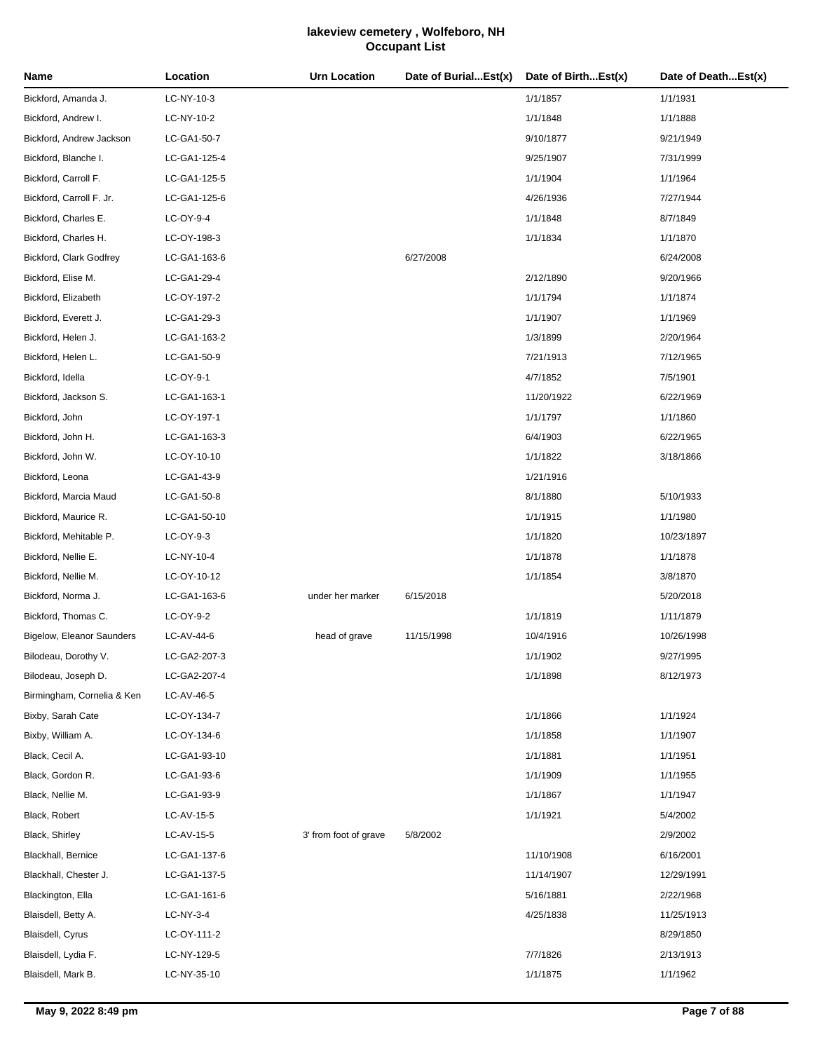| Name                       | Location     | Urn Location          | Date of BurialEst(x) | Date of BirthEst(x) | Date of DeathEst(x) |
|----------------------------|--------------|-----------------------|----------------------|---------------------|---------------------|
| Bickford, Amanda J.        | LC-NY-10-3   |                       |                      | 1/1/1857            | 1/1/1931            |
| Bickford, Andrew I.        | LC-NY-10-2   |                       |                      | 1/1/1848            | 1/1/1888            |
| Bickford, Andrew Jackson   | LC-GA1-50-7  |                       |                      | 9/10/1877           | 9/21/1949           |
| Bickford, Blanche I.       | LC-GA1-125-4 |                       |                      | 9/25/1907           | 7/31/1999           |
| Bickford, Carroll F.       | LC-GA1-125-5 |                       |                      | 1/1/1904            | 1/1/1964            |
| Bickford, Carroll F. Jr.   | LC-GA1-125-6 |                       |                      | 4/26/1936           | 7/27/1944           |
| Bickford, Charles E.       | LC-OY-9-4    |                       |                      | 1/1/1848            | 8/7/1849            |
| Bickford, Charles H.       | LC-OY-198-3  |                       |                      | 1/1/1834            | 1/1/1870            |
| Bickford, Clark Godfrey    | LC-GA1-163-6 |                       | 6/27/2008            |                     | 6/24/2008           |
| Bickford, Elise M.         | LC-GA1-29-4  |                       |                      | 2/12/1890           | 9/20/1966           |
| Bickford, Elizabeth        | LC-OY-197-2  |                       |                      | 1/1/1794            | 1/1/1874            |
| Bickford, Everett J.       | LC-GA1-29-3  |                       |                      | 1/1/1907            | 1/1/1969            |
| Bickford, Helen J.         | LC-GA1-163-2 |                       |                      | 1/3/1899            | 2/20/1964           |
| Bickford, Helen L.         | LC-GA1-50-9  |                       |                      | 7/21/1913           | 7/12/1965           |
| Bickford, Idella           | LC-OY-9-1    |                       |                      | 4/7/1852            | 7/5/1901            |
| Bickford, Jackson S.       | LC-GA1-163-1 |                       |                      | 11/20/1922          | 6/22/1969           |
| Bickford, John             | LC-OY-197-1  |                       |                      | 1/1/1797            | 1/1/1860            |
| Bickford, John H.          | LC-GA1-163-3 |                       |                      | 6/4/1903            | 6/22/1965           |
| Bickford, John W.          | LC-OY-10-10  |                       |                      | 1/1/1822            | 3/18/1866           |
| Bickford, Leona            | LC-GA1-43-9  |                       |                      | 1/21/1916           |                     |
| Bickford, Marcia Maud      | LC-GA1-50-8  |                       |                      | 8/1/1880            | 5/10/1933           |
| Bickford, Maurice R.       | LC-GA1-50-10 |                       |                      | 1/1/1915            | 1/1/1980            |
| Bickford, Mehitable P.     | LC-OY-9-3    |                       |                      | 1/1/1820            | 10/23/1897          |
| Bickford, Nellie E.        | LC-NY-10-4   |                       |                      | 1/1/1878            | 1/1/1878            |
| Bickford, Nellie M.        | LC-OY-10-12  |                       |                      | 1/1/1854            | 3/8/1870            |
| Bickford, Norma J.         | LC-GA1-163-6 | under her marker      | 6/15/2018            |                     | 5/20/2018           |
| Bickford, Thomas C.        | LC-OY-9-2    |                       |                      | 1/1/1819            | 1/11/1879           |
| Bigelow, Eleanor Saunders  | LC-AV-44-6   | head of grave         | 11/15/1998           | 10/4/1916           | 10/26/1998          |
| Bilodeau, Dorothy V.       | LC-GA2-207-3 |                       |                      | 1/1/1902            | 9/27/1995           |
| Bilodeau, Joseph D.        | LC-GA2-207-4 |                       |                      | 1/1/1898            | 8/12/1973           |
| Birmingham, Cornelia & Ken | LC-AV-46-5   |                       |                      |                     |                     |
| Bixby, Sarah Cate          | LC-OY-134-7  |                       |                      | 1/1/1866            | 1/1/1924            |
| Bixby, William A.          | LC-OY-134-6  |                       |                      | 1/1/1858            | 1/1/1907            |
| Black, Cecil A.            | LC-GA1-93-10 |                       |                      | 1/1/1881            | 1/1/1951            |
| Black, Gordon R.           | LC-GA1-93-6  |                       |                      | 1/1/1909            | 1/1/1955            |
| Black, Nellie M.           | LC-GA1-93-9  |                       |                      | 1/1/1867            | 1/1/1947            |
| Black, Robert              | LC-AV-15-5   |                       |                      | 1/1/1921            | 5/4/2002            |
| Black, Shirley             | LC-AV-15-5   | 3' from foot of grave | 5/8/2002             |                     | 2/9/2002            |
| Blackhall, Bernice         | LC-GA1-137-6 |                       |                      | 11/10/1908          | 6/16/2001           |
| Blackhall, Chester J.      | LC-GA1-137-5 |                       |                      | 11/14/1907          | 12/29/1991          |
| Blackington, Ella          | LC-GA1-161-6 |                       |                      | 5/16/1881           | 2/22/1968           |
| Blaisdell, Betty A.        | LC-NY-3-4    |                       |                      | 4/25/1838           | 11/25/1913          |
| Blaisdell, Cyrus           | LC-OY-111-2  |                       |                      |                     | 8/29/1850           |
| Blaisdell, Lydia F.        | LC-NY-129-5  |                       |                      | 7/7/1826            | 2/13/1913           |
| Blaisdell, Mark B.         | LC-NY-35-10  |                       |                      | 1/1/1875            | 1/1/1962            |
|                            |              |                       |                      |                     |                     |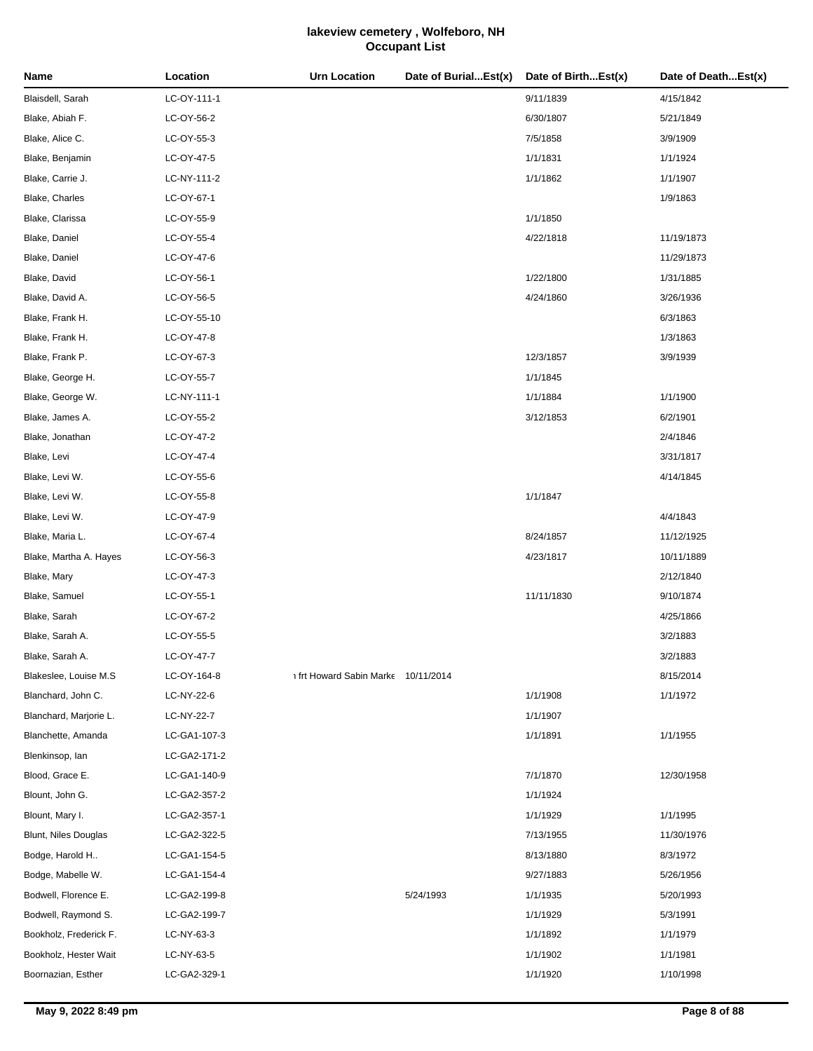| Name                   | Location     | <b>Urn Location</b>               | Date of BurialEst(x) | Date of BirthEst(x) | Date of DeathEst(x) |
|------------------------|--------------|-----------------------------------|----------------------|---------------------|---------------------|
| Blaisdell, Sarah       | LC-OY-111-1  |                                   |                      | 9/11/1839           | 4/15/1842           |
| Blake, Abiah F.        | LC-OY-56-2   |                                   |                      | 6/30/1807           | 5/21/1849           |
| Blake, Alice C.        | LC-OY-55-3   |                                   |                      | 7/5/1858            | 3/9/1909            |
| Blake, Benjamin        | LC-OY-47-5   |                                   |                      | 1/1/1831            | 1/1/1924            |
| Blake, Carrie J.       | LC-NY-111-2  |                                   |                      | 1/1/1862            | 1/1/1907            |
| Blake, Charles         | LC-OY-67-1   |                                   |                      |                     | 1/9/1863            |
| Blake, Clarissa        | LC-OY-55-9   |                                   |                      | 1/1/1850            |                     |
| Blake, Daniel          | LC-OY-55-4   |                                   |                      | 4/22/1818           | 11/19/1873          |
| Blake, Daniel          | LC-OY-47-6   |                                   |                      |                     | 11/29/1873          |
| Blake, David           | LC-OY-56-1   |                                   |                      | 1/22/1800           | 1/31/1885           |
| Blake, David A.        | LC-OY-56-5   |                                   |                      | 4/24/1860           | 3/26/1936           |
| Blake, Frank H.        | LC-OY-55-10  |                                   |                      |                     | 6/3/1863            |
| Blake, Frank H.        | LC-OY-47-8   |                                   |                      |                     | 1/3/1863            |
| Blake, Frank P.        | LC-OY-67-3   |                                   |                      | 12/3/1857           | 3/9/1939            |
| Blake, George H.       | LC-OY-55-7   |                                   |                      | 1/1/1845            |                     |
| Blake, George W.       | LC-NY-111-1  |                                   |                      | 1/1/1884            | 1/1/1900            |
| Blake, James A.        | LC-OY-55-2   |                                   |                      | 3/12/1853           | 6/2/1901            |
| Blake, Jonathan        | LC-OY-47-2   |                                   |                      |                     | 2/4/1846            |
| Blake, Levi            | LC-OY-47-4   |                                   |                      |                     | 3/31/1817           |
| Blake, Levi W.         | LC-OY-55-6   |                                   |                      |                     | 4/14/1845           |
| Blake, Levi W.         | LC-OY-55-8   |                                   |                      | 1/1/1847            |                     |
| Blake, Levi W.         | LC-OY-47-9   |                                   |                      |                     | 4/4/1843            |
| Blake, Maria L.        | LC-OY-67-4   |                                   |                      | 8/24/1857           | 11/12/1925          |
| Blake, Martha A. Hayes | LC-OY-56-3   |                                   |                      | 4/23/1817           | 10/11/1889          |
| Blake, Mary            | LC-OY-47-3   |                                   |                      |                     | 2/12/1840           |
| Blake, Samuel          | LC-OY-55-1   |                                   |                      | 11/11/1830          | 9/10/1874           |
| Blake, Sarah           | LC-OY-67-2   |                                   |                      |                     | 4/25/1866           |
| Blake, Sarah A.        | LC-OY-55-5   |                                   |                      |                     | 3/2/1883            |
| Blake, Sarah A.        | LC-OY-47-7   |                                   |                      |                     | 3/2/1883            |
| Blakeslee, Louise M.S. | LC-OY-164-8  | 10/11/2014 frt Howard Sabin Marke |                      |                     | 8/15/2014           |
| Blanchard, John C.     | LC-NY-22-6   |                                   |                      | 1/1/1908            | 1/1/1972            |
| Blanchard, Marjorie L. | LC-NY-22-7   |                                   |                      | 1/1/1907            |                     |
| Blanchette, Amanda     | LC-GA1-107-3 |                                   |                      | 1/1/1891            | 1/1/1955            |
| Blenkinsop, lan        | LC-GA2-171-2 |                                   |                      |                     |                     |
| Blood, Grace E.        | LC-GA1-140-9 |                                   |                      | 7/1/1870            | 12/30/1958          |
| Blount, John G.        | LC-GA2-357-2 |                                   |                      | 1/1/1924            |                     |
| Blount, Mary I.        | LC-GA2-357-1 |                                   |                      | 1/1/1929            | 1/1/1995            |
| Blunt, Niles Douglas   | LC-GA2-322-5 |                                   |                      | 7/13/1955           | 11/30/1976          |
| Bodge, Harold H        | LC-GA1-154-5 |                                   |                      | 8/13/1880           | 8/3/1972            |
| Bodge, Mabelle W.      | LC-GA1-154-4 |                                   |                      | 9/27/1883           | 5/26/1956           |
| Bodwell, Florence E.   | LC-GA2-199-8 |                                   | 5/24/1993            | 1/1/1935            | 5/20/1993           |
| Bodwell, Raymond S.    | LC-GA2-199-7 |                                   |                      | 1/1/1929            | 5/3/1991            |
| Bookholz, Frederick F. | LC-NY-63-3   |                                   |                      | 1/1/1892            | 1/1/1979            |
| Bookholz, Hester Wait  | LC-NY-63-5   |                                   |                      | 1/1/1902            | 1/1/1981            |
| Boornazian, Esther     | LC-GA2-329-1 |                                   |                      | 1/1/1920            | 1/10/1998           |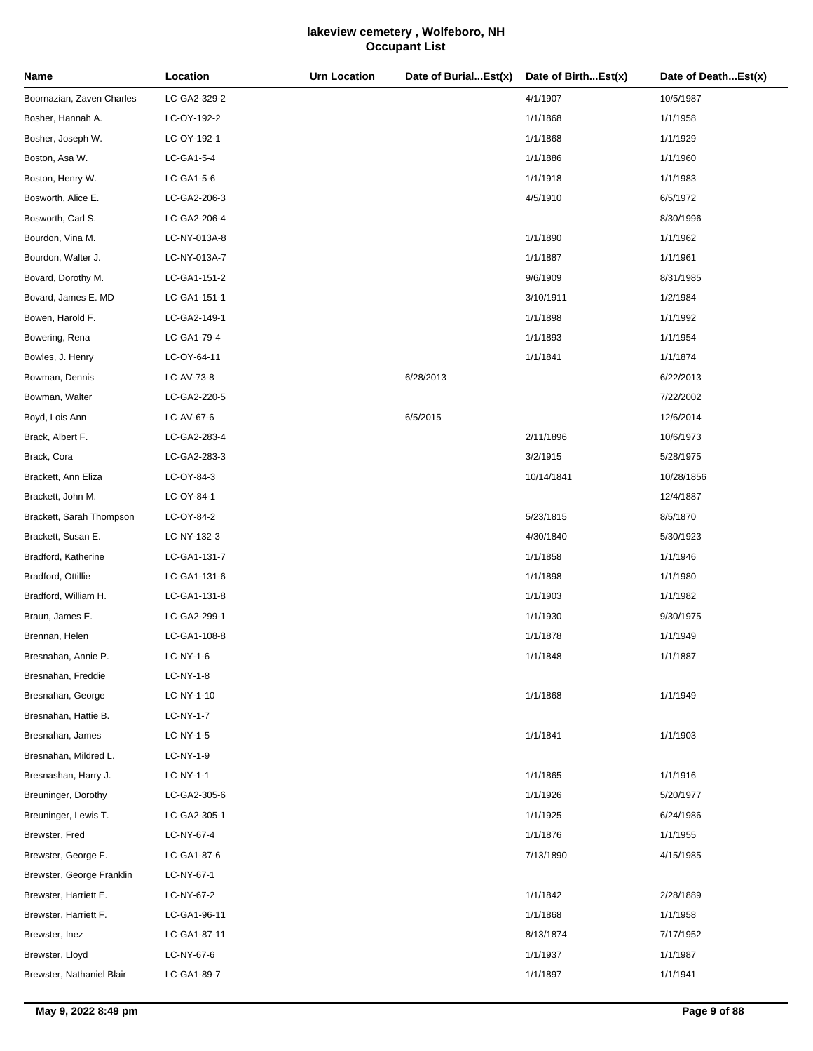| Name                      | Location     | Urn Location | Date of BurialEst(x) | Date of BirthEst(x) | Date of DeathEst(x) |
|---------------------------|--------------|--------------|----------------------|---------------------|---------------------|
| Boornazian, Zaven Charles | LC-GA2-329-2 |              |                      | 4/1/1907            | 10/5/1987           |
| Bosher, Hannah A.         | LC-OY-192-2  |              |                      | 1/1/1868            | 1/1/1958            |
| Bosher, Joseph W.         | LC-OY-192-1  |              |                      | 1/1/1868            | 1/1/1929            |
| Boston, Asa W.            | LC-GA1-5-4   |              |                      | 1/1/1886            | 1/1/1960            |
| Boston, Henry W.          | LC-GA1-5-6   |              |                      | 1/1/1918            | 1/1/1983            |
| Bosworth, Alice E.        | LC-GA2-206-3 |              |                      | 4/5/1910            | 6/5/1972            |
| Bosworth, Carl S.         | LC-GA2-206-4 |              |                      |                     | 8/30/1996           |
| Bourdon, Vina M.          | LC-NY-013A-8 |              |                      | 1/1/1890            | 1/1/1962            |
| Bourdon, Walter J.        | LC-NY-013A-7 |              |                      | 1/1/1887            | 1/1/1961            |
| Bovard, Dorothy M.        | LC-GA1-151-2 |              |                      | 9/6/1909            | 8/31/1985           |
| Bovard, James E. MD       | LC-GA1-151-1 |              |                      | 3/10/1911           | 1/2/1984            |
| Bowen, Harold F.          | LC-GA2-149-1 |              |                      | 1/1/1898            | 1/1/1992            |
| Bowering, Rena            | LC-GA1-79-4  |              |                      | 1/1/1893            | 1/1/1954            |
| Bowles, J. Henry          | LC-OY-64-11  |              |                      | 1/1/1841            | 1/1/1874            |
| Bowman, Dennis            | LC-AV-73-8   |              | 6/28/2013            |                     | 6/22/2013           |
| Bowman, Walter            | LC-GA2-220-5 |              |                      |                     | 7/22/2002           |
| Boyd, Lois Ann            | LC-AV-67-6   |              | 6/5/2015             |                     | 12/6/2014           |
| Brack, Albert F.          | LC-GA2-283-4 |              |                      | 2/11/1896           | 10/6/1973           |
| Brack, Cora               | LC-GA2-283-3 |              |                      | 3/2/1915            | 5/28/1975           |
| Brackett, Ann Eliza       | LC-OY-84-3   |              |                      | 10/14/1841          | 10/28/1856          |
| Brackett, John M.         | LC-OY-84-1   |              |                      |                     | 12/4/1887           |
| Brackett, Sarah Thompson  | LC-OY-84-2   |              |                      | 5/23/1815           | 8/5/1870            |
| Brackett, Susan E.        | LC-NY-132-3  |              |                      | 4/30/1840           | 5/30/1923           |
| Bradford, Katherine       | LC-GA1-131-7 |              |                      | 1/1/1858            | 1/1/1946            |
| Bradford, Ottillie        | LC-GA1-131-6 |              |                      | 1/1/1898            | 1/1/1980            |
| Bradford, William H.      | LC-GA1-131-8 |              |                      | 1/1/1903            | 1/1/1982            |
| Braun, James E.           | LC-GA2-299-1 |              |                      | 1/1/1930            | 9/30/1975           |
| Brennan, Helen            | LC-GA1-108-8 |              |                      | 1/1/1878            | 1/1/1949            |
| Bresnahan, Annie P.       | LC-NY-1-6    |              |                      | 1/1/1848            | 1/1/1887            |
| Bresnahan, Freddie        | LC-NY-1-8    |              |                      |                     |                     |
| Bresnahan, George         | LC-NY-1-10   |              |                      | 1/1/1868            | 1/1/1949            |
| Bresnahan, Hattie B.      | LC-NY-1-7    |              |                      |                     |                     |
| Bresnahan, James          | LC-NY-1-5    |              |                      | 1/1/1841            | 1/1/1903            |
| Bresnahan, Mildred L.     | LC-NY-1-9    |              |                      |                     |                     |
| Bresnashan, Harry J.      | $LC-NY-1-1$  |              |                      | 1/1/1865            | 1/1/1916            |
| Breuninger, Dorothy       | LC-GA2-305-6 |              |                      | 1/1/1926            | 5/20/1977           |
| Breuninger, Lewis T.      | LC-GA2-305-1 |              |                      | 1/1/1925            | 6/24/1986           |
| Brewster, Fred            | LC-NY-67-4   |              |                      | 1/1/1876            | 1/1/1955            |
| Brewster, George F.       | LC-GA1-87-6  |              |                      | 7/13/1890           | 4/15/1985           |
| Brewster, George Franklin | LC-NY-67-1   |              |                      |                     |                     |
| Brewster, Harriett E.     | LC-NY-67-2   |              |                      | 1/1/1842            | 2/28/1889           |
| Brewster, Harriett F.     | LC-GA1-96-11 |              |                      | 1/1/1868            | 1/1/1958            |
| Brewster, Inez            | LC-GA1-87-11 |              |                      | 8/13/1874           | 7/17/1952           |
| Brewster, Lloyd           | LC-NY-67-6   |              |                      | 1/1/1937            | 1/1/1987            |
| Brewster, Nathaniel Blair | LC-GA1-89-7  |              |                      | 1/1/1897            | 1/1/1941            |
|                           |              |              |                      |                     |                     |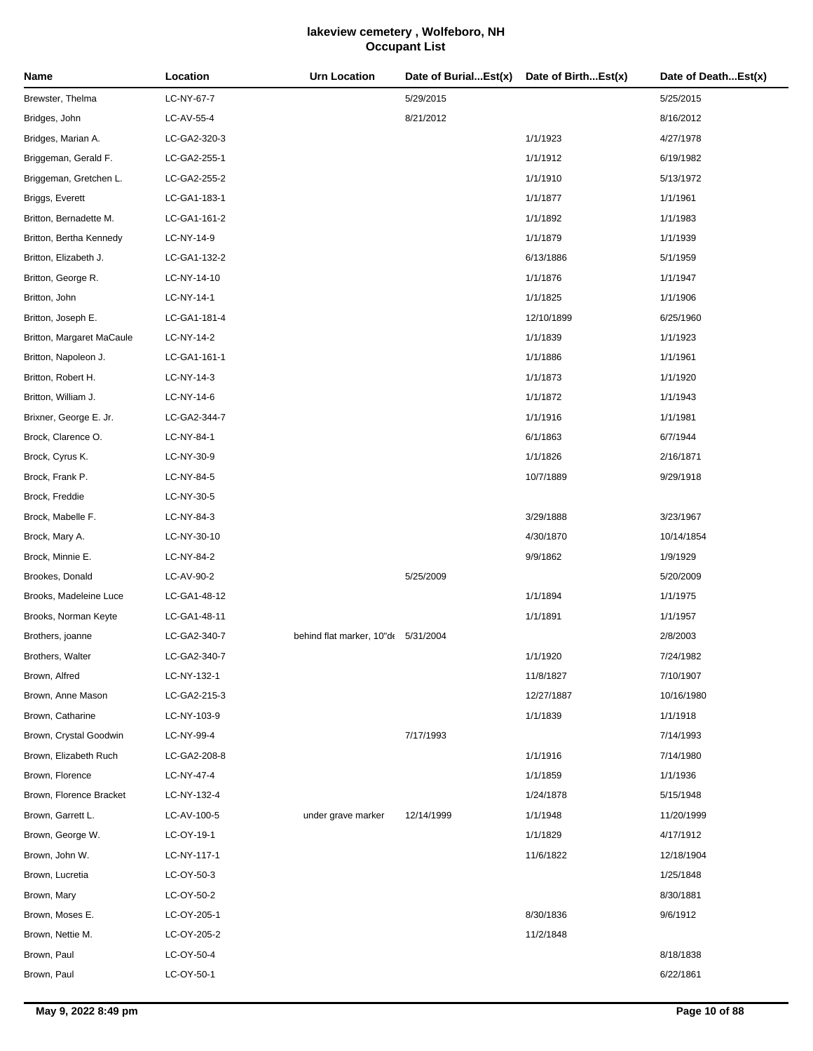| Name                      | Location     | <b>Urn Location</b>                 | Date of BurialEst(x) | Date of BirthEst(x) | Date of DeathEst(x) |
|---------------------------|--------------|-------------------------------------|----------------------|---------------------|---------------------|
| Brewster, Thelma          | LC-NY-67-7   |                                     | 5/29/2015            |                     | 5/25/2015           |
| Bridges, John             | LC-AV-55-4   |                                     | 8/21/2012            |                     | 8/16/2012           |
| Bridges, Marian A.        | LC-GA2-320-3 |                                     |                      | 1/1/1923            | 4/27/1978           |
| Briggeman, Gerald F.      | LC-GA2-255-1 |                                     |                      | 1/1/1912            | 6/19/1982           |
| Briggeman, Gretchen L.    | LC-GA2-255-2 |                                     |                      | 1/1/1910            | 5/13/1972           |
| Briggs, Everett           | LC-GA1-183-1 |                                     |                      | 1/1/1877            | 1/1/1961            |
| Britton, Bernadette M.    | LC-GA1-161-2 |                                     |                      | 1/1/1892            | 1/1/1983            |
| Britton, Bertha Kennedy   | LC-NY-14-9   |                                     |                      | 1/1/1879            | 1/1/1939            |
| Britton, Elizabeth J.     | LC-GA1-132-2 |                                     |                      | 6/13/1886           | 5/1/1959            |
| Britton, George R.        | LC-NY-14-10  |                                     |                      | 1/1/1876            | 1/1/1947            |
| Britton, John             | LC-NY-14-1   |                                     |                      | 1/1/1825            | 1/1/1906            |
| Britton, Joseph E.        | LC-GA1-181-4 |                                     |                      | 12/10/1899          | 6/25/1960           |
| Britton, Margaret MaCaule | LC-NY-14-2   |                                     |                      | 1/1/1839            | 1/1/1923            |
| Britton, Napoleon J.      | LC-GA1-161-1 |                                     |                      | 1/1/1886            | 1/1/1961            |
| Britton, Robert H.        | LC-NY-14-3   |                                     |                      | 1/1/1873            | 1/1/1920            |
| Britton, William J.       | LC-NY-14-6   |                                     |                      | 1/1/1872            | 1/1/1943            |
| Brixner, George E. Jr.    | LC-GA2-344-7 |                                     |                      | 1/1/1916            | 1/1/1981            |
| Brock, Clarence O.        | LC-NY-84-1   |                                     |                      | 6/1/1863            | 6/7/1944            |
| Brock, Cyrus K.           | LC-NY-30-9   |                                     |                      | 1/1/1826            | 2/16/1871           |
| Brock, Frank P.           | LC-NY-84-5   |                                     |                      | 10/7/1889           | 9/29/1918           |
| Brock, Freddie            | LC-NY-30-5   |                                     |                      |                     |                     |
| Brock, Mabelle F.         | LC-NY-84-3   |                                     |                      | 3/29/1888           | 3/23/1967           |
| Brock, Mary A.            | LC-NY-30-10  |                                     |                      | 4/30/1870           | 10/14/1854          |
| Brock, Minnie E.          | LC-NY-84-2   |                                     |                      | 9/9/1862            | 1/9/1929            |
| Brookes, Donald           | LC-AV-90-2   |                                     | 5/25/2009            |                     | 5/20/2009           |
| Brooks, Madeleine Luce    | LC-GA1-48-12 |                                     |                      | 1/1/1894            | 1/1/1975            |
| Brooks, Norman Keyte      | LC-GA1-48-11 |                                     |                      | 1/1/1891            | 1/1/1957            |
| Brothers, joanne          | LC-GA2-340-7 | behind flat marker, 10"de 5/31/2004 |                      |                     | 2/8/2003            |
| Brothers, Walter          | LC-GA2-340-7 |                                     |                      | 1/1/1920            | 7/24/1982           |
| Brown, Alfred             | LC-NY-132-1  |                                     |                      | 11/8/1827           | 7/10/1907           |
| Brown, Anne Mason         | LC-GA2-215-3 |                                     |                      | 12/27/1887          | 10/16/1980          |
| Brown, Catharine          | LC-NY-103-9  |                                     |                      | 1/1/1839            | 1/1/1918            |
| Brown, Crystal Goodwin    | LC-NY-99-4   |                                     | 7/17/1993            |                     | 7/14/1993           |
| Brown, Elizabeth Ruch     | LC-GA2-208-8 |                                     |                      | 1/1/1916            | 7/14/1980           |
| Brown, Florence           | LC-NY-47-4   |                                     |                      | 1/1/1859            | 1/1/1936            |
| Brown, Florence Bracket   | LC-NY-132-4  |                                     |                      | 1/24/1878           | 5/15/1948           |
| Brown, Garrett L.         | LC-AV-100-5  | under grave marker                  | 12/14/1999           | 1/1/1948            | 11/20/1999          |
| Brown, George W.          | LC-OY-19-1   |                                     |                      | 1/1/1829            | 4/17/1912           |
| Brown, John W.            | LC-NY-117-1  |                                     |                      | 11/6/1822           | 12/18/1904          |
| Brown, Lucretia           | LC-OY-50-3   |                                     |                      |                     | 1/25/1848           |
| Brown, Mary               | LC-OY-50-2   |                                     |                      |                     | 8/30/1881           |
| Brown, Moses E.           | LC-OY-205-1  |                                     |                      | 8/30/1836           | 9/6/1912            |
| Brown, Nettie M.          | LC-OY-205-2  |                                     |                      | 11/2/1848           |                     |
| Brown, Paul               | LC-OY-50-4   |                                     |                      |                     | 8/18/1838           |
| Brown, Paul               | LC-OY-50-1   |                                     |                      |                     | 6/22/1861           |
|                           |              |                                     |                      |                     |                     |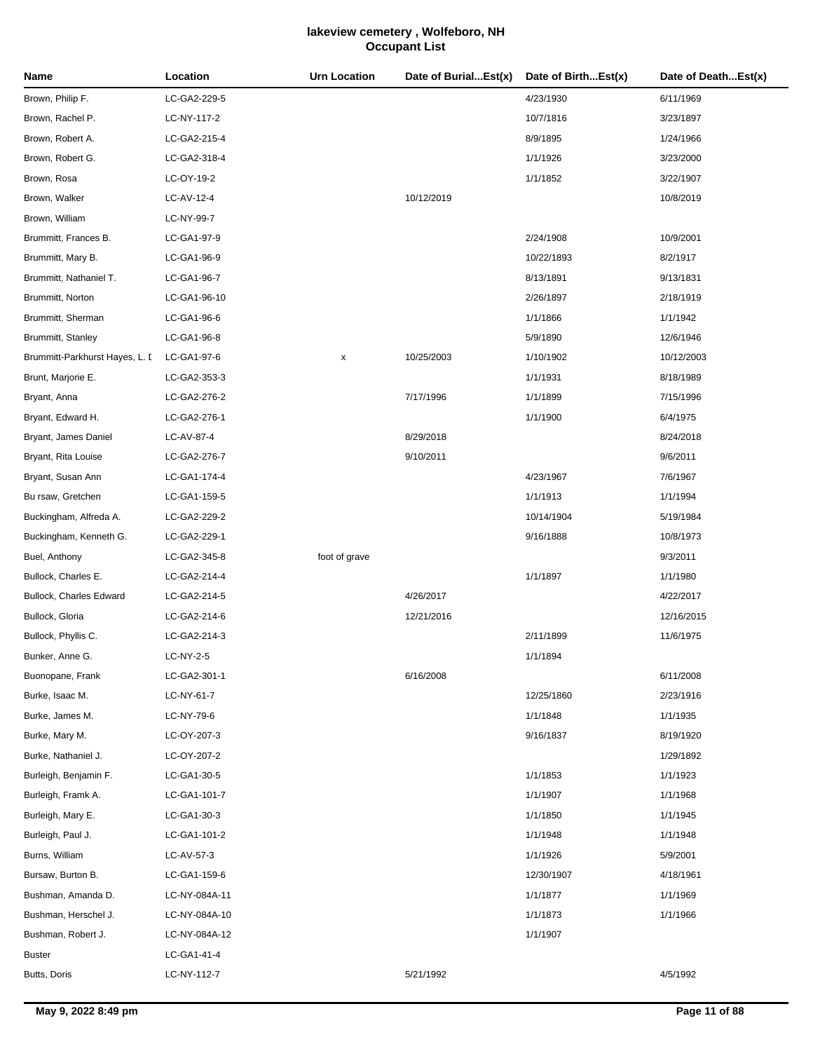| Name                           | Location      | <b>Urn Location</b> | Date of BurialEst(x) | Date of BirthEst(x) | Date of DeathEst(x) |
|--------------------------------|---------------|---------------------|----------------------|---------------------|---------------------|
| Brown, Philip F.               | LC-GA2-229-5  |                     |                      | 4/23/1930           | 6/11/1969           |
| Brown, Rachel P.               | LC-NY-117-2   |                     |                      | 10/7/1816           | 3/23/1897           |
| Brown, Robert A.               | LC-GA2-215-4  |                     |                      | 8/9/1895            | 1/24/1966           |
| Brown, Robert G.               | LC-GA2-318-4  |                     |                      | 1/1/1926            | 3/23/2000           |
| Brown, Rosa                    | LC-OY-19-2    |                     |                      | 1/1/1852            | 3/22/1907           |
| Brown, Walker                  | LC-AV-12-4    |                     | 10/12/2019           |                     | 10/8/2019           |
| Brown, William                 | LC-NY-99-7    |                     |                      |                     |                     |
| Brummitt, Frances B.           | LC-GA1-97-9   |                     |                      | 2/24/1908           | 10/9/2001           |
| Brummitt, Mary B.              | LC-GA1-96-9   |                     |                      | 10/22/1893          | 8/2/1917            |
| Brummitt, Nathaniel T.         | LC-GA1-96-7   |                     |                      | 8/13/1891           | 9/13/1831           |
| Brummitt, Norton               | LC-GA1-96-10  |                     |                      | 2/26/1897           | 2/18/1919           |
| Brummitt, Sherman              | LC-GA1-96-6   |                     |                      | 1/1/1866            | 1/1/1942            |
| Brummitt, Stanley              | LC-GA1-96-8   |                     |                      | 5/9/1890            | 12/6/1946           |
| Brummitt-Parkhurst Hayes, L. D | LC-GA1-97-6   | x                   | 10/25/2003           | 1/10/1902           | 10/12/2003          |
| Brunt, Marjorie E.             | LC-GA2-353-3  |                     |                      | 1/1/1931            | 8/18/1989           |
| Bryant, Anna                   | LC-GA2-276-2  |                     | 7/17/1996            | 1/1/1899            | 7/15/1996           |
| Bryant, Edward H.              | LC-GA2-276-1  |                     |                      | 1/1/1900            | 6/4/1975            |
| Bryant, James Daniel           | LC-AV-87-4    |                     | 8/29/2018            |                     | 8/24/2018           |
| Bryant, Rita Louise            | LC-GA2-276-7  |                     | 9/10/2011            |                     | 9/6/2011            |
| Bryant, Susan Ann              | LC-GA1-174-4  |                     |                      | 4/23/1967           | 7/6/1967            |
| Bu rsaw, Gretchen              | LC-GA1-159-5  |                     |                      | 1/1/1913            | 1/1/1994            |
| Buckingham, Alfreda A.         | LC-GA2-229-2  |                     |                      | 10/14/1904          | 5/19/1984           |
| Buckingham, Kenneth G.         | LC-GA2-229-1  |                     |                      | 9/16/1888           | 10/8/1973           |
| Buel, Anthony                  | LC-GA2-345-8  | foot of grave       |                      |                     | 9/3/2011            |
| Bullock, Charles E.            | LC-GA2-214-4  |                     |                      | 1/1/1897            | 1/1/1980            |
| Bullock, Charles Edward        | LC-GA2-214-5  |                     | 4/26/2017            |                     | 4/22/2017           |
| Bullock, Gloria                | LC-GA2-214-6  |                     | 12/21/2016           |                     | 12/16/2015          |
| Bullock, Phyllis C.            | LC-GA2-214-3  |                     |                      | 2/11/1899           | 11/6/1975           |
| Bunker, Anne G.                | LC-NY-2-5     |                     |                      | 1/1/1894            |                     |
| Buonopane, Frank               | LC-GA2-301-1  |                     | 6/16/2008            |                     | 6/11/2008           |
| Burke, Isaac M.                | LC-NY-61-7    |                     |                      | 12/25/1860          | 2/23/1916           |
| Burke, James M.                | LC-NY-79-6    |                     |                      | 1/1/1848            | 1/1/1935            |
| Burke, Mary M.                 | LC-OY-207-3   |                     |                      | 9/16/1837           | 8/19/1920           |
| Burke, Nathaniel J.            | LC-OY-207-2   |                     |                      |                     | 1/29/1892           |
| Burleigh, Benjamin F.          | LC-GA1-30-5   |                     |                      | 1/1/1853            | 1/1/1923            |
| Burleigh, Framk A.             | LC-GA1-101-7  |                     |                      | 1/1/1907            | 1/1/1968            |
| Burleigh, Mary E.              | LC-GA1-30-3   |                     |                      | 1/1/1850            | 1/1/1945            |
| Burleigh, Paul J.              | LC-GA1-101-2  |                     |                      | 1/1/1948            | 1/1/1948            |
| Burns, William                 | LC-AV-57-3    |                     |                      | 1/1/1926            | 5/9/2001            |
| Bursaw, Burton B.              | LC-GA1-159-6  |                     |                      | 12/30/1907          | 4/18/1961           |
| Bushman, Amanda D.             | LC-NY-084A-11 |                     |                      | 1/1/1877            | 1/1/1969            |
| Bushman, Herschel J.           | LC-NY-084A-10 |                     |                      | 1/1/1873            | 1/1/1966            |
| Bushman, Robert J.             | LC-NY-084A-12 |                     |                      | 1/1/1907            |                     |
| Buster                         | LC-GA1-41-4   |                     |                      |                     |                     |
| Butts, Doris                   | LC-NY-112-7   |                     | 5/21/1992            |                     | 4/5/1992            |
|                                |               |                     |                      |                     |                     |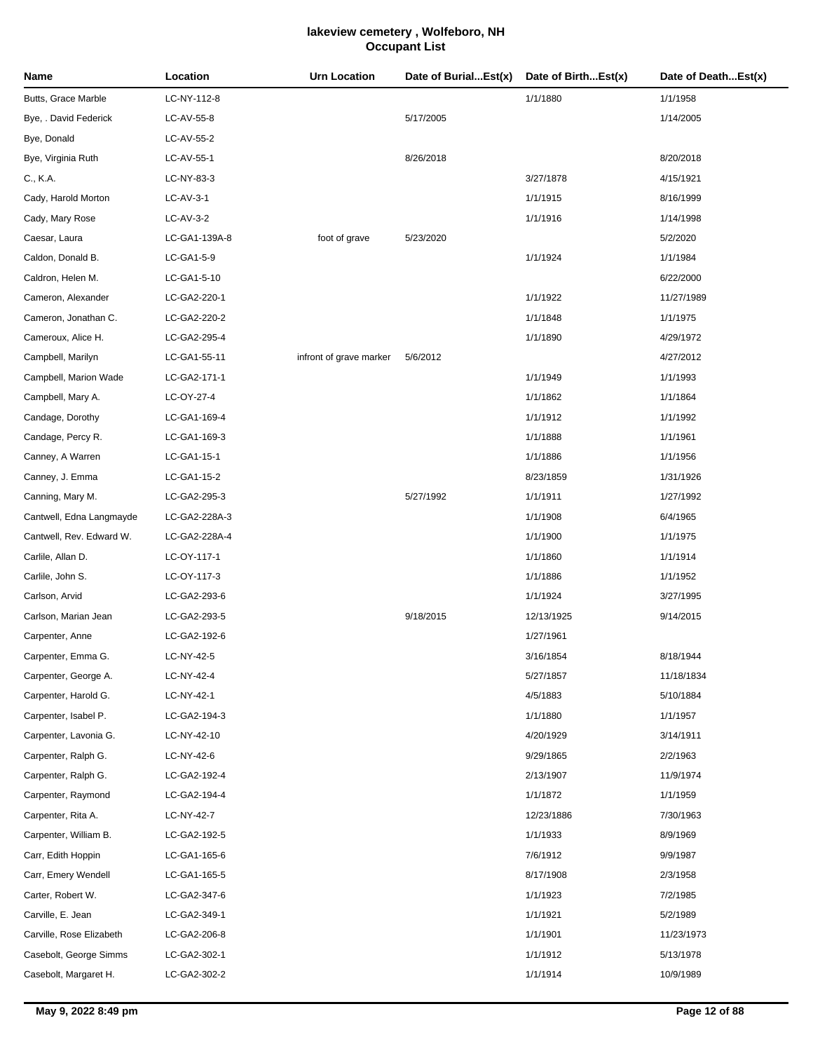| Name                     | Location      | Urn Location            | Date of BurialEst(x) | Date of BirthEst(x) | Date of DeathEst(x) |
|--------------------------|---------------|-------------------------|----------------------|---------------------|---------------------|
| Butts, Grace Marble      | LC-NY-112-8   |                         |                      | 1/1/1880            | 1/1/1958            |
| Bye, . David Federick    | LC-AV-55-8    |                         | 5/17/2005            |                     | 1/14/2005           |
| Bye, Donald              | LC-AV-55-2    |                         |                      |                     |                     |
| Bye, Virginia Ruth       | LC-AV-55-1    |                         | 8/26/2018            |                     | 8/20/2018           |
| C., K.A.                 | LC-NY-83-3    |                         |                      | 3/27/1878           | 4/15/1921           |
| Cady, Harold Morton      | LC-AV-3-1     |                         |                      | 1/1/1915            | 8/16/1999           |
| Cady, Mary Rose          | LC-AV-3-2     |                         |                      | 1/1/1916            | 1/14/1998           |
| Caesar, Laura            | LC-GA1-139A-8 | foot of grave           | 5/23/2020            |                     | 5/2/2020            |
| Caldon, Donald B.        | LC-GA1-5-9    |                         |                      | 1/1/1924            | 1/1/1984            |
| Caldron, Helen M.        | LC-GA1-5-10   |                         |                      |                     | 6/22/2000           |
| Cameron, Alexander       | LC-GA2-220-1  |                         |                      | 1/1/1922            | 11/27/1989          |
| Cameron, Jonathan C.     | LC-GA2-220-2  |                         |                      | 1/1/1848            | 1/1/1975            |
| Cameroux, Alice H.       | LC-GA2-295-4  |                         |                      | 1/1/1890            | 4/29/1972           |
| Campbell, Marilyn        | LC-GA1-55-11  | infront of grave marker | 5/6/2012             |                     | 4/27/2012           |
| Campbell, Marion Wade    | LC-GA2-171-1  |                         |                      | 1/1/1949            | 1/1/1993            |
| Campbell, Mary A.        | LC-OY-27-4    |                         |                      | 1/1/1862            | 1/1/1864            |
| Candage, Dorothy         | LC-GA1-169-4  |                         |                      | 1/1/1912            | 1/1/1992            |
| Candage, Percy R.        | LC-GA1-169-3  |                         |                      | 1/1/1888            | 1/1/1961            |
| Canney, A Warren         | LC-GA1-15-1   |                         |                      | 1/1/1886            | 1/1/1956            |
| Canney, J. Emma          | LC-GA1-15-2   |                         |                      | 8/23/1859           | 1/31/1926           |
| Canning, Mary M.         | LC-GA2-295-3  |                         | 5/27/1992            | 1/1/1911            | 1/27/1992           |
| Cantwell, Edna Langmayde | LC-GA2-228A-3 |                         |                      | 1/1/1908            | 6/4/1965            |
| Cantwell, Rev. Edward W. | LC-GA2-228A-4 |                         |                      | 1/1/1900            | 1/1/1975            |
| Carlile, Allan D.        | LC-OY-117-1   |                         |                      | 1/1/1860            | 1/1/1914            |
| Carlile, John S.         | LC-OY-117-3   |                         |                      | 1/1/1886            | 1/1/1952            |
| Carlson, Arvid           | LC-GA2-293-6  |                         |                      | 1/1/1924            | 3/27/1995           |
| Carlson, Marian Jean     | LC-GA2-293-5  |                         | 9/18/2015            | 12/13/1925          | 9/14/2015           |
| Carpenter, Anne          | LC-GA2-192-6  |                         |                      | 1/27/1961           |                     |
| Carpenter, Emma G.       | LC-NY-42-5    |                         |                      | 3/16/1854           | 8/18/1944           |
| Carpenter, George A.     | LC-NY-42-4    |                         |                      | 5/27/1857           | 11/18/1834          |
| Carpenter, Harold G.     | LC-NY-42-1    |                         |                      | 4/5/1883            | 5/10/1884           |
| Carpenter, Isabel P.     | LC-GA2-194-3  |                         |                      | 1/1/1880            | 1/1/1957            |
| Carpenter, Lavonia G.    | LC-NY-42-10   |                         |                      | 4/20/1929           | 3/14/1911           |
| Carpenter, Ralph G.      | LC-NY-42-6    |                         |                      | 9/29/1865           | 2/2/1963            |
| Carpenter, Ralph G.      | LC-GA2-192-4  |                         |                      | 2/13/1907           | 11/9/1974           |
| Carpenter, Raymond       | LC-GA2-194-4  |                         |                      | 1/1/1872            | 1/1/1959            |
| Carpenter, Rita A.       | LC-NY-42-7    |                         |                      | 12/23/1886          | 7/30/1963           |
| Carpenter, William B.    | LC-GA2-192-5  |                         |                      | 1/1/1933            | 8/9/1969            |
| Carr, Edith Hoppin       | LC-GA1-165-6  |                         |                      | 7/6/1912            | 9/9/1987            |
| Carr, Emery Wendell      | LC-GA1-165-5  |                         |                      | 8/17/1908           | 2/3/1958            |
| Carter, Robert W.        | LC-GA2-347-6  |                         |                      | 1/1/1923            | 7/2/1985            |
| Carville, E. Jean        | LC-GA2-349-1  |                         |                      | 1/1/1921            | 5/2/1989            |
| Carville, Rose Elizabeth | LC-GA2-206-8  |                         |                      | 1/1/1901            | 11/23/1973          |
| Casebolt, George Simms   | LC-GA2-302-1  |                         |                      | 1/1/1912            | 5/13/1978           |
| Casebolt, Margaret H.    | LC-GA2-302-2  |                         |                      | 1/1/1914            | 10/9/1989           |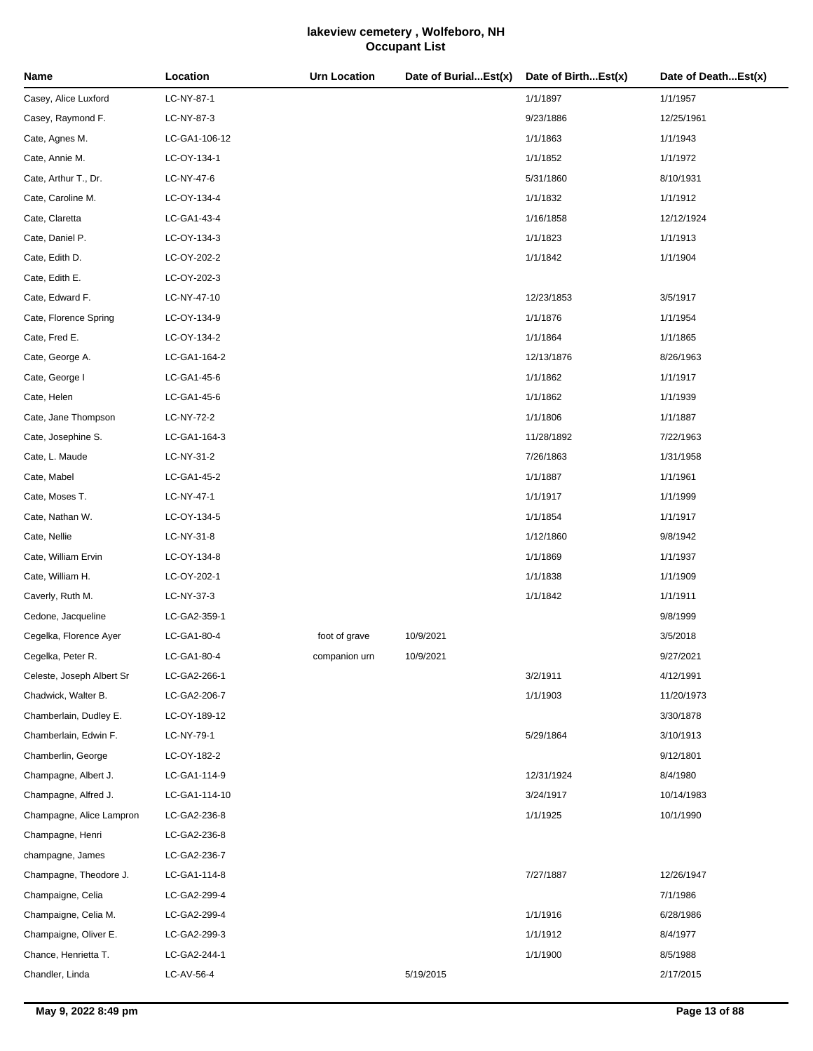| Name                      | Location      | <b>Urn Location</b> | Date of BurialEst(x) | Date of BirthEst(x) | Date of DeathEst(x) |
|---------------------------|---------------|---------------------|----------------------|---------------------|---------------------|
| Casey, Alice Luxford      | LC-NY-87-1    |                     |                      | 1/1/1897            | 1/1/1957            |
| Casey, Raymond F.         | LC-NY-87-3    |                     |                      | 9/23/1886           | 12/25/1961          |
| Cate, Agnes M.            | LC-GA1-106-12 |                     |                      | 1/1/1863            | 1/1/1943            |
| Cate, Annie M.            | LC-OY-134-1   |                     |                      | 1/1/1852            | 1/1/1972            |
| Cate, Arthur T., Dr.      | LC-NY-47-6    |                     |                      | 5/31/1860           | 8/10/1931           |
| Cate, Caroline M.         | LC-OY-134-4   |                     |                      | 1/1/1832            | 1/1/1912            |
| Cate, Claretta            | LC-GA1-43-4   |                     |                      | 1/16/1858           | 12/12/1924          |
| Cate, Daniel P.           | LC-OY-134-3   |                     |                      | 1/1/1823            | 1/1/1913            |
| Cate, Edith D.            | LC-OY-202-2   |                     |                      | 1/1/1842            | 1/1/1904            |
| Cate, Edith E.            | LC-OY-202-3   |                     |                      |                     |                     |
| Cate, Edward F.           | LC-NY-47-10   |                     |                      | 12/23/1853          | 3/5/1917            |
| Cate, Florence Spring     | LC-OY-134-9   |                     |                      | 1/1/1876            | 1/1/1954            |
| Cate, Fred E.             | LC-OY-134-2   |                     |                      | 1/1/1864            | 1/1/1865            |
| Cate, George A.           | LC-GA1-164-2  |                     |                      | 12/13/1876          | 8/26/1963           |
| Cate, George I            | LC-GA1-45-6   |                     |                      | 1/1/1862            | 1/1/1917            |
| Cate, Helen               | LC-GA1-45-6   |                     |                      | 1/1/1862            | 1/1/1939            |
| Cate, Jane Thompson       | LC-NY-72-2    |                     |                      | 1/1/1806            | 1/1/1887            |
| Cate, Josephine S.        | LC-GA1-164-3  |                     |                      | 11/28/1892          | 7/22/1963           |
| Cate, L. Maude            | LC-NY-31-2    |                     |                      | 7/26/1863           | 1/31/1958           |
| Cate, Mabel               | LC-GA1-45-2   |                     |                      | 1/1/1887            | 1/1/1961            |
| Cate, Moses T.            | LC-NY-47-1    |                     |                      | 1/1/1917            | 1/1/1999            |
| Cate, Nathan W.           | LC-OY-134-5   |                     |                      | 1/1/1854            | 1/1/1917            |
| Cate, Nellie              | LC-NY-31-8    |                     |                      | 1/12/1860           | 9/8/1942            |
| Cate, William Ervin       | LC-OY-134-8   |                     |                      | 1/1/1869            | 1/1/1937            |
| Cate, William H.          | LC-OY-202-1   |                     |                      | 1/1/1838            | 1/1/1909            |
| Caverly, Ruth M.          | LC-NY-37-3    |                     |                      | 1/1/1842            | 1/1/1911            |
| Cedone, Jacqueline        | LC-GA2-359-1  |                     |                      |                     | 9/8/1999            |
| Cegelka, Florence Ayer    | LC-GA1-80-4   | foot of grave       | 10/9/2021            |                     | 3/5/2018            |
| Cegelka, Peter R.         | LC-GA1-80-4   | companion urn       | 10/9/2021            |                     | 9/27/2021           |
| Celeste, Joseph Albert Sr | LC-GA2-266-1  |                     |                      | 3/2/1911            | 4/12/1991           |
| Chadwick, Walter B.       | LC-GA2-206-7  |                     |                      | 1/1/1903            | 11/20/1973          |
| Chamberlain, Dudley E.    | LC-OY-189-12  |                     |                      |                     | 3/30/1878           |
| Chamberlain, Edwin F.     | LC-NY-79-1    |                     |                      | 5/29/1864           | 3/10/1913           |
| Chamberlin, George        | LC-OY-182-2   |                     |                      |                     | 9/12/1801           |
| Champagne, Albert J.      | LC-GA1-114-9  |                     |                      | 12/31/1924          | 8/4/1980            |
| Champagne, Alfred J.      | LC-GA1-114-10 |                     |                      | 3/24/1917           | 10/14/1983          |
| Champagne, Alice Lampron  | LC-GA2-236-8  |                     |                      | 1/1/1925            | 10/1/1990           |
| Champagne, Henri          | LC-GA2-236-8  |                     |                      |                     |                     |
| champagne, James          | LC-GA2-236-7  |                     |                      |                     |                     |
| Champagne, Theodore J.    | LC-GA1-114-8  |                     |                      | 7/27/1887           | 12/26/1947          |
| Champaigne, Celia         | LC-GA2-299-4  |                     |                      |                     | 7/1/1986            |
| Champaigne, Celia M.      | LC-GA2-299-4  |                     |                      | 1/1/1916            | 6/28/1986           |
| Champaigne, Oliver E.     | LC-GA2-299-3  |                     |                      | 1/1/1912            | 8/4/1977            |
| Chance, Henrietta T.      | LC-GA2-244-1  |                     |                      | 1/1/1900            | 8/5/1988            |
| Chandler, Linda           | LC-AV-56-4    |                     | 5/19/2015            |                     | 2/17/2015           |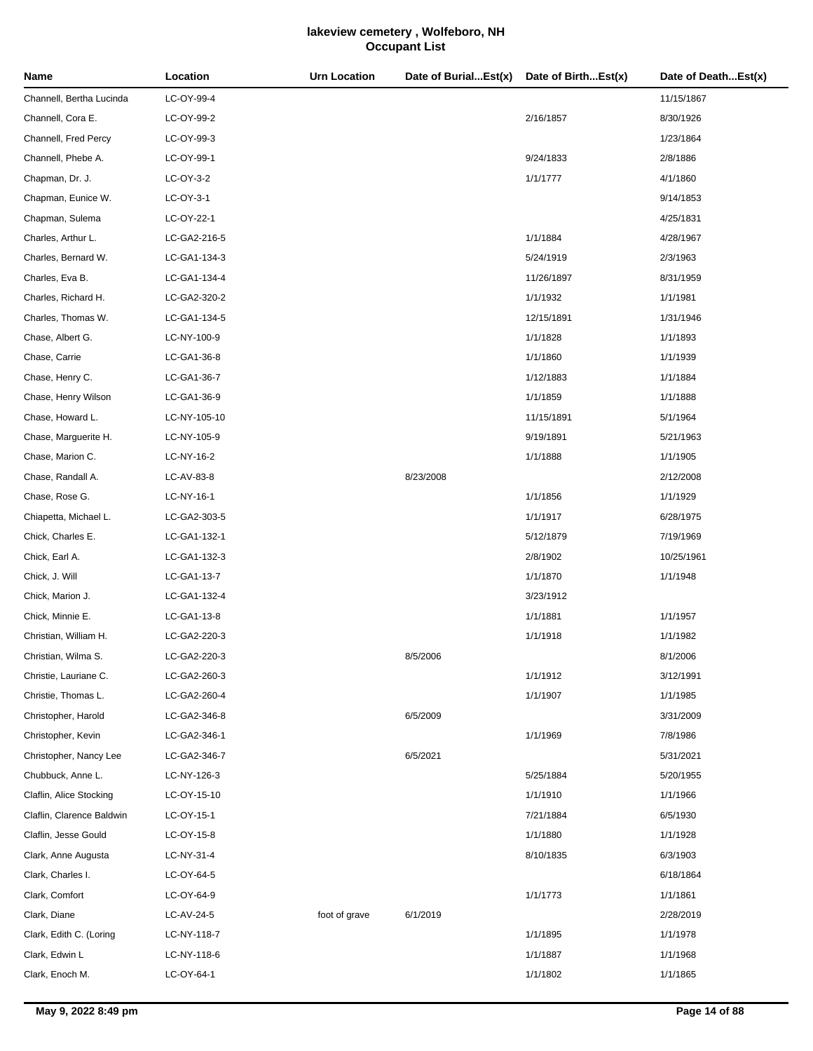| Name                      | Location     | <b>Urn Location</b> | Date of BurialEst(x) | Date of BirthEst(x) | Date of DeathEst(x) |
|---------------------------|--------------|---------------------|----------------------|---------------------|---------------------|
| Channell, Bertha Lucinda  | LC-OY-99-4   |                     |                      |                     | 11/15/1867          |
| Channell, Cora E.         | LC-OY-99-2   |                     |                      | 2/16/1857           | 8/30/1926           |
| Channell, Fred Percy      | LC-OY-99-3   |                     |                      |                     | 1/23/1864           |
| Channell, Phebe A.        | LC-OY-99-1   |                     |                      | 9/24/1833           | 2/8/1886            |
| Chapman, Dr. J.           | LC-OY-3-2    |                     |                      | 1/1/1777            | 4/1/1860            |
| Chapman, Eunice W.        | LC-OY-3-1    |                     |                      |                     | 9/14/1853           |
| Chapman, Sulema           | LC-OY-22-1   |                     |                      |                     | 4/25/1831           |
| Charles, Arthur L.        | LC-GA2-216-5 |                     |                      | 1/1/1884            | 4/28/1967           |
| Charles, Bernard W.       | LC-GA1-134-3 |                     |                      | 5/24/1919           | 2/3/1963            |
| Charles, Eva B.           | LC-GA1-134-4 |                     |                      | 11/26/1897          | 8/31/1959           |
| Charles, Richard H.       | LC-GA2-320-2 |                     |                      | 1/1/1932            | 1/1/1981            |
| Charles, Thomas W.        | LC-GA1-134-5 |                     |                      | 12/15/1891          | 1/31/1946           |
| Chase, Albert G.          | LC-NY-100-9  |                     |                      | 1/1/1828            | 1/1/1893            |
| Chase, Carrie             | LC-GA1-36-8  |                     |                      | 1/1/1860            | 1/1/1939            |
| Chase, Henry C.           | LC-GA1-36-7  |                     |                      | 1/12/1883           | 1/1/1884            |
| Chase, Henry Wilson       | LC-GA1-36-9  |                     |                      | 1/1/1859            | 1/1/1888            |
| Chase, Howard L.          | LC-NY-105-10 |                     |                      | 11/15/1891          | 5/1/1964            |
| Chase, Marguerite H.      | LC-NY-105-9  |                     |                      | 9/19/1891           | 5/21/1963           |
| Chase, Marion C.          | LC-NY-16-2   |                     |                      | 1/1/1888            | 1/1/1905            |
| Chase, Randall A.         | LC-AV-83-8   |                     | 8/23/2008            |                     | 2/12/2008           |
| Chase, Rose G.            | LC-NY-16-1   |                     |                      | 1/1/1856            | 1/1/1929            |
| Chiapetta, Michael L.     | LC-GA2-303-5 |                     |                      | 1/1/1917            | 6/28/1975           |
| Chick, Charles E.         | LC-GA1-132-1 |                     |                      | 5/12/1879           | 7/19/1969           |
| Chick, Earl A.            | LC-GA1-132-3 |                     |                      | 2/8/1902            | 10/25/1961          |
| Chick, J. Will            | LC-GA1-13-7  |                     |                      | 1/1/1870            | 1/1/1948            |
| Chick, Marion J.          | LC-GA1-132-4 |                     |                      | 3/23/1912           |                     |
| Chick, Minnie E.          | LC-GA1-13-8  |                     |                      | 1/1/1881            | 1/1/1957            |
| Christian, William H.     | LC-GA2-220-3 |                     |                      | 1/1/1918            | 1/1/1982            |
| Christian, Wilma S.       | LC-GA2-220-3 |                     | 8/5/2006             |                     | 8/1/2006            |
| Christie, Lauriane C.     | LC-GA2-260-3 |                     |                      | 1/1/1912            | 3/12/1991           |
| Christie, Thomas L.       | LC-GA2-260-4 |                     |                      | 1/1/1907            | 1/1/1985            |
| Christopher, Harold       | LC-GA2-346-8 |                     | 6/5/2009             |                     | 3/31/2009           |
| Christopher, Kevin        | LC-GA2-346-1 |                     |                      | 1/1/1969            | 7/8/1986            |
| Christopher, Nancy Lee    | LC-GA2-346-7 |                     | 6/5/2021             |                     | 5/31/2021           |
| Chubbuck, Anne L.         | LC-NY-126-3  |                     |                      | 5/25/1884           | 5/20/1955           |
| Claflin, Alice Stocking   | LC-OY-15-10  |                     |                      | 1/1/1910            | 1/1/1966            |
| Claflin, Clarence Baldwin | LC-OY-15-1   |                     |                      | 7/21/1884           | 6/5/1930            |
| Claflin, Jesse Gould      | LC-OY-15-8   |                     |                      | 1/1/1880            | 1/1/1928            |
| Clark, Anne Augusta       | LC-NY-31-4   |                     |                      | 8/10/1835           | 6/3/1903            |
| Clark, Charles I.         | LC-OY-64-5   |                     |                      |                     | 6/18/1864           |
| Clark, Comfort            | LC-OY-64-9   |                     |                      | 1/1/1773            | 1/1/1861            |
| Clark, Diane              | LC-AV-24-5   | foot of grave       | 6/1/2019             |                     | 2/28/2019           |
| Clark, Edith C. (Loring   | LC-NY-118-7  |                     |                      | 1/1/1895            | 1/1/1978            |
| Clark, Edwin L            | LC-NY-118-6  |                     |                      | 1/1/1887            | 1/1/1968            |
| Clark, Enoch M.           | LC-OY-64-1   |                     |                      | 1/1/1802            | 1/1/1865            |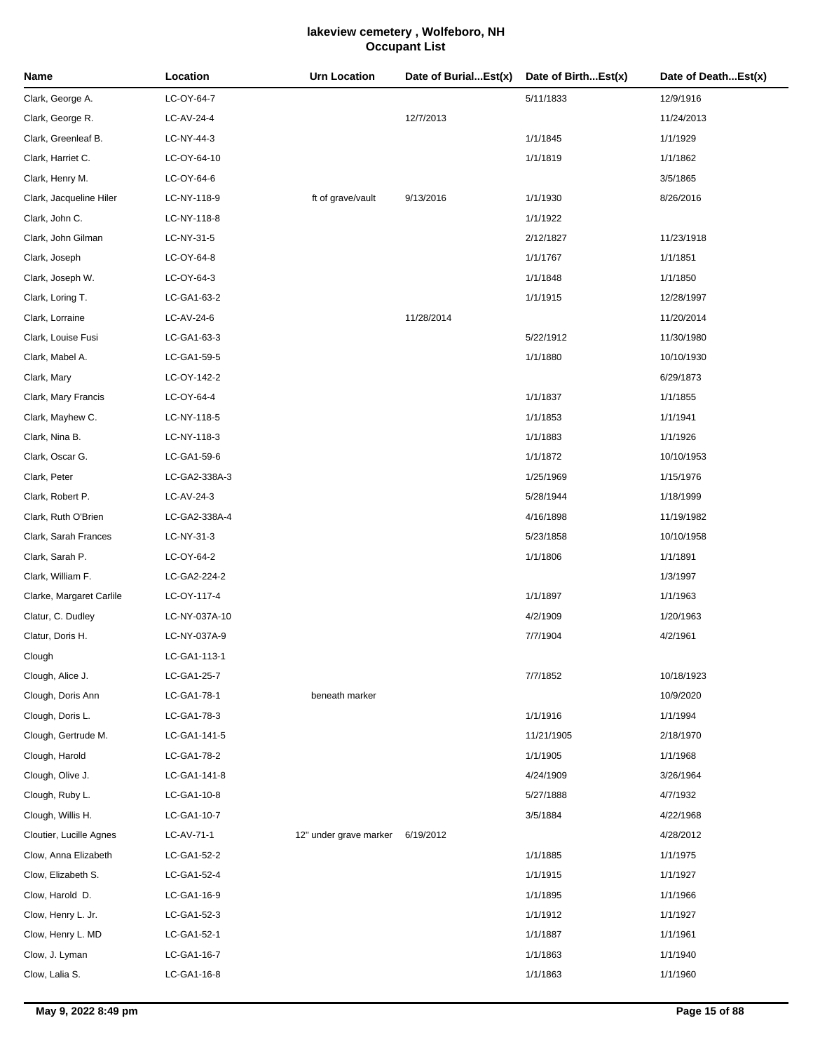| Name                     | Location      | <b>Urn Location</b>    | Date of BurialEst(x) | Date of BirthEst(x) | Date of DeathEst(x) |
|--------------------------|---------------|------------------------|----------------------|---------------------|---------------------|
| Clark, George A.         | LC-OY-64-7    |                        |                      | 5/11/1833           | 12/9/1916           |
| Clark, George R.         | LC-AV-24-4    |                        | 12/7/2013            |                     | 11/24/2013          |
| Clark, Greenleaf B.      | LC-NY-44-3    |                        |                      | 1/1/1845            | 1/1/1929            |
| Clark, Harriet C.        | LC-OY-64-10   |                        |                      | 1/1/1819            | 1/1/1862            |
| Clark, Henry M.          | LC-OY-64-6    |                        |                      |                     | 3/5/1865            |
| Clark, Jacqueline Hiler  | LC-NY-118-9   | ft of grave/vault      | 9/13/2016            | 1/1/1930            | 8/26/2016           |
| Clark, John C.           | LC-NY-118-8   |                        |                      | 1/1/1922            |                     |
| Clark, John Gilman       | LC-NY-31-5    |                        |                      | 2/12/1827           | 11/23/1918          |
| Clark, Joseph            | LC-OY-64-8    |                        |                      | 1/1/1767            | 1/1/1851            |
| Clark, Joseph W.         | LC-OY-64-3    |                        |                      | 1/1/1848            | 1/1/1850            |
| Clark, Loring T.         | LC-GA1-63-2   |                        |                      | 1/1/1915            | 12/28/1997          |
| Clark, Lorraine          | LC-AV-24-6    |                        | 11/28/2014           |                     | 11/20/2014          |
| Clark, Louise Fusi       | LC-GA1-63-3   |                        |                      | 5/22/1912           | 11/30/1980          |
| Clark, Mabel A.          | LC-GA1-59-5   |                        |                      | 1/1/1880            | 10/10/1930          |
| Clark, Mary              | LC-OY-142-2   |                        |                      |                     | 6/29/1873           |
| Clark, Mary Francis      | LC-OY-64-4    |                        |                      | 1/1/1837            | 1/1/1855            |
| Clark, Mayhew C.         | LC-NY-118-5   |                        |                      | 1/1/1853            | 1/1/1941            |
| Clark, Nina B.           | LC-NY-118-3   |                        |                      | 1/1/1883            | 1/1/1926            |
| Clark, Oscar G.          | LC-GA1-59-6   |                        |                      | 1/1/1872            | 10/10/1953          |
| Clark, Peter             | LC-GA2-338A-3 |                        |                      | 1/25/1969           | 1/15/1976           |
| Clark, Robert P.         | LC-AV-24-3    |                        |                      | 5/28/1944           | 1/18/1999           |
| Clark, Ruth O'Brien      | LC-GA2-338A-4 |                        |                      | 4/16/1898           | 11/19/1982          |
| Clark, Sarah Frances     | LC-NY-31-3    |                        |                      | 5/23/1858           | 10/10/1958          |
| Clark, Sarah P.          | LC-OY-64-2    |                        |                      | 1/1/1806            | 1/1/1891            |
| Clark, William F.        | LC-GA2-224-2  |                        |                      |                     | 1/3/1997            |
| Clarke, Margaret Carlile | LC-OY-117-4   |                        |                      | 1/1/1897            | 1/1/1963            |
| Clatur, C. Dudley        | LC-NY-037A-10 |                        |                      | 4/2/1909            | 1/20/1963           |
| Clatur, Doris H.         | LC-NY-037A-9  |                        |                      | 7/7/1904            | 4/2/1961            |
| Clough                   | LC-GA1-113-1  |                        |                      |                     |                     |
| Clough, Alice J.         | LC-GA1-25-7   |                        |                      | 7/7/1852            | 10/18/1923          |
| Clough, Doris Ann        | LC-GA1-78-1   | beneath marker         |                      |                     | 10/9/2020           |
| Clough, Doris L.         | LC-GA1-78-3   |                        |                      | 1/1/1916            | 1/1/1994            |
| Clough, Gertrude M.      | LC-GA1-141-5  |                        |                      | 11/21/1905          | 2/18/1970           |
| Clough, Harold           | LC-GA1-78-2   |                        |                      | 1/1/1905            | 1/1/1968            |
| Clough, Olive J.         | LC-GA1-141-8  |                        |                      | 4/24/1909           | 3/26/1964           |
| Clough, Ruby L.          | LC-GA1-10-8   |                        |                      | 5/27/1888           | 4/7/1932            |
| Clough, Willis H.        | LC-GA1-10-7   |                        |                      | 3/5/1884            | 4/22/1968           |
| Cloutier, Lucille Agnes  | LC-AV-71-1    | 12" under grave marker | 6/19/2012            |                     | 4/28/2012           |
| Clow, Anna Elizabeth     | LC-GA1-52-2   |                        |                      | 1/1/1885            | 1/1/1975            |
| Clow, Elizabeth S.       | LC-GA1-52-4   |                        |                      | 1/1/1915            | 1/1/1927            |
| Clow, Harold D.          | LC-GA1-16-9   |                        |                      | 1/1/1895            | 1/1/1966            |
| Clow, Henry L. Jr.       | LC-GA1-52-3   |                        |                      | 1/1/1912            | 1/1/1927            |
| Clow, Henry L. MD        | LC-GA1-52-1   |                        |                      | 1/1/1887            | 1/1/1961            |
| Clow, J. Lyman           | LC-GA1-16-7   |                        |                      | 1/1/1863            | 1/1/1940            |
| Clow, Lalia S.           | LC-GA1-16-8   |                        |                      | 1/1/1863            | 1/1/1960            |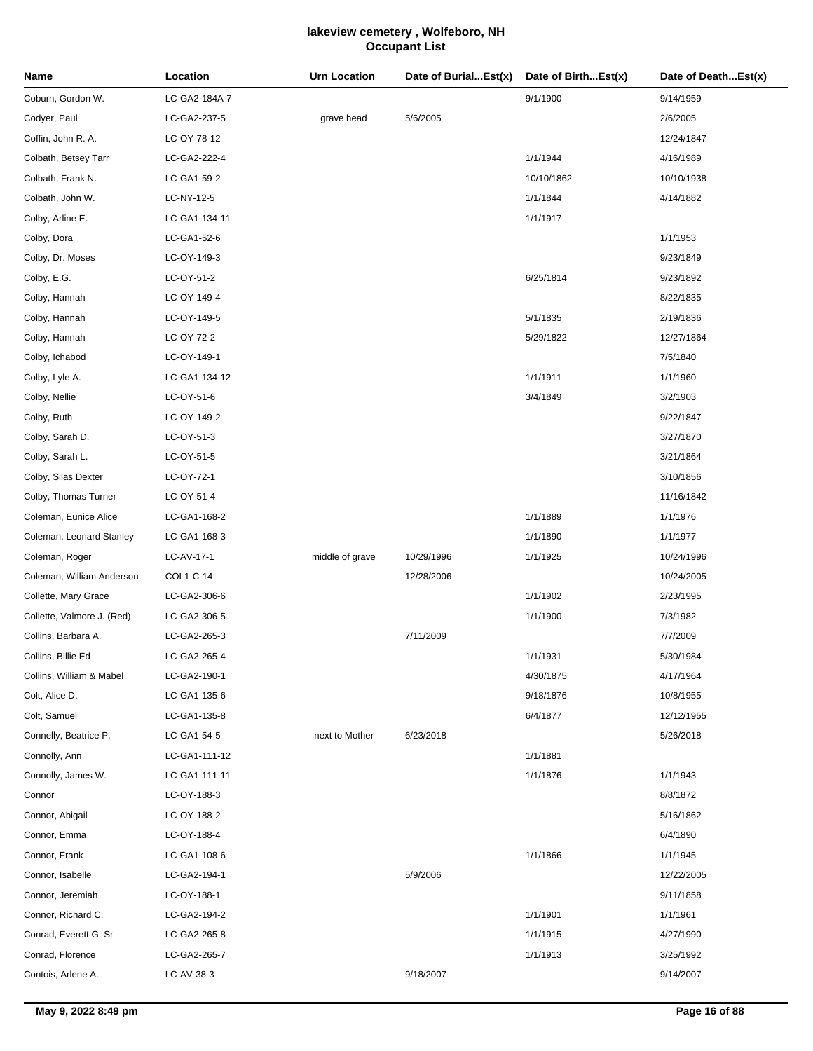| Name                       | Location      | <b>Urn Location</b> | Date of BurialEst(x) | Date of BirthEst(x) | Date of DeathEst(x) |
|----------------------------|---------------|---------------------|----------------------|---------------------|---------------------|
| Coburn, Gordon W.          | LC-GA2-184A-7 |                     |                      | 9/1/1900            | 9/14/1959           |
| Codyer, Paul               | LC-GA2-237-5  | grave head          | 5/6/2005             |                     | 2/6/2005            |
| Coffin, John R. A.         | LC-OY-78-12   |                     |                      |                     | 12/24/1847          |
| Colbath, Betsey Tarr       | LC-GA2-222-4  |                     |                      | 1/1/1944            | 4/16/1989           |
| Colbath, Frank N.          | LC-GA1-59-2   |                     |                      | 10/10/1862          | 10/10/1938          |
| Colbath, John W.           | LC-NY-12-5    |                     |                      | 1/1/1844            | 4/14/1882           |
| Colby, Arline E.           | LC-GA1-134-11 |                     |                      | 1/1/1917            |                     |
| Colby, Dora                | LC-GA1-52-6   |                     |                      |                     | 1/1/1953            |
| Colby, Dr. Moses           | LC-OY-149-3   |                     |                      |                     | 9/23/1849           |
| Colby, E.G.                | LC-OY-51-2    |                     |                      | 6/25/1814           | 9/23/1892           |
| Colby, Hannah              | LC-OY-149-4   |                     |                      |                     | 8/22/1835           |
| Colby, Hannah              | LC-OY-149-5   |                     |                      | 5/1/1835            | 2/19/1836           |
| Colby, Hannah              | LC-OY-72-2    |                     |                      | 5/29/1822           | 12/27/1864          |
| Colby, Ichabod             | LC-OY-149-1   |                     |                      |                     | 7/5/1840            |
| Colby, Lyle A.             | LC-GA1-134-12 |                     |                      | 1/1/1911            | 1/1/1960            |
| Colby, Nellie              | LC-OY-51-6    |                     |                      | 3/4/1849            | 3/2/1903            |
| Colby, Ruth                | LC-OY-149-2   |                     |                      |                     | 9/22/1847           |
| Colby, Sarah D.            | LC-OY-51-3    |                     |                      |                     | 3/27/1870           |
| Colby, Sarah L.            | LC-OY-51-5    |                     |                      |                     | 3/21/1864           |
| Colby, Silas Dexter        | LC-OY-72-1    |                     |                      |                     | 3/10/1856           |
| Colby, Thomas Turner       | LC-OY-51-4    |                     |                      |                     | 11/16/1842          |
| Coleman, Eunice Alice      | LC-GA1-168-2  |                     |                      | 1/1/1889            | 1/1/1976            |
| Coleman, Leonard Stanley   | LC-GA1-168-3  |                     |                      | 1/1/1890            | 1/1/1977            |
| Coleman, Roger             | LC-AV-17-1    | middle of grave     | 10/29/1996           | 1/1/1925            | 10/24/1996          |
| Coleman, William Anderson  | COL1-C-14     |                     | 12/28/2006           |                     | 10/24/2005          |
| Collette, Mary Grace       | LC-GA2-306-6  |                     |                      | 1/1/1902            | 2/23/1995           |
| Collette, Valmore J. (Red) | LC-GA2-306-5  |                     |                      | 1/1/1900            | 7/3/1982            |
| Collins, Barbara A.        | LC-GA2-265-3  |                     | 7/11/2009            |                     | 7/7/2009            |
| Collins, Billie Ed         | LC-GA2-265-4  |                     |                      | 1/1/1931            | 5/30/1984           |
| Collins, William & Mabel   | LC-GA2-190-1  |                     |                      | 4/30/1875           | 4/17/1964           |
| Colt, Alice D.             | LC-GA1-135-6  |                     |                      | 9/18/1876           | 10/8/1955           |
| Colt, Samuel               | LC-GA1-135-8  |                     |                      | 6/4/1877            | 12/12/1955          |
| Connelly, Beatrice P.      | LC-GA1-54-5   | next to Mother      | 6/23/2018            |                     | 5/26/2018           |
| Connolly, Ann              | LC-GA1-111-12 |                     |                      | 1/1/1881            |                     |
| Connolly, James W.         | LC-GA1-111-11 |                     |                      | 1/1/1876            | 1/1/1943            |
| Connor                     | LC-OY-188-3   |                     |                      |                     | 8/8/1872            |
| Connor, Abigail            | LC-OY-188-2   |                     |                      |                     | 5/16/1862           |
| Connor, Emma               | LC-OY-188-4   |                     |                      |                     | 6/4/1890            |
| Connor, Frank              | LC-GA1-108-6  |                     |                      | 1/1/1866            | 1/1/1945            |
| Connor, Isabelle           | LC-GA2-194-1  |                     | 5/9/2006             |                     | 12/22/2005          |
| Connor, Jeremiah           | LC-OY-188-1   |                     |                      |                     | 9/11/1858           |
| Connor, Richard C.         | LC-GA2-194-2  |                     |                      | 1/1/1901            | 1/1/1961            |
| Conrad, Everett G. Sr      | LC-GA2-265-8  |                     |                      | 1/1/1915            | 4/27/1990           |
| Conrad, Florence           | LC-GA2-265-7  |                     |                      | 1/1/1913            | 3/25/1992           |
| Contois, Arlene A.         | LC-AV-38-3    |                     | 9/18/2007            |                     | 9/14/2007           |
|                            |               |                     |                      |                     |                     |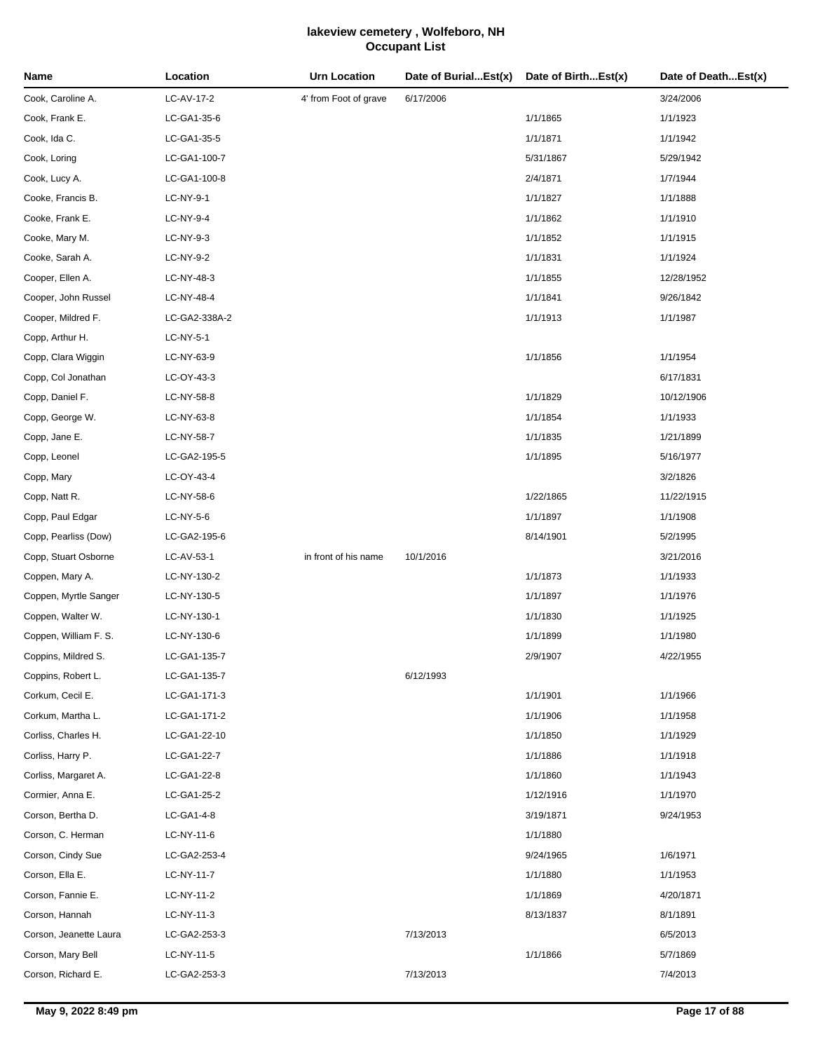| Name                   | Location      | <b>Urn Location</b>   | Date of BurialEst(x) | Date of BirthEst(x) | Date of DeathEst(x) |
|------------------------|---------------|-----------------------|----------------------|---------------------|---------------------|
| Cook, Caroline A.      | LC-AV-17-2    | 4' from Foot of grave | 6/17/2006            |                     | 3/24/2006           |
| Cook, Frank E.         | LC-GA1-35-6   |                       |                      | 1/1/1865            | 1/1/1923            |
| Cook, Ida C.           | LC-GA1-35-5   |                       |                      | 1/1/1871            | 1/1/1942            |
| Cook, Loring           | LC-GA1-100-7  |                       |                      | 5/31/1867           | 5/29/1942           |
| Cook, Lucy A.          | LC-GA1-100-8  |                       |                      | 2/4/1871            | 1/7/1944            |
| Cooke, Francis B.      | LC-NY-9-1     |                       |                      | 1/1/1827            | 1/1/1888            |
| Cooke, Frank E.        | LC-NY-9-4     |                       |                      | 1/1/1862            | 1/1/1910            |
| Cooke, Mary M.         | LC-NY-9-3     |                       |                      | 1/1/1852            | 1/1/1915            |
| Cooke, Sarah A.        | LC-NY-9-2     |                       |                      | 1/1/1831            | 1/1/1924            |
| Cooper, Ellen A.       | LC-NY-48-3    |                       |                      | 1/1/1855            | 12/28/1952          |
| Cooper, John Russel    | LC-NY-48-4    |                       |                      | 1/1/1841            | 9/26/1842           |
| Cooper, Mildred F.     | LC-GA2-338A-2 |                       |                      | 1/1/1913            | 1/1/1987            |
| Copp, Arthur H.        | LC-NY-5-1     |                       |                      |                     |                     |
| Copp, Clara Wiggin     | LC-NY-63-9    |                       |                      | 1/1/1856            | 1/1/1954            |
| Copp, Col Jonathan     | LC-OY-43-3    |                       |                      |                     | 6/17/1831           |
| Copp, Daniel F.        | LC-NY-58-8    |                       |                      | 1/1/1829            | 10/12/1906          |
| Copp, George W.        | LC-NY-63-8    |                       |                      | 1/1/1854            | 1/1/1933            |
| Copp, Jane E.          | LC-NY-58-7    |                       |                      | 1/1/1835            | 1/21/1899           |
| Copp, Leonel           | LC-GA2-195-5  |                       |                      | 1/1/1895            | 5/16/1977           |
| Copp, Mary             | LC-OY-43-4    |                       |                      |                     | 3/2/1826            |
| Copp, Natt R.          | LC-NY-58-6    |                       |                      | 1/22/1865           | 11/22/1915          |
| Copp, Paul Edgar       | LC-NY-5-6     |                       |                      | 1/1/1897            | 1/1/1908            |
| Copp, Pearliss (Dow)   | LC-GA2-195-6  |                       |                      | 8/14/1901           | 5/2/1995            |
| Copp, Stuart Osborne   | LC-AV-53-1    | in front of his name  | 10/1/2016            |                     | 3/21/2016           |
| Coppen, Mary A.        | LC-NY-130-2   |                       |                      | 1/1/1873            | 1/1/1933            |
| Coppen, Myrtle Sanger  | LC-NY-130-5   |                       |                      | 1/1/1897            | 1/1/1976            |
| Coppen, Walter W.      | LC-NY-130-1   |                       |                      | 1/1/1830            | 1/1/1925            |
| Coppen, William F. S.  | LC-NY-130-6   |                       |                      | 1/1/1899            | 1/1/1980            |
| Coppins, Mildred S.    | LC-GA1-135-7  |                       |                      | 2/9/1907            | 4/22/1955           |
| Coppins, Robert L.     | LC-GA1-135-7  |                       | 6/12/1993            |                     |                     |
| Corkum, Cecil E.       | LC-GA1-171-3  |                       |                      | 1/1/1901            | 1/1/1966            |
| Corkum, Martha L.      | LC-GA1-171-2  |                       |                      | 1/1/1906            | 1/1/1958            |
| Corliss, Charles H.    | LC-GA1-22-10  |                       |                      | 1/1/1850            | 1/1/1929            |
| Corliss, Harry P.      | LC-GA1-22-7   |                       |                      | 1/1/1886            | 1/1/1918            |
| Corliss, Margaret A.   | LC-GA1-22-8   |                       |                      | 1/1/1860            | 1/1/1943            |
| Cormier, Anna E.       | LC-GA1-25-2   |                       |                      | 1/12/1916           | 1/1/1970            |
| Corson, Bertha D.      | LC-GA1-4-8    |                       |                      | 3/19/1871           | 9/24/1953           |
| Corson, C. Herman      | LC-NY-11-6    |                       |                      | 1/1/1880            |                     |
| Corson, Cindy Sue      | LC-GA2-253-4  |                       |                      | 9/24/1965           | 1/6/1971            |
| Corson, Ella E.        | LC-NY-11-7    |                       |                      | 1/1/1880            | 1/1/1953            |
| Corson, Fannie E.      | LC-NY-11-2    |                       |                      | 1/1/1869            | 4/20/1871           |
| Corson, Hannah         | LC-NY-11-3    |                       |                      | 8/13/1837           | 8/1/1891            |
| Corson, Jeanette Laura | LC-GA2-253-3  |                       | 7/13/2013            |                     | 6/5/2013            |
| Corson, Mary Bell      | LC-NY-11-5    |                       |                      | 1/1/1866            | 5/7/1869            |
| Corson, Richard E.     | LC-GA2-253-3  |                       | 7/13/2013            |                     | 7/4/2013            |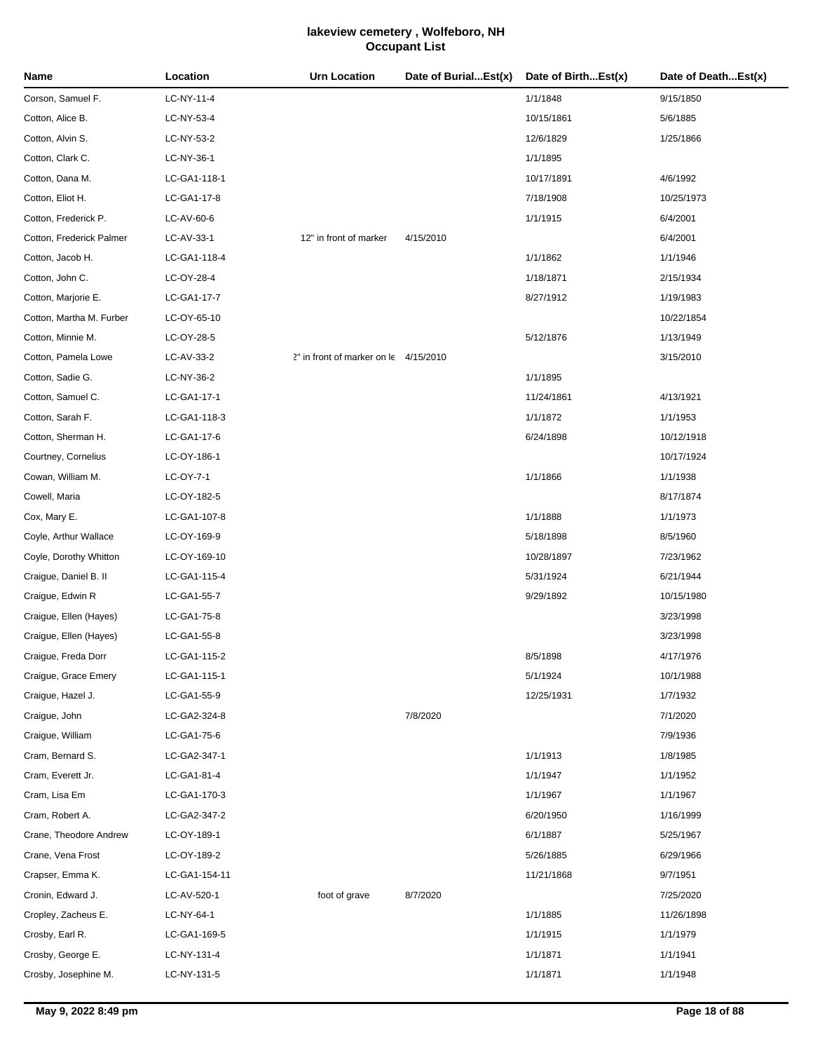| Name                     | Location      | Urn Location                          | Date of BurialEst(x) | Date of BirthEst(x) | Date of DeathEst(x) |
|--------------------------|---------------|---------------------------------------|----------------------|---------------------|---------------------|
| Corson, Samuel F.        | LC-NY-11-4    |                                       |                      | 1/1/1848            | 9/15/1850           |
| Cotton, Alice B.         | LC-NY-53-4    |                                       |                      | 10/15/1861          | 5/6/1885            |
| Cotton, Alvin S.         | LC-NY-53-2    |                                       |                      | 12/6/1829           | 1/25/1866           |
| Cotton, Clark C.         | LC-NY-36-1    |                                       |                      | 1/1/1895            |                     |
| Cotton, Dana M.          | LC-GA1-118-1  |                                       |                      | 10/17/1891          | 4/6/1992            |
| Cotton, Eliot H.         | LC-GA1-17-8   |                                       |                      | 7/18/1908           | 10/25/1973          |
| Cotton, Frederick P.     | LC-AV-60-6    |                                       |                      | 1/1/1915            | 6/4/2001            |
| Cotton, Frederick Palmer | LC-AV-33-1    | 12" in front of marker                | 4/15/2010            |                     | 6/4/2001            |
| Cotton, Jacob H.         | LC-GA1-118-4  |                                       |                      | 1/1/1862            | 1/1/1946            |
| Cotton, John C.          | LC-OY-28-4    |                                       |                      | 1/18/1871           | 2/15/1934           |
| Cotton, Marjorie E.      | LC-GA1-17-7   |                                       |                      | 8/27/1912           | 1/19/1983           |
| Cotton, Martha M. Furber | LC-OY-65-10   |                                       |                      |                     | 10/22/1854          |
| Cotton, Minnie M.        | LC-OY-28-5    |                                       |                      | 5/12/1876           | 1/13/1949           |
| Cotton, Pamela Lowe      | LC-AV-33-2    | 2" in front of marker on le 4/15/2010 |                      |                     | 3/15/2010           |
| Cotton, Sadie G.         | LC-NY-36-2    |                                       |                      | 1/1/1895            |                     |
| Cotton, Samuel C.        | LC-GA1-17-1   |                                       |                      | 11/24/1861          | 4/13/1921           |
| Cotton, Sarah F.         | LC-GA1-118-3  |                                       |                      | 1/1/1872            | 1/1/1953            |
| Cotton, Sherman H.       | LC-GA1-17-6   |                                       |                      | 6/24/1898           | 10/12/1918          |
| Courtney, Cornelius      | LC-OY-186-1   |                                       |                      |                     | 10/17/1924          |
| Cowan, William M.        | LC-OY-7-1     |                                       |                      | 1/1/1866            | 1/1/1938            |
| Cowell, Maria            | LC-OY-182-5   |                                       |                      |                     | 8/17/1874           |
| Cox, Mary E.             | LC-GA1-107-8  |                                       |                      | 1/1/1888            | 1/1/1973            |
| Coyle, Arthur Wallace    | LC-OY-169-9   |                                       |                      | 5/18/1898           | 8/5/1960            |
| Coyle, Dorothy Whitton   | LC-OY-169-10  |                                       |                      | 10/28/1897          | 7/23/1962           |
| Craigue, Daniel B. II    | LC-GA1-115-4  |                                       |                      | 5/31/1924           | 6/21/1944           |
| Craigue, Edwin R         | LC-GA1-55-7   |                                       |                      | 9/29/1892           | 10/15/1980          |
| Craigue, Ellen (Hayes)   | LC-GA1-75-8   |                                       |                      |                     | 3/23/1998           |
| Craigue, Ellen (Hayes)   | LC-GA1-55-8   |                                       |                      |                     | 3/23/1998           |
| Craigue, Freda Dorr      | LC-GA1-115-2  |                                       |                      | 8/5/1898            | 4/17/1976           |
| Craigue, Grace Emery     | LC-GA1-115-1  |                                       |                      | 5/1/1924            | 10/1/1988           |
| Craigue, Hazel J.        | LC-GA1-55-9   |                                       |                      | 12/25/1931          | 1/7/1932            |
| Craigue, John            | LC-GA2-324-8  |                                       | 7/8/2020             |                     | 7/1/2020            |
| Craigue, William         | LC-GA1-75-6   |                                       |                      |                     | 7/9/1936            |
| Cram, Bernard S.         | LC-GA2-347-1  |                                       |                      | 1/1/1913            | 1/8/1985            |
| Cram, Everett Jr.        | LC-GA1-81-4   |                                       |                      | 1/1/1947            | 1/1/1952            |
| Cram, Lisa Em            | LC-GA1-170-3  |                                       |                      | 1/1/1967            | 1/1/1967            |
| Cram, Robert A.          | LC-GA2-347-2  |                                       |                      | 6/20/1950           | 1/16/1999           |
| Crane, Theodore Andrew   | LC-OY-189-1   |                                       |                      | 6/1/1887            | 5/25/1967           |
| Crane, Vena Frost        | LC-OY-189-2   |                                       |                      | 5/26/1885           | 6/29/1966           |
| Crapser, Emma K.         | LC-GA1-154-11 |                                       |                      | 11/21/1868          | 9/7/1951            |
| Cronin, Edward J.        | LC-AV-520-1   | foot of grave                         | 8/7/2020             |                     | 7/25/2020           |
| Cropley, Zacheus E.      | LC-NY-64-1    |                                       |                      | 1/1/1885            | 11/26/1898          |
| Crosby, Earl R.          | LC-GA1-169-5  |                                       |                      | 1/1/1915            | 1/1/1979            |
| Crosby, George E.        | LC-NY-131-4   |                                       |                      | 1/1/1871            | 1/1/1941            |
| Crosby, Josephine M.     | LC-NY-131-5   |                                       |                      | 1/1/1871            | 1/1/1948            |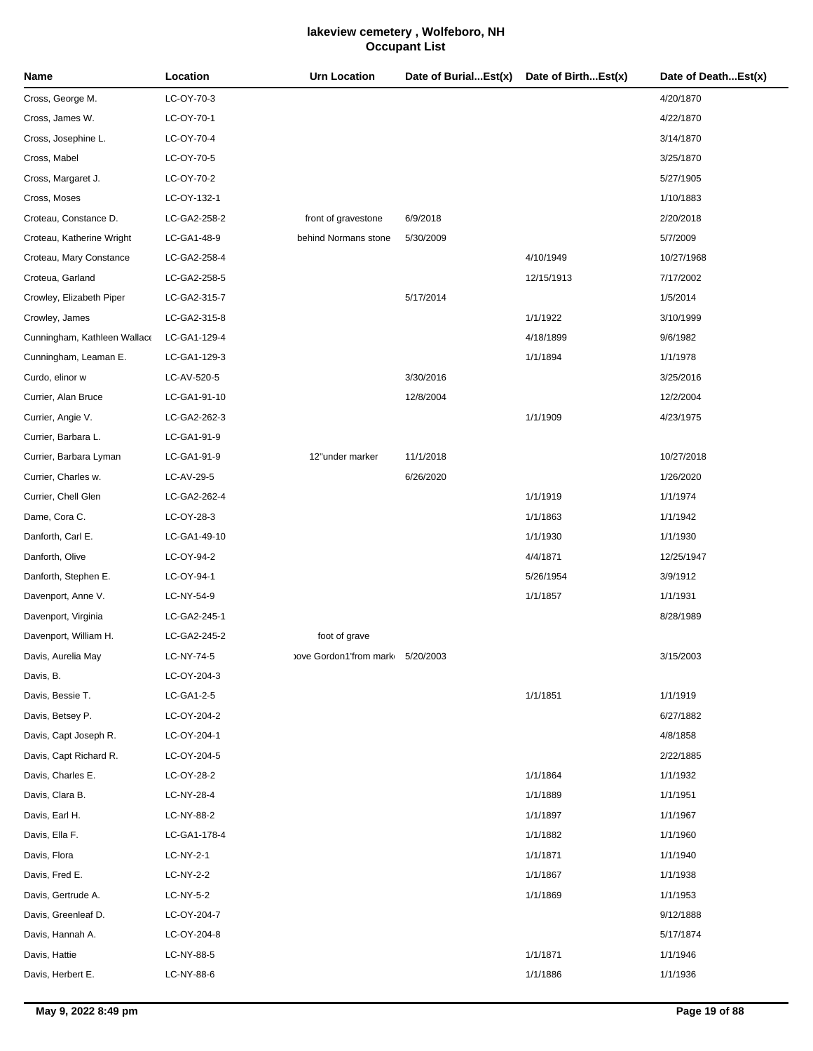| Name                         | Location     | <b>Urn Location</b>    | Date of BurialEst(x) | Date of BirthEst(x) | Date of DeathEst(x) |
|------------------------------|--------------|------------------------|----------------------|---------------------|---------------------|
| Cross, George M.             | LC-OY-70-3   |                        |                      |                     | 4/20/1870           |
| Cross, James W.              | LC-OY-70-1   |                        |                      |                     | 4/22/1870           |
| Cross, Josephine L.          | LC-OY-70-4   |                        |                      |                     | 3/14/1870           |
| Cross, Mabel                 | LC-OY-70-5   |                        |                      |                     | 3/25/1870           |
| Cross, Margaret J.           | LC-OY-70-2   |                        |                      |                     | 5/27/1905           |
| Cross, Moses                 | LC-OY-132-1  |                        |                      |                     | 1/10/1883           |
| Croteau, Constance D.        | LC-GA2-258-2 | front of gravestone    | 6/9/2018             |                     | 2/20/2018           |
| Croteau, Katherine Wright    | LC-GA1-48-9  | behind Normans stone   | 5/30/2009            |                     | 5/7/2009            |
| Croteau, Mary Constance      | LC-GA2-258-4 |                        |                      | 4/10/1949           | 10/27/1968          |
| Croteua, Garland             | LC-GA2-258-5 |                        |                      | 12/15/1913          | 7/17/2002           |
| Crowley, Elizabeth Piper     | LC-GA2-315-7 |                        | 5/17/2014            |                     | 1/5/2014            |
| Crowley, James               | LC-GA2-315-8 |                        |                      | 1/1/1922            | 3/10/1999           |
| Cunningham, Kathleen Wallace | LC-GA1-129-4 |                        |                      | 4/18/1899           | 9/6/1982            |
| Cunningham, Leaman E.        | LC-GA1-129-3 |                        |                      | 1/1/1894            | 1/1/1978            |
| Curdo, elinor w              | LC-AV-520-5  |                        | 3/30/2016            |                     | 3/25/2016           |
| Currier, Alan Bruce          | LC-GA1-91-10 |                        | 12/8/2004            |                     | 12/2/2004           |
| Currier, Angie V.            | LC-GA2-262-3 |                        |                      | 1/1/1909            | 4/23/1975           |
| Currier, Barbara L.          | LC-GA1-91-9  |                        |                      |                     |                     |
| Currier, Barbara Lyman       | LC-GA1-91-9  | 12"under marker        | 11/1/2018            |                     | 10/27/2018          |
| Currier, Charles w.          | LC-AV-29-5   |                        | 6/26/2020            |                     | 1/26/2020           |
| Currier, Chell Glen          | LC-GA2-262-4 |                        |                      | 1/1/1919            | 1/1/1974            |
| Dame, Cora C.                | LC-OY-28-3   |                        |                      | 1/1/1863            | 1/1/1942            |
| Danforth, Carl E.            | LC-GA1-49-10 |                        |                      | 1/1/1930            | 1/1/1930            |
| Danforth, Olive              | LC-OY-94-2   |                        |                      | 4/4/1871            | 12/25/1947          |
| Danforth, Stephen E.         | LC-OY-94-1   |                        |                      | 5/26/1954           | 3/9/1912            |
| Davenport, Anne V.           | LC-NY-54-9   |                        |                      | 1/1/1857            | 1/1/1931            |
| Davenport, Virginia          | LC-GA2-245-1 |                        |                      |                     | 8/28/1989           |
| Davenport, William H.        | LC-GA2-245-2 | foot of grave          |                      |                     |                     |
| Davis, Aurelia May           | LC-NY-74-5   | bove Gordon1'from mark | 5/20/2003            |                     | 3/15/2003           |
| Davis, B.                    | LC-OY-204-3  |                        |                      |                     |                     |
| Davis, Bessie T.             | LC-GA1-2-5   |                        |                      | 1/1/1851            | 1/1/1919            |
| Davis, Betsey P.             | LC-OY-204-2  |                        |                      |                     | 6/27/1882           |
| Davis, Capt Joseph R.        | LC-OY-204-1  |                        |                      |                     | 4/8/1858            |
| Davis, Capt Richard R.       | LC-OY-204-5  |                        |                      |                     | 2/22/1885           |
| Davis, Charles E.            | LC-OY-28-2   |                        |                      | 1/1/1864            | 1/1/1932            |
| Davis, Clara B.              | LC-NY-28-4   |                        |                      | 1/1/1889            | 1/1/1951            |
| Davis, Earl H.               | LC-NY-88-2   |                        |                      | 1/1/1897            | 1/1/1967            |
| Davis, Ella F.               | LC-GA1-178-4 |                        |                      | 1/1/1882            | 1/1/1960            |
| Davis, Flora                 | LC-NY-2-1    |                        |                      | 1/1/1871            | 1/1/1940            |
| Davis, Fred E.               | LC-NY-2-2    |                        |                      | 1/1/1867            | 1/1/1938            |
| Davis, Gertrude A.           | LC-NY-5-2    |                        |                      | 1/1/1869            | 1/1/1953            |
| Davis, Greenleaf D.          | LC-OY-204-7  |                        |                      |                     | 9/12/1888           |
| Davis, Hannah A.             | LC-OY-204-8  |                        |                      |                     | 5/17/1874           |
| Davis, Hattie                | LC-NY-88-5   |                        |                      | 1/1/1871            | 1/1/1946            |
| Davis, Herbert E.            | LC-NY-88-6   |                        |                      | 1/1/1886            | 1/1/1936            |
|                              |              |                        |                      |                     |                     |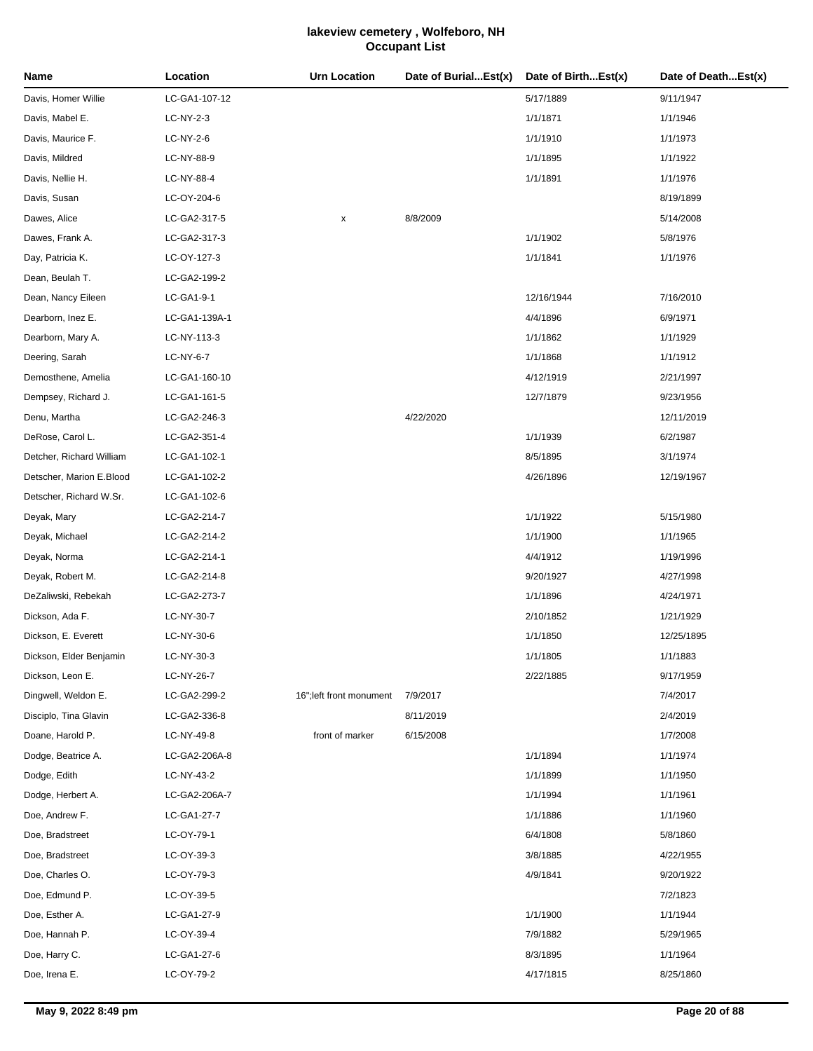| Name                     | Location      | Urn Location             | Date of BurialEst(x) | Date of BirthEst(x) | Date of DeathEst(x) |
|--------------------------|---------------|--------------------------|----------------------|---------------------|---------------------|
| Davis, Homer Willie      | LC-GA1-107-12 |                          |                      | 5/17/1889           | 9/11/1947           |
| Davis, Mabel E.          | LC-NY-2-3     |                          |                      | 1/1/1871            | 1/1/1946            |
| Davis, Maurice F.        | LC-NY-2-6     |                          |                      | 1/1/1910            | 1/1/1973            |
| Davis, Mildred           | LC-NY-88-9    |                          |                      | 1/1/1895            | 1/1/1922            |
| Davis, Nellie H.         | LC-NY-88-4    |                          |                      | 1/1/1891            | 1/1/1976            |
| Davis, Susan             | LC-OY-204-6   |                          |                      |                     | 8/19/1899           |
| Dawes, Alice             | LC-GA2-317-5  | x                        | 8/8/2009             |                     | 5/14/2008           |
| Dawes, Frank A.          | LC-GA2-317-3  |                          |                      | 1/1/1902            | 5/8/1976            |
| Day, Patricia K.         | LC-OY-127-3   |                          |                      | 1/1/1841            | 1/1/1976            |
| Dean, Beulah T.          | LC-GA2-199-2  |                          |                      |                     |                     |
| Dean, Nancy Eileen       | LC-GA1-9-1    |                          |                      | 12/16/1944          | 7/16/2010           |
| Dearborn, Inez E.        | LC-GA1-139A-1 |                          |                      | 4/4/1896            | 6/9/1971            |
| Dearborn, Mary A.        | LC-NY-113-3   |                          |                      | 1/1/1862            | 1/1/1929            |
| Deering, Sarah           | LC-NY-6-7     |                          |                      | 1/1/1868            | 1/1/1912            |
| Demosthene, Amelia       | LC-GA1-160-10 |                          |                      | 4/12/1919           | 2/21/1997           |
| Dempsey, Richard J.      | LC-GA1-161-5  |                          |                      | 12/7/1879           | 9/23/1956           |
| Denu, Martha             | LC-GA2-246-3  |                          | 4/22/2020            |                     | 12/11/2019          |
| DeRose, Carol L.         | LC-GA2-351-4  |                          |                      | 1/1/1939            | 6/2/1987            |
| Detcher, Richard William | LC-GA1-102-1  |                          |                      | 8/5/1895            | 3/1/1974            |
| Detscher, Marion E.Blood | LC-GA1-102-2  |                          |                      | 4/26/1896           | 12/19/1967          |
| Detscher, Richard W.Sr.  | LC-GA1-102-6  |                          |                      |                     |                     |
| Deyak, Mary              | LC-GA2-214-7  |                          |                      | 1/1/1922            | 5/15/1980           |
| Deyak, Michael           | LC-GA2-214-2  |                          |                      | 1/1/1900            | 1/1/1965            |
| Deyak, Norma             | LC-GA2-214-1  |                          |                      | 4/4/1912            | 1/19/1996           |
| Deyak, Robert M.         | LC-GA2-214-8  |                          |                      | 9/20/1927           | 4/27/1998           |
| DeZaliwski, Rebekah      | LC-GA2-273-7  |                          |                      | 1/1/1896            | 4/24/1971           |
| Dickson, Ada F.          | LC-NY-30-7    |                          |                      | 2/10/1852           | 1/21/1929           |
| Dickson, E. Everett      | LC-NY-30-6    |                          |                      | 1/1/1850            | 12/25/1895          |
| Dickson, Elder Benjamin  | LC-NY-30-3    |                          |                      | 1/1/1805            | 1/1/1883            |
| Dickson, Leon E.         | LC-NY-26-7    |                          |                      | 2/22/1885           | 9/17/1959           |
| Dingwell, Weldon E.      | LC-GA2-299-2  | 16"; left front monument | 7/9/2017             |                     | 7/4/2017            |
| Disciplo, Tina Glavin    | LC-GA2-336-8  |                          | 8/11/2019            |                     | 2/4/2019            |
| Doane, Harold P.         | LC-NY-49-8    | front of marker          | 6/15/2008            |                     | 1/7/2008            |
| Dodge, Beatrice A.       | LC-GA2-206A-8 |                          |                      | 1/1/1894            | 1/1/1974            |
| Dodge, Edith             | LC-NY-43-2    |                          |                      | 1/1/1899            | 1/1/1950            |
| Dodge, Herbert A.        | LC-GA2-206A-7 |                          |                      | 1/1/1994            | 1/1/1961            |
| Doe, Andrew F.           | LC-GA1-27-7   |                          |                      | 1/1/1886            | 1/1/1960            |
| Doe, Bradstreet          | LC-OY-79-1    |                          |                      | 6/4/1808            | 5/8/1860            |
| Doe, Bradstreet          | LC-OY-39-3    |                          |                      | 3/8/1885            | 4/22/1955           |
| Doe, Charles O.          | LC-OY-79-3    |                          |                      | 4/9/1841            | 9/20/1922           |
| Doe, Edmund P.           | LC-OY-39-5    |                          |                      |                     | 7/2/1823            |
| Doe, Esther A.           | LC-GA1-27-9   |                          |                      | 1/1/1900            | 1/1/1944            |
| Doe, Hannah P.           | LC-OY-39-4    |                          |                      | 7/9/1882            | 5/29/1965           |
| Doe, Harry C.            | LC-GA1-27-6   |                          |                      | 8/3/1895            | 1/1/1964            |
| Doe, Irena E.            | LC-OY-79-2    |                          |                      | 4/17/1815           | 8/25/1860           |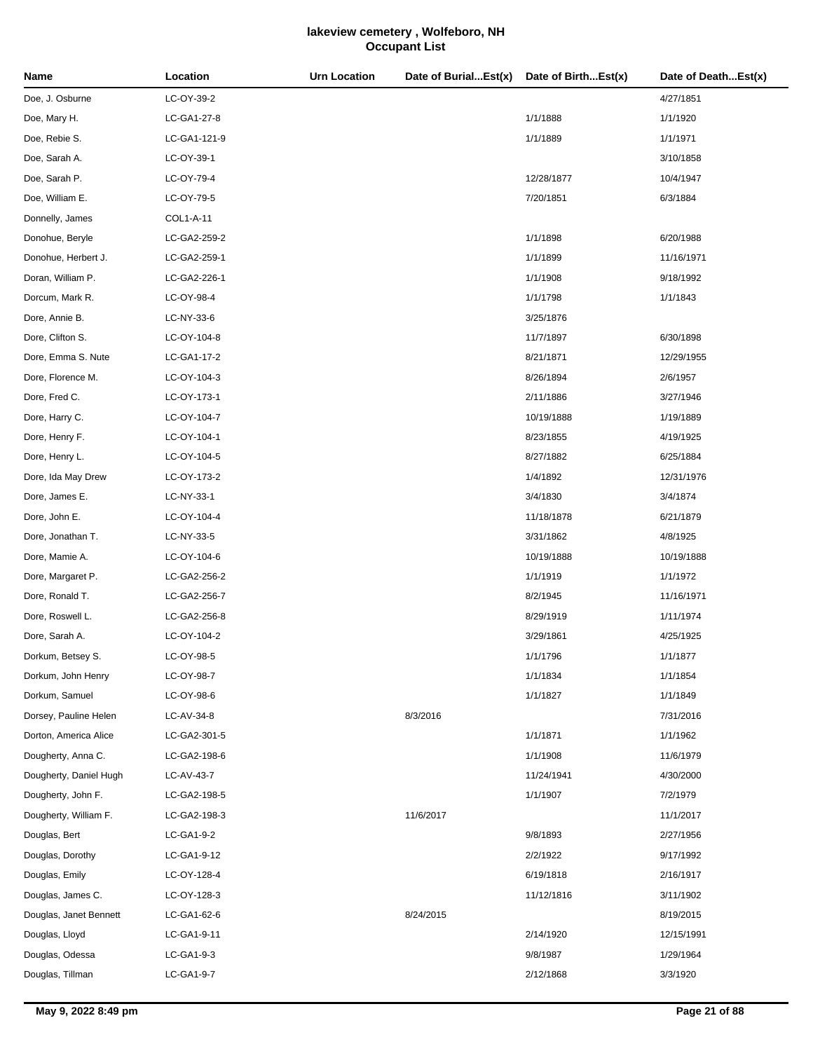| Name                   | Location     | <b>Urn Location</b> | Date of BurialEst(x) | Date of BirthEst(x) | Date of DeathEst(x) |
|------------------------|--------------|---------------------|----------------------|---------------------|---------------------|
| Doe, J. Osburne        | LC-OY-39-2   |                     |                      |                     | 4/27/1851           |
| Doe, Mary H.           | LC-GA1-27-8  |                     |                      | 1/1/1888            | 1/1/1920            |
| Doe, Rebie S.          | LC-GA1-121-9 |                     |                      | 1/1/1889            | 1/1/1971            |
| Doe, Sarah A.          | LC-OY-39-1   |                     |                      |                     | 3/10/1858           |
| Doe, Sarah P.          | LC-OY-79-4   |                     |                      | 12/28/1877          | 10/4/1947           |
| Doe, William E.        | LC-OY-79-5   |                     |                      | 7/20/1851           | 6/3/1884            |
| Donnelly, James        | COL1-A-11    |                     |                      |                     |                     |
| Donohue, Beryle        | LC-GA2-259-2 |                     |                      | 1/1/1898            | 6/20/1988           |
| Donohue, Herbert J.    | LC-GA2-259-1 |                     |                      | 1/1/1899            | 11/16/1971          |
| Doran, William P.      | LC-GA2-226-1 |                     |                      | 1/1/1908            | 9/18/1992           |
| Dorcum, Mark R.        | LC-OY-98-4   |                     |                      | 1/1/1798            | 1/1/1843            |
| Dore, Annie B.         | LC-NY-33-6   |                     |                      | 3/25/1876           |                     |
| Dore, Clifton S.       | LC-OY-104-8  |                     |                      | 11/7/1897           | 6/30/1898           |
| Dore, Emma S. Nute     | LC-GA1-17-2  |                     |                      | 8/21/1871           | 12/29/1955          |
| Dore, Florence M.      | LC-OY-104-3  |                     |                      | 8/26/1894           | 2/6/1957            |
| Dore, Fred C.          | LC-OY-173-1  |                     |                      | 2/11/1886           | 3/27/1946           |
| Dore, Harry C.         | LC-OY-104-7  |                     |                      | 10/19/1888          | 1/19/1889           |
| Dore, Henry F.         | LC-OY-104-1  |                     |                      | 8/23/1855           | 4/19/1925           |
| Dore, Henry L.         | LC-OY-104-5  |                     |                      | 8/27/1882           | 6/25/1884           |
| Dore, Ida May Drew     | LC-OY-173-2  |                     |                      | 1/4/1892            | 12/31/1976          |
| Dore, James E.         | LC-NY-33-1   |                     |                      | 3/4/1830            | 3/4/1874            |
| Dore, John E.          | LC-OY-104-4  |                     |                      | 11/18/1878          | 6/21/1879           |
| Dore, Jonathan T.      | LC-NY-33-5   |                     |                      | 3/31/1862           | 4/8/1925            |
| Dore, Mamie A.         | LC-OY-104-6  |                     |                      | 10/19/1888          | 10/19/1888          |
| Dore, Margaret P.      | LC-GA2-256-2 |                     |                      | 1/1/1919            | 1/1/1972            |
| Dore, Ronald T.        | LC-GA2-256-7 |                     |                      | 8/2/1945            | 11/16/1971          |
| Dore, Roswell L.       | LC-GA2-256-8 |                     |                      | 8/29/1919           | 1/11/1974           |
| Dore, Sarah A.         | LC-OY-104-2  |                     |                      | 3/29/1861           | 4/25/1925           |
| Dorkum, Betsey S.      | LC-OY-98-5   |                     |                      | 1/1/1796            | 1/1/1877            |
| Dorkum, John Henry     | LC-OY-98-7   |                     |                      | 1/1/1834            | 1/1/1854            |
| Dorkum, Samuel         | LC-OY-98-6   |                     |                      | 1/1/1827            | 1/1/1849            |
| Dorsey, Pauline Helen  | LC-AV-34-8   |                     | 8/3/2016             |                     | 7/31/2016           |
| Dorton, America Alice  | LC-GA2-301-5 |                     |                      | 1/1/1871            | 1/1/1962            |
| Dougherty, Anna C.     | LC-GA2-198-6 |                     |                      | 1/1/1908            | 11/6/1979           |
| Dougherty, Daniel Hugh | LC-AV-43-7   |                     |                      | 11/24/1941          | 4/30/2000           |
| Dougherty, John F.     | LC-GA2-198-5 |                     |                      | 1/1/1907            | 7/2/1979            |
| Dougherty, William F.  | LC-GA2-198-3 |                     | 11/6/2017            |                     | 11/1/2017           |
| Douglas, Bert          | LC-GA1-9-2   |                     |                      | 9/8/1893            | 2/27/1956           |
| Douglas, Dorothy       | LC-GA1-9-12  |                     |                      | 2/2/1922            | 9/17/1992           |
| Douglas, Emily         | LC-OY-128-4  |                     |                      | 6/19/1818           | 2/16/1917           |
| Douglas, James C.      | LC-OY-128-3  |                     |                      | 11/12/1816          | 3/11/1902           |
| Douglas, Janet Bennett | LC-GA1-62-6  |                     | 8/24/2015            |                     | 8/19/2015           |
| Douglas, Lloyd         | LC-GA1-9-11  |                     |                      | 2/14/1920           | 12/15/1991          |
| Douglas, Odessa        | LC-GA1-9-3   |                     |                      | 9/8/1987            | 1/29/1964           |
| Douglas, Tillman       | LC-GA1-9-7   |                     |                      | 2/12/1868           | 3/3/1920            |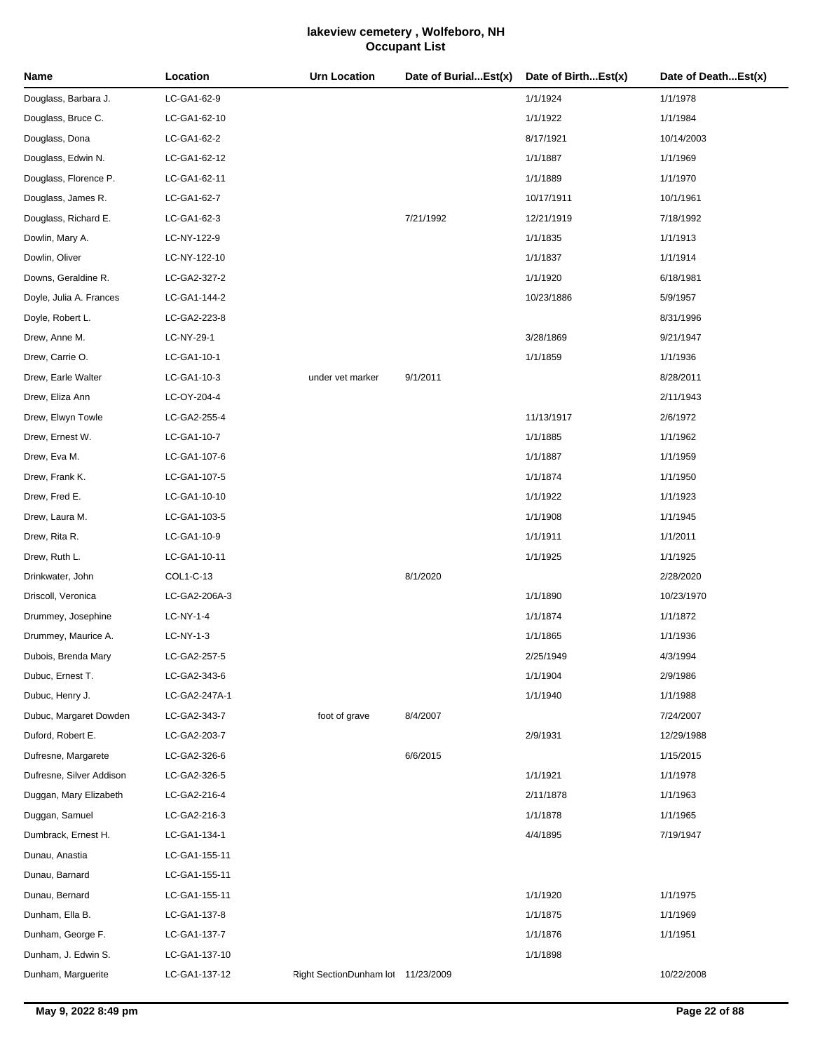| Name                     | Location      | <b>Urn Location</b>                | Date of BurialEst(x) | Date of BirthEst(x) | Date of DeathEst(x) |
|--------------------------|---------------|------------------------------------|----------------------|---------------------|---------------------|
| Douglass, Barbara J.     | LC-GA1-62-9   |                                    |                      | 1/1/1924            | 1/1/1978            |
| Douglass, Bruce C.       | LC-GA1-62-10  |                                    |                      | 1/1/1922            | 1/1/1984            |
| Douglass, Dona           | LC-GA1-62-2   |                                    |                      | 8/17/1921           | 10/14/2003          |
| Douglass, Edwin N.       | LC-GA1-62-12  |                                    |                      | 1/1/1887            | 1/1/1969            |
| Douglass, Florence P.    | LC-GA1-62-11  |                                    |                      | 1/1/1889            | 1/1/1970            |
| Douglass, James R.       | LC-GA1-62-7   |                                    |                      | 10/17/1911          | 10/1/1961           |
| Douglass, Richard E.     | LC-GA1-62-3   |                                    | 7/21/1992            | 12/21/1919          | 7/18/1992           |
| Dowlin, Mary A.          | LC-NY-122-9   |                                    |                      | 1/1/1835            | 1/1/1913            |
| Dowlin, Oliver           | LC-NY-122-10  |                                    |                      | 1/1/1837            | 1/1/1914            |
| Downs, Geraldine R.      | LC-GA2-327-2  |                                    |                      | 1/1/1920            | 6/18/1981           |
| Doyle, Julia A. Frances  | LC-GA1-144-2  |                                    |                      | 10/23/1886          | 5/9/1957            |
| Doyle, Robert L.         | LC-GA2-223-8  |                                    |                      |                     | 8/31/1996           |
| Drew, Anne M.            | LC-NY-29-1    |                                    |                      | 3/28/1869           | 9/21/1947           |
| Drew, Carrie O.          | LC-GA1-10-1   |                                    |                      | 1/1/1859            | 1/1/1936            |
| Drew, Earle Walter       | LC-GA1-10-3   | under vet marker                   | 9/1/2011             |                     | 8/28/2011           |
| Drew, Eliza Ann          | LC-OY-204-4   |                                    |                      |                     | 2/11/1943           |
| Drew, Elwyn Towle        | LC-GA2-255-4  |                                    |                      | 11/13/1917          | 2/6/1972            |
| Drew, Ernest W.          | LC-GA1-10-7   |                                    |                      | 1/1/1885            | 1/1/1962            |
| Drew, Eva M.             | LC-GA1-107-6  |                                    |                      | 1/1/1887            | 1/1/1959            |
| Drew, Frank K.           | LC-GA1-107-5  |                                    |                      | 1/1/1874            | 1/1/1950            |
| Drew, Fred E.            | LC-GA1-10-10  |                                    |                      | 1/1/1922            | 1/1/1923            |
| Drew, Laura M.           | LC-GA1-103-5  |                                    |                      | 1/1/1908            | 1/1/1945            |
| Drew, Rita R.            | LC-GA1-10-9   |                                    |                      | 1/1/1911            | 1/1/2011            |
| Drew, Ruth L.            | LC-GA1-10-11  |                                    |                      | 1/1/1925            | 1/1/1925            |
| Drinkwater, John         | COL1-C-13     |                                    | 8/1/2020             |                     | 2/28/2020           |
| Driscoll, Veronica       | LC-GA2-206A-3 |                                    |                      | 1/1/1890            | 10/23/1970          |
| Drummey, Josephine       | LC-NY-1-4     |                                    |                      | 1/1/1874            | 1/1/1872            |
| Drummey, Maurice A.      | LC-NY-1-3     |                                    |                      | 1/1/1865            | 1/1/1936            |
| Dubois, Brenda Mary      | LC-GA2-257-5  |                                    |                      | 2/25/1949           | 4/3/1994            |
| Dubuc, Ernest T.         | LC-GA2-343-6  |                                    |                      | 1/1/1904            | 2/9/1986            |
| Dubuc, Henry J.          | LC-GA2-247A-1 |                                    |                      | 1/1/1940            | 1/1/1988            |
| Dubuc, Margaret Dowden   | LC-GA2-343-7  | foot of grave                      | 8/4/2007             |                     | 7/24/2007           |
| Duford, Robert E.        | LC-GA2-203-7  |                                    |                      | 2/9/1931            | 12/29/1988          |
| Dufresne, Margarete      | LC-GA2-326-6  |                                    | 6/6/2015             |                     | 1/15/2015           |
| Dufresne, Silver Addison | LC-GA2-326-5  |                                    |                      | 1/1/1921            | 1/1/1978            |
| Duggan, Mary Elizabeth   | LC-GA2-216-4  |                                    |                      | 2/11/1878           | 1/1/1963            |
| Duggan, Samuel           | LC-GA2-216-3  |                                    |                      | 1/1/1878            | 1/1/1965            |
| Dumbrack, Ernest H.      | LC-GA1-134-1  |                                    |                      | 4/4/1895            | 7/19/1947           |
| Dunau, Anastia           | LC-GA1-155-11 |                                    |                      |                     |                     |
| Dunau, Barnard           | LC-GA1-155-11 |                                    |                      |                     |                     |
| Dunau, Bernard           | LC-GA1-155-11 |                                    |                      | 1/1/1920            | 1/1/1975            |
| Dunham, Ella B.          | LC-GA1-137-8  |                                    |                      | 1/1/1875            | 1/1/1969            |
| Dunham, George F.        | LC-GA1-137-7  |                                    |                      | 1/1/1876            | 1/1/1951            |
| Dunham, J. Edwin S.      | LC-GA1-137-10 |                                    |                      | 1/1/1898            |                     |
| Dunham, Marguerite       | LC-GA1-137-12 | Right SectionDunham lot 11/23/2009 |                      |                     | 10/22/2008          |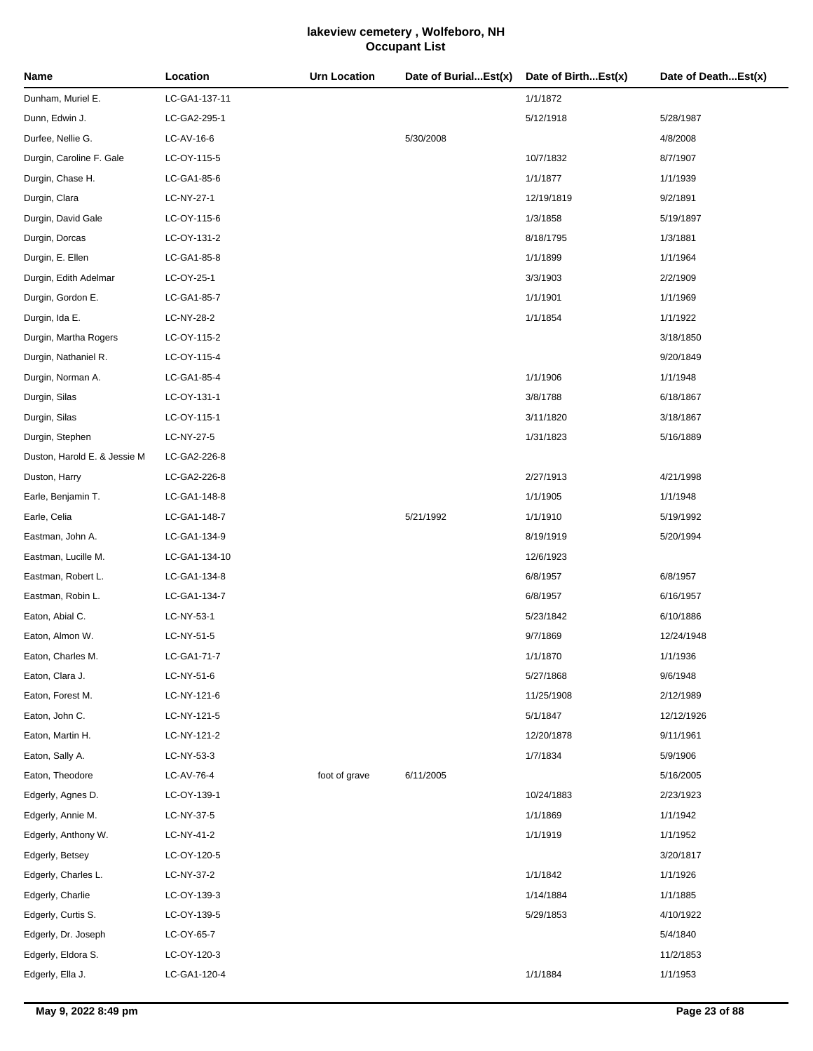| Name                         | Location      | <b>Urn Location</b> | Date of BurialEst(x) | Date of BirthEst(x) | Date of DeathEst(x) |
|------------------------------|---------------|---------------------|----------------------|---------------------|---------------------|
| Dunham, Muriel E.            | LC-GA1-137-11 |                     |                      | 1/1/1872            |                     |
| Dunn, Edwin J.               | LC-GA2-295-1  |                     |                      | 5/12/1918           | 5/28/1987           |
| Durfee, Nellie G.            | LC-AV-16-6    |                     | 5/30/2008            |                     | 4/8/2008            |
| Durgin, Caroline F. Gale     | LC-OY-115-5   |                     |                      | 10/7/1832           | 8/7/1907            |
| Durgin, Chase H.             | LC-GA1-85-6   |                     |                      | 1/1/1877            | 1/1/1939            |
| Durgin, Clara                | LC-NY-27-1    |                     |                      | 12/19/1819          | 9/2/1891            |
| Durgin, David Gale           | LC-OY-115-6   |                     |                      | 1/3/1858            | 5/19/1897           |
| Durgin, Dorcas               | LC-OY-131-2   |                     |                      | 8/18/1795           | 1/3/1881            |
| Durgin, E. Ellen             | LC-GA1-85-8   |                     |                      | 1/1/1899            | 1/1/1964            |
| Durgin, Edith Adelmar        | LC-OY-25-1    |                     |                      | 3/3/1903            | 2/2/1909            |
| Durgin, Gordon E.            | LC-GA1-85-7   |                     |                      | 1/1/1901            | 1/1/1969            |
| Durgin, Ida E.               | LC-NY-28-2    |                     |                      | 1/1/1854            | 1/1/1922            |
| Durgin, Martha Rogers        | LC-OY-115-2   |                     |                      |                     | 3/18/1850           |
| Durgin, Nathaniel R.         | LC-OY-115-4   |                     |                      |                     | 9/20/1849           |
| Durgin, Norman A.            | LC-GA1-85-4   |                     |                      | 1/1/1906            | 1/1/1948            |
| Durgin, Silas                | LC-OY-131-1   |                     |                      | 3/8/1788            | 6/18/1867           |
| Durgin, Silas                | LC-OY-115-1   |                     |                      | 3/11/1820           | 3/18/1867           |
| Durgin, Stephen              | LC-NY-27-5    |                     |                      | 1/31/1823           | 5/16/1889           |
| Duston, Harold E. & Jessie M | LC-GA2-226-8  |                     |                      |                     |                     |
| Duston, Harry                | LC-GA2-226-8  |                     |                      | 2/27/1913           | 4/21/1998           |
| Earle, Benjamin T.           | LC-GA1-148-8  |                     |                      | 1/1/1905            | 1/1/1948            |
| Earle, Celia                 | LC-GA1-148-7  |                     | 5/21/1992            | 1/1/1910            | 5/19/1992           |
| Eastman, John A.             | LC-GA1-134-9  |                     |                      | 8/19/1919           | 5/20/1994           |
| Eastman, Lucille M.          | LC-GA1-134-10 |                     |                      | 12/6/1923           |                     |
| Eastman, Robert L.           | LC-GA1-134-8  |                     |                      | 6/8/1957            | 6/8/1957            |
| Eastman, Robin L.            | LC-GA1-134-7  |                     |                      | 6/8/1957            | 6/16/1957           |
| Eaton, Abial C.              | LC-NY-53-1    |                     |                      | 5/23/1842           | 6/10/1886           |
| Eaton, Almon W.              | LC-NY-51-5    |                     |                      | 9/7/1869            | 12/24/1948          |
| Eaton, Charles M.            | LC-GA1-71-7   |                     |                      | 1/1/1870            | 1/1/1936            |
| Eaton, Clara J.              | LC-NY-51-6    |                     |                      | 5/27/1868           | 9/6/1948            |
| Eaton, Forest M.             | LC-NY-121-6   |                     |                      | 11/25/1908          | 2/12/1989           |
| Eaton, John C.               | LC-NY-121-5   |                     |                      | 5/1/1847            | 12/12/1926          |
| Eaton, Martin H.             | LC-NY-121-2   |                     |                      | 12/20/1878          | 9/11/1961           |
| Eaton, Sally A.              | LC-NY-53-3    |                     |                      | 1/7/1834            | 5/9/1906            |
| Eaton, Theodore              | LC-AV-76-4    | foot of grave       | 6/11/2005            |                     | 5/16/2005           |
| Edgerly, Agnes D.            | LC-OY-139-1   |                     |                      | 10/24/1883          | 2/23/1923           |
| Edgerly, Annie M.            | LC-NY-37-5    |                     |                      | 1/1/1869            | 1/1/1942            |
| Edgerly, Anthony W.          | LC-NY-41-2    |                     |                      | 1/1/1919            | 1/1/1952            |
| Edgerly, Betsey              | LC-OY-120-5   |                     |                      |                     | 3/20/1817           |
| Edgerly, Charles L.          | LC-NY-37-2    |                     |                      | 1/1/1842            | 1/1/1926            |
| Edgerly, Charlie             | LC-OY-139-3   |                     |                      | 1/14/1884           | 1/1/1885            |
| Edgerly, Curtis S.           | LC-OY-139-5   |                     |                      | 5/29/1853           | 4/10/1922           |
| Edgerly, Dr. Joseph          | LC-OY-65-7    |                     |                      |                     | 5/4/1840            |
| Edgerly, Eldora S.           | LC-OY-120-3   |                     |                      |                     | 11/2/1853           |
| Edgerly, Ella J.             | LC-GA1-120-4  |                     |                      | 1/1/1884            | 1/1/1953            |
|                              |               |                     |                      |                     |                     |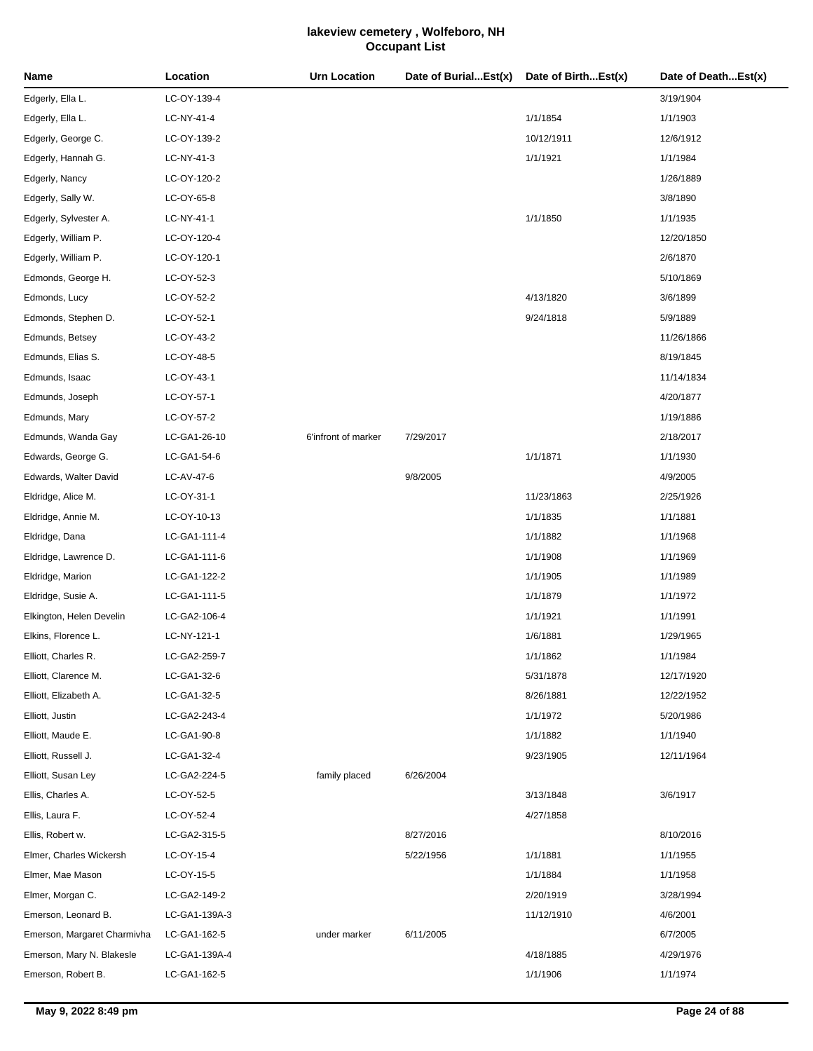| Name                        | Location      | <b>Urn Location</b> | Date of BurialEst(x) | Date of BirthEst(x) | Date of DeathEst(x) |
|-----------------------------|---------------|---------------------|----------------------|---------------------|---------------------|
| Edgerly, Ella L.            | LC-OY-139-4   |                     |                      |                     | 3/19/1904           |
| Edgerly, Ella L.            | LC-NY-41-4    |                     |                      | 1/1/1854            | 1/1/1903            |
| Edgerly, George C.          | LC-OY-139-2   |                     |                      | 10/12/1911          | 12/6/1912           |
| Edgerly, Hannah G.          | LC-NY-41-3    |                     |                      | 1/1/1921            | 1/1/1984            |
| Edgerly, Nancy              | LC-OY-120-2   |                     |                      |                     | 1/26/1889           |
| Edgerly, Sally W.           | LC-OY-65-8    |                     |                      |                     | 3/8/1890            |
| Edgerly, Sylvester A.       | LC-NY-41-1    |                     |                      | 1/1/1850            | 1/1/1935            |
| Edgerly, William P.         | LC-OY-120-4   |                     |                      |                     | 12/20/1850          |
| Edgerly, William P.         | LC-OY-120-1   |                     |                      |                     | 2/6/1870            |
| Edmonds, George H.          | LC-OY-52-3    |                     |                      |                     | 5/10/1869           |
| Edmonds, Lucy               | LC-OY-52-2    |                     |                      | 4/13/1820           | 3/6/1899            |
| Edmonds, Stephen D.         | LC-OY-52-1    |                     |                      | 9/24/1818           | 5/9/1889            |
| Edmunds, Betsey             | LC-OY-43-2    |                     |                      |                     | 11/26/1866          |
| Edmunds, Elias S.           | LC-OY-48-5    |                     |                      |                     | 8/19/1845           |
| Edmunds, Isaac              | LC-OY-43-1    |                     |                      |                     | 11/14/1834          |
| Edmunds, Joseph             | LC-OY-57-1    |                     |                      |                     | 4/20/1877           |
| Edmunds, Mary               | LC-OY-57-2    |                     |                      |                     | 1/19/1886           |
| Edmunds, Wanda Gay          | LC-GA1-26-10  | 6'infront of marker | 7/29/2017            |                     | 2/18/2017           |
| Edwards, George G.          | LC-GA1-54-6   |                     |                      | 1/1/1871            | 1/1/1930            |
| Edwards, Walter David       | LC-AV-47-6    |                     | 9/8/2005             |                     | 4/9/2005            |
| Eldridge, Alice M.          | LC-OY-31-1    |                     |                      | 11/23/1863          | 2/25/1926           |
| Eldridge, Annie M.          | LC-OY-10-13   |                     |                      | 1/1/1835            | 1/1/1881            |
| Eldridge, Dana              | LC-GA1-111-4  |                     |                      | 1/1/1882            | 1/1/1968            |
| Eldridge, Lawrence D.       | LC-GA1-111-6  |                     |                      | 1/1/1908            | 1/1/1969            |
| Eldridge, Marion            | LC-GA1-122-2  |                     |                      | 1/1/1905            | 1/1/1989            |
| Eldridge, Susie A.          | LC-GA1-111-5  |                     |                      | 1/1/1879            | 1/1/1972            |
| Elkington, Helen Develin    | LC-GA2-106-4  |                     |                      | 1/1/1921            | 1/1/1991            |
| Elkins, Florence L.         | LC-NY-121-1   |                     |                      | 1/6/1881            | 1/29/1965           |
| Elliott, Charles R.         | LC-GA2-259-7  |                     |                      | 1/1/1862            | 1/1/1984            |
| Elliott, Clarence M.        | LC-GA1-32-6   |                     |                      | 5/31/1878           | 12/17/1920          |
| Elliott, Elizabeth A.       | LC-GA1-32-5   |                     |                      | 8/26/1881           | 12/22/1952          |
| Elliott, Justin             | LC-GA2-243-4  |                     |                      | 1/1/1972            | 5/20/1986           |
| Elliott, Maude E.           | LC-GA1-90-8   |                     |                      | 1/1/1882            | 1/1/1940            |
| Elliott, Russell J.         | LC-GA1-32-4   |                     |                      | 9/23/1905           | 12/11/1964          |
| Elliott, Susan Ley          | LC-GA2-224-5  | family placed       | 6/26/2004            |                     |                     |
| Ellis, Charles A.           | LC-OY-52-5    |                     |                      | 3/13/1848           | 3/6/1917            |
| Ellis, Laura F.             | LC-OY-52-4    |                     |                      | 4/27/1858           |                     |
| Ellis, Robert w.            | LC-GA2-315-5  |                     | 8/27/2016            |                     | 8/10/2016           |
| Elmer, Charles Wickersh     | LC-OY-15-4    |                     | 5/22/1956            | 1/1/1881            | 1/1/1955            |
| Elmer, Mae Mason            | LC-OY-15-5    |                     |                      | 1/1/1884            | 1/1/1958            |
| Elmer, Morgan C.            | LC-GA2-149-2  |                     |                      | 2/20/1919           | 3/28/1994           |
| Emerson, Leonard B.         | LC-GA1-139A-3 |                     |                      | 11/12/1910          | 4/6/2001            |
| Emerson, Margaret Charmivha | LC-GA1-162-5  | under marker        | 6/11/2005            |                     | 6/7/2005            |
| Emerson, Mary N. Blakesle   | LC-GA1-139A-4 |                     |                      | 4/18/1885           | 4/29/1976           |
| Emerson, Robert B.          | LC-GA1-162-5  |                     |                      | 1/1/1906            | 1/1/1974            |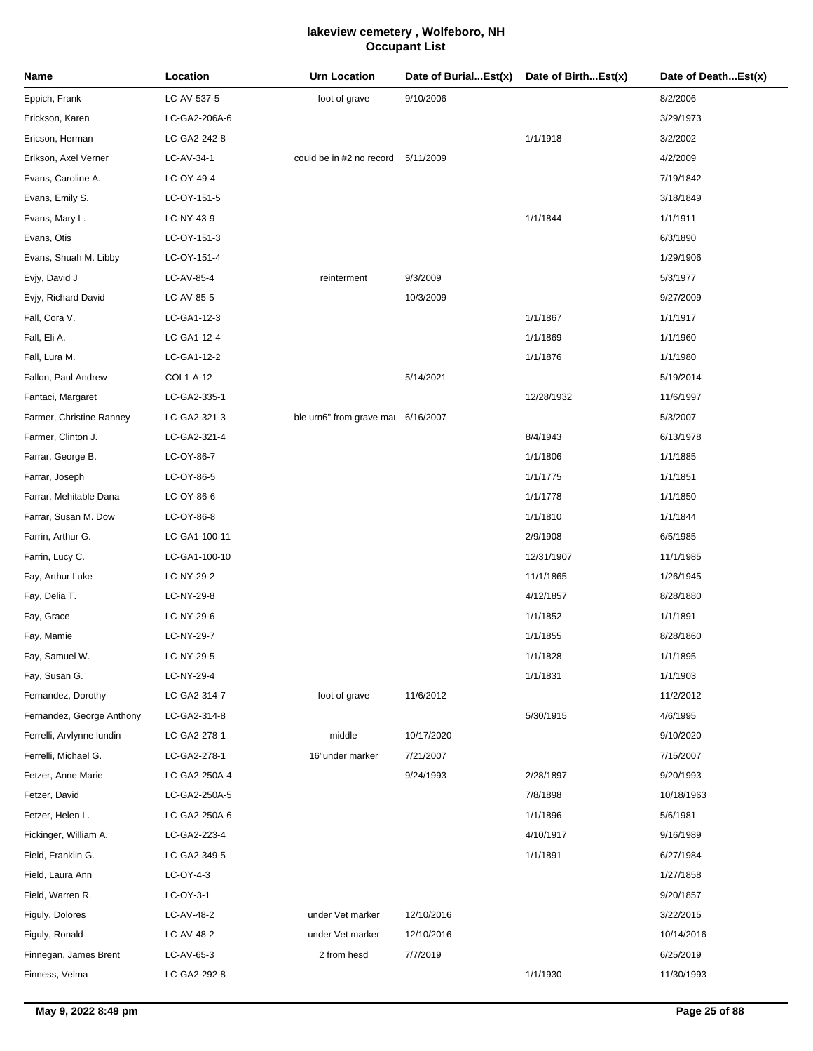| LC-AV-537-5<br>Eppich, Frank<br>foot of grave<br>9/10/2006<br>8/2/2006<br>Erickson, Karen<br>LC-GA2-206A-6<br>3/29/1973<br>Ericson, Herman<br>LC-GA2-242-8<br>1/1/1918<br>3/2/2002<br>Erikson, Axel Verner<br>LC-AV-34-1<br>could be in #2 no record 5/11/2009<br>4/2/2009<br>Evans, Caroline A.<br>LC-OY-49-4<br>7/19/1842<br>Evans, Emily S.<br>LC-OY-151-5<br>3/18/1849<br>Evans, Mary L.<br>LC-NY-43-9<br>1/1/1844<br>1/1/1911<br>Evans, Otis<br>LC-OY-151-3<br>6/3/1890<br>Evans, Shuah M. Libby<br>LC-OY-151-4<br>1/29/1906<br>Evjy, David J<br>LC-AV-85-4<br>9/3/2009<br>5/3/1977<br>reinterment<br>Evjy, Richard David<br>LC-AV-85-5<br>10/3/2009<br>9/27/2009<br>Fall, Cora V.<br>LC-GA1-12-3<br>1/1/1867<br>1/1/1917<br>Fall, Eli A.<br>LC-GA1-12-4<br>1/1/1869<br>1/1/1960<br>Fall, Lura M.<br>LC-GA1-12-2<br>1/1/1876<br>1/1/1980<br>Fallon, Paul Andrew<br>COL1-A-12<br>5/14/2021<br>5/19/2014<br>Fantaci, Margaret<br>LC-GA2-335-1<br>12/28/1932<br>11/6/1997<br>Farmer, Christine Ranney<br>LC-GA2-321-3<br>ble urn6" from grave mai 6/16/2007<br>5/3/2007<br>Farmer, Clinton J.<br>LC-GA2-321-4<br>8/4/1943<br>6/13/1978<br>Farrar, George B.<br>LC-OY-86-7<br>1/1/1806<br>1/1/1885<br>Farrar, Joseph<br>LC-OY-86-5<br>1/1/1775<br>1/1/1851<br>Farrar, Mehitable Dana<br>LC-OY-86-6<br>1/1/1778<br>1/1/1850<br>Farrar, Susan M. Dow<br>LC-OY-86-8<br>1/1/1810<br>1/1/1844<br>Farrin, Arthur G.<br>LC-GA1-100-11<br>2/9/1908<br>6/5/1985<br>Farrin, Lucy C.<br>LC-GA1-100-10<br>12/31/1907<br>11/1/1985<br>Fay, Arthur Luke<br>LC-NY-29-2<br>11/1/1865<br>1/26/1945<br>Fay, Delia T.<br>LC-NY-29-8<br>4/12/1857<br>8/28/1880<br>Fay, Grace<br>LC-NY-29-6<br>1/1/1852<br>1/1/1891<br>1/1/1855<br>Fay, Mamie<br>LC-NY-29-7<br>8/28/1860<br>LC-NY-29-5<br>1/1/1828<br>1/1/1895<br>Fay, Samuel W.<br>Fay, Susan G.<br>LC-NY-29-4<br>1/1/1831<br>1/1/1903<br>Fernandez, Dorothy<br>LC-GA2-314-7<br>foot of grave<br>11/6/2012<br>11/2/2012<br>Fernandez, George Anthony<br>5/30/1915<br>LC-GA2-314-8<br>4/6/1995<br>Ferrelli, Arvlynne lundin<br>LC-GA2-278-1<br>middle<br>10/17/2020<br>9/10/2020<br>Ferrelli, Michael G.<br>LC-GA2-278-1<br>16"under marker<br>7/21/2007<br>7/15/2007<br>Fetzer, Anne Marie<br>LC-GA2-250A-4<br>9/24/1993<br>2/28/1897<br>9/20/1993<br>Fetzer, David<br>LC-GA2-250A-5<br>7/8/1898<br>10/18/1963<br>Fetzer, Helen L.<br>LC-GA2-250A-6<br>1/1/1896<br>5/6/1981<br>Fickinger, William A.<br>LC-GA2-223-4<br>4/10/1917<br>9/16/1989<br>1/1/1891<br>Field, Franklin G.<br>LC-GA2-349-5<br>6/27/1984<br>Field, Laura Ann<br>LC-OY-4-3<br>1/27/1858<br>Field, Warren R.<br>LC-OY-3-1<br>9/20/1857<br>Figuly, Dolores<br>LC-AV-48-2<br>under Vet marker<br>12/10/2016<br>3/22/2015<br>Figuly, Ronald<br>LC-AV-48-2<br>under Vet marker<br>12/10/2016<br>10/14/2016<br>7/7/2019<br>Finnegan, James Brent<br>LC-AV-65-3<br>2 from hesd<br>6/25/2019<br>1/1/1930<br>Finness, Velma<br>LC-GA2-292-8<br>11/30/1993 | Name | Location | Urn Location | Date of BurialEst(x) | Date of BirthEst(x) | Date of DeathEst(x) |
|---------------------------------------------------------------------------------------------------------------------------------------------------------------------------------------------------------------------------------------------------------------------------------------------------------------------------------------------------------------------------------------------------------------------------------------------------------------------------------------------------------------------------------------------------------------------------------------------------------------------------------------------------------------------------------------------------------------------------------------------------------------------------------------------------------------------------------------------------------------------------------------------------------------------------------------------------------------------------------------------------------------------------------------------------------------------------------------------------------------------------------------------------------------------------------------------------------------------------------------------------------------------------------------------------------------------------------------------------------------------------------------------------------------------------------------------------------------------------------------------------------------------------------------------------------------------------------------------------------------------------------------------------------------------------------------------------------------------------------------------------------------------------------------------------------------------------------------------------------------------------------------------------------------------------------------------------------------------------------------------------------------------------------------------------------------------------------------------------------------------------------------------------------------------------------------------------------------------------------------------------------------------------------------------------------------------------------------------------------------------------------------------------------------------------------------------------------------------------------------------------------------------------------------------------------------------------------------------------------------------------------------------------------------------------------------------------------------------------------------------------------------------------------------------------------------------------------------------------------------------------------------------------------------------------------------------------|------|----------|--------------|----------------------|---------------------|---------------------|
|                                                                                                                                                                                                                                                                                                                                                                                                                                                                                                                                                                                                                                                                                                                                                                                                                                                                                                                                                                                                                                                                                                                                                                                                                                                                                                                                                                                                                                                                                                                                                                                                                                                                                                                                                                                                                                                                                                                                                                                                                                                                                                                                                                                                                                                                                                                                                                                                                                                                                                                                                                                                                                                                                                                                                                                                                                                                                                                                                   |      |          |              |                      |                     |                     |
|                                                                                                                                                                                                                                                                                                                                                                                                                                                                                                                                                                                                                                                                                                                                                                                                                                                                                                                                                                                                                                                                                                                                                                                                                                                                                                                                                                                                                                                                                                                                                                                                                                                                                                                                                                                                                                                                                                                                                                                                                                                                                                                                                                                                                                                                                                                                                                                                                                                                                                                                                                                                                                                                                                                                                                                                                                                                                                                                                   |      |          |              |                      |                     |                     |
|                                                                                                                                                                                                                                                                                                                                                                                                                                                                                                                                                                                                                                                                                                                                                                                                                                                                                                                                                                                                                                                                                                                                                                                                                                                                                                                                                                                                                                                                                                                                                                                                                                                                                                                                                                                                                                                                                                                                                                                                                                                                                                                                                                                                                                                                                                                                                                                                                                                                                                                                                                                                                                                                                                                                                                                                                                                                                                                                                   |      |          |              |                      |                     |                     |
|                                                                                                                                                                                                                                                                                                                                                                                                                                                                                                                                                                                                                                                                                                                                                                                                                                                                                                                                                                                                                                                                                                                                                                                                                                                                                                                                                                                                                                                                                                                                                                                                                                                                                                                                                                                                                                                                                                                                                                                                                                                                                                                                                                                                                                                                                                                                                                                                                                                                                                                                                                                                                                                                                                                                                                                                                                                                                                                                                   |      |          |              |                      |                     |                     |
|                                                                                                                                                                                                                                                                                                                                                                                                                                                                                                                                                                                                                                                                                                                                                                                                                                                                                                                                                                                                                                                                                                                                                                                                                                                                                                                                                                                                                                                                                                                                                                                                                                                                                                                                                                                                                                                                                                                                                                                                                                                                                                                                                                                                                                                                                                                                                                                                                                                                                                                                                                                                                                                                                                                                                                                                                                                                                                                                                   |      |          |              |                      |                     |                     |
|                                                                                                                                                                                                                                                                                                                                                                                                                                                                                                                                                                                                                                                                                                                                                                                                                                                                                                                                                                                                                                                                                                                                                                                                                                                                                                                                                                                                                                                                                                                                                                                                                                                                                                                                                                                                                                                                                                                                                                                                                                                                                                                                                                                                                                                                                                                                                                                                                                                                                                                                                                                                                                                                                                                                                                                                                                                                                                                                                   |      |          |              |                      |                     |                     |
|                                                                                                                                                                                                                                                                                                                                                                                                                                                                                                                                                                                                                                                                                                                                                                                                                                                                                                                                                                                                                                                                                                                                                                                                                                                                                                                                                                                                                                                                                                                                                                                                                                                                                                                                                                                                                                                                                                                                                                                                                                                                                                                                                                                                                                                                                                                                                                                                                                                                                                                                                                                                                                                                                                                                                                                                                                                                                                                                                   |      |          |              |                      |                     |                     |
|                                                                                                                                                                                                                                                                                                                                                                                                                                                                                                                                                                                                                                                                                                                                                                                                                                                                                                                                                                                                                                                                                                                                                                                                                                                                                                                                                                                                                                                                                                                                                                                                                                                                                                                                                                                                                                                                                                                                                                                                                                                                                                                                                                                                                                                                                                                                                                                                                                                                                                                                                                                                                                                                                                                                                                                                                                                                                                                                                   |      |          |              |                      |                     |                     |
|                                                                                                                                                                                                                                                                                                                                                                                                                                                                                                                                                                                                                                                                                                                                                                                                                                                                                                                                                                                                                                                                                                                                                                                                                                                                                                                                                                                                                                                                                                                                                                                                                                                                                                                                                                                                                                                                                                                                                                                                                                                                                                                                                                                                                                                                                                                                                                                                                                                                                                                                                                                                                                                                                                                                                                                                                                                                                                                                                   |      |          |              |                      |                     |                     |
|                                                                                                                                                                                                                                                                                                                                                                                                                                                                                                                                                                                                                                                                                                                                                                                                                                                                                                                                                                                                                                                                                                                                                                                                                                                                                                                                                                                                                                                                                                                                                                                                                                                                                                                                                                                                                                                                                                                                                                                                                                                                                                                                                                                                                                                                                                                                                                                                                                                                                                                                                                                                                                                                                                                                                                                                                                                                                                                                                   |      |          |              |                      |                     |                     |
|                                                                                                                                                                                                                                                                                                                                                                                                                                                                                                                                                                                                                                                                                                                                                                                                                                                                                                                                                                                                                                                                                                                                                                                                                                                                                                                                                                                                                                                                                                                                                                                                                                                                                                                                                                                                                                                                                                                                                                                                                                                                                                                                                                                                                                                                                                                                                                                                                                                                                                                                                                                                                                                                                                                                                                                                                                                                                                                                                   |      |          |              |                      |                     |                     |
|                                                                                                                                                                                                                                                                                                                                                                                                                                                                                                                                                                                                                                                                                                                                                                                                                                                                                                                                                                                                                                                                                                                                                                                                                                                                                                                                                                                                                                                                                                                                                                                                                                                                                                                                                                                                                                                                                                                                                                                                                                                                                                                                                                                                                                                                                                                                                                                                                                                                                                                                                                                                                                                                                                                                                                                                                                                                                                                                                   |      |          |              |                      |                     |                     |
|                                                                                                                                                                                                                                                                                                                                                                                                                                                                                                                                                                                                                                                                                                                                                                                                                                                                                                                                                                                                                                                                                                                                                                                                                                                                                                                                                                                                                                                                                                                                                                                                                                                                                                                                                                                                                                                                                                                                                                                                                                                                                                                                                                                                                                                                                                                                                                                                                                                                                                                                                                                                                                                                                                                                                                                                                                                                                                                                                   |      |          |              |                      |                     |                     |
|                                                                                                                                                                                                                                                                                                                                                                                                                                                                                                                                                                                                                                                                                                                                                                                                                                                                                                                                                                                                                                                                                                                                                                                                                                                                                                                                                                                                                                                                                                                                                                                                                                                                                                                                                                                                                                                                                                                                                                                                                                                                                                                                                                                                                                                                                                                                                                                                                                                                                                                                                                                                                                                                                                                                                                                                                                                                                                                                                   |      |          |              |                      |                     |                     |
|                                                                                                                                                                                                                                                                                                                                                                                                                                                                                                                                                                                                                                                                                                                                                                                                                                                                                                                                                                                                                                                                                                                                                                                                                                                                                                                                                                                                                                                                                                                                                                                                                                                                                                                                                                                                                                                                                                                                                                                                                                                                                                                                                                                                                                                                                                                                                                                                                                                                                                                                                                                                                                                                                                                                                                                                                                                                                                                                                   |      |          |              |                      |                     |                     |
|                                                                                                                                                                                                                                                                                                                                                                                                                                                                                                                                                                                                                                                                                                                                                                                                                                                                                                                                                                                                                                                                                                                                                                                                                                                                                                                                                                                                                                                                                                                                                                                                                                                                                                                                                                                                                                                                                                                                                                                                                                                                                                                                                                                                                                                                                                                                                                                                                                                                                                                                                                                                                                                                                                                                                                                                                                                                                                                                                   |      |          |              |                      |                     |                     |
|                                                                                                                                                                                                                                                                                                                                                                                                                                                                                                                                                                                                                                                                                                                                                                                                                                                                                                                                                                                                                                                                                                                                                                                                                                                                                                                                                                                                                                                                                                                                                                                                                                                                                                                                                                                                                                                                                                                                                                                                                                                                                                                                                                                                                                                                                                                                                                                                                                                                                                                                                                                                                                                                                                                                                                                                                                                                                                                                                   |      |          |              |                      |                     |                     |
|                                                                                                                                                                                                                                                                                                                                                                                                                                                                                                                                                                                                                                                                                                                                                                                                                                                                                                                                                                                                                                                                                                                                                                                                                                                                                                                                                                                                                                                                                                                                                                                                                                                                                                                                                                                                                                                                                                                                                                                                                                                                                                                                                                                                                                                                                                                                                                                                                                                                                                                                                                                                                                                                                                                                                                                                                                                                                                                                                   |      |          |              |                      |                     |                     |
|                                                                                                                                                                                                                                                                                                                                                                                                                                                                                                                                                                                                                                                                                                                                                                                                                                                                                                                                                                                                                                                                                                                                                                                                                                                                                                                                                                                                                                                                                                                                                                                                                                                                                                                                                                                                                                                                                                                                                                                                                                                                                                                                                                                                                                                                                                                                                                                                                                                                                                                                                                                                                                                                                                                                                                                                                                                                                                                                                   |      |          |              |                      |                     |                     |
|                                                                                                                                                                                                                                                                                                                                                                                                                                                                                                                                                                                                                                                                                                                                                                                                                                                                                                                                                                                                                                                                                                                                                                                                                                                                                                                                                                                                                                                                                                                                                                                                                                                                                                                                                                                                                                                                                                                                                                                                                                                                                                                                                                                                                                                                                                                                                                                                                                                                                                                                                                                                                                                                                                                                                                                                                                                                                                                                                   |      |          |              |                      |                     |                     |
|                                                                                                                                                                                                                                                                                                                                                                                                                                                                                                                                                                                                                                                                                                                                                                                                                                                                                                                                                                                                                                                                                                                                                                                                                                                                                                                                                                                                                                                                                                                                                                                                                                                                                                                                                                                                                                                                                                                                                                                                                                                                                                                                                                                                                                                                                                                                                                                                                                                                                                                                                                                                                                                                                                                                                                                                                                                                                                                                                   |      |          |              |                      |                     |                     |
|                                                                                                                                                                                                                                                                                                                                                                                                                                                                                                                                                                                                                                                                                                                                                                                                                                                                                                                                                                                                                                                                                                                                                                                                                                                                                                                                                                                                                                                                                                                                                                                                                                                                                                                                                                                                                                                                                                                                                                                                                                                                                                                                                                                                                                                                                                                                                                                                                                                                                                                                                                                                                                                                                                                                                                                                                                                                                                                                                   |      |          |              |                      |                     |                     |
|                                                                                                                                                                                                                                                                                                                                                                                                                                                                                                                                                                                                                                                                                                                                                                                                                                                                                                                                                                                                                                                                                                                                                                                                                                                                                                                                                                                                                                                                                                                                                                                                                                                                                                                                                                                                                                                                                                                                                                                                                                                                                                                                                                                                                                                                                                                                                                                                                                                                                                                                                                                                                                                                                                                                                                                                                                                                                                                                                   |      |          |              |                      |                     |                     |
|                                                                                                                                                                                                                                                                                                                                                                                                                                                                                                                                                                                                                                                                                                                                                                                                                                                                                                                                                                                                                                                                                                                                                                                                                                                                                                                                                                                                                                                                                                                                                                                                                                                                                                                                                                                                                                                                                                                                                                                                                                                                                                                                                                                                                                                                                                                                                                                                                                                                                                                                                                                                                                                                                                                                                                                                                                                                                                                                                   |      |          |              |                      |                     |                     |
|                                                                                                                                                                                                                                                                                                                                                                                                                                                                                                                                                                                                                                                                                                                                                                                                                                                                                                                                                                                                                                                                                                                                                                                                                                                                                                                                                                                                                                                                                                                                                                                                                                                                                                                                                                                                                                                                                                                                                                                                                                                                                                                                                                                                                                                                                                                                                                                                                                                                                                                                                                                                                                                                                                                                                                                                                                                                                                                                                   |      |          |              |                      |                     |                     |
|                                                                                                                                                                                                                                                                                                                                                                                                                                                                                                                                                                                                                                                                                                                                                                                                                                                                                                                                                                                                                                                                                                                                                                                                                                                                                                                                                                                                                                                                                                                                                                                                                                                                                                                                                                                                                                                                                                                                                                                                                                                                                                                                                                                                                                                                                                                                                                                                                                                                                                                                                                                                                                                                                                                                                                                                                                                                                                                                                   |      |          |              |                      |                     |                     |
|                                                                                                                                                                                                                                                                                                                                                                                                                                                                                                                                                                                                                                                                                                                                                                                                                                                                                                                                                                                                                                                                                                                                                                                                                                                                                                                                                                                                                                                                                                                                                                                                                                                                                                                                                                                                                                                                                                                                                                                                                                                                                                                                                                                                                                                                                                                                                                                                                                                                                                                                                                                                                                                                                                                                                                                                                                                                                                                                                   |      |          |              |                      |                     |                     |
|                                                                                                                                                                                                                                                                                                                                                                                                                                                                                                                                                                                                                                                                                                                                                                                                                                                                                                                                                                                                                                                                                                                                                                                                                                                                                                                                                                                                                                                                                                                                                                                                                                                                                                                                                                                                                                                                                                                                                                                                                                                                                                                                                                                                                                                                                                                                                                                                                                                                                                                                                                                                                                                                                                                                                                                                                                                                                                                                                   |      |          |              |                      |                     |                     |
|                                                                                                                                                                                                                                                                                                                                                                                                                                                                                                                                                                                                                                                                                                                                                                                                                                                                                                                                                                                                                                                                                                                                                                                                                                                                                                                                                                                                                                                                                                                                                                                                                                                                                                                                                                                                                                                                                                                                                                                                                                                                                                                                                                                                                                                                                                                                                                                                                                                                                                                                                                                                                                                                                                                                                                                                                                                                                                                                                   |      |          |              |                      |                     |                     |
|                                                                                                                                                                                                                                                                                                                                                                                                                                                                                                                                                                                                                                                                                                                                                                                                                                                                                                                                                                                                                                                                                                                                                                                                                                                                                                                                                                                                                                                                                                                                                                                                                                                                                                                                                                                                                                                                                                                                                                                                                                                                                                                                                                                                                                                                                                                                                                                                                                                                                                                                                                                                                                                                                                                                                                                                                                                                                                                                                   |      |          |              |                      |                     |                     |
|                                                                                                                                                                                                                                                                                                                                                                                                                                                                                                                                                                                                                                                                                                                                                                                                                                                                                                                                                                                                                                                                                                                                                                                                                                                                                                                                                                                                                                                                                                                                                                                                                                                                                                                                                                                                                                                                                                                                                                                                                                                                                                                                                                                                                                                                                                                                                                                                                                                                                                                                                                                                                                                                                                                                                                                                                                                                                                                                                   |      |          |              |                      |                     |                     |
|                                                                                                                                                                                                                                                                                                                                                                                                                                                                                                                                                                                                                                                                                                                                                                                                                                                                                                                                                                                                                                                                                                                                                                                                                                                                                                                                                                                                                                                                                                                                                                                                                                                                                                                                                                                                                                                                                                                                                                                                                                                                                                                                                                                                                                                                                                                                                                                                                                                                                                                                                                                                                                                                                                                                                                                                                                                                                                                                                   |      |          |              |                      |                     |                     |
|                                                                                                                                                                                                                                                                                                                                                                                                                                                                                                                                                                                                                                                                                                                                                                                                                                                                                                                                                                                                                                                                                                                                                                                                                                                                                                                                                                                                                                                                                                                                                                                                                                                                                                                                                                                                                                                                                                                                                                                                                                                                                                                                                                                                                                                                                                                                                                                                                                                                                                                                                                                                                                                                                                                                                                                                                                                                                                                                                   |      |          |              |                      |                     |                     |
|                                                                                                                                                                                                                                                                                                                                                                                                                                                                                                                                                                                                                                                                                                                                                                                                                                                                                                                                                                                                                                                                                                                                                                                                                                                                                                                                                                                                                                                                                                                                                                                                                                                                                                                                                                                                                                                                                                                                                                                                                                                                                                                                                                                                                                                                                                                                                                                                                                                                                                                                                                                                                                                                                                                                                                                                                                                                                                                                                   |      |          |              |                      |                     |                     |
|                                                                                                                                                                                                                                                                                                                                                                                                                                                                                                                                                                                                                                                                                                                                                                                                                                                                                                                                                                                                                                                                                                                                                                                                                                                                                                                                                                                                                                                                                                                                                                                                                                                                                                                                                                                                                                                                                                                                                                                                                                                                                                                                                                                                                                                                                                                                                                                                                                                                                                                                                                                                                                                                                                                                                                                                                                                                                                                                                   |      |          |              |                      |                     |                     |
|                                                                                                                                                                                                                                                                                                                                                                                                                                                                                                                                                                                                                                                                                                                                                                                                                                                                                                                                                                                                                                                                                                                                                                                                                                                                                                                                                                                                                                                                                                                                                                                                                                                                                                                                                                                                                                                                                                                                                                                                                                                                                                                                                                                                                                                                                                                                                                                                                                                                                                                                                                                                                                                                                                                                                                                                                                                                                                                                                   |      |          |              |                      |                     |                     |
|                                                                                                                                                                                                                                                                                                                                                                                                                                                                                                                                                                                                                                                                                                                                                                                                                                                                                                                                                                                                                                                                                                                                                                                                                                                                                                                                                                                                                                                                                                                                                                                                                                                                                                                                                                                                                                                                                                                                                                                                                                                                                                                                                                                                                                                                                                                                                                                                                                                                                                                                                                                                                                                                                                                                                                                                                                                                                                                                                   |      |          |              |                      |                     |                     |
|                                                                                                                                                                                                                                                                                                                                                                                                                                                                                                                                                                                                                                                                                                                                                                                                                                                                                                                                                                                                                                                                                                                                                                                                                                                                                                                                                                                                                                                                                                                                                                                                                                                                                                                                                                                                                                                                                                                                                                                                                                                                                                                                                                                                                                                                                                                                                                                                                                                                                                                                                                                                                                                                                                                                                                                                                                                                                                                                                   |      |          |              |                      |                     |                     |
|                                                                                                                                                                                                                                                                                                                                                                                                                                                                                                                                                                                                                                                                                                                                                                                                                                                                                                                                                                                                                                                                                                                                                                                                                                                                                                                                                                                                                                                                                                                                                                                                                                                                                                                                                                                                                                                                                                                                                                                                                                                                                                                                                                                                                                                                                                                                                                                                                                                                                                                                                                                                                                                                                                                                                                                                                                                                                                                                                   |      |          |              |                      |                     |                     |
|                                                                                                                                                                                                                                                                                                                                                                                                                                                                                                                                                                                                                                                                                                                                                                                                                                                                                                                                                                                                                                                                                                                                                                                                                                                                                                                                                                                                                                                                                                                                                                                                                                                                                                                                                                                                                                                                                                                                                                                                                                                                                                                                                                                                                                                                                                                                                                                                                                                                                                                                                                                                                                                                                                                                                                                                                                                                                                                                                   |      |          |              |                      |                     |                     |
|                                                                                                                                                                                                                                                                                                                                                                                                                                                                                                                                                                                                                                                                                                                                                                                                                                                                                                                                                                                                                                                                                                                                                                                                                                                                                                                                                                                                                                                                                                                                                                                                                                                                                                                                                                                                                                                                                                                                                                                                                                                                                                                                                                                                                                                                                                                                                                                                                                                                                                                                                                                                                                                                                                                                                                                                                                                                                                                                                   |      |          |              |                      |                     |                     |
|                                                                                                                                                                                                                                                                                                                                                                                                                                                                                                                                                                                                                                                                                                                                                                                                                                                                                                                                                                                                                                                                                                                                                                                                                                                                                                                                                                                                                                                                                                                                                                                                                                                                                                                                                                                                                                                                                                                                                                                                                                                                                                                                                                                                                                                                                                                                                                                                                                                                                                                                                                                                                                                                                                                                                                                                                                                                                                                                                   |      |          |              |                      |                     |                     |
|                                                                                                                                                                                                                                                                                                                                                                                                                                                                                                                                                                                                                                                                                                                                                                                                                                                                                                                                                                                                                                                                                                                                                                                                                                                                                                                                                                                                                                                                                                                                                                                                                                                                                                                                                                                                                                                                                                                                                                                                                                                                                                                                                                                                                                                                                                                                                                                                                                                                                                                                                                                                                                                                                                                                                                                                                                                                                                                                                   |      |          |              |                      |                     |                     |
|                                                                                                                                                                                                                                                                                                                                                                                                                                                                                                                                                                                                                                                                                                                                                                                                                                                                                                                                                                                                                                                                                                                                                                                                                                                                                                                                                                                                                                                                                                                                                                                                                                                                                                                                                                                                                                                                                                                                                                                                                                                                                                                                                                                                                                                                                                                                                                                                                                                                                                                                                                                                                                                                                                                                                                                                                                                                                                                                                   |      |          |              |                      |                     |                     |
|                                                                                                                                                                                                                                                                                                                                                                                                                                                                                                                                                                                                                                                                                                                                                                                                                                                                                                                                                                                                                                                                                                                                                                                                                                                                                                                                                                                                                                                                                                                                                                                                                                                                                                                                                                                                                                                                                                                                                                                                                                                                                                                                                                                                                                                                                                                                                                                                                                                                                                                                                                                                                                                                                                                                                                                                                                                                                                                                                   |      |          |              |                      |                     |                     |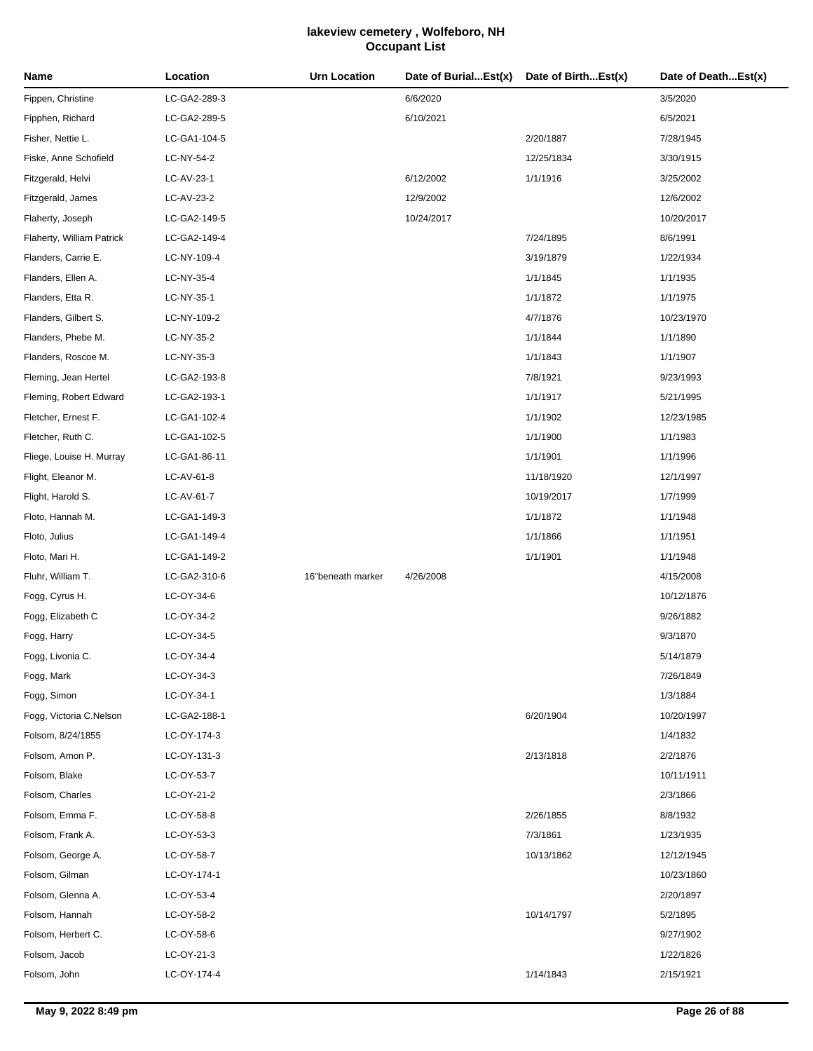| Name                      | Location     | <b>Urn Location</b> | Date of BurialEst(x) | Date of BirthEst(x) | Date of DeathEst(x) |
|---------------------------|--------------|---------------------|----------------------|---------------------|---------------------|
| Fippen, Christine         | LC-GA2-289-3 |                     | 6/6/2020             |                     | 3/5/2020            |
| Fipphen, Richard          | LC-GA2-289-5 |                     | 6/10/2021            |                     | 6/5/2021            |
| Fisher, Nettie L.         | LC-GA1-104-5 |                     |                      | 2/20/1887           | 7/28/1945           |
| Fiske, Anne Schofield     | LC-NY-54-2   |                     |                      | 12/25/1834          | 3/30/1915           |
| Fitzgerald, Helvi         | LC-AV-23-1   |                     | 6/12/2002            | 1/1/1916            | 3/25/2002           |
| Fitzgerald, James         | LC-AV-23-2   |                     | 12/9/2002            |                     | 12/6/2002           |
| Flaherty, Joseph          | LC-GA2-149-5 |                     | 10/24/2017           |                     | 10/20/2017          |
| Flaherty, William Patrick | LC-GA2-149-4 |                     |                      | 7/24/1895           | 8/6/1991            |
| Flanders, Carrie E.       | LC-NY-109-4  |                     |                      | 3/19/1879           | 1/22/1934           |
| Flanders, Ellen A.        | LC-NY-35-4   |                     |                      | 1/1/1845            | 1/1/1935            |
| Flanders, Etta R.         | LC-NY-35-1   |                     |                      | 1/1/1872            | 1/1/1975            |
| Flanders, Gilbert S.      | LC-NY-109-2  |                     |                      | 4/7/1876            | 10/23/1970          |
| Flanders, Phebe M.        | LC-NY-35-2   |                     |                      | 1/1/1844            | 1/1/1890            |
| Flanders, Roscoe M.       | LC-NY-35-3   |                     |                      | 1/1/1843            | 1/1/1907            |
| Fleming, Jean Hertel      | LC-GA2-193-8 |                     |                      | 7/8/1921            | 9/23/1993           |
| Fleming, Robert Edward    | LC-GA2-193-1 |                     |                      | 1/1/1917            | 5/21/1995           |
| Fletcher, Ernest F.       | LC-GA1-102-4 |                     |                      | 1/1/1902            | 12/23/1985          |
| Fletcher, Ruth C.         | LC-GA1-102-5 |                     |                      | 1/1/1900            | 1/1/1983            |
| Fliege, Louise H. Murray  | LC-GA1-86-11 |                     |                      | 1/1/1901            | 1/1/1996            |
| Flight, Eleanor M.        | LC-AV-61-8   |                     |                      | 11/18/1920          | 12/1/1997           |
| Flight, Harold S.         | LC-AV-61-7   |                     |                      | 10/19/2017          | 1/7/1999            |
| Floto, Hannah M.          | LC-GA1-149-3 |                     |                      | 1/1/1872            | 1/1/1948            |
| Floto, Julius             | LC-GA1-149-4 |                     |                      | 1/1/1866            | 1/1/1951            |
| Floto, Mari H.            | LC-GA1-149-2 |                     |                      | 1/1/1901            | 1/1/1948            |
| Fluhr, William T.         | LC-GA2-310-6 | 16"beneath marker   | 4/26/2008            |                     | 4/15/2008           |
| Fogg, Cyrus H.            | LC-OY-34-6   |                     |                      |                     | 10/12/1876          |
| Fogg, Elizabeth C         | LC-OY-34-2   |                     |                      |                     | 9/26/1882           |
| Fogg, Harry               | LC-OY-34-5   |                     |                      |                     | 9/3/1870            |
| Fogg, Livonia C.          | LC-OY-34-4   |                     |                      |                     | 5/14/1879           |
| Fogg, Mark                | LC-OY-34-3   |                     |                      |                     | 7/26/1849           |
| Fogg, Simon               | LC-OY-34-1   |                     |                      |                     | 1/3/1884            |
| Fogg, Victoria C.Nelson   | LC-GA2-188-1 |                     |                      | 6/20/1904           | 10/20/1997          |
| Folsom, 8/24/1855         | LC-OY-174-3  |                     |                      |                     | 1/4/1832            |
| Folsom, Amon P.           | LC-OY-131-3  |                     |                      | 2/13/1818           | 2/2/1876            |
| Folsom, Blake             | LC-OY-53-7   |                     |                      |                     | 10/11/1911          |
| Folsom, Charles           | LC-OY-21-2   |                     |                      |                     | 2/3/1866            |
| Folsom, Emma F.           | LC-OY-58-8   |                     |                      | 2/26/1855           | 8/8/1932            |
| Folsom, Frank A.          | LC-OY-53-3   |                     |                      | 7/3/1861            | 1/23/1935           |
| Folsom, George A.         | LC-OY-58-7   |                     |                      | 10/13/1862          | 12/12/1945          |
| Folsom, Gilman            | LC-OY-174-1  |                     |                      |                     | 10/23/1860          |
| Folsom, Glenna A.         | LC-OY-53-4   |                     |                      |                     | 2/20/1897           |
| Folsom, Hannah            | LC-OY-58-2   |                     |                      | 10/14/1797          | 5/2/1895            |
| Folsom, Herbert C.        | LC-OY-58-6   |                     |                      |                     | 9/27/1902           |
| Folsom, Jacob             | LC-OY-21-3   |                     |                      |                     | 1/22/1826           |
| Folsom, John              | LC-OY-174-4  |                     |                      | 1/14/1843           | 2/15/1921           |
|                           |              |                     |                      |                     |                     |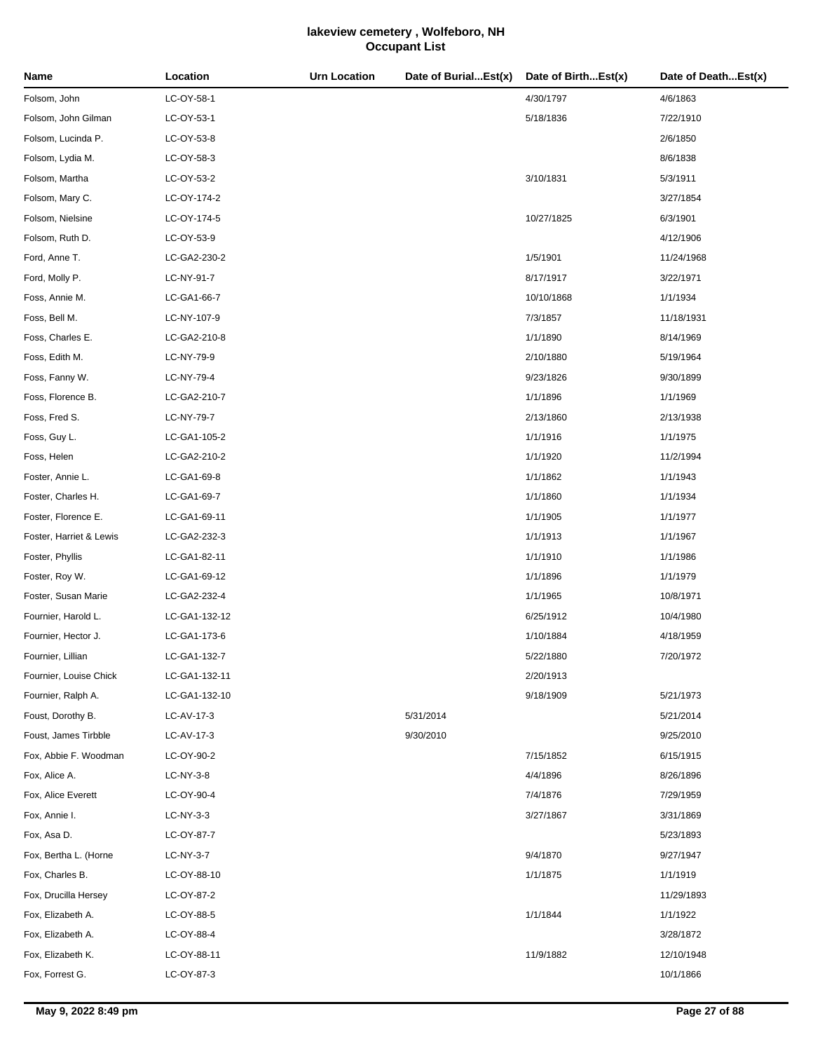| Name                    | Location      | <b>Urn Location</b> | Date of BurialEst(x) | Date of BirthEst(x) | Date of DeathEst(x) |
|-------------------------|---------------|---------------------|----------------------|---------------------|---------------------|
| Folsom, John            | LC-OY-58-1    |                     |                      | 4/30/1797           | 4/6/1863            |
| Folsom, John Gilman     | LC-OY-53-1    |                     |                      | 5/18/1836           | 7/22/1910           |
| Folsom, Lucinda P.      | LC-OY-53-8    |                     |                      |                     | 2/6/1850            |
| Folsom, Lydia M.        | LC-OY-58-3    |                     |                      |                     | 8/6/1838            |
| Folsom, Martha          | LC-OY-53-2    |                     |                      | 3/10/1831           | 5/3/1911            |
| Folsom, Mary C.         | LC-OY-174-2   |                     |                      |                     | 3/27/1854           |
| Folsom, Nielsine        | LC-OY-174-5   |                     |                      | 10/27/1825          | 6/3/1901            |
| Folsom, Ruth D.         | LC-OY-53-9    |                     |                      |                     | 4/12/1906           |
| Ford, Anne T.           | LC-GA2-230-2  |                     |                      | 1/5/1901            | 11/24/1968          |
| Ford, Molly P.          | LC-NY-91-7    |                     |                      | 8/17/1917           | 3/22/1971           |
| Foss, Annie M.          | LC-GA1-66-7   |                     |                      | 10/10/1868          | 1/1/1934            |
| Foss, Bell M.           | LC-NY-107-9   |                     |                      | 7/3/1857            | 11/18/1931          |
| Foss, Charles E.        | LC-GA2-210-8  |                     |                      | 1/1/1890            | 8/14/1969           |
| Foss, Edith M.          | LC-NY-79-9    |                     |                      | 2/10/1880           | 5/19/1964           |
| Foss, Fanny W.          | LC-NY-79-4    |                     |                      | 9/23/1826           | 9/30/1899           |
| Foss, Florence B.       | LC-GA2-210-7  |                     |                      | 1/1/1896            | 1/1/1969            |
| Foss, Fred S.           | LC-NY-79-7    |                     |                      | 2/13/1860           | 2/13/1938           |
| Foss, Guy L.            | LC-GA1-105-2  |                     |                      | 1/1/1916            | 1/1/1975            |
| Foss, Helen             | LC-GA2-210-2  |                     |                      | 1/1/1920            | 11/2/1994           |
| Foster, Annie L.        | LC-GA1-69-8   |                     |                      | 1/1/1862            | 1/1/1943            |
| Foster, Charles H.      | LC-GA1-69-7   |                     |                      | 1/1/1860            | 1/1/1934            |
| Foster, Florence E.     | LC-GA1-69-11  |                     |                      | 1/1/1905            | 1/1/1977            |
| Foster, Harriet & Lewis | LC-GA2-232-3  |                     |                      | 1/1/1913            | 1/1/1967            |
| Foster, Phyllis         | LC-GA1-82-11  |                     |                      | 1/1/1910            | 1/1/1986            |
| Foster, Roy W.          | LC-GA1-69-12  |                     |                      | 1/1/1896            | 1/1/1979            |
| Foster, Susan Marie     | LC-GA2-232-4  |                     |                      | 1/1/1965            | 10/8/1971           |
| Fournier, Harold L.     | LC-GA1-132-12 |                     |                      | 6/25/1912           | 10/4/1980           |
| Fournier, Hector J.     | LC-GA1-173-6  |                     |                      | 1/10/1884           | 4/18/1959           |
| Fournier, Lillian       | LC-GA1-132-7  |                     |                      | 5/22/1880           | 7/20/1972           |
| Fournier, Louise Chick  | LC-GA1-132-11 |                     |                      | 2/20/1913           |                     |
| Fournier, Ralph A.      | LC-GA1-132-10 |                     |                      | 9/18/1909           | 5/21/1973           |
| Foust, Dorothy B.       | LC-AV-17-3    |                     | 5/31/2014            |                     | 5/21/2014           |
| Foust, James Tirbble    | LC-AV-17-3    |                     | 9/30/2010            |                     | 9/25/2010           |
| Fox, Abbie F. Woodman   | LC-OY-90-2    |                     |                      | 7/15/1852           | 6/15/1915           |
| Fox, Alice A.           | LC-NY-3-8     |                     |                      | 4/4/1896            | 8/26/1896           |
| Fox, Alice Everett      | LC-OY-90-4    |                     |                      | 7/4/1876            | 7/29/1959           |
| Fox, Annie I.           | LC-NY-3-3     |                     |                      | 3/27/1867           | 3/31/1869           |
| Fox, Asa D.             | LC-OY-87-7    |                     |                      |                     | 5/23/1893           |
| Fox, Bertha L. (Horne   | LC-NY-3-7     |                     |                      | 9/4/1870            | 9/27/1947           |
| Fox, Charles B.         | LC-OY-88-10   |                     |                      | 1/1/1875            | 1/1/1919            |
| Fox, Drucilla Hersey    | LC-OY-87-2    |                     |                      |                     | 11/29/1893          |
| Fox, Elizabeth A.       | LC-OY-88-5    |                     |                      | 1/1/1844            | 1/1/1922            |
| Fox, Elizabeth A.       | LC-OY-88-4    |                     |                      |                     | 3/28/1872           |
| Fox, Elizabeth K.       | LC-OY-88-11   |                     |                      | 11/9/1882           | 12/10/1948          |
| Fox, Forrest G.         | LC-OY-87-3    |                     |                      |                     | 10/1/1866           |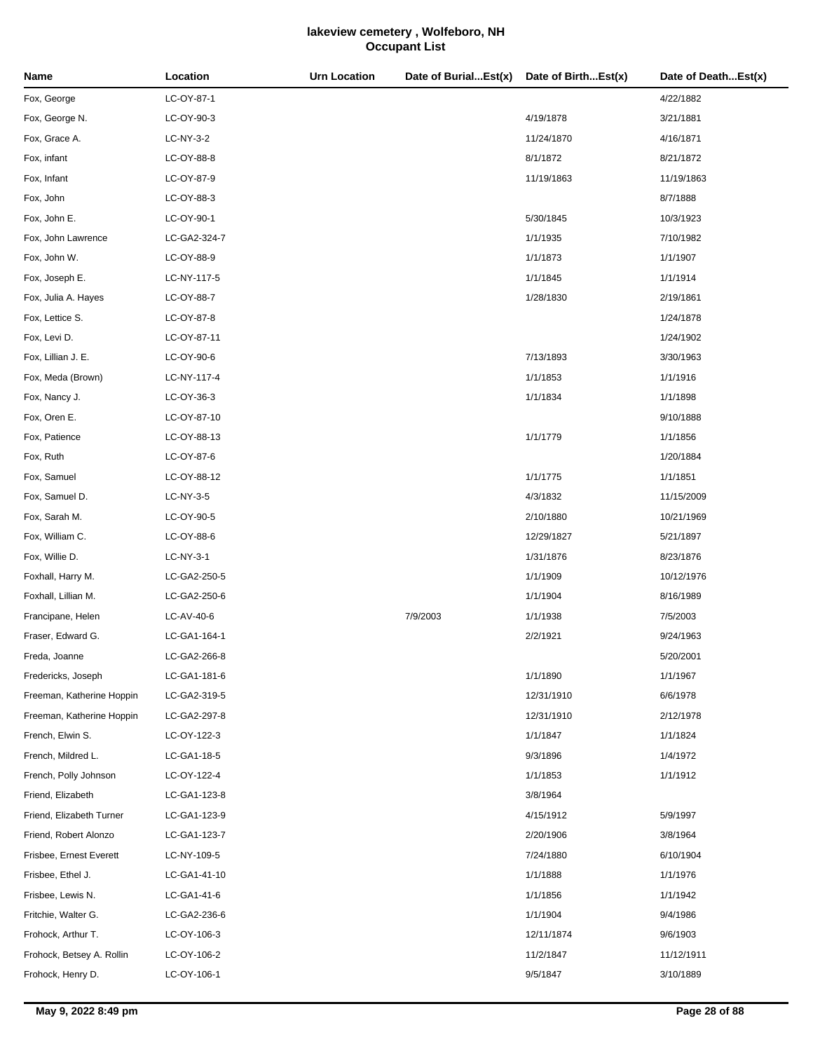| Name                      | Location     | <b>Urn Location</b> | Date of BurialEst(x) | Date of BirthEst(x) | Date of DeathEst(x) |
|---------------------------|--------------|---------------------|----------------------|---------------------|---------------------|
| Fox, George               | LC-OY-87-1   |                     |                      |                     | 4/22/1882           |
| Fox, George N.            | LC-OY-90-3   |                     |                      | 4/19/1878           | 3/21/1881           |
| Fox, Grace A.             | LC-NY-3-2    |                     |                      | 11/24/1870          | 4/16/1871           |
| Fox, infant               | LC-OY-88-8   |                     |                      | 8/1/1872            | 8/21/1872           |
| Fox, Infant               | LC-OY-87-9   |                     |                      | 11/19/1863          | 11/19/1863          |
| Fox, John                 | LC-OY-88-3   |                     |                      |                     | 8/7/1888            |
| Fox, John E.              | LC-OY-90-1   |                     |                      | 5/30/1845           | 10/3/1923           |
| Fox, John Lawrence        | LC-GA2-324-7 |                     |                      | 1/1/1935            | 7/10/1982           |
| Fox, John W.              | LC-OY-88-9   |                     |                      | 1/1/1873            | 1/1/1907            |
| Fox, Joseph E.            | LC-NY-117-5  |                     |                      | 1/1/1845            | 1/1/1914            |
| Fox, Julia A. Hayes       | LC-OY-88-7   |                     |                      | 1/28/1830           | 2/19/1861           |
| Fox, Lettice S.           | LC-OY-87-8   |                     |                      |                     | 1/24/1878           |
| Fox, Levi D.              | LC-OY-87-11  |                     |                      |                     | 1/24/1902           |
| Fox, Lillian J. E.        | LC-OY-90-6   |                     |                      | 7/13/1893           | 3/30/1963           |
| Fox, Meda (Brown)         | LC-NY-117-4  |                     |                      | 1/1/1853            | 1/1/1916            |
| Fox, Nancy J.             | LC-OY-36-3   |                     |                      | 1/1/1834            | 1/1/1898            |
| Fox, Oren E.              | LC-OY-87-10  |                     |                      |                     | 9/10/1888           |
| Fox, Patience             | LC-OY-88-13  |                     |                      | 1/1/1779            | 1/1/1856            |
| Fox, Ruth                 | LC-OY-87-6   |                     |                      |                     | 1/20/1884           |
| Fox, Samuel               | LC-OY-88-12  |                     |                      | 1/1/1775            | 1/1/1851            |
| Fox, Samuel D.            | LC-NY-3-5    |                     |                      | 4/3/1832            | 11/15/2009          |
| Fox, Sarah M.             | LC-OY-90-5   |                     |                      | 2/10/1880           | 10/21/1969          |
| Fox, William C.           | LC-OY-88-6   |                     |                      | 12/29/1827          | 5/21/1897           |
| Fox, Willie D.            | LC-NY-3-1    |                     |                      | 1/31/1876           | 8/23/1876           |
| Foxhall, Harry M.         | LC-GA2-250-5 |                     |                      | 1/1/1909            | 10/12/1976          |
| Foxhall, Lillian M.       | LC-GA2-250-6 |                     |                      | 1/1/1904            | 8/16/1989           |
| Francipane, Helen         | LC-AV-40-6   |                     | 7/9/2003             | 1/1/1938            | 7/5/2003            |
| Fraser, Edward G.         | LC-GA1-164-1 |                     |                      | 2/2/1921            | 9/24/1963           |
| Freda, Joanne             | LC-GA2-266-8 |                     |                      |                     | 5/20/2001           |
| Fredericks, Joseph        | LC-GA1-181-6 |                     |                      | 1/1/1890            | 1/1/1967            |
| Freeman, Katherine Hoppin | LC-GA2-319-5 |                     |                      | 12/31/1910          | 6/6/1978            |
| Freeman, Katherine Hoppin | LC-GA2-297-8 |                     |                      | 12/31/1910          | 2/12/1978           |
| French, Elwin S.          | LC-OY-122-3  |                     |                      | 1/1/1847            | 1/1/1824            |
| French, Mildred L.        | LC-GA1-18-5  |                     |                      | 9/3/1896            | 1/4/1972            |
| French, Polly Johnson     | LC-OY-122-4  |                     |                      | 1/1/1853            | 1/1/1912            |
| Friend, Elizabeth         | LC-GA1-123-8 |                     |                      | 3/8/1964            |                     |
| Friend, Elizabeth Turner  | LC-GA1-123-9 |                     |                      | 4/15/1912           | 5/9/1997            |
| Friend, Robert Alonzo     | LC-GA1-123-7 |                     |                      | 2/20/1906           | 3/8/1964            |
| Frisbee, Ernest Everett   | LC-NY-109-5  |                     |                      | 7/24/1880           | 6/10/1904           |
| Frisbee, Ethel J.         | LC-GA1-41-10 |                     |                      | 1/1/1888            | 1/1/1976            |
| Frisbee, Lewis N.         | LC-GA1-41-6  |                     |                      | 1/1/1856            | 1/1/1942            |
| Fritchie, Walter G.       | LC-GA2-236-6 |                     |                      | 1/1/1904            | 9/4/1986            |
| Frohock, Arthur T.        | LC-OY-106-3  |                     |                      | 12/11/1874          | 9/6/1903            |
| Frohock, Betsey A. Rollin | LC-OY-106-2  |                     |                      | 11/2/1847           | 11/12/1911          |
| Frohock, Henry D.         | LC-OY-106-1  |                     |                      | 9/5/1847            | 3/10/1889           |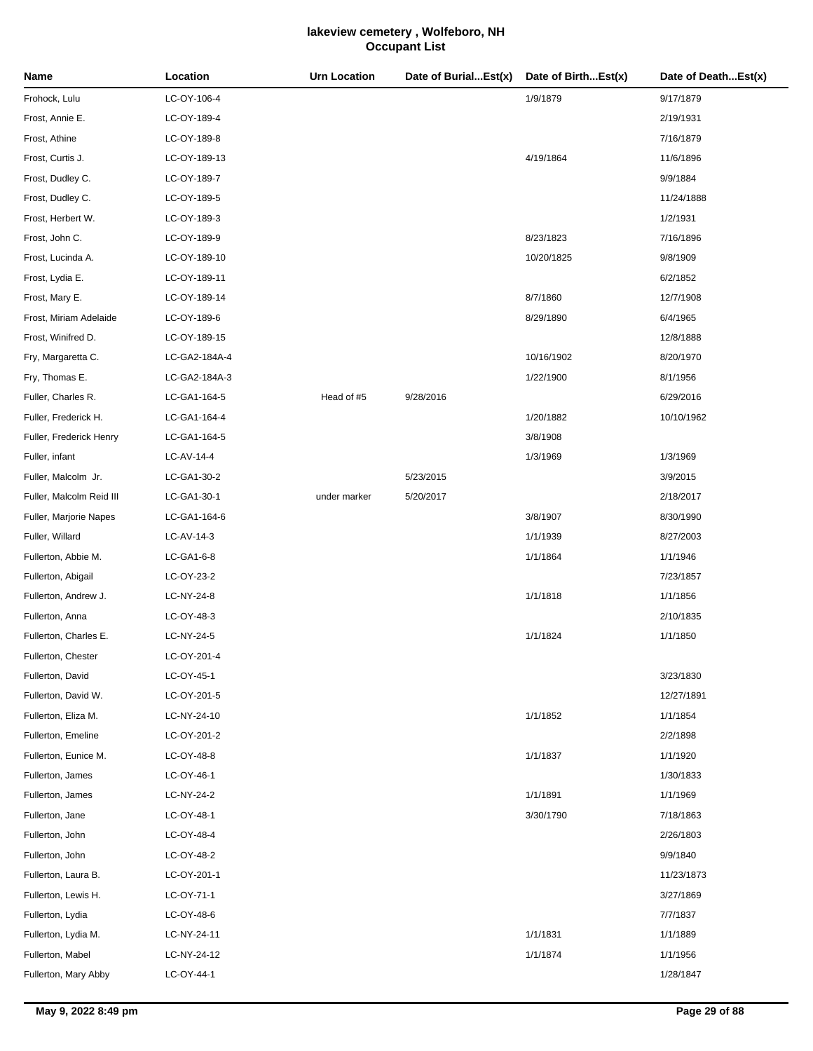| Name                     | Location      | <b>Urn Location</b> | Date of BurialEst(x) | Date of BirthEst(x) | Date of DeathEst(x) |
|--------------------------|---------------|---------------------|----------------------|---------------------|---------------------|
| Frohock, Lulu            | LC-OY-106-4   |                     |                      | 1/9/1879            | 9/17/1879           |
| Frost, Annie E.          | LC-OY-189-4   |                     |                      |                     | 2/19/1931           |
| Frost, Athine            | LC-OY-189-8   |                     |                      |                     | 7/16/1879           |
| Frost, Curtis J.         | LC-OY-189-13  |                     |                      | 4/19/1864           | 11/6/1896           |
| Frost, Dudley C.         | LC-OY-189-7   |                     |                      |                     | 9/9/1884            |
| Frost, Dudley C.         | LC-OY-189-5   |                     |                      |                     | 11/24/1888          |
| Frost, Herbert W.        | LC-OY-189-3   |                     |                      |                     | 1/2/1931            |
| Frost, John C.           | LC-OY-189-9   |                     |                      | 8/23/1823           | 7/16/1896           |
| Frost, Lucinda A.        | LC-OY-189-10  |                     |                      | 10/20/1825          | 9/8/1909            |
| Frost, Lydia E.          | LC-OY-189-11  |                     |                      |                     | 6/2/1852            |
| Frost, Mary E.           | LC-OY-189-14  |                     |                      | 8/7/1860            | 12/7/1908           |
| Frost, Miriam Adelaide   | LC-OY-189-6   |                     |                      | 8/29/1890           | 6/4/1965            |
| Frost, Winifred D.       | LC-OY-189-15  |                     |                      |                     | 12/8/1888           |
| Fry, Margaretta C.       | LC-GA2-184A-4 |                     |                      | 10/16/1902          | 8/20/1970           |
| Fry, Thomas E.           | LC-GA2-184A-3 |                     |                      | 1/22/1900           | 8/1/1956            |
| Fuller, Charles R.       | LC-GA1-164-5  | Head of #5          | 9/28/2016            |                     | 6/29/2016           |
| Fuller, Frederick H.     | LC-GA1-164-4  |                     |                      | 1/20/1882           | 10/10/1962          |
| Fuller, Frederick Henry  | LC-GA1-164-5  |                     |                      | 3/8/1908            |                     |
| Fuller, infant           | LC-AV-14-4    |                     |                      | 1/3/1969            | 1/3/1969            |
| Fuller, Malcolm Jr.      | LC-GA1-30-2   |                     | 5/23/2015            |                     | 3/9/2015            |
| Fuller, Malcolm Reid III | LC-GA1-30-1   | under marker        | 5/20/2017            |                     | 2/18/2017           |
| Fuller, Marjorie Napes   | LC-GA1-164-6  |                     |                      | 3/8/1907            | 8/30/1990           |
| Fuller, Willard          | LC-AV-14-3    |                     |                      | 1/1/1939            | 8/27/2003           |
| Fullerton, Abbie M.      | LC-GA1-6-8    |                     |                      | 1/1/1864            | 1/1/1946            |
| Fullerton, Abigail       | LC-OY-23-2    |                     |                      |                     | 7/23/1857           |
| Fullerton, Andrew J.     | LC-NY-24-8    |                     |                      | 1/1/1818            | 1/1/1856            |
| Fullerton, Anna          | LC-OY-48-3    |                     |                      |                     | 2/10/1835           |
| Fullerton, Charles E.    | LC-NY-24-5    |                     |                      | 1/1/1824            | 1/1/1850            |
| Fullerton, Chester       | LC-OY-201-4   |                     |                      |                     |                     |
| Fullerton, David         | LC-OY-45-1    |                     |                      |                     | 3/23/1830           |
| Fullerton, David W.      | LC-OY-201-5   |                     |                      |                     | 12/27/1891          |
| Fullerton, Eliza M.      | LC-NY-24-10   |                     |                      | 1/1/1852            | 1/1/1854            |
| Fullerton, Emeline       | LC-OY-201-2   |                     |                      |                     | 2/2/1898            |
| Fullerton, Eunice M.     | LC-OY-48-8    |                     |                      | 1/1/1837            | 1/1/1920            |
| Fullerton, James         | LC-OY-46-1    |                     |                      |                     | 1/30/1833           |
| Fullerton, James         | LC-NY-24-2    |                     |                      | 1/1/1891            | 1/1/1969            |
| Fullerton, Jane          | LC-OY-48-1    |                     |                      | 3/30/1790           | 7/18/1863           |
| Fullerton, John          | LC-OY-48-4    |                     |                      |                     | 2/26/1803           |
| Fullerton, John          | LC-OY-48-2    |                     |                      |                     | 9/9/1840            |
| Fullerton, Laura B.      | LC-OY-201-1   |                     |                      |                     | 11/23/1873          |
| Fullerton, Lewis H.      | LC-OY-71-1    |                     |                      |                     | 3/27/1869           |
| Fullerton, Lydia         | LC-OY-48-6    |                     |                      |                     | 7/7/1837            |
| Fullerton, Lydia M.      | LC-NY-24-11   |                     |                      | 1/1/1831            | 1/1/1889            |
| Fullerton, Mabel         | LC-NY-24-12   |                     |                      | 1/1/1874            | 1/1/1956            |
| Fullerton, Mary Abby     | LC-OY-44-1    |                     |                      |                     | 1/28/1847           |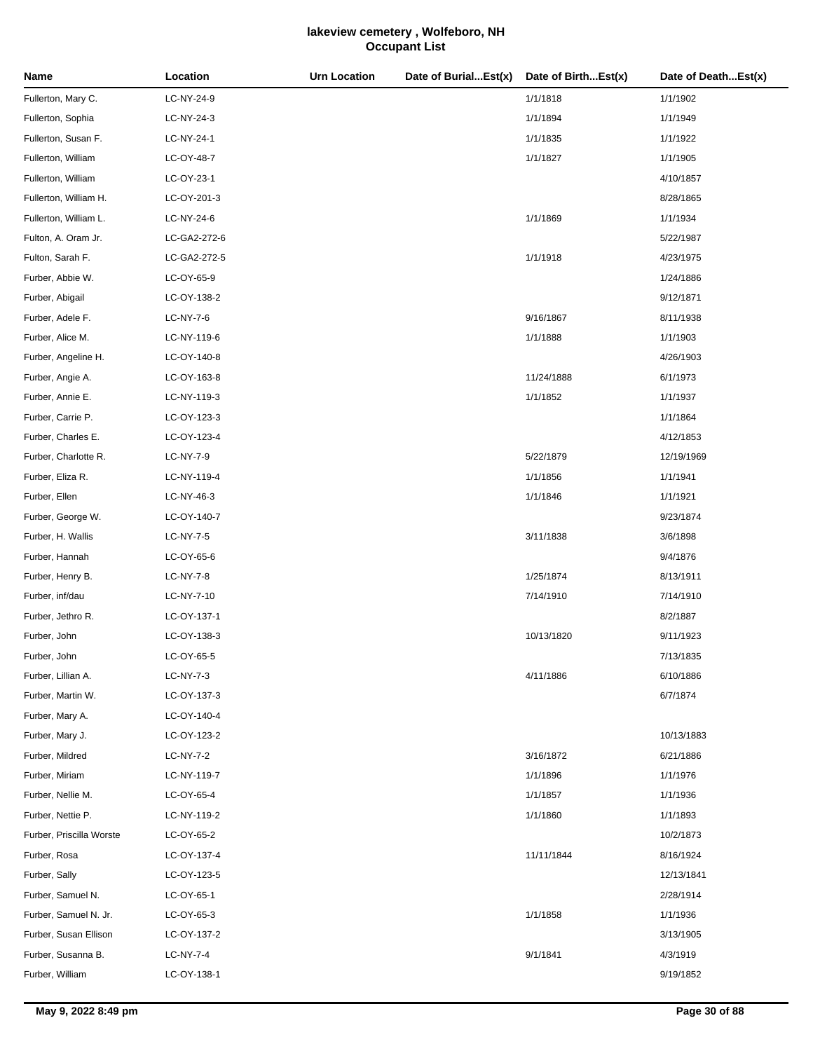| Name                     | Location     | <b>Urn Location</b> | Date of BurialEst(x) | Date of BirthEst(x) | Date of DeathEst(x) |
|--------------------------|--------------|---------------------|----------------------|---------------------|---------------------|
| Fullerton, Mary C.       | LC-NY-24-9   |                     |                      | 1/1/1818            | 1/1/1902            |
| Fullerton, Sophia        | LC-NY-24-3   |                     |                      | 1/1/1894            | 1/1/1949            |
| Fullerton, Susan F.      | LC-NY-24-1   |                     |                      | 1/1/1835            | 1/1/1922            |
| Fullerton, William       | LC-OY-48-7   |                     |                      | 1/1/1827            | 1/1/1905            |
| Fullerton, William       | LC-OY-23-1   |                     |                      |                     | 4/10/1857           |
| Fullerton, William H.    | LC-OY-201-3  |                     |                      |                     | 8/28/1865           |
| Fullerton, William L.    | LC-NY-24-6   |                     |                      | 1/1/1869            | 1/1/1934            |
| Fulton, A. Oram Jr.      | LC-GA2-272-6 |                     |                      |                     | 5/22/1987           |
| Fulton, Sarah F.         | LC-GA2-272-5 |                     |                      | 1/1/1918            | 4/23/1975           |
| Furber, Abbie W.         | LC-OY-65-9   |                     |                      |                     | 1/24/1886           |
| Furber, Abigail          | LC-OY-138-2  |                     |                      |                     | 9/12/1871           |
| Furber, Adele F.         | LC-NY-7-6    |                     |                      | 9/16/1867           | 8/11/1938           |
| Furber, Alice M.         | LC-NY-119-6  |                     |                      | 1/1/1888            | 1/1/1903            |
| Furber, Angeline H.      | LC-OY-140-8  |                     |                      |                     | 4/26/1903           |
| Furber, Angie A.         | LC-OY-163-8  |                     |                      | 11/24/1888          | 6/1/1973            |
| Furber, Annie E.         | LC-NY-119-3  |                     |                      | 1/1/1852            | 1/1/1937            |
| Furber, Carrie P.        | LC-OY-123-3  |                     |                      |                     | 1/1/1864            |
| Furber, Charles E.       | LC-OY-123-4  |                     |                      |                     | 4/12/1853           |
| Furber, Charlotte R.     | LC-NY-7-9    |                     |                      | 5/22/1879           | 12/19/1969          |
| Furber, Eliza R.         | LC-NY-119-4  |                     |                      | 1/1/1856            | 1/1/1941            |
| Furber, Ellen            | LC-NY-46-3   |                     |                      | 1/1/1846            | 1/1/1921            |
| Furber, George W.        | LC-OY-140-7  |                     |                      |                     | 9/23/1874           |
| Furber, H. Wallis        | LC-NY-7-5    |                     |                      | 3/11/1838           | 3/6/1898            |
| Furber, Hannah           | LC-OY-65-6   |                     |                      |                     | 9/4/1876            |
| Furber, Henry B.         | LC-NY-7-8    |                     |                      | 1/25/1874           | 8/13/1911           |
| Furber, inf/dau          | LC-NY-7-10   |                     |                      | 7/14/1910           | 7/14/1910           |
| Furber, Jethro R.        | LC-OY-137-1  |                     |                      |                     | 8/2/1887            |
| Furber, John             | LC-OY-138-3  |                     |                      | 10/13/1820          | 9/11/1923           |
| Furber, John             | LC-OY-65-5   |                     |                      |                     | 7/13/1835           |
| Furber, Lillian A.       | LC-NY-7-3    |                     |                      | 4/11/1886           | 6/10/1886           |
| Furber, Martin W.        | LC-OY-137-3  |                     |                      |                     | 6/7/1874            |
| Furber, Mary A.          | LC-OY-140-4  |                     |                      |                     |                     |
| Furber, Mary J.          | LC-OY-123-2  |                     |                      |                     | 10/13/1883          |
| Furber, Mildred          | LC-NY-7-2    |                     |                      | 3/16/1872           | 6/21/1886           |
| Furber, Miriam           | LC-NY-119-7  |                     |                      | 1/1/1896            | 1/1/1976            |
| Furber, Nellie M.        | LC-OY-65-4   |                     |                      | 1/1/1857            | 1/1/1936            |
| Furber, Nettie P.        | LC-NY-119-2  |                     |                      | 1/1/1860            | 1/1/1893            |
| Furber, Priscilla Worste | LC-OY-65-2   |                     |                      |                     | 10/2/1873           |
| Furber, Rosa             | LC-OY-137-4  |                     |                      | 11/11/1844          | 8/16/1924           |
| Furber, Sally            | LC-OY-123-5  |                     |                      |                     | 12/13/1841          |
| Furber, Samuel N.        | LC-OY-65-1   |                     |                      |                     | 2/28/1914           |
| Furber, Samuel N. Jr.    | LC-OY-65-3   |                     |                      | 1/1/1858            | 1/1/1936            |
| Furber, Susan Ellison    | LC-OY-137-2  |                     |                      |                     | 3/13/1905           |
| Furber, Susanna B.       | LC-NY-7-4    |                     |                      | 9/1/1841            | 4/3/1919            |
| Furber, William          | LC-OY-138-1  |                     |                      |                     | 9/19/1852           |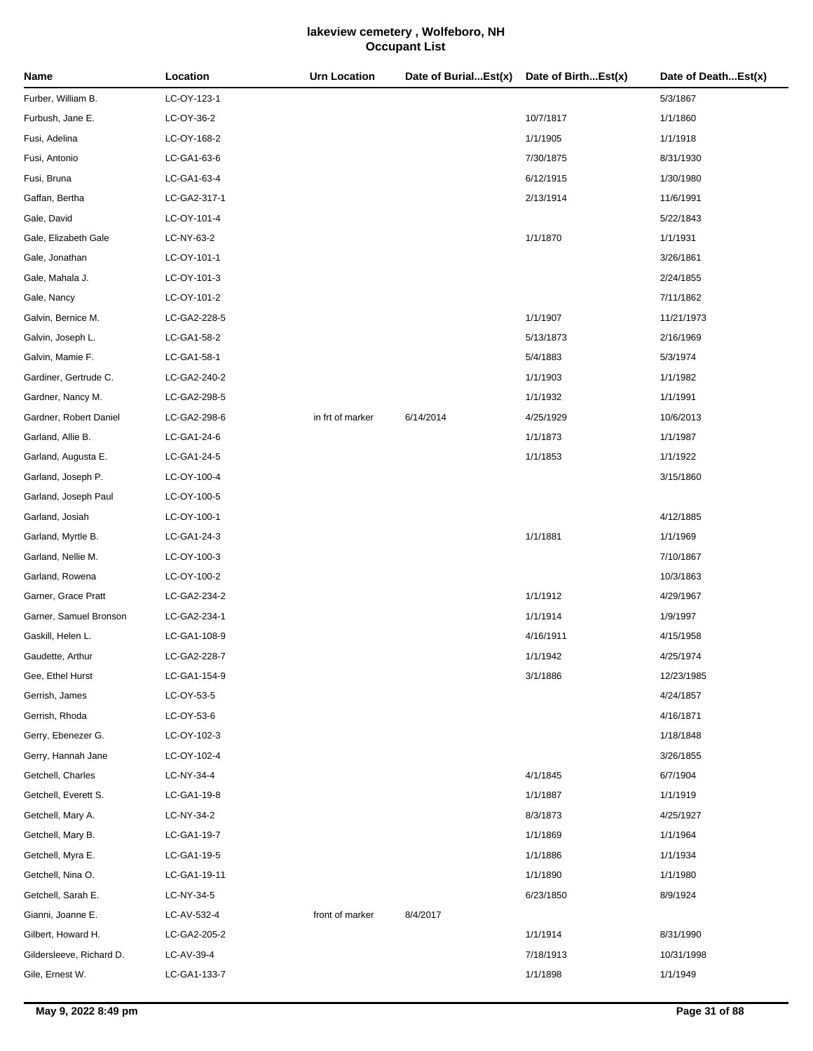| Name                     | Location     | <b>Urn Location</b> | Date of BurialEst(x) | Date of BirthEst(x) | Date of DeathEst(x) |
|--------------------------|--------------|---------------------|----------------------|---------------------|---------------------|
| Furber, William B.       | LC-OY-123-1  |                     |                      |                     | 5/3/1867            |
| Furbush, Jane E.         | LC-OY-36-2   |                     |                      | 10/7/1817           | 1/1/1860            |
| Fusi, Adelina            | LC-OY-168-2  |                     |                      | 1/1/1905            | 1/1/1918            |
| Fusi, Antonio            | LC-GA1-63-6  |                     |                      | 7/30/1875           | 8/31/1930           |
| Fusi, Bruna              | LC-GA1-63-4  |                     |                      | 6/12/1915           | 1/30/1980           |
| Gaffan, Bertha           | LC-GA2-317-1 |                     |                      | 2/13/1914           | 11/6/1991           |
| Gale, David              | LC-OY-101-4  |                     |                      |                     | 5/22/1843           |
| Gale, Elizabeth Gale     | LC-NY-63-2   |                     |                      | 1/1/1870            | 1/1/1931            |
| Gale, Jonathan           | LC-OY-101-1  |                     |                      |                     | 3/26/1861           |
| Gale, Mahala J.          | LC-OY-101-3  |                     |                      |                     | 2/24/1855           |
| Gale, Nancy              | LC-OY-101-2  |                     |                      |                     | 7/11/1862           |
| Galvin, Bernice M.       | LC-GA2-228-5 |                     |                      | 1/1/1907            | 11/21/1973          |
| Galvin, Joseph L.        | LC-GA1-58-2  |                     |                      | 5/13/1873           | 2/16/1969           |
| Galvin, Mamie F.         | LC-GA1-58-1  |                     |                      | 5/4/1883            | 5/3/1974            |
| Gardiner, Gertrude C.    | LC-GA2-240-2 |                     |                      | 1/1/1903            | 1/1/1982            |
| Gardner, Nancy M.        | LC-GA2-298-5 |                     |                      | 1/1/1932            | 1/1/1991            |
| Gardner, Robert Daniel   | LC-GA2-298-6 | in frt of marker    | 6/14/2014            | 4/25/1929           | 10/6/2013           |
| Garland, Allie B.        | LC-GA1-24-6  |                     |                      | 1/1/1873            | 1/1/1987            |
| Garland, Augusta E.      | LC-GA1-24-5  |                     |                      | 1/1/1853            | 1/1/1922            |
| Garland, Joseph P.       | LC-OY-100-4  |                     |                      |                     | 3/15/1860           |
| Garland, Joseph Paul     | LC-OY-100-5  |                     |                      |                     |                     |
| Garland, Josiah          | LC-OY-100-1  |                     |                      |                     | 4/12/1885           |
| Garland, Myrtle B.       | LC-GA1-24-3  |                     |                      | 1/1/1881            | 1/1/1969            |
| Garland, Nellie M.       | LC-OY-100-3  |                     |                      |                     | 7/10/1867           |
| Garland, Rowena          | LC-OY-100-2  |                     |                      |                     | 10/3/1863           |
| Garner, Grace Pratt      | LC-GA2-234-2 |                     |                      | 1/1/1912            | 4/29/1967           |
| Garner, Samuel Bronson   | LC-GA2-234-1 |                     |                      | 1/1/1914            | 1/9/1997            |
| Gaskill, Helen L.        | LC-GA1-108-9 |                     |                      | 4/16/1911           | 4/15/1958           |
| Gaudette, Arthur         | LC-GA2-228-7 |                     |                      | 1/1/1942            | 4/25/1974           |
| Gee, Ethel Hurst         | LC-GA1-154-9 |                     |                      | 3/1/1886            | 12/23/1985          |
| Gerrish, James           | LC-OY-53-5   |                     |                      |                     | 4/24/1857           |
| Gerrish, Rhoda           | LC-OY-53-6   |                     |                      |                     | 4/16/1871           |
| Gerry, Ebenezer G.       | LC-OY-102-3  |                     |                      |                     | 1/18/1848           |
| Gerry, Hannah Jane       | LC-OY-102-4  |                     |                      |                     | 3/26/1855           |
| Getchell, Charles        | LC-NY-34-4   |                     |                      | 4/1/1845            | 6/7/1904            |
| Getchell, Everett S.     | LC-GA1-19-8  |                     |                      | 1/1/1887            | 1/1/1919            |
| Getchell, Mary A.        | LC-NY-34-2   |                     |                      | 8/3/1873            | 4/25/1927           |
| Getchell, Mary B.        | LC-GA1-19-7  |                     |                      | 1/1/1869            | 1/1/1964            |
| Getchell, Myra E.        | LC-GA1-19-5  |                     |                      | 1/1/1886            | 1/1/1934            |
| Getchell, Nina O.        | LC-GA1-19-11 |                     |                      | 1/1/1890            | 1/1/1980            |
| Getchell, Sarah E.       | LC-NY-34-5   |                     |                      | 6/23/1850           | 8/9/1924            |
| Gianni, Joanne E.        | LC-AV-532-4  | front of marker     | 8/4/2017             |                     |                     |
| Gilbert, Howard H.       | LC-GA2-205-2 |                     |                      | 1/1/1914            | 8/31/1990           |
| Gildersleeve, Richard D. | LC-AV-39-4   |                     |                      | 7/18/1913           | 10/31/1998          |
| Gile, Ernest W.          | LC-GA1-133-7 |                     |                      | 1/1/1898            | 1/1/1949            |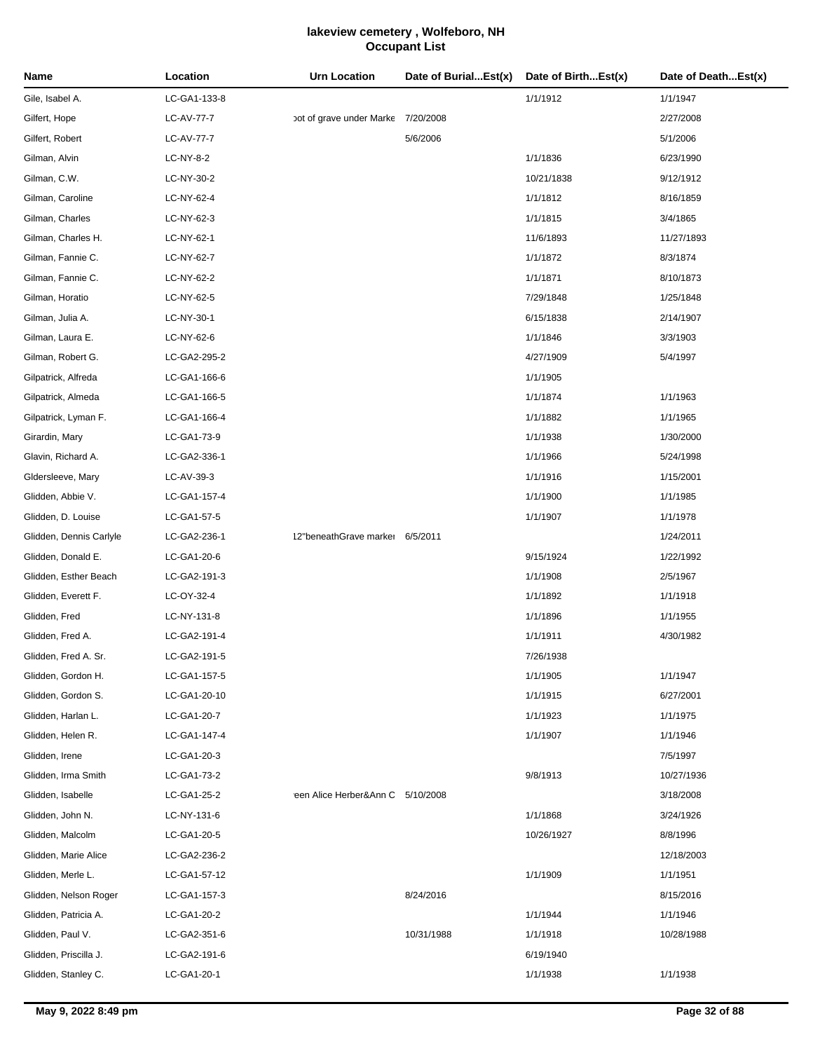| Name                    | Location     | <b>Urn Location</b>                | Date of BurialEst(x) | Date of BirthEst(x) | Date of DeathEst(x) |
|-------------------------|--------------|------------------------------------|----------------------|---------------------|---------------------|
| Gile, Isabel A.         | LC-GA1-133-8 |                                    |                      | 1/1/1912            | 1/1/1947            |
| Gilfert, Hope           | LC-AV-77-7   | pot of grave under Marke 7/20/2008 |                      |                     | 2/27/2008           |
| Gilfert, Robert         | LC-AV-77-7   |                                    | 5/6/2006             |                     | 5/1/2006            |
| Gilman, Alvin           | LC-NY-8-2    |                                    |                      | 1/1/1836            | 6/23/1990           |
| Gilman, C.W.            | LC-NY-30-2   |                                    |                      | 10/21/1838          | 9/12/1912           |
| Gilman, Caroline        | LC-NY-62-4   |                                    |                      | 1/1/1812            | 8/16/1859           |
| Gilman, Charles         | LC-NY-62-3   |                                    |                      | 1/1/1815            | 3/4/1865            |
| Gilman, Charles H.      | LC-NY-62-1   |                                    |                      | 11/6/1893           | 11/27/1893          |
| Gilman, Fannie C.       | LC-NY-62-7   |                                    |                      | 1/1/1872            | 8/3/1874            |
| Gilman, Fannie C.       | LC-NY-62-2   |                                    |                      | 1/1/1871            | 8/10/1873           |
| Gilman, Horatio         | LC-NY-62-5   |                                    |                      | 7/29/1848           | 1/25/1848           |
| Gilman, Julia A.        | LC-NY-30-1   |                                    |                      | 6/15/1838           | 2/14/1907           |
| Gilman, Laura E.        | LC-NY-62-6   |                                    |                      | 1/1/1846            | 3/3/1903            |
| Gilman, Robert G.       | LC-GA2-295-2 |                                    |                      | 4/27/1909           | 5/4/1997            |
| Gilpatrick, Alfreda     | LC-GA1-166-6 |                                    |                      | 1/1/1905            |                     |
| Gilpatrick, Almeda      | LC-GA1-166-5 |                                    |                      | 1/1/1874            | 1/1/1963            |
| Gilpatrick, Lyman F.    | LC-GA1-166-4 |                                    |                      | 1/1/1882            | 1/1/1965            |
| Girardin, Mary          | LC-GA1-73-9  |                                    |                      | 1/1/1938            | 1/30/2000           |
| Glavin, Richard A.      | LC-GA2-336-1 |                                    |                      | 1/1/1966            | 5/24/1998           |
| Gldersleeve, Mary       | LC-AV-39-3   |                                    |                      | 1/1/1916            | 1/15/2001           |
| Glidden, Abbie V.       | LC-GA1-157-4 |                                    |                      | 1/1/1900            | 1/1/1985            |
| Glidden, D. Louise      | LC-GA1-57-5  |                                    |                      | 1/1/1907            | 1/1/1978            |
| Glidden, Dennis Carlyle | LC-GA2-236-1 | 12"beneathGrave marker 6/5/2011    |                      |                     | 1/24/2011           |
| Glidden, Donald E.      | LC-GA1-20-6  |                                    |                      | 9/15/1924           | 1/22/1992           |
| Glidden, Esther Beach   | LC-GA2-191-3 |                                    |                      | 1/1/1908            | 2/5/1967            |
| Glidden, Everett F.     | LC-OY-32-4   |                                    |                      | 1/1/1892            | 1/1/1918            |
| Glidden, Fred           | LC-NY-131-8  |                                    |                      | 1/1/1896            | 1/1/1955            |
| Glidden, Fred A.        | LC-GA2-191-4 |                                    |                      | 1/1/1911            | 4/30/1982           |
| Glidden, Fred A. Sr.    | LC-GA2-191-5 |                                    |                      | 7/26/1938           |                     |
| Glidden, Gordon H.      | LC-GA1-157-5 |                                    |                      | 1/1/1905            | 1/1/1947            |
| Glidden, Gordon S.      | LC-GA1-20-10 |                                    |                      | 1/1/1915            | 6/27/2001           |
| Glidden, Harlan L.      | LC-GA1-20-7  |                                    |                      | 1/1/1923            | 1/1/1975            |
| Glidden, Helen R.       | LC-GA1-147-4 |                                    |                      | 1/1/1907            | 1/1/1946            |
| Glidden, Irene          | LC-GA1-20-3  |                                    |                      |                     | 7/5/1997            |
| Glidden, Irma Smith     | LC-GA1-73-2  |                                    |                      | 9/8/1913            | 10/27/1936          |
| Glidden, Isabelle       | LC-GA1-25-2  | reen Alice Herber&Ann C 5/10/2008  |                      |                     | 3/18/2008           |
| Glidden, John N.        | LC-NY-131-6  |                                    |                      | 1/1/1868            | 3/24/1926           |
| Glidden, Malcolm        | LC-GA1-20-5  |                                    |                      | 10/26/1927          | 8/8/1996            |
| Glidden, Marie Alice    | LC-GA2-236-2 |                                    |                      |                     | 12/18/2003          |
| Glidden, Merle L.       | LC-GA1-57-12 |                                    |                      | 1/1/1909            | 1/1/1951            |
| Glidden, Nelson Roger   | LC-GA1-157-3 |                                    | 8/24/2016            |                     | 8/15/2016           |
| Glidden, Patricia A.    | LC-GA1-20-2  |                                    |                      | 1/1/1944            | 1/1/1946            |
| Glidden, Paul V.        | LC-GA2-351-6 |                                    | 10/31/1988           | 1/1/1918            | 10/28/1988          |
| Glidden, Priscilla J.   | LC-GA2-191-6 |                                    |                      | 6/19/1940           |                     |
| Glidden, Stanley C.     | LC-GA1-20-1  |                                    |                      | 1/1/1938            | 1/1/1938            |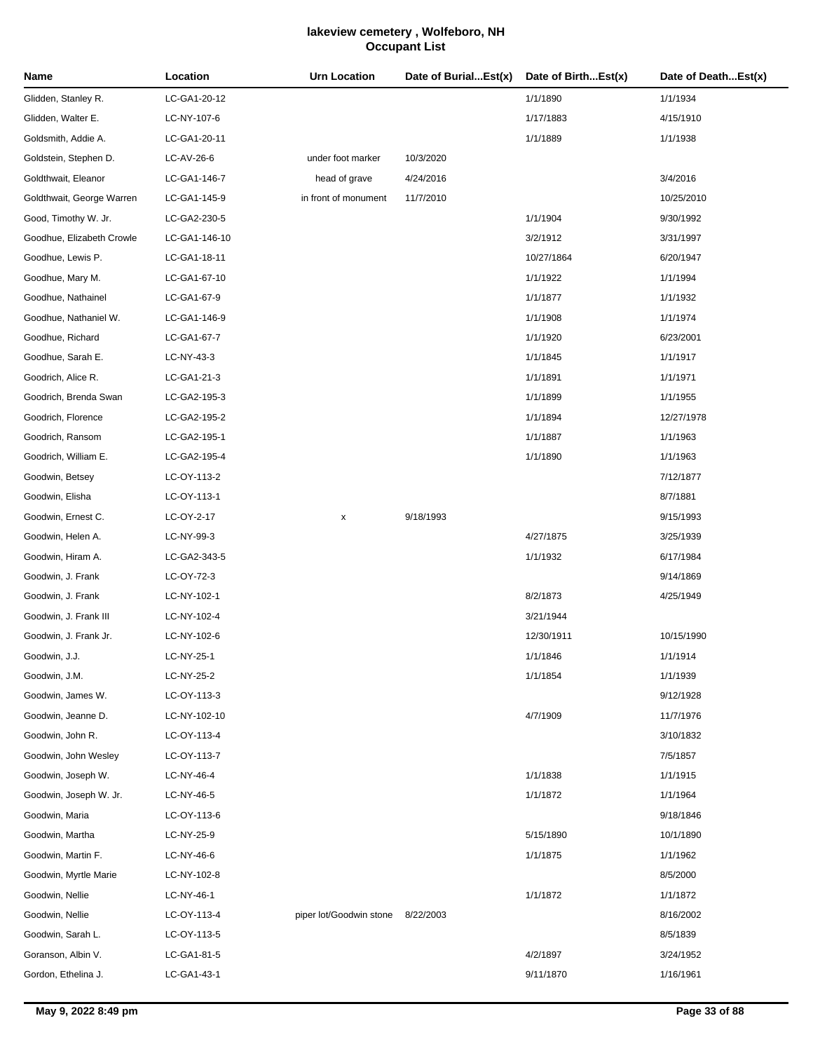| Name                      | Location      | Urn Location            | Date of BurialEst(x) | Date of BirthEst(x) | Date of DeathEst(x) |
|---------------------------|---------------|-------------------------|----------------------|---------------------|---------------------|
| Glidden, Stanley R.       | LC-GA1-20-12  |                         |                      | 1/1/1890            | 1/1/1934            |
| Glidden, Walter E.        | LC-NY-107-6   |                         |                      | 1/17/1883           | 4/15/1910           |
| Goldsmith, Addie A.       | LC-GA1-20-11  |                         |                      | 1/1/1889            | 1/1/1938            |
| Goldstein, Stephen D.     | LC-AV-26-6    | under foot marker       | 10/3/2020            |                     |                     |
| Goldthwait, Eleanor       | LC-GA1-146-7  | head of grave           | 4/24/2016            |                     | 3/4/2016            |
| Goldthwait, George Warren | LC-GA1-145-9  | in front of monument    | 11/7/2010            |                     | 10/25/2010          |
| Good, Timothy W. Jr.      | LC-GA2-230-5  |                         |                      | 1/1/1904            | 9/30/1992           |
| Goodhue, Elizabeth Crowle | LC-GA1-146-10 |                         |                      | 3/2/1912            | 3/31/1997           |
| Goodhue, Lewis P.         | LC-GA1-18-11  |                         |                      | 10/27/1864          | 6/20/1947           |
| Goodhue, Mary M.          | LC-GA1-67-10  |                         |                      | 1/1/1922            | 1/1/1994            |
| Goodhue, Nathainel        | LC-GA1-67-9   |                         |                      | 1/1/1877            | 1/1/1932            |
| Goodhue, Nathaniel W.     | LC-GA1-146-9  |                         |                      | 1/1/1908            | 1/1/1974            |
| Goodhue, Richard          | LC-GA1-67-7   |                         |                      | 1/1/1920            | 6/23/2001           |
| Goodhue, Sarah E.         | LC-NY-43-3    |                         |                      | 1/1/1845            | 1/1/1917            |
| Goodrich, Alice R.        | LC-GA1-21-3   |                         |                      | 1/1/1891            | 1/1/1971            |
| Goodrich, Brenda Swan     | LC-GA2-195-3  |                         |                      | 1/1/1899            | 1/1/1955            |
| Goodrich, Florence        | LC-GA2-195-2  |                         |                      | 1/1/1894            | 12/27/1978          |
| Goodrich, Ransom          | LC-GA2-195-1  |                         |                      | 1/1/1887            | 1/1/1963            |
| Goodrich, William E.      | LC-GA2-195-4  |                         |                      | 1/1/1890            | 1/1/1963            |
| Goodwin, Betsey           | LC-OY-113-2   |                         |                      |                     | 7/12/1877           |
| Goodwin, Elisha           | LC-OY-113-1   |                         |                      |                     | 8/7/1881            |
| Goodwin, Ernest C.        | LC-OY-2-17    | x                       | 9/18/1993            |                     | 9/15/1993           |
| Goodwin, Helen A.         | LC-NY-99-3    |                         |                      | 4/27/1875           | 3/25/1939           |
| Goodwin, Hiram A.         | LC-GA2-343-5  |                         |                      | 1/1/1932            | 6/17/1984           |
| Goodwin, J. Frank         | LC-OY-72-3    |                         |                      |                     | 9/14/1869           |
| Goodwin, J. Frank         | LC-NY-102-1   |                         |                      | 8/2/1873            | 4/25/1949           |
| Goodwin, J. Frank III     | LC-NY-102-4   |                         |                      | 3/21/1944           |                     |
| Goodwin, J. Frank Jr.     | LC-NY-102-6   |                         |                      | 12/30/1911          | 10/15/1990          |
| Goodwin, J.J.             | LC-NY-25-1    |                         |                      | 1/1/1846            | 1/1/1914            |
| Goodwin, J.M.             | LC-NY-25-2    |                         |                      | 1/1/1854            | 1/1/1939            |
| Goodwin, James W.         | LC-OY-113-3   |                         |                      |                     | 9/12/1928           |
| Goodwin, Jeanne D.        | LC-NY-102-10  |                         |                      | 4/7/1909            | 11/7/1976           |
| Goodwin, John R.          | LC-OY-113-4   |                         |                      |                     | 3/10/1832           |
| Goodwin, John Wesley      | LC-OY-113-7   |                         |                      |                     | 7/5/1857            |
| Goodwin, Joseph W.        | LC-NY-46-4    |                         |                      | 1/1/1838            | 1/1/1915            |
| Goodwin, Joseph W. Jr.    | LC-NY-46-5    |                         |                      | 1/1/1872            | 1/1/1964            |
| Goodwin, Maria            | LC-OY-113-6   |                         |                      |                     | 9/18/1846           |
| Goodwin, Martha           | LC-NY-25-9    |                         |                      | 5/15/1890           | 10/1/1890           |
| Goodwin, Martin F.        | LC-NY-46-6    |                         |                      | 1/1/1875            | 1/1/1962            |
| Goodwin, Myrtle Marie     | LC-NY-102-8   |                         |                      |                     | 8/5/2000            |
| Goodwin, Nellie           | LC-NY-46-1    |                         |                      | 1/1/1872            | 1/1/1872            |
| Goodwin, Nellie           | LC-OY-113-4   | piper lot/Goodwin stone | 8/22/2003            |                     | 8/16/2002           |
| Goodwin, Sarah L.         | LC-OY-113-5   |                         |                      |                     | 8/5/1839            |
| Goranson, Albin V.        | LC-GA1-81-5   |                         |                      | 4/2/1897            | 3/24/1952           |
| Gordon, Ethelina J.       | LC-GA1-43-1   |                         |                      | 9/11/1870           | 1/16/1961           |
|                           |               |                         |                      |                     |                     |

J.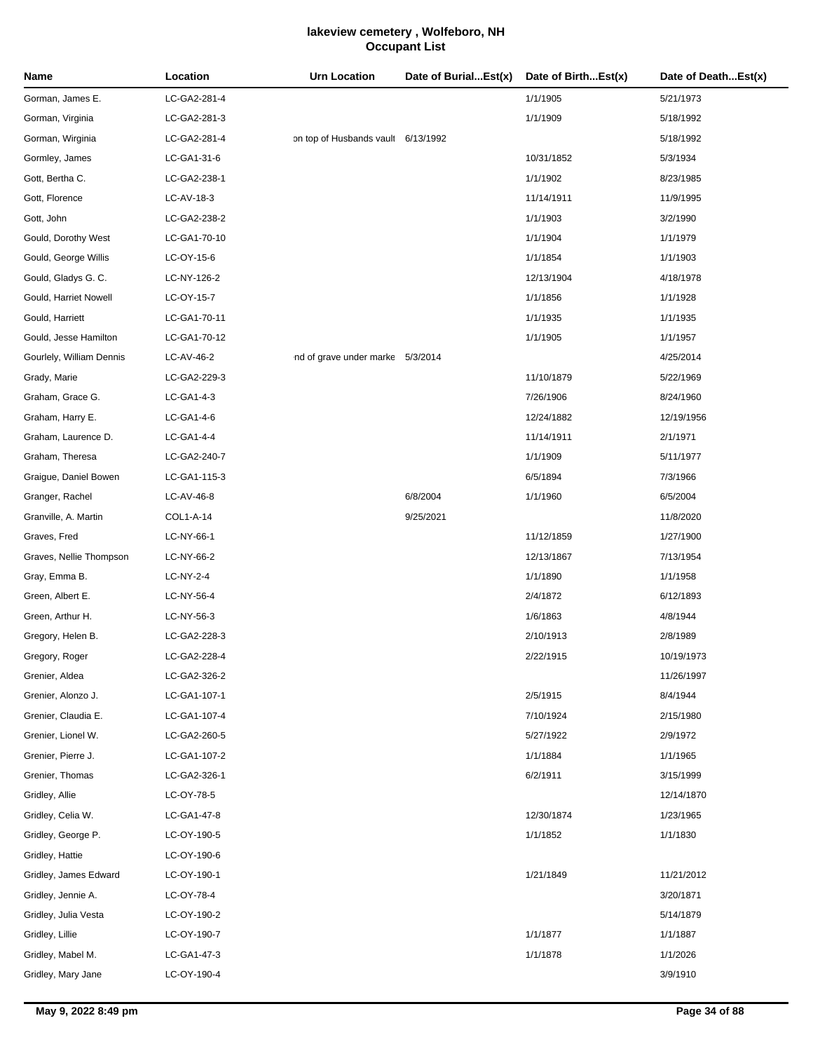| LC-GA2-281-4<br>1/1/1905<br>Gorman, James E.<br>5/21/1973<br>1/1/1909<br>Gorman, Virginia<br>LC-GA2-281-3<br>5/18/1992<br>Gorman, Wirginia<br>LC-GA2-281-4<br>on top of Husbands vault 6/13/1992<br>5/18/1992<br>Gormley, James<br>LC-GA1-31-6<br>10/31/1852<br>5/3/1934<br>1/1/1902<br>Gott, Bertha C.<br>LC-GA2-238-1<br>8/23/1985<br>Gott, Florence<br>LC-AV-18-3<br>11/14/1911<br>11/9/1995<br>1/1/1903<br>Gott, John<br>LC-GA2-238-2<br>3/2/1990<br>1/1/1904<br>Gould, Dorothy West<br>LC-GA1-70-10<br>1/1/1979<br>Gould, George Willis<br>1/1/1854<br>LC-OY-15-6<br>1/1/1903<br>Gould, Gladys G. C.<br>LC-NY-126-2<br>12/13/1904<br>4/18/1978<br>1/1/1856<br>Gould, Harriet Nowell<br>LC-OY-15-7<br>1/1/1928<br>1/1/1935<br>Gould, Harriett<br>LC-GA1-70-11<br>1/1/1935<br>1/1/1905<br>Gould, Jesse Hamilton<br>LC-GA1-70-12<br>1/1/1957<br>Gourlely, William Dennis<br>LC-AV-46-2<br>ind of grave under marke 5/3/2014<br>4/25/2014<br>Grady, Marie<br>LC-GA2-229-3<br>11/10/1879<br>5/22/1969<br>Graham, Grace G.<br>LC-GA1-4-3<br>7/26/1906<br>8/24/1960<br>Graham, Harry E.<br>LC-GA1-4-6<br>12/24/1882<br>12/19/1956<br>Graham, Laurence D.<br>11/14/1911<br>2/1/1971<br>LC-GA1-4-4<br>1/1/1909<br>Graham, Theresa<br>LC-GA2-240-7<br>5/11/1977<br>6/5/1894<br>Graigue, Daniel Bowen<br>LC-GA1-115-3<br>7/3/1966<br>Granger, Rachel<br>LC-AV-46-8<br>6/8/2004<br>1/1/1960<br>6/5/2004<br>Granville, A. Martin<br>COL1-A-14<br>9/25/2021<br>11/8/2020<br>LC-NY-66-1<br>11/12/1859<br>1/27/1900<br>Graves, Nellie Thompson<br>LC-NY-66-2<br>12/13/1867<br>7/13/1954<br>LC-NY-2-4<br>1/1/1890<br>1/1/1958<br>2/4/1872<br>6/12/1893<br>LC-NY-56-4<br>LC-NY-56-3<br>1/6/1863<br>4/8/1944<br>Gregory, Helen B.<br>LC-GA2-228-3<br>2/10/1913<br>2/8/1989<br>LC-GA2-228-4<br>Gregory, Roger<br>2/22/1915<br>10/19/1973<br>LC-GA2-326-2<br>11/26/1997<br>2/5/1915<br>LC-GA1-107-1<br>8/4/1944<br>LC-GA1-107-4<br>7/10/1924<br>2/15/1980<br>LC-GA2-260-5<br>5/27/1922<br>2/9/1972<br>LC-GA1-107-2<br>1/1/1884<br>1/1/1965<br>LC-GA2-326-1<br>6/2/1911<br>3/15/1999<br>LC-OY-78-5<br>12/14/1870<br>LC-GA1-47-8<br>12/30/1874<br>1/23/1965<br>LC-OY-190-5<br>1/1/1852<br>1/1/1830<br>LC-OY-190-6<br>1/21/1849<br>LC-OY-190-1<br>11/21/2012 | Name         | Location | <b>Urn Location</b> | Date of BurialEst(x) | Date of BirthEst(x) | Date of DeathEst(x) |
|-------------------------------------------------------------------------------------------------------------------------------------------------------------------------------------------------------------------------------------------------------------------------------------------------------------------------------------------------------------------------------------------------------------------------------------------------------------------------------------------------------------------------------------------------------------------------------------------------------------------------------------------------------------------------------------------------------------------------------------------------------------------------------------------------------------------------------------------------------------------------------------------------------------------------------------------------------------------------------------------------------------------------------------------------------------------------------------------------------------------------------------------------------------------------------------------------------------------------------------------------------------------------------------------------------------------------------------------------------------------------------------------------------------------------------------------------------------------------------------------------------------------------------------------------------------------------------------------------------------------------------------------------------------------------------------------------------------------------------------------------------------------------------------------------------------------------------------------------------------------------------------------------------------------------------------------------------------------------------------------------------------------------------------------------------------------------------------------------------------------------------------------------------------------------------------------------------------------------------------------|--------------|----------|---------------------|----------------------|---------------------|---------------------|
|                                                                                                                                                                                                                                                                                                                                                                                                                                                                                                                                                                                                                                                                                                                                                                                                                                                                                                                                                                                                                                                                                                                                                                                                                                                                                                                                                                                                                                                                                                                                                                                                                                                                                                                                                                                                                                                                                                                                                                                                                                                                                                                                                                                                                                           |              |          |                     |                      |                     |                     |
|                                                                                                                                                                                                                                                                                                                                                                                                                                                                                                                                                                                                                                                                                                                                                                                                                                                                                                                                                                                                                                                                                                                                                                                                                                                                                                                                                                                                                                                                                                                                                                                                                                                                                                                                                                                                                                                                                                                                                                                                                                                                                                                                                                                                                                           |              |          |                     |                      |                     |                     |
|                                                                                                                                                                                                                                                                                                                                                                                                                                                                                                                                                                                                                                                                                                                                                                                                                                                                                                                                                                                                                                                                                                                                                                                                                                                                                                                                                                                                                                                                                                                                                                                                                                                                                                                                                                                                                                                                                                                                                                                                                                                                                                                                                                                                                                           |              |          |                     |                      |                     |                     |
|                                                                                                                                                                                                                                                                                                                                                                                                                                                                                                                                                                                                                                                                                                                                                                                                                                                                                                                                                                                                                                                                                                                                                                                                                                                                                                                                                                                                                                                                                                                                                                                                                                                                                                                                                                                                                                                                                                                                                                                                                                                                                                                                                                                                                                           |              |          |                     |                      |                     |                     |
|                                                                                                                                                                                                                                                                                                                                                                                                                                                                                                                                                                                                                                                                                                                                                                                                                                                                                                                                                                                                                                                                                                                                                                                                                                                                                                                                                                                                                                                                                                                                                                                                                                                                                                                                                                                                                                                                                                                                                                                                                                                                                                                                                                                                                                           |              |          |                     |                      |                     |                     |
|                                                                                                                                                                                                                                                                                                                                                                                                                                                                                                                                                                                                                                                                                                                                                                                                                                                                                                                                                                                                                                                                                                                                                                                                                                                                                                                                                                                                                                                                                                                                                                                                                                                                                                                                                                                                                                                                                                                                                                                                                                                                                                                                                                                                                                           |              |          |                     |                      |                     |                     |
|                                                                                                                                                                                                                                                                                                                                                                                                                                                                                                                                                                                                                                                                                                                                                                                                                                                                                                                                                                                                                                                                                                                                                                                                                                                                                                                                                                                                                                                                                                                                                                                                                                                                                                                                                                                                                                                                                                                                                                                                                                                                                                                                                                                                                                           |              |          |                     |                      |                     |                     |
|                                                                                                                                                                                                                                                                                                                                                                                                                                                                                                                                                                                                                                                                                                                                                                                                                                                                                                                                                                                                                                                                                                                                                                                                                                                                                                                                                                                                                                                                                                                                                                                                                                                                                                                                                                                                                                                                                                                                                                                                                                                                                                                                                                                                                                           |              |          |                     |                      |                     |                     |
|                                                                                                                                                                                                                                                                                                                                                                                                                                                                                                                                                                                                                                                                                                                                                                                                                                                                                                                                                                                                                                                                                                                                                                                                                                                                                                                                                                                                                                                                                                                                                                                                                                                                                                                                                                                                                                                                                                                                                                                                                                                                                                                                                                                                                                           |              |          |                     |                      |                     |                     |
|                                                                                                                                                                                                                                                                                                                                                                                                                                                                                                                                                                                                                                                                                                                                                                                                                                                                                                                                                                                                                                                                                                                                                                                                                                                                                                                                                                                                                                                                                                                                                                                                                                                                                                                                                                                                                                                                                                                                                                                                                                                                                                                                                                                                                                           |              |          |                     |                      |                     |                     |
|                                                                                                                                                                                                                                                                                                                                                                                                                                                                                                                                                                                                                                                                                                                                                                                                                                                                                                                                                                                                                                                                                                                                                                                                                                                                                                                                                                                                                                                                                                                                                                                                                                                                                                                                                                                                                                                                                                                                                                                                                                                                                                                                                                                                                                           |              |          |                     |                      |                     |                     |
|                                                                                                                                                                                                                                                                                                                                                                                                                                                                                                                                                                                                                                                                                                                                                                                                                                                                                                                                                                                                                                                                                                                                                                                                                                                                                                                                                                                                                                                                                                                                                                                                                                                                                                                                                                                                                                                                                                                                                                                                                                                                                                                                                                                                                                           |              |          |                     |                      |                     |                     |
|                                                                                                                                                                                                                                                                                                                                                                                                                                                                                                                                                                                                                                                                                                                                                                                                                                                                                                                                                                                                                                                                                                                                                                                                                                                                                                                                                                                                                                                                                                                                                                                                                                                                                                                                                                                                                                                                                                                                                                                                                                                                                                                                                                                                                                           |              |          |                     |                      |                     |                     |
|                                                                                                                                                                                                                                                                                                                                                                                                                                                                                                                                                                                                                                                                                                                                                                                                                                                                                                                                                                                                                                                                                                                                                                                                                                                                                                                                                                                                                                                                                                                                                                                                                                                                                                                                                                                                                                                                                                                                                                                                                                                                                                                                                                                                                                           |              |          |                     |                      |                     |                     |
|                                                                                                                                                                                                                                                                                                                                                                                                                                                                                                                                                                                                                                                                                                                                                                                                                                                                                                                                                                                                                                                                                                                                                                                                                                                                                                                                                                                                                                                                                                                                                                                                                                                                                                                                                                                                                                                                                                                                                                                                                                                                                                                                                                                                                                           |              |          |                     |                      |                     |                     |
|                                                                                                                                                                                                                                                                                                                                                                                                                                                                                                                                                                                                                                                                                                                                                                                                                                                                                                                                                                                                                                                                                                                                                                                                                                                                                                                                                                                                                                                                                                                                                                                                                                                                                                                                                                                                                                                                                                                                                                                                                                                                                                                                                                                                                                           |              |          |                     |                      |                     |                     |
|                                                                                                                                                                                                                                                                                                                                                                                                                                                                                                                                                                                                                                                                                                                                                                                                                                                                                                                                                                                                                                                                                                                                                                                                                                                                                                                                                                                                                                                                                                                                                                                                                                                                                                                                                                                                                                                                                                                                                                                                                                                                                                                                                                                                                                           |              |          |                     |                      |                     |                     |
|                                                                                                                                                                                                                                                                                                                                                                                                                                                                                                                                                                                                                                                                                                                                                                                                                                                                                                                                                                                                                                                                                                                                                                                                                                                                                                                                                                                                                                                                                                                                                                                                                                                                                                                                                                                                                                                                                                                                                                                                                                                                                                                                                                                                                                           |              |          |                     |                      |                     |                     |
|                                                                                                                                                                                                                                                                                                                                                                                                                                                                                                                                                                                                                                                                                                                                                                                                                                                                                                                                                                                                                                                                                                                                                                                                                                                                                                                                                                                                                                                                                                                                                                                                                                                                                                                                                                                                                                                                                                                                                                                                                                                                                                                                                                                                                                           |              |          |                     |                      |                     |                     |
|                                                                                                                                                                                                                                                                                                                                                                                                                                                                                                                                                                                                                                                                                                                                                                                                                                                                                                                                                                                                                                                                                                                                                                                                                                                                                                                                                                                                                                                                                                                                                                                                                                                                                                                                                                                                                                                                                                                                                                                                                                                                                                                                                                                                                                           |              |          |                     |                      |                     |                     |
|                                                                                                                                                                                                                                                                                                                                                                                                                                                                                                                                                                                                                                                                                                                                                                                                                                                                                                                                                                                                                                                                                                                                                                                                                                                                                                                                                                                                                                                                                                                                                                                                                                                                                                                                                                                                                                                                                                                                                                                                                                                                                                                                                                                                                                           |              |          |                     |                      |                     |                     |
|                                                                                                                                                                                                                                                                                                                                                                                                                                                                                                                                                                                                                                                                                                                                                                                                                                                                                                                                                                                                                                                                                                                                                                                                                                                                                                                                                                                                                                                                                                                                                                                                                                                                                                                                                                                                                                                                                                                                                                                                                                                                                                                                                                                                                                           |              |          |                     |                      |                     |                     |
| Gray, Emma B.<br>Green, Albert E.<br>Green, Arthur H.<br>Grenier, Aldea<br>Grenier, Alonzo J.<br>Grenier, Claudia E.<br>Grenier, Lionel W.<br>Grenier, Pierre J.<br>Grenier, Thomas<br>Gridley, Allie<br>Gridley, Celia W.<br>Gridley, George P.<br>Gridley, Hattie<br>Gridley, James Edward                                                                                                                                                                                                                                                                                                                                                                                                                                                                                                                                                                                                                                                                                                                                                                                                                                                                                                                                                                                                                                                                                                                                                                                                                                                                                                                                                                                                                                                                                                                                                                                                                                                                                                                                                                                                                                                                                                                                              | Graves, Fred |          |                     |                      |                     |                     |
|                                                                                                                                                                                                                                                                                                                                                                                                                                                                                                                                                                                                                                                                                                                                                                                                                                                                                                                                                                                                                                                                                                                                                                                                                                                                                                                                                                                                                                                                                                                                                                                                                                                                                                                                                                                                                                                                                                                                                                                                                                                                                                                                                                                                                                           |              |          |                     |                      |                     |                     |
|                                                                                                                                                                                                                                                                                                                                                                                                                                                                                                                                                                                                                                                                                                                                                                                                                                                                                                                                                                                                                                                                                                                                                                                                                                                                                                                                                                                                                                                                                                                                                                                                                                                                                                                                                                                                                                                                                                                                                                                                                                                                                                                                                                                                                                           |              |          |                     |                      |                     |                     |
|                                                                                                                                                                                                                                                                                                                                                                                                                                                                                                                                                                                                                                                                                                                                                                                                                                                                                                                                                                                                                                                                                                                                                                                                                                                                                                                                                                                                                                                                                                                                                                                                                                                                                                                                                                                                                                                                                                                                                                                                                                                                                                                                                                                                                                           |              |          |                     |                      |                     |                     |
|                                                                                                                                                                                                                                                                                                                                                                                                                                                                                                                                                                                                                                                                                                                                                                                                                                                                                                                                                                                                                                                                                                                                                                                                                                                                                                                                                                                                                                                                                                                                                                                                                                                                                                                                                                                                                                                                                                                                                                                                                                                                                                                                                                                                                                           |              |          |                     |                      |                     |                     |
|                                                                                                                                                                                                                                                                                                                                                                                                                                                                                                                                                                                                                                                                                                                                                                                                                                                                                                                                                                                                                                                                                                                                                                                                                                                                                                                                                                                                                                                                                                                                                                                                                                                                                                                                                                                                                                                                                                                                                                                                                                                                                                                                                                                                                                           |              |          |                     |                      |                     |                     |
|                                                                                                                                                                                                                                                                                                                                                                                                                                                                                                                                                                                                                                                                                                                                                                                                                                                                                                                                                                                                                                                                                                                                                                                                                                                                                                                                                                                                                                                                                                                                                                                                                                                                                                                                                                                                                                                                                                                                                                                                                                                                                                                                                                                                                                           |              |          |                     |                      |                     |                     |
|                                                                                                                                                                                                                                                                                                                                                                                                                                                                                                                                                                                                                                                                                                                                                                                                                                                                                                                                                                                                                                                                                                                                                                                                                                                                                                                                                                                                                                                                                                                                                                                                                                                                                                                                                                                                                                                                                                                                                                                                                                                                                                                                                                                                                                           |              |          |                     |                      |                     |                     |
|                                                                                                                                                                                                                                                                                                                                                                                                                                                                                                                                                                                                                                                                                                                                                                                                                                                                                                                                                                                                                                                                                                                                                                                                                                                                                                                                                                                                                                                                                                                                                                                                                                                                                                                                                                                                                                                                                                                                                                                                                                                                                                                                                                                                                                           |              |          |                     |                      |                     |                     |
|                                                                                                                                                                                                                                                                                                                                                                                                                                                                                                                                                                                                                                                                                                                                                                                                                                                                                                                                                                                                                                                                                                                                                                                                                                                                                                                                                                                                                                                                                                                                                                                                                                                                                                                                                                                                                                                                                                                                                                                                                                                                                                                                                                                                                                           |              |          |                     |                      |                     |                     |
|                                                                                                                                                                                                                                                                                                                                                                                                                                                                                                                                                                                                                                                                                                                                                                                                                                                                                                                                                                                                                                                                                                                                                                                                                                                                                                                                                                                                                                                                                                                                                                                                                                                                                                                                                                                                                                                                                                                                                                                                                                                                                                                                                                                                                                           |              |          |                     |                      |                     |                     |
|                                                                                                                                                                                                                                                                                                                                                                                                                                                                                                                                                                                                                                                                                                                                                                                                                                                                                                                                                                                                                                                                                                                                                                                                                                                                                                                                                                                                                                                                                                                                                                                                                                                                                                                                                                                                                                                                                                                                                                                                                                                                                                                                                                                                                                           |              |          |                     |                      |                     |                     |
|                                                                                                                                                                                                                                                                                                                                                                                                                                                                                                                                                                                                                                                                                                                                                                                                                                                                                                                                                                                                                                                                                                                                                                                                                                                                                                                                                                                                                                                                                                                                                                                                                                                                                                                                                                                                                                                                                                                                                                                                                                                                                                                                                                                                                                           |              |          |                     |                      |                     |                     |
|                                                                                                                                                                                                                                                                                                                                                                                                                                                                                                                                                                                                                                                                                                                                                                                                                                                                                                                                                                                                                                                                                                                                                                                                                                                                                                                                                                                                                                                                                                                                                                                                                                                                                                                                                                                                                                                                                                                                                                                                                                                                                                                                                                                                                                           |              |          |                     |                      |                     |                     |
|                                                                                                                                                                                                                                                                                                                                                                                                                                                                                                                                                                                                                                                                                                                                                                                                                                                                                                                                                                                                                                                                                                                                                                                                                                                                                                                                                                                                                                                                                                                                                                                                                                                                                                                                                                                                                                                                                                                                                                                                                                                                                                                                                                                                                                           |              |          |                     |                      |                     |                     |
|                                                                                                                                                                                                                                                                                                                                                                                                                                                                                                                                                                                                                                                                                                                                                                                                                                                                                                                                                                                                                                                                                                                                                                                                                                                                                                                                                                                                                                                                                                                                                                                                                                                                                                                                                                                                                                                                                                                                                                                                                                                                                                                                                                                                                                           |              |          |                     |                      |                     |                     |
|                                                                                                                                                                                                                                                                                                                                                                                                                                                                                                                                                                                                                                                                                                                                                                                                                                                                                                                                                                                                                                                                                                                                                                                                                                                                                                                                                                                                                                                                                                                                                                                                                                                                                                                                                                                                                                                                                                                                                                                                                                                                                                                                                                                                                                           |              |          |                     |                      |                     |                     |
|                                                                                                                                                                                                                                                                                                                                                                                                                                                                                                                                                                                                                                                                                                                                                                                                                                                                                                                                                                                                                                                                                                                                                                                                                                                                                                                                                                                                                                                                                                                                                                                                                                                                                                                                                                                                                                                                                                                                                                                                                                                                                                                                                                                                                                           |              |          |                     |                      |                     |                     |
| Gridley, Jennie A.<br>LC-OY-78-4<br>3/20/1871                                                                                                                                                                                                                                                                                                                                                                                                                                                                                                                                                                                                                                                                                                                                                                                                                                                                                                                                                                                                                                                                                                                                                                                                                                                                                                                                                                                                                                                                                                                                                                                                                                                                                                                                                                                                                                                                                                                                                                                                                                                                                                                                                                                             |              |          |                     |                      |                     |                     |
| Gridley, Julia Vesta<br>LC-OY-190-2<br>5/14/1879                                                                                                                                                                                                                                                                                                                                                                                                                                                                                                                                                                                                                                                                                                                                                                                                                                                                                                                                                                                                                                                                                                                                                                                                                                                                                                                                                                                                                                                                                                                                                                                                                                                                                                                                                                                                                                                                                                                                                                                                                                                                                                                                                                                          |              |          |                     |                      |                     |                     |
| 1/1/1877<br>Gridley, Lillie<br>LC-OY-190-7<br>1/1/1887                                                                                                                                                                                                                                                                                                                                                                                                                                                                                                                                                                                                                                                                                                                                                                                                                                                                                                                                                                                                                                                                                                                                                                                                                                                                                                                                                                                                                                                                                                                                                                                                                                                                                                                                                                                                                                                                                                                                                                                                                                                                                                                                                                                    |              |          |                     |                      |                     |                     |
| Gridley, Mabel M.<br>LC-GA1-47-3<br>1/1/1878<br>1/1/2026                                                                                                                                                                                                                                                                                                                                                                                                                                                                                                                                                                                                                                                                                                                                                                                                                                                                                                                                                                                                                                                                                                                                                                                                                                                                                                                                                                                                                                                                                                                                                                                                                                                                                                                                                                                                                                                                                                                                                                                                                                                                                                                                                                                  |              |          |                     |                      |                     |                     |
| Gridley, Mary Jane<br>LC-OY-190-4<br>3/9/1910                                                                                                                                                                                                                                                                                                                                                                                                                                                                                                                                                                                                                                                                                                                                                                                                                                                                                                                                                                                                                                                                                                                                                                                                                                                                                                                                                                                                                                                                                                                                                                                                                                                                                                                                                                                                                                                                                                                                                                                                                                                                                                                                                                                             |              |          |                     |                      |                     |                     |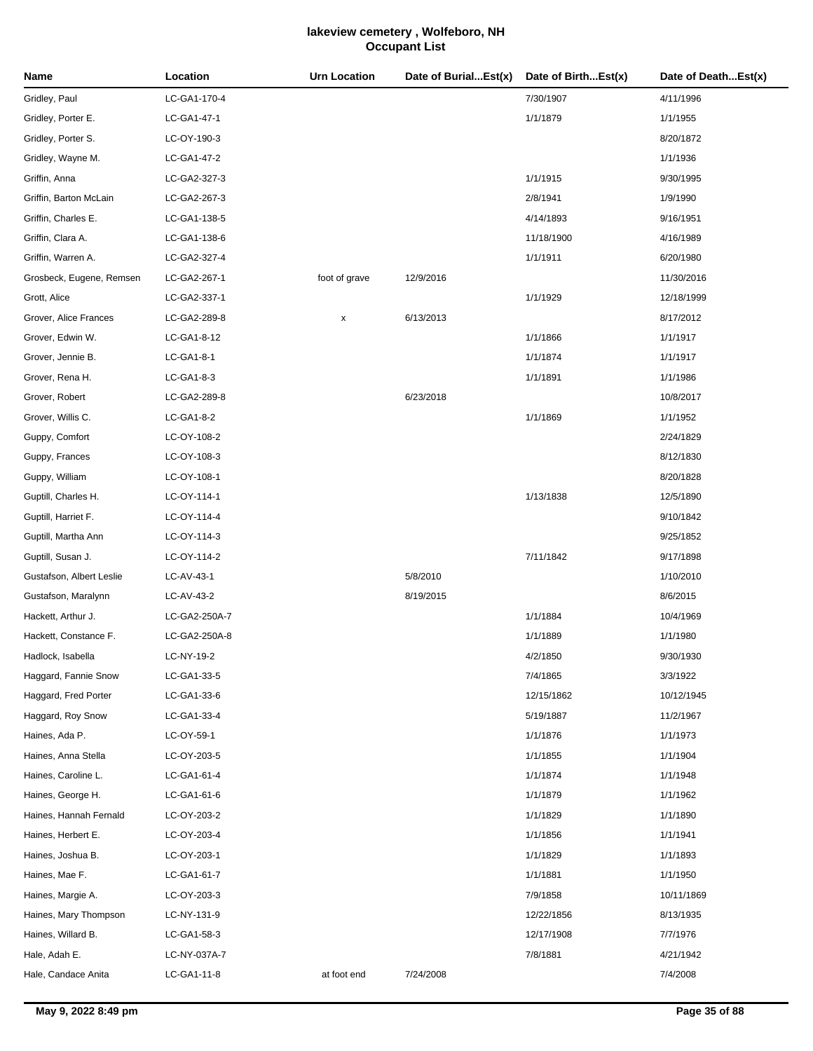| Name                     | Location      | <b>Urn Location</b> | Date of BurialEst(x) | Date of BirthEst(x) | Date of DeathEst(x) |
|--------------------------|---------------|---------------------|----------------------|---------------------|---------------------|
| Gridley, Paul            | LC-GA1-170-4  |                     |                      | 7/30/1907           | 4/11/1996           |
| Gridley, Porter E.       | LC-GA1-47-1   |                     |                      | 1/1/1879            | 1/1/1955            |
| Gridley, Porter S.       | LC-OY-190-3   |                     |                      |                     | 8/20/1872           |
| Gridley, Wayne M.        | LC-GA1-47-2   |                     |                      |                     | 1/1/1936            |
| Griffin, Anna            | LC-GA2-327-3  |                     |                      | 1/1/1915            | 9/30/1995           |
| Griffin, Barton McLain   | LC-GA2-267-3  |                     |                      | 2/8/1941            | 1/9/1990            |
| Griffin, Charles E.      | LC-GA1-138-5  |                     |                      | 4/14/1893           | 9/16/1951           |
| Griffin, Clara A.        | LC-GA1-138-6  |                     |                      | 11/18/1900          | 4/16/1989           |
| Griffin, Warren A.       | LC-GA2-327-4  |                     |                      | 1/1/1911            | 6/20/1980           |
| Grosbeck, Eugene, Remsen | LC-GA2-267-1  | foot of grave       | 12/9/2016            |                     | 11/30/2016          |
| Grott, Alice             | LC-GA2-337-1  |                     |                      | 1/1/1929            | 12/18/1999          |
| Grover, Alice Frances    | LC-GA2-289-8  | x                   | 6/13/2013            |                     | 8/17/2012           |
| Grover, Edwin W.         | LC-GA1-8-12   |                     |                      | 1/1/1866            | 1/1/1917            |
| Grover, Jennie B.        | LC-GA1-8-1    |                     |                      | 1/1/1874            | 1/1/1917            |
| Grover, Rena H.          | LC-GA1-8-3    |                     |                      | 1/1/1891            | 1/1/1986            |
| Grover, Robert           | LC-GA2-289-8  |                     | 6/23/2018            |                     | 10/8/2017           |
| Grover, Willis C.        | LC-GA1-8-2    |                     |                      | 1/1/1869            | 1/1/1952            |
| Guppy, Comfort           | LC-OY-108-2   |                     |                      |                     | 2/24/1829           |
| Guppy, Frances           | LC-OY-108-3   |                     |                      |                     | 8/12/1830           |
| Guppy, William           | LC-OY-108-1   |                     |                      |                     | 8/20/1828           |
| Guptill, Charles H.      | LC-OY-114-1   |                     |                      | 1/13/1838           | 12/5/1890           |
| Guptill, Harriet F.      | LC-OY-114-4   |                     |                      |                     | 9/10/1842           |
| Guptill, Martha Ann      | LC-OY-114-3   |                     |                      |                     | 9/25/1852           |
| Guptill, Susan J.        | LC-OY-114-2   |                     |                      | 7/11/1842           | 9/17/1898           |
| Gustafson, Albert Leslie | LC-AV-43-1    |                     | 5/8/2010             |                     | 1/10/2010           |
| Gustafson, Maralynn      | LC-AV-43-2    |                     | 8/19/2015            |                     | 8/6/2015            |
| Hackett, Arthur J.       | LC-GA2-250A-7 |                     |                      | 1/1/1884            | 10/4/1969           |
| Hackett, Constance F.    | LC-GA2-250A-8 |                     |                      | 1/1/1889            | 1/1/1980            |
| Hadlock, Isabella        | LC-NY-19-2    |                     |                      | 4/2/1850            | 9/30/1930           |
| Haggard, Fannie Snow     | LC-GA1-33-5   |                     |                      | 7/4/1865            | 3/3/1922            |
| Haggard, Fred Porter     | LC-GA1-33-6   |                     |                      | 12/15/1862          | 10/12/1945          |
| Haggard, Roy Snow        | LC-GA1-33-4   |                     |                      | 5/19/1887           | 11/2/1967           |
| Haines, Ada P.           | LC-OY-59-1    |                     |                      | 1/1/1876            | 1/1/1973            |
| Haines, Anna Stella      | LC-OY-203-5   |                     |                      | 1/1/1855            | 1/1/1904            |
| Haines, Caroline L.      | LC-GA1-61-4   |                     |                      | 1/1/1874            | 1/1/1948            |
| Haines, George H.        | LC-GA1-61-6   |                     |                      | 1/1/1879            | 1/1/1962            |
| Haines, Hannah Fernald   | LC-OY-203-2   |                     |                      | 1/1/1829            | 1/1/1890            |
| Haines, Herbert E.       | LC-OY-203-4   |                     |                      | 1/1/1856            | 1/1/1941            |
| Haines, Joshua B.        | LC-OY-203-1   |                     |                      | 1/1/1829            | 1/1/1893            |
| Haines, Mae F.           | LC-GA1-61-7   |                     |                      | 1/1/1881            | 1/1/1950            |
| Haines, Margie A.        | LC-OY-203-3   |                     |                      | 7/9/1858            | 10/11/1869          |
| Haines, Mary Thompson    | LC-NY-131-9   |                     |                      | 12/22/1856          | 8/13/1935           |
| Haines, Willard B.       | LC-GA1-58-3   |                     |                      | 12/17/1908          | 7/7/1976            |
| Hale, Adah E.            | LC-NY-037A-7  |                     |                      | 7/8/1881            | 4/21/1942           |
| Hale, Candace Anita      | LC-GA1-11-8   | at foot end         | 7/24/2008            |                     | 7/4/2008            |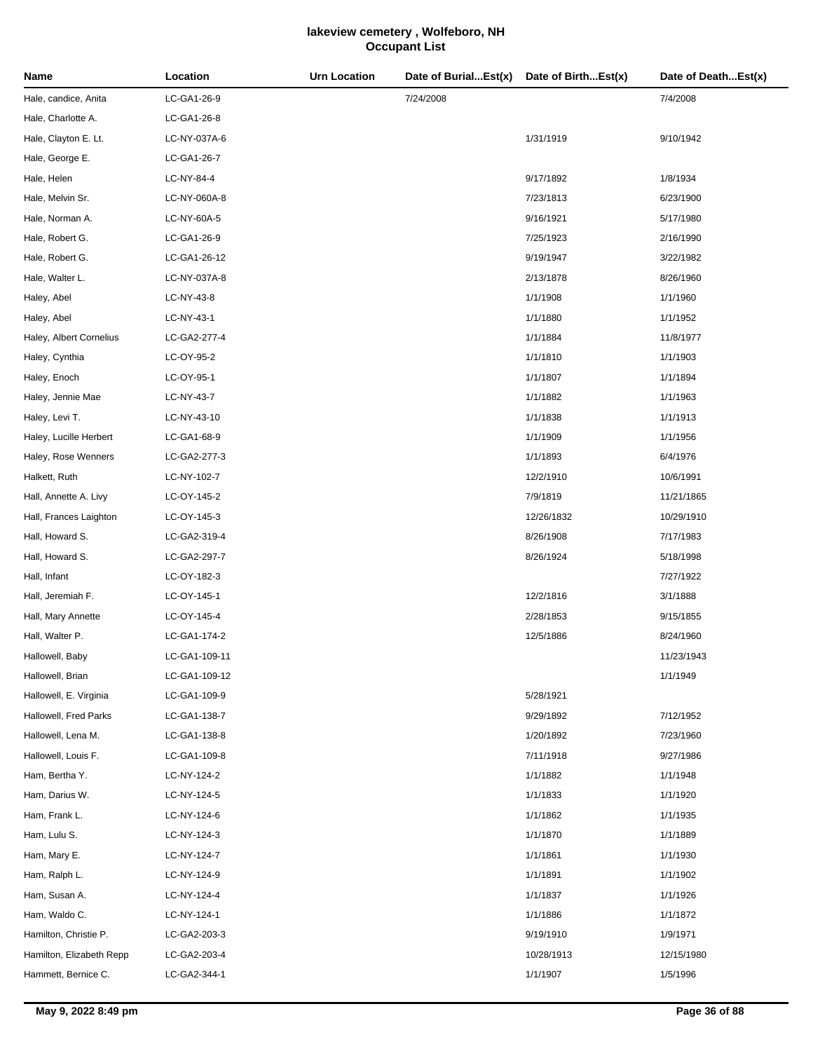| Name                     | Location      | <b>Urn Location</b> | Date of BurialEst(x) | Date of BirthEst(x) | Date of DeathEst(x) |
|--------------------------|---------------|---------------------|----------------------|---------------------|---------------------|
| Hale, candice, Anita     | LC-GA1-26-9   |                     | 7/24/2008            |                     | 7/4/2008            |
| Hale, Charlotte A.       | LC-GA1-26-8   |                     |                      |                     |                     |
| Hale, Clayton E. Lt.     | LC-NY-037A-6  |                     |                      | 1/31/1919           | 9/10/1942           |
| Hale, George E.          | LC-GA1-26-7   |                     |                      |                     |                     |
| Hale, Helen              | LC-NY-84-4    |                     |                      | 9/17/1892           | 1/8/1934            |
| Hale, Melvin Sr.         | LC-NY-060A-8  |                     |                      | 7/23/1813           | 6/23/1900           |
| Hale, Norman A.          | LC-NY-60A-5   |                     |                      | 9/16/1921           | 5/17/1980           |
| Hale, Robert G.          | LC-GA1-26-9   |                     |                      | 7/25/1923           | 2/16/1990           |
| Hale, Robert G.          | LC-GA1-26-12  |                     |                      | 9/19/1947           | 3/22/1982           |
| Hale, Walter L.          | LC-NY-037A-8  |                     |                      | 2/13/1878           | 8/26/1960           |
| Haley, Abel              | LC-NY-43-8    |                     |                      | 1/1/1908            | 1/1/1960            |
| Haley, Abel              | LC-NY-43-1    |                     |                      | 1/1/1880            | 1/1/1952            |
| Haley, Albert Cornelius  | LC-GA2-277-4  |                     |                      | 1/1/1884            | 11/8/1977           |
| Haley, Cynthia           | LC-OY-95-2    |                     |                      | 1/1/1810            | 1/1/1903            |
| Haley, Enoch             | LC-OY-95-1    |                     |                      | 1/1/1807            | 1/1/1894            |
| Haley, Jennie Mae        | LC-NY-43-7    |                     |                      | 1/1/1882            | 1/1/1963            |
| Haley, Levi T.           | LC-NY-43-10   |                     |                      | 1/1/1838            | 1/1/1913            |
| Haley, Lucille Herbert   | LC-GA1-68-9   |                     |                      | 1/1/1909            | 1/1/1956            |
| Haley, Rose Wenners      | LC-GA2-277-3  |                     |                      | 1/1/1893            | 6/4/1976            |
| Halkett, Ruth            | LC-NY-102-7   |                     |                      | 12/2/1910           | 10/6/1991           |
| Hall, Annette A. Livy    | LC-OY-145-2   |                     |                      | 7/9/1819            | 11/21/1865          |
| Hall, Frances Laighton   | LC-OY-145-3   |                     |                      | 12/26/1832          | 10/29/1910          |
| Hall, Howard S.          | LC-GA2-319-4  |                     |                      | 8/26/1908           | 7/17/1983           |
| Hall, Howard S.          | LC-GA2-297-7  |                     |                      | 8/26/1924           | 5/18/1998           |
| Hall, Infant             | LC-OY-182-3   |                     |                      |                     | 7/27/1922           |
| Hall, Jeremiah F.        | LC-OY-145-1   |                     |                      | 12/2/1816           | 3/1/1888            |
| Hall, Mary Annette       | LC-OY-145-4   |                     |                      | 2/28/1853           | 9/15/1855           |
| Hall, Walter P.          | LC-GA1-174-2  |                     |                      | 12/5/1886           | 8/24/1960           |
| Hallowell, Baby          | LC-GA1-109-11 |                     |                      |                     | 11/23/1943          |
| Hallowell, Brian         | LC-GA1-109-12 |                     |                      |                     | 1/1/1949            |
| Hallowell, E. Virginia   | LC-GA1-109-9  |                     |                      | 5/28/1921           |                     |
| Hallowell, Fred Parks    | LC-GA1-138-7  |                     |                      | 9/29/1892           | 7/12/1952           |
| Hallowell, Lena M.       | LC-GA1-138-8  |                     |                      | 1/20/1892           | 7/23/1960           |
| Hallowell, Louis F.      | LC-GA1-109-8  |                     |                      | 7/11/1918           | 9/27/1986           |
| Ham, Bertha Y.           | LC-NY-124-2   |                     |                      | 1/1/1882            | 1/1/1948            |
| Ham, Darius W.           | LC-NY-124-5   |                     |                      | 1/1/1833            | 1/1/1920            |
| Ham, Frank L.            | LC-NY-124-6   |                     |                      | 1/1/1862            | 1/1/1935            |
| Ham, Lulu S.             | LC-NY-124-3   |                     |                      | 1/1/1870            | 1/1/1889            |
| Ham, Mary E.             | LC-NY-124-7   |                     |                      | 1/1/1861            | 1/1/1930            |
| Ham, Ralph L.            | LC-NY-124-9   |                     |                      | 1/1/1891            | 1/1/1902            |
| Ham, Susan A.            | LC-NY-124-4   |                     |                      | 1/1/1837            | 1/1/1926            |
| Ham, Waldo C.            | LC-NY-124-1   |                     |                      | 1/1/1886            | 1/1/1872            |
| Hamilton, Christie P.    | LC-GA2-203-3  |                     |                      | 9/19/1910           | 1/9/1971            |
| Hamilton, Elizabeth Repp | LC-GA2-203-4  |                     |                      | 10/28/1913          | 12/15/1980          |
| Hammett, Bernice C.      | LC-GA2-344-1  |                     |                      | 1/1/1907            | 1/5/1996            |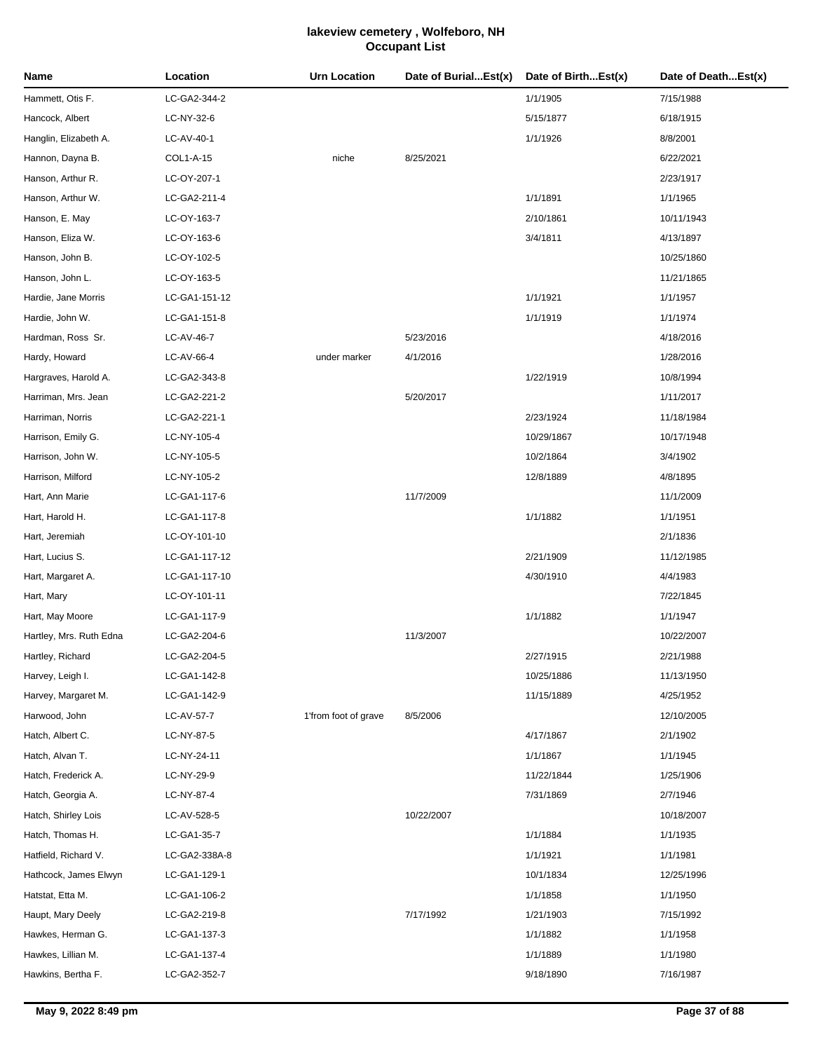| Name                    | Location      | <b>Urn Location</b>  | Date of BurialEst(x) | Date of BirthEst(x) | Date of DeathEst(x) |
|-------------------------|---------------|----------------------|----------------------|---------------------|---------------------|
| Hammett, Otis F.        | LC-GA2-344-2  |                      |                      | 1/1/1905            | 7/15/1988           |
| Hancock, Albert         | LC-NY-32-6    |                      |                      | 5/15/1877           | 6/18/1915           |
| Hanglin, Elizabeth A.   | LC-AV-40-1    |                      |                      | 1/1/1926            | 8/8/2001            |
| Hannon, Dayna B.        | COL1-A-15     | niche                | 8/25/2021            |                     | 6/22/2021           |
| Hanson, Arthur R.       | LC-OY-207-1   |                      |                      |                     | 2/23/1917           |
| Hanson, Arthur W.       | LC-GA2-211-4  |                      |                      | 1/1/1891            | 1/1/1965            |
| Hanson, E. May          | LC-OY-163-7   |                      |                      | 2/10/1861           | 10/11/1943          |
| Hanson, Eliza W.        | LC-OY-163-6   |                      |                      | 3/4/1811            | 4/13/1897           |
| Hanson, John B.         | LC-OY-102-5   |                      |                      |                     | 10/25/1860          |
| Hanson, John L.         | LC-OY-163-5   |                      |                      |                     | 11/21/1865          |
| Hardie, Jane Morris     | LC-GA1-151-12 |                      |                      | 1/1/1921            | 1/1/1957            |
| Hardie, John W.         | LC-GA1-151-8  |                      |                      | 1/1/1919            | 1/1/1974            |
| Hardman, Ross Sr.       | LC-AV-46-7    |                      | 5/23/2016            |                     | 4/18/2016           |
| Hardy, Howard           | LC-AV-66-4    | under marker         | 4/1/2016             |                     | 1/28/2016           |
| Hargraves, Harold A.    | LC-GA2-343-8  |                      |                      | 1/22/1919           | 10/8/1994           |
| Harriman, Mrs. Jean     | LC-GA2-221-2  |                      | 5/20/2017            |                     | 1/11/2017           |
| Harriman, Norris        | LC-GA2-221-1  |                      |                      | 2/23/1924           | 11/18/1984          |
| Harrison, Emily G.      | LC-NY-105-4   |                      |                      | 10/29/1867          | 10/17/1948          |
| Harrison, John W.       | LC-NY-105-5   |                      |                      | 10/2/1864           | 3/4/1902            |
| Harrison, Milford       | LC-NY-105-2   |                      |                      | 12/8/1889           | 4/8/1895            |
| Hart, Ann Marie         | LC-GA1-117-6  |                      | 11/7/2009            |                     | 11/1/2009           |
| Hart, Harold H.         | LC-GA1-117-8  |                      |                      | 1/1/1882            | 1/1/1951            |
| Hart, Jeremiah          | LC-OY-101-10  |                      |                      |                     | 2/1/1836            |
| Hart, Lucius S.         | LC-GA1-117-12 |                      |                      | 2/21/1909           | 11/12/1985          |
| Hart, Margaret A.       | LC-GA1-117-10 |                      |                      | 4/30/1910           | 4/4/1983            |
| Hart, Mary              | LC-OY-101-11  |                      |                      |                     | 7/22/1845           |
| Hart, May Moore         | LC-GA1-117-9  |                      |                      | 1/1/1882            | 1/1/1947            |
| Hartley, Mrs. Ruth Edna | LC-GA2-204-6  |                      | 11/3/2007            |                     | 10/22/2007          |
| Hartley, Richard        | LC-GA2-204-5  |                      |                      | 2/27/1915           | 2/21/1988           |
| Harvey, Leigh I.        | LC-GA1-142-8  |                      |                      | 10/25/1886          | 11/13/1950          |
| Harvey, Margaret M.     | LC-GA1-142-9  |                      |                      | 11/15/1889          | 4/25/1952           |
| Harwood, John           | LC-AV-57-7    | 1'from foot of grave | 8/5/2006             |                     | 12/10/2005          |
| Hatch, Albert C.        | LC-NY-87-5    |                      |                      | 4/17/1867           | 2/1/1902            |
| Hatch, Alvan T.         | LC-NY-24-11   |                      |                      | 1/1/1867            | 1/1/1945            |
| Hatch, Frederick A.     | LC-NY-29-9    |                      |                      | 11/22/1844          | 1/25/1906           |
| Hatch, Georgia A.       | LC-NY-87-4    |                      |                      | 7/31/1869           | 2/7/1946            |
| Hatch, Shirley Lois     | LC-AV-528-5   |                      | 10/22/2007           |                     | 10/18/2007          |
| Hatch, Thomas H.        | LC-GA1-35-7   |                      |                      | 1/1/1884            | 1/1/1935            |
| Hatfield, Richard V.    | LC-GA2-338A-8 |                      |                      | 1/1/1921            | 1/1/1981            |
| Hathcock, James Elwyn   | LC-GA1-129-1  |                      |                      | 10/1/1834           | 12/25/1996          |
| Hatstat, Etta M.        | LC-GA1-106-2  |                      |                      | 1/1/1858            | 1/1/1950            |
| Haupt, Mary Deely       | LC-GA2-219-8  |                      | 7/17/1992            | 1/21/1903           | 7/15/1992           |
| Hawkes, Herman G.       | LC-GA1-137-3  |                      |                      | 1/1/1882            | 1/1/1958            |
| Hawkes, Lillian M.      | LC-GA1-137-4  |                      |                      | 1/1/1889            | 1/1/1980            |
| Hawkins, Bertha F.      | LC-GA2-352-7  |                      |                      | 9/18/1890           | 7/16/1987           |
|                         |               |                      |                      |                     |                     |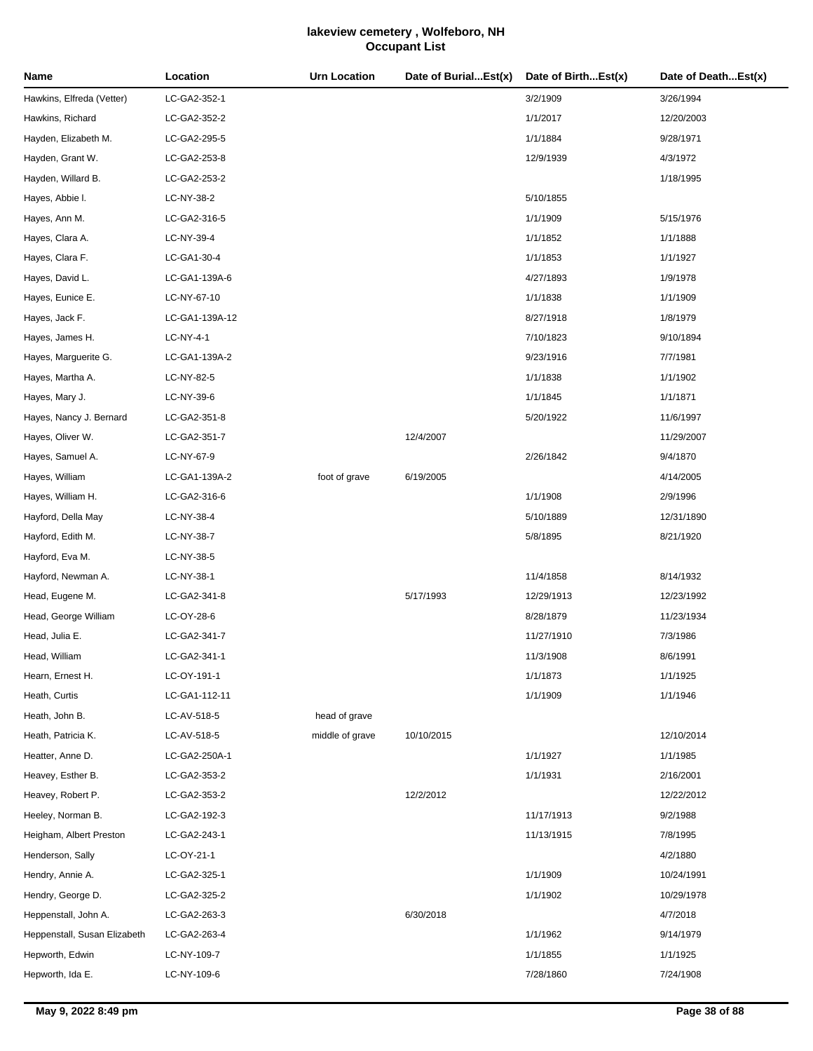| Name                         | Location       | Urn Location    | Date of BurialEst(x) | Date of BirthEst(x) | Date of DeathEst(x) |
|------------------------------|----------------|-----------------|----------------------|---------------------|---------------------|
| Hawkins, Elfreda (Vetter)    | LC-GA2-352-1   |                 |                      | 3/2/1909            | 3/26/1994           |
| Hawkins, Richard             | LC-GA2-352-2   |                 |                      | 1/1/2017            | 12/20/2003          |
| Hayden, Elizabeth M.         | LC-GA2-295-5   |                 |                      | 1/1/1884            | 9/28/1971           |
| Hayden, Grant W.             | LC-GA2-253-8   |                 |                      | 12/9/1939           | 4/3/1972            |
| Hayden, Willard B.           | LC-GA2-253-2   |                 |                      |                     | 1/18/1995           |
| Hayes, Abbie I.              | LC-NY-38-2     |                 |                      | 5/10/1855           |                     |
| Hayes, Ann M.                | LC-GA2-316-5   |                 |                      | 1/1/1909            | 5/15/1976           |
| Hayes, Clara A.              | LC-NY-39-4     |                 |                      | 1/1/1852            | 1/1/1888            |
| Hayes, Clara F.              | LC-GA1-30-4    |                 |                      | 1/1/1853            | 1/1/1927            |
| Hayes, David L.              | LC-GA1-139A-6  |                 |                      | 4/27/1893           | 1/9/1978            |
| Hayes, Eunice E.             | LC-NY-67-10    |                 |                      | 1/1/1838            | 1/1/1909            |
| Hayes, Jack F.               | LC-GA1-139A-12 |                 |                      | 8/27/1918           | 1/8/1979            |
| Hayes, James H.              | LC-NY-4-1      |                 |                      | 7/10/1823           | 9/10/1894           |
| Hayes, Marguerite G.         | LC-GA1-139A-2  |                 |                      | 9/23/1916           | 7/7/1981            |
| Hayes, Martha A.             | LC-NY-82-5     |                 |                      | 1/1/1838            | 1/1/1902            |
| Hayes, Mary J.               | LC-NY-39-6     |                 |                      | 1/1/1845            | 1/1/1871            |
| Hayes, Nancy J. Bernard      | LC-GA2-351-8   |                 |                      | 5/20/1922           | 11/6/1997           |
| Hayes, Oliver W.             | LC-GA2-351-7   |                 | 12/4/2007            |                     | 11/29/2007          |
| Hayes, Samuel A.             | LC-NY-67-9     |                 |                      | 2/26/1842           | 9/4/1870            |
| Hayes, William               | LC-GA1-139A-2  | foot of grave   | 6/19/2005            |                     | 4/14/2005           |
| Hayes, William H.            | LC-GA2-316-6   |                 |                      | 1/1/1908            | 2/9/1996            |
| Hayford, Della May           | LC-NY-38-4     |                 |                      | 5/10/1889           | 12/31/1890          |
| Hayford, Edith M.            | LC-NY-38-7     |                 |                      | 5/8/1895            | 8/21/1920           |
| Hayford, Eva M.              | LC-NY-38-5     |                 |                      |                     |                     |
| Hayford, Newman A.           | LC-NY-38-1     |                 |                      | 11/4/1858           | 8/14/1932           |
| Head, Eugene M.              | LC-GA2-341-8   |                 | 5/17/1993            | 12/29/1913          | 12/23/1992          |
| Head, George William         | LC-OY-28-6     |                 |                      | 8/28/1879           | 11/23/1934          |
| Head, Julia E.               | LC-GA2-341-7   |                 |                      | 11/27/1910          | 7/3/1986            |
| Head, William                | LC-GA2-341-1   |                 |                      | 11/3/1908           | 8/6/1991            |
| Hearn, Ernest H.             | LC-OY-191-1    |                 |                      | 1/1/1873            | 1/1/1925            |
| Heath, Curtis                | LC-GA1-112-11  |                 |                      | 1/1/1909            | 1/1/1946            |
| Heath, John B.               | LC-AV-518-5    | head of grave   |                      |                     |                     |
| Heath, Patricia K.           | LC-AV-518-5    | middle of grave | 10/10/2015           |                     | 12/10/2014          |
| Heatter, Anne D.             | LC-GA2-250A-1  |                 |                      | 1/1/1927            | 1/1/1985            |
| Heavey, Esther B.            | LC-GA2-353-2   |                 |                      | 1/1/1931            | 2/16/2001           |
| Heavey, Robert P.            | LC-GA2-353-2   |                 | 12/2/2012            |                     | 12/22/2012          |
| Heeley, Norman B.            | LC-GA2-192-3   |                 |                      | 11/17/1913          | 9/2/1988            |
| Heigham, Albert Preston      | LC-GA2-243-1   |                 |                      | 11/13/1915          | 7/8/1995            |
| Henderson, Sally             | LC-OY-21-1     |                 |                      |                     | 4/2/1880            |
| Hendry, Annie A.             | LC-GA2-325-1   |                 |                      | 1/1/1909            | 10/24/1991          |
| Hendry, George D.            | LC-GA2-325-2   |                 |                      | 1/1/1902            | 10/29/1978          |
| Heppenstall, John A.         | LC-GA2-263-3   |                 | 6/30/2018            |                     | 4/7/2018            |
| Heppenstall, Susan Elizabeth | LC-GA2-263-4   |                 |                      | 1/1/1962            | 9/14/1979           |
| Hepworth, Edwin              | LC-NY-109-7    |                 |                      | 1/1/1855            | 1/1/1925            |
| Hepworth, Ida E.             | LC-NY-109-6    |                 |                      | 7/28/1860           | 7/24/1908           |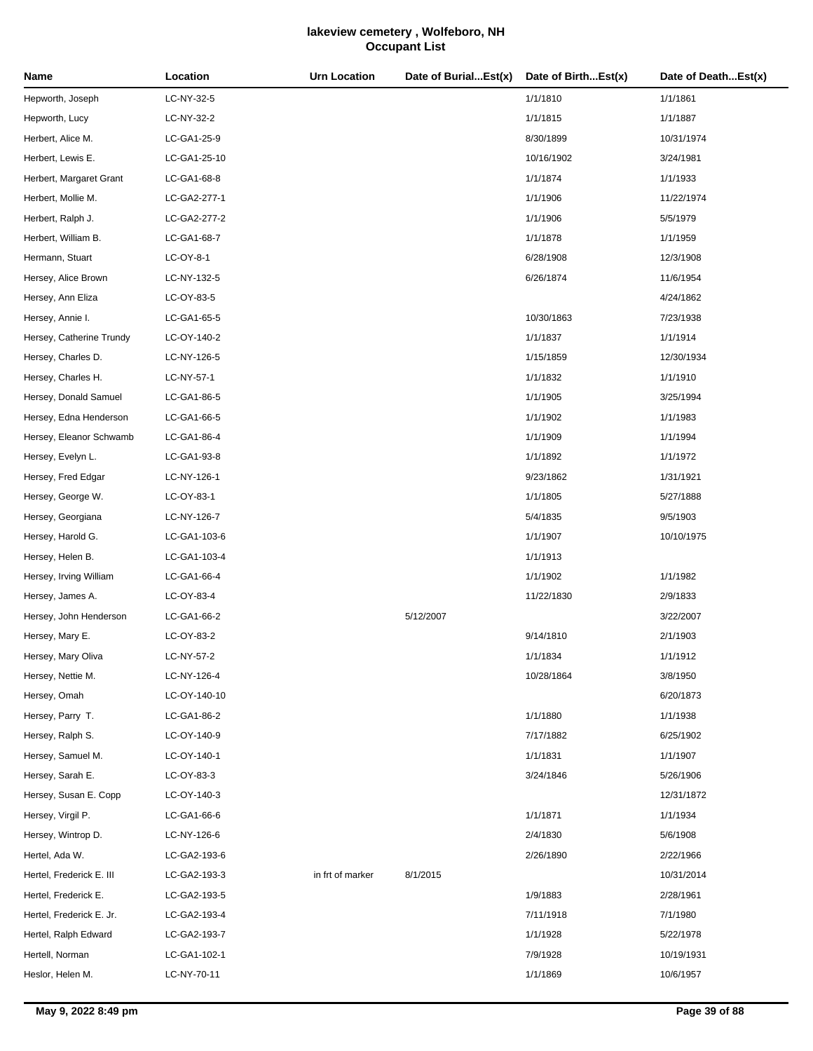| Name                     | Location     | <b>Urn Location</b> | Date of BurialEst(x) | Date of BirthEst(x) | Date of DeathEst(x) |
|--------------------------|--------------|---------------------|----------------------|---------------------|---------------------|
| Hepworth, Joseph         | LC-NY-32-5   |                     |                      | 1/1/1810            | 1/1/1861            |
| Hepworth, Lucy           | LC-NY-32-2   |                     |                      | 1/1/1815            | 1/1/1887            |
| Herbert, Alice M.        | LC-GA1-25-9  |                     |                      | 8/30/1899           | 10/31/1974          |
| Herbert, Lewis E.        | LC-GA1-25-10 |                     |                      | 10/16/1902          | 3/24/1981           |
| Herbert, Margaret Grant  | LC-GA1-68-8  |                     |                      | 1/1/1874            | 1/1/1933            |
| Herbert, Mollie M.       | LC-GA2-277-1 |                     |                      | 1/1/1906            | 11/22/1974          |
| Herbert, Ralph J.        | LC-GA2-277-2 |                     |                      | 1/1/1906            | 5/5/1979            |
| Herbert, William B.      | LC-GA1-68-7  |                     |                      | 1/1/1878            | 1/1/1959            |
| Hermann, Stuart          | LC-OY-8-1    |                     |                      | 6/28/1908           | 12/3/1908           |
| Hersey, Alice Brown      | LC-NY-132-5  |                     |                      | 6/26/1874           | 11/6/1954           |
| Hersey, Ann Eliza        | LC-OY-83-5   |                     |                      |                     | 4/24/1862           |
| Hersey, Annie I.         | LC-GA1-65-5  |                     |                      | 10/30/1863          | 7/23/1938           |
| Hersey, Catherine Trundy | LC-OY-140-2  |                     |                      | 1/1/1837            | 1/1/1914            |
| Hersey, Charles D.       | LC-NY-126-5  |                     |                      | 1/15/1859           | 12/30/1934          |
| Hersey, Charles H.       | LC-NY-57-1   |                     |                      | 1/1/1832            | 1/1/1910            |
| Hersey, Donald Samuel    | LC-GA1-86-5  |                     |                      | 1/1/1905            | 3/25/1994           |
| Hersey, Edna Henderson   | LC-GA1-66-5  |                     |                      | 1/1/1902            | 1/1/1983            |
| Hersey, Eleanor Schwamb  | LC-GA1-86-4  |                     |                      | 1/1/1909            | 1/1/1994            |
| Hersey, Evelyn L.        | LC-GA1-93-8  |                     |                      | 1/1/1892            | 1/1/1972            |
| Hersey, Fred Edgar       | LC-NY-126-1  |                     |                      | 9/23/1862           | 1/31/1921           |
| Hersey, George W.        | LC-OY-83-1   |                     |                      | 1/1/1805            | 5/27/1888           |
| Hersey, Georgiana        | LC-NY-126-7  |                     |                      | 5/4/1835            | 9/5/1903            |
| Hersey, Harold G.        | LC-GA1-103-6 |                     |                      | 1/1/1907            | 10/10/1975          |
| Hersey, Helen B.         | LC-GA1-103-4 |                     |                      | 1/1/1913            |                     |
| Hersey, Irving William   | LC-GA1-66-4  |                     |                      | 1/1/1902            | 1/1/1982            |
| Hersey, James A.         | LC-OY-83-4   |                     |                      | 11/22/1830          | 2/9/1833            |
| Hersey, John Henderson   | LC-GA1-66-2  |                     | 5/12/2007            |                     | 3/22/2007           |
| Hersey, Mary E.          | LC-OY-83-2   |                     |                      | 9/14/1810           | 2/1/1903            |
| Hersey, Mary Oliva       | LC-NY-57-2   |                     |                      | 1/1/1834            | 1/1/1912            |
| Hersey, Nettie M.        | LC-NY-126-4  |                     |                      | 10/28/1864          | 3/8/1950            |
| Hersey, Omah             | LC-OY-140-10 |                     |                      |                     | 6/20/1873           |
| Hersey, Parry T.         | LC-GA1-86-2  |                     |                      | 1/1/1880            | 1/1/1938            |
| Hersey, Ralph S.         | LC-OY-140-9  |                     |                      | 7/17/1882           | 6/25/1902           |
| Hersey, Samuel M.        | LC-OY-140-1  |                     |                      | 1/1/1831            | 1/1/1907            |
| Hersey, Sarah E.         | LC-OY-83-3   |                     |                      | 3/24/1846           | 5/26/1906           |
| Hersey, Susan E. Copp    | LC-OY-140-3  |                     |                      |                     | 12/31/1872          |
| Hersey, Virgil P.        | LC-GA1-66-6  |                     |                      | 1/1/1871            | 1/1/1934            |
| Hersey, Wintrop D.       | LC-NY-126-6  |                     |                      | 2/4/1830            | 5/6/1908            |
| Hertel, Ada W.           | LC-GA2-193-6 |                     |                      | 2/26/1890           | 2/22/1966           |
| Hertel, Frederick E. III | LC-GA2-193-3 | in frt of marker    | 8/1/2015             |                     | 10/31/2014          |
| Hertel, Frederick E.     | LC-GA2-193-5 |                     |                      | 1/9/1883            | 2/28/1961           |
| Hertel, Frederick E. Jr. | LC-GA2-193-4 |                     |                      | 7/11/1918           | 7/1/1980            |
| Hertel, Ralph Edward     | LC-GA2-193-7 |                     |                      | 1/1/1928            | 5/22/1978           |
| Hertell, Norman          | LC-GA1-102-1 |                     |                      | 7/9/1928            | 10/19/1931          |
| Heslor, Helen M.         | LC-NY-70-11  |                     |                      | 1/1/1869            | 10/6/1957           |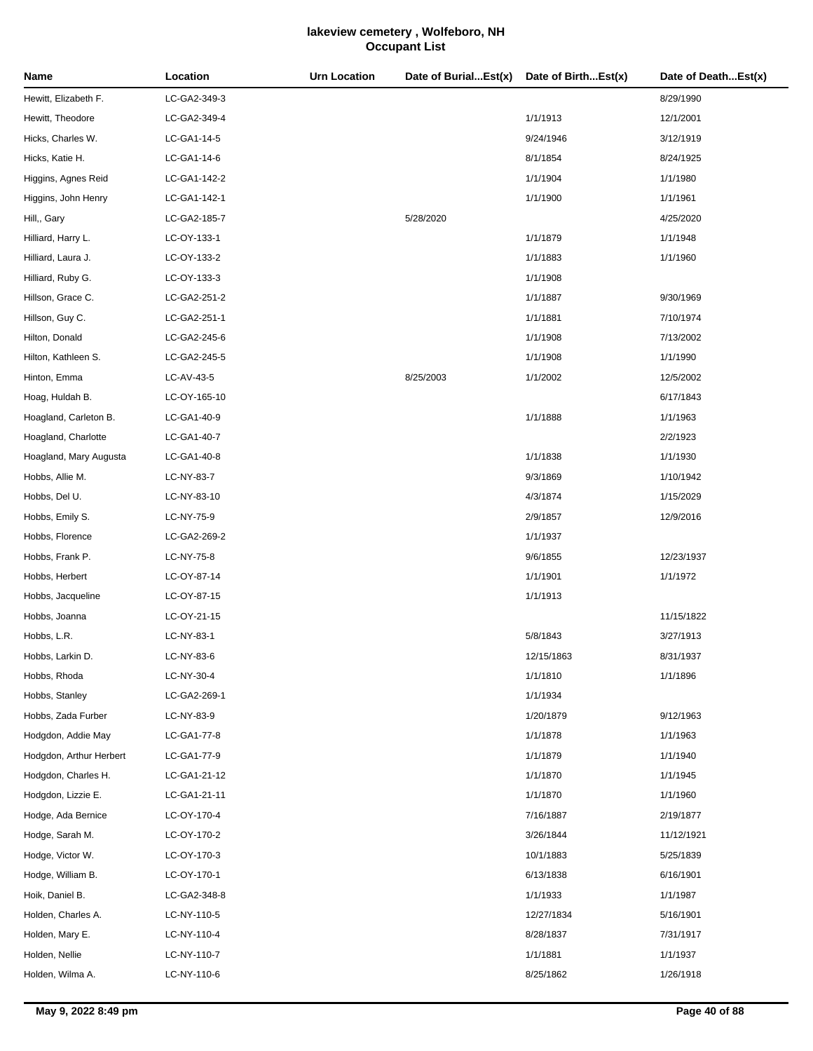| Name                    | Location     | <b>Urn Location</b> | Date of BurialEst(x) | Date of BirthEst(x) | Date of DeathEst(x) |
|-------------------------|--------------|---------------------|----------------------|---------------------|---------------------|
| Hewitt, Elizabeth F.    | LC-GA2-349-3 |                     |                      |                     | 8/29/1990           |
| Hewitt, Theodore        | LC-GA2-349-4 |                     |                      | 1/1/1913            | 12/1/2001           |
| Hicks, Charles W.       | LC-GA1-14-5  |                     |                      | 9/24/1946           | 3/12/1919           |
| Hicks, Katie H.         | LC-GA1-14-6  |                     |                      | 8/1/1854            | 8/24/1925           |
| Higgins, Agnes Reid     | LC-GA1-142-2 |                     |                      | 1/1/1904            | 1/1/1980            |
| Higgins, John Henry     | LC-GA1-142-1 |                     |                      | 1/1/1900            | 1/1/1961            |
| Hill,, Gary             | LC-GA2-185-7 |                     | 5/28/2020            |                     | 4/25/2020           |
| Hilliard, Harry L.      | LC-OY-133-1  |                     |                      | 1/1/1879            | 1/1/1948            |
| Hilliard, Laura J.      | LC-OY-133-2  |                     |                      | 1/1/1883            | 1/1/1960            |
| Hilliard, Ruby G.       | LC-OY-133-3  |                     |                      | 1/1/1908            |                     |
| Hillson, Grace C.       | LC-GA2-251-2 |                     |                      | 1/1/1887            | 9/30/1969           |
| Hillson, Guy C.         | LC-GA2-251-1 |                     |                      | 1/1/1881            | 7/10/1974           |
| Hilton, Donald          | LC-GA2-245-6 |                     |                      | 1/1/1908            | 7/13/2002           |
| Hilton, Kathleen S.     | LC-GA2-245-5 |                     |                      | 1/1/1908            | 1/1/1990            |
| Hinton, Emma            | LC-AV-43-5   |                     | 8/25/2003            | 1/1/2002            | 12/5/2002           |
| Hoag, Huldah B.         | LC-OY-165-10 |                     |                      |                     | 6/17/1843           |
| Hoagland, Carleton B.   | LC-GA1-40-9  |                     |                      | 1/1/1888            | 1/1/1963            |
| Hoagland, Charlotte     | LC-GA1-40-7  |                     |                      |                     | 2/2/1923            |
| Hoagland, Mary Augusta  | LC-GA1-40-8  |                     |                      | 1/1/1838            | 1/1/1930            |
| Hobbs, Allie M.         | LC-NY-83-7   |                     |                      | 9/3/1869            | 1/10/1942           |
| Hobbs, Del U.           | LC-NY-83-10  |                     |                      | 4/3/1874            | 1/15/2029           |
| Hobbs, Emily S.         | LC-NY-75-9   |                     |                      | 2/9/1857            | 12/9/2016           |
| Hobbs, Florence         | LC-GA2-269-2 |                     |                      | 1/1/1937            |                     |
| Hobbs, Frank P.         | LC-NY-75-8   |                     |                      | 9/6/1855            | 12/23/1937          |
| Hobbs, Herbert          | LC-OY-87-14  |                     |                      | 1/1/1901            | 1/1/1972            |
| Hobbs, Jacqueline       | LC-OY-87-15  |                     |                      | 1/1/1913            |                     |
| Hobbs, Joanna           | LC-OY-21-15  |                     |                      |                     | 11/15/1822          |
| Hobbs, L.R.             | LC-NY-83-1   |                     |                      | 5/8/1843            | 3/27/1913           |
| Hobbs, Larkin D.        | LC-NY-83-6   |                     |                      | 12/15/1863          | 8/31/1937           |
| Hobbs, Rhoda            | LC-NY-30-4   |                     |                      | 1/1/1810            | 1/1/1896            |
| Hobbs, Stanley          | LC-GA2-269-1 |                     |                      | 1/1/1934            |                     |
| Hobbs, Zada Furber      | LC-NY-83-9   |                     |                      | 1/20/1879           | 9/12/1963           |
| Hodgdon, Addie May      | LC-GA1-77-8  |                     |                      | 1/1/1878            | 1/1/1963            |
| Hodgdon, Arthur Herbert | LC-GA1-77-9  |                     |                      | 1/1/1879            | 1/1/1940            |
| Hodgdon, Charles H.     | LC-GA1-21-12 |                     |                      | 1/1/1870            | 1/1/1945            |
| Hodgdon, Lizzie E.      | LC-GA1-21-11 |                     |                      | 1/1/1870            | 1/1/1960            |
| Hodge, Ada Bernice      | LC-OY-170-4  |                     |                      | 7/16/1887           | 2/19/1877           |
| Hodge, Sarah M.         | LC-OY-170-2  |                     |                      | 3/26/1844           | 11/12/1921          |
| Hodge, Victor W.        | LC-OY-170-3  |                     |                      | 10/1/1883           | 5/25/1839           |
| Hodge, William B.       | LC-OY-170-1  |                     |                      | 6/13/1838           | 6/16/1901           |
| Hoik, Daniel B.         | LC-GA2-348-8 |                     |                      | 1/1/1933            | 1/1/1987            |
| Holden, Charles A.      | LC-NY-110-5  |                     |                      | 12/27/1834          | 5/16/1901           |
| Holden, Mary E.         | LC-NY-110-4  |                     |                      | 8/28/1837           | 7/31/1917           |
| Holden, Nellie          | LC-NY-110-7  |                     |                      | 1/1/1881            | 1/1/1937            |
| Holden, Wilma A.        | LC-NY-110-6  |                     |                      | 8/25/1862           | 1/26/1918           |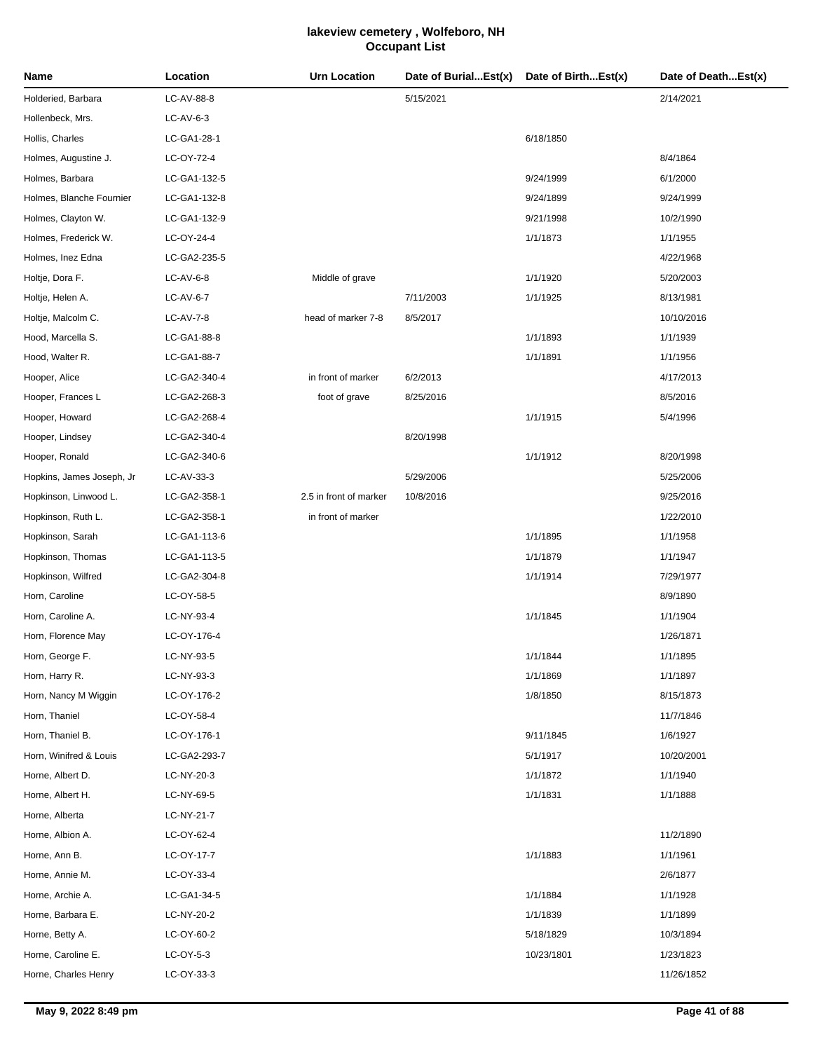| Name                      | Location     | <b>Urn Location</b>    | Date of BurialEst(x) | Date of BirthEst(x) | Date of DeathEst(x) |
|---------------------------|--------------|------------------------|----------------------|---------------------|---------------------|
| Holderied, Barbara        | LC-AV-88-8   |                        | 5/15/2021            |                     | 2/14/2021           |
| Hollenbeck, Mrs.          | $LC-AV-6-3$  |                        |                      |                     |                     |
| Hollis, Charles           | LC-GA1-28-1  |                        |                      | 6/18/1850           |                     |
| Holmes, Augustine J.      | LC-OY-72-4   |                        |                      |                     | 8/4/1864            |
| Holmes, Barbara           | LC-GA1-132-5 |                        |                      | 9/24/1999           | 6/1/2000            |
| Holmes, Blanche Fournier  | LC-GA1-132-8 |                        |                      | 9/24/1899           | 9/24/1999           |
| Holmes, Clayton W.        | LC-GA1-132-9 |                        |                      | 9/21/1998           | 10/2/1990           |
| Holmes, Frederick W.      | LC-OY-24-4   |                        |                      | 1/1/1873            | 1/1/1955            |
| Holmes, Inez Edna         | LC-GA2-235-5 |                        |                      |                     | 4/22/1968           |
| Holtje, Dora F.           | $LC-AV-6-8$  | Middle of grave        |                      | 1/1/1920            | 5/20/2003           |
| Holtje, Helen A.          | LC-AV-6-7    |                        | 7/11/2003            | 1/1/1925            | 8/13/1981           |
| Holtje, Malcolm C.        | LC-AV-7-8    | head of marker 7-8     | 8/5/2017             |                     | 10/10/2016          |
| Hood, Marcella S.         | LC-GA1-88-8  |                        |                      | 1/1/1893            | 1/1/1939            |
| Hood, Walter R.           | LC-GA1-88-7  |                        |                      | 1/1/1891            | 1/1/1956            |
| Hooper, Alice             | LC-GA2-340-4 | in front of marker     | 6/2/2013             |                     | 4/17/2013           |
| Hooper, Frances L         | LC-GA2-268-3 | foot of grave          | 8/25/2016            |                     | 8/5/2016            |
| Hooper, Howard            | LC-GA2-268-4 |                        |                      | 1/1/1915            | 5/4/1996            |
| Hooper, Lindsey           | LC-GA2-340-4 |                        | 8/20/1998            |                     |                     |
| Hooper, Ronald            | LC-GA2-340-6 |                        |                      | 1/1/1912            | 8/20/1998           |
| Hopkins, James Joseph, Jr | LC-AV-33-3   |                        | 5/29/2006            |                     | 5/25/2006           |
| Hopkinson, Linwood L.     | LC-GA2-358-1 | 2.5 in front of marker | 10/8/2016            |                     | 9/25/2016           |
| Hopkinson, Ruth L.        | LC-GA2-358-1 | in front of marker     |                      |                     | 1/22/2010           |
| Hopkinson, Sarah          | LC-GA1-113-6 |                        |                      | 1/1/1895            | 1/1/1958            |
| Hopkinson, Thomas         | LC-GA1-113-5 |                        |                      | 1/1/1879            | 1/1/1947            |
| Hopkinson, Wilfred        | LC-GA2-304-8 |                        |                      | 1/1/1914            | 7/29/1977           |
| Horn, Caroline            | LC-OY-58-5   |                        |                      |                     | 8/9/1890            |
| Horn, Caroline A.         | LC-NY-93-4   |                        |                      | 1/1/1845            | 1/1/1904            |
| Horn, Florence May        | LC-OY-176-4  |                        |                      |                     | 1/26/1871           |
| Horn, George F.           | LC-NY-93-5   |                        |                      | 1/1/1844            | 1/1/1895            |
| Horn, Harry R.            | LC-NY-93-3   |                        |                      | 1/1/1869            | 1/1/1897            |
| Horn, Nancy M Wiggin      | LC-OY-176-2  |                        |                      | 1/8/1850            | 8/15/1873           |
| Horn, Thaniel             | LC-OY-58-4   |                        |                      |                     | 11/7/1846           |
| Horn, Thaniel B.          | LC-OY-176-1  |                        |                      | 9/11/1845           | 1/6/1927            |
| Horn, Winifred & Louis    | LC-GA2-293-7 |                        |                      | 5/1/1917            | 10/20/2001          |
| Horne, Albert D.          | LC-NY-20-3   |                        |                      | 1/1/1872            | 1/1/1940            |
| Horne, Albert H.          | LC-NY-69-5   |                        |                      | 1/1/1831            | 1/1/1888            |
| Horne, Alberta            | LC-NY-21-7   |                        |                      |                     |                     |
| Horne, Albion A.          | LC-OY-62-4   |                        |                      |                     | 11/2/1890           |
| Horne, Ann B.             | LC-OY-17-7   |                        |                      | 1/1/1883            | 1/1/1961            |
| Horne, Annie M.           | LC-OY-33-4   |                        |                      |                     | 2/6/1877            |
| Horne, Archie A.          | LC-GA1-34-5  |                        |                      | 1/1/1884            | 1/1/1928            |
| Horne, Barbara E.         | LC-NY-20-2   |                        |                      | 1/1/1839            | 1/1/1899            |
| Horne, Betty A.           | LC-OY-60-2   |                        |                      | 5/18/1829           | 10/3/1894           |
| Horne, Caroline E.        | LC-OY-5-3    |                        |                      | 10/23/1801          | 1/23/1823           |
| Horne, Charles Henry      | LC-OY-33-3   |                        |                      |                     | 11/26/1852          |
|                           |              |                        |                      |                     |                     |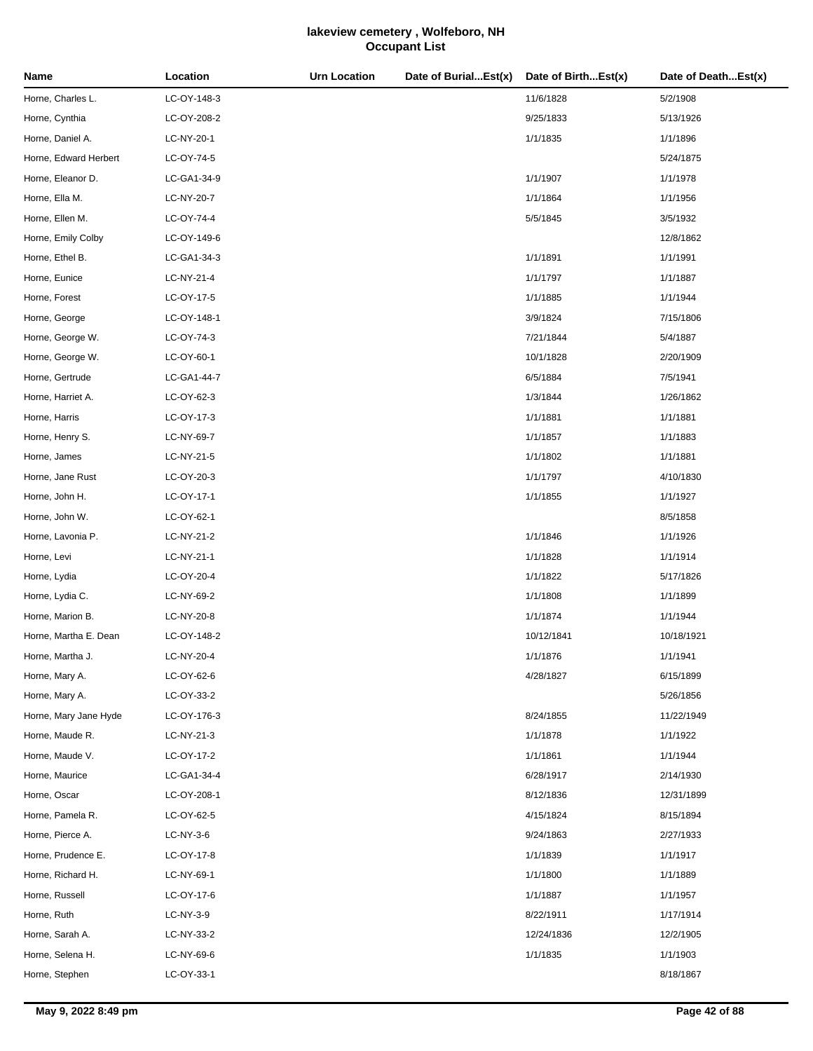| Name                  | Location    | <b>Urn Location</b> | Date of BurialEst(x) | Date of BirthEst(x) | Date of DeathEst(x) |
|-----------------------|-------------|---------------------|----------------------|---------------------|---------------------|
| Horne, Charles L.     | LC-OY-148-3 |                     |                      | 11/6/1828           | 5/2/1908            |
| Horne, Cynthia        | LC-OY-208-2 |                     |                      | 9/25/1833           | 5/13/1926           |
| Horne, Daniel A.      | LC-NY-20-1  |                     |                      | 1/1/1835            | 1/1/1896            |
| Horne, Edward Herbert | LC-OY-74-5  |                     |                      |                     | 5/24/1875           |
| Horne, Eleanor D.     | LC-GA1-34-9 |                     |                      | 1/1/1907            | 1/1/1978            |
| Horne, Ella M.        | LC-NY-20-7  |                     |                      | 1/1/1864            | 1/1/1956            |
| Horne, Ellen M.       | LC-OY-74-4  |                     |                      | 5/5/1845            | 3/5/1932            |
| Horne, Emily Colby    | LC-OY-149-6 |                     |                      |                     | 12/8/1862           |
| Horne, Ethel B.       | LC-GA1-34-3 |                     |                      | 1/1/1891            | 1/1/1991            |
| Horne, Eunice         | LC-NY-21-4  |                     |                      | 1/1/1797            | 1/1/1887            |
| Horne, Forest         | LC-OY-17-5  |                     |                      | 1/1/1885            | 1/1/1944            |
| Horne, George         | LC-OY-148-1 |                     |                      | 3/9/1824            | 7/15/1806           |
| Horne, George W.      | LC-OY-74-3  |                     |                      | 7/21/1844           | 5/4/1887            |
| Horne, George W.      | LC-OY-60-1  |                     |                      | 10/1/1828           | 2/20/1909           |
| Horne, Gertrude       | LC-GA1-44-7 |                     |                      | 6/5/1884            | 7/5/1941            |
| Horne, Harriet A.     | LC-OY-62-3  |                     |                      | 1/3/1844            | 1/26/1862           |
| Horne, Harris         | LC-OY-17-3  |                     |                      | 1/1/1881            | 1/1/1881            |
| Horne, Henry S.       | LC-NY-69-7  |                     |                      | 1/1/1857            | 1/1/1883            |
| Horne, James          | LC-NY-21-5  |                     |                      | 1/1/1802            | 1/1/1881            |
| Horne, Jane Rust      | LC-OY-20-3  |                     |                      | 1/1/1797            | 4/10/1830           |
| Horne, John H.        | LC-OY-17-1  |                     |                      | 1/1/1855            | 1/1/1927            |
| Horne, John W.        | LC-OY-62-1  |                     |                      |                     | 8/5/1858            |
| Horne, Lavonia P.     | LC-NY-21-2  |                     |                      | 1/1/1846            | 1/1/1926            |
| Horne, Levi           | LC-NY-21-1  |                     |                      | 1/1/1828            | 1/1/1914            |
| Horne, Lydia          | LC-OY-20-4  |                     |                      | 1/1/1822            | 5/17/1826           |
| Horne, Lydia C.       | LC-NY-69-2  |                     |                      | 1/1/1808            | 1/1/1899            |
| Horne, Marion B.      | LC-NY-20-8  |                     |                      | 1/1/1874            | 1/1/1944            |
| Horne, Martha E. Dean | LC-OY-148-2 |                     |                      | 10/12/1841          | 10/18/1921          |
| Horne, Martha J.      | LC-NY-20-4  |                     |                      | 1/1/1876            | 1/1/1941            |
| Horne, Mary A.        | LC-OY-62-6  |                     |                      | 4/28/1827           | 6/15/1899           |
| Horne, Mary A.        | LC-OY-33-2  |                     |                      |                     | 5/26/1856           |
| Horne, Mary Jane Hyde | LC-OY-176-3 |                     |                      | 8/24/1855           | 11/22/1949          |
| Horne, Maude R.       | LC-NY-21-3  |                     |                      | 1/1/1878            | 1/1/1922            |
| Horne, Maude V.       | LC-OY-17-2  |                     |                      | 1/1/1861            | 1/1/1944            |
| Horne, Maurice        | LC-GA1-34-4 |                     |                      | 6/28/1917           | 2/14/1930           |
| Horne, Oscar          | LC-OY-208-1 |                     |                      | 8/12/1836           | 12/31/1899          |
| Horne, Pamela R.      | LC-OY-62-5  |                     |                      | 4/15/1824           | 8/15/1894           |
| Horne, Pierce A.      | $LC-NY-3-6$ |                     |                      | 9/24/1863           | 2/27/1933           |
| Horne, Prudence E.    | LC-OY-17-8  |                     |                      | 1/1/1839            | 1/1/1917            |
| Horne, Richard H.     | LC-NY-69-1  |                     |                      | 1/1/1800            | 1/1/1889            |
| Horne, Russell        | LC-OY-17-6  |                     |                      | 1/1/1887            | 1/1/1957            |
| Horne, Ruth           | LC-NY-3-9   |                     |                      | 8/22/1911           | 1/17/1914           |
| Horne, Sarah A.       | LC-NY-33-2  |                     |                      | 12/24/1836          | 12/2/1905           |
| Horne, Selena H.      | LC-NY-69-6  |                     |                      | 1/1/1835            | 1/1/1903            |
| Horne, Stephen        | LC-OY-33-1  |                     |                      |                     | 8/18/1867           |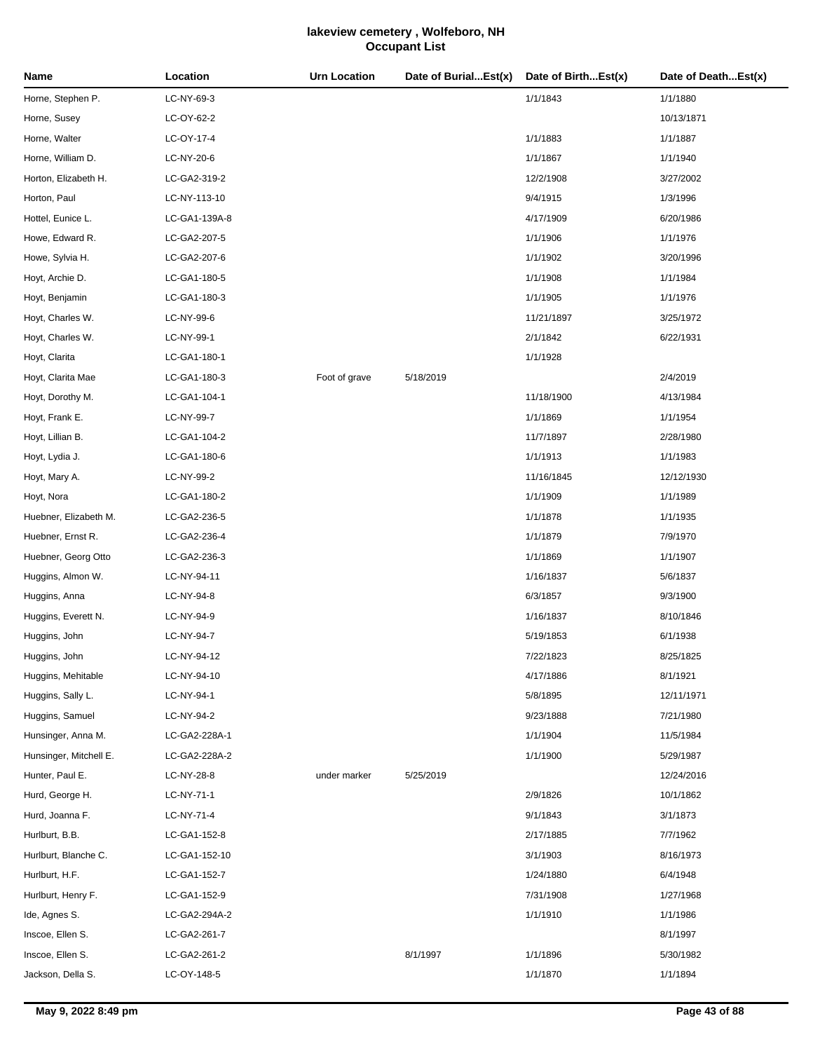| Name                   | Location      | <b>Urn Location</b> | Date of BurialEst(x) | Date of BirthEst(x) | Date of DeathEst(x) |
|------------------------|---------------|---------------------|----------------------|---------------------|---------------------|
| Horne, Stephen P.      | LC-NY-69-3    |                     |                      | 1/1/1843            | 1/1/1880            |
| Horne, Susey           | LC-OY-62-2    |                     |                      |                     | 10/13/1871          |
| Horne, Walter          | LC-OY-17-4    |                     |                      | 1/1/1883            | 1/1/1887            |
| Horne, William D.      | LC-NY-20-6    |                     |                      | 1/1/1867            | 1/1/1940            |
| Horton, Elizabeth H.   | LC-GA2-319-2  |                     |                      | 12/2/1908           | 3/27/2002           |
| Horton, Paul           | LC-NY-113-10  |                     |                      | 9/4/1915            | 1/3/1996            |
| Hottel, Eunice L.      | LC-GA1-139A-8 |                     |                      | 4/17/1909           | 6/20/1986           |
| Howe, Edward R.        | LC-GA2-207-5  |                     |                      | 1/1/1906            | 1/1/1976            |
| Howe, Sylvia H.        | LC-GA2-207-6  |                     |                      | 1/1/1902            | 3/20/1996           |
| Hoyt, Archie D.        | LC-GA1-180-5  |                     |                      | 1/1/1908            | 1/1/1984            |
| Hoyt, Benjamin         | LC-GA1-180-3  |                     |                      | 1/1/1905            | 1/1/1976            |
| Hoyt, Charles W.       | LC-NY-99-6    |                     |                      | 11/21/1897          | 3/25/1972           |
| Hoyt, Charles W.       | LC-NY-99-1    |                     |                      | 2/1/1842            | 6/22/1931           |
| Hoyt, Clarita          | LC-GA1-180-1  |                     |                      | 1/1/1928            |                     |
| Hoyt, Clarita Mae      | LC-GA1-180-3  | Foot of grave       | 5/18/2019            |                     | 2/4/2019            |
| Hoyt, Dorothy M.       | LC-GA1-104-1  |                     |                      | 11/18/1900          | 4/13/1984           |
| Hoyt, Frank E.         | LC-NY-99-7    |                     |                      | 1/1/1869            | 1/1/1954            |
| Hoyt, Lillian B.       | LC-GA1-104-2  |                     |                      | 11/7/1897           | 2/28/1980           |
| Hoyt, Lydia J.         | LC-GA1-180-6  |                     |                      | 1/1/1913            | 1/1/1983            |
| Hoyt, Mary A.          | LC-NY-99-2    |                     |                      | 11/16/1845          | 12/12/1930          |
| Hoyt, Nora             | LC-GA1-180-2  |                     |                      | 1/1/1909            | 1/1/1989            |
| Huebner, Elizabeth M.  | LC-GA2-236-5  |                     |                      | 1/1/1878            | 1/1/1935            |
| Huebner, Ernst R.      | LC-GA2-236-4  |                     |                      | 1/1/1879            | 7/9/1970            |
| Huebner, Georg Otto    | LC-GA2-236-3  |                     |                      | 1/1/1869            | 1/1/1907            |
| Huggins, Almon W.      | LC-NY-94-11   |                     |                      | 1/16/1837           | 5/6/1837            |
| Huggins, Anna          | LC-NY-94-8    |                     |                      | 6/3/1857            | 9/3/1900            |
| Huggins, Everett N.    | LC-NY-94-9    |                     |                      | 1/16/1837           | 8/10/1846           |
| Huggins, John          | LC-NY-94-7    |                     |                      | 5/19/1853           | 6/1/1938            |
| Huggins, John          | LC-NY-94-12   |                     |                      | 7/22/1823           | 8/25/1825           |
| Huggins, Mehitable     | LC-NY-94-10   |                     |                      | 4/17/1886           | 8/1/1921            |
| Huggins, Sally L.      | LC-NY-94-1    |                     |                      | 5/8/1895            | 12/11/1971          |
| Huggins, Samuel        | LC-NY-94-2    |                     |                      | 9/23/1888           | 7/21/1980           |
| Hunsinger, Anna M.     | LC-GA2-228A-1 |                     |                      | 1/1/1904            | 11/5/1984           |
| Hunsinger, Mitchell E. | LC-GA2-228A-2 |                     |                      | 1/1/1900            | 5/29/1987           |
| Hunter, Paul E.        | LC-NY-28-8    | under marker        | 5/25/2019            |                     | 12/24/2016          |
| Hurd, George H.        | LC-NY-71-1    |                     |                      | 2/9/1826            | 10/1/1862           |
| Hurd, Joanna F.        | LC-NY-71-4    |                     |                      | 9/1/1843            | 3/1/1873            |
| Hurlburt, B.B.         | LC-GA1-152-8  |                     |                      | 2/17/1885           | 7/7/1962            |
| Hurlburt, Blanche C.   | LC-GA1-152-10 |                     |                      | 3/1/1903            | 8/16/1973           |
| Hurlburt, H.F.         | LC-GA1-152-7  |                     |                      | 1/24/1880           | 6/4/1948            |
| Hurlburt, Henry F.     | LC-GA1-152-9  |                     |                      | 7/31/1908           | 1/27/1968           |
| Ide, Agnes S.          | LC-GA2-294A-2 |                     |                      | 1/1/1910            | 1/1/1986            |
| Inscoe, Ellen S.       | LC-GA2-261-7  |                     |                      |                     | 8/1/1997            |
| Inscoe, Ellen S.       | LC-GA2-261-2  |                     | 8/1/1997             | 1/1/1896            | 5/30/1982           |
| Jackson, Della S.      | LC-OY-148-5   |                     |                      | 1/1/1870            | 1/1/1894            |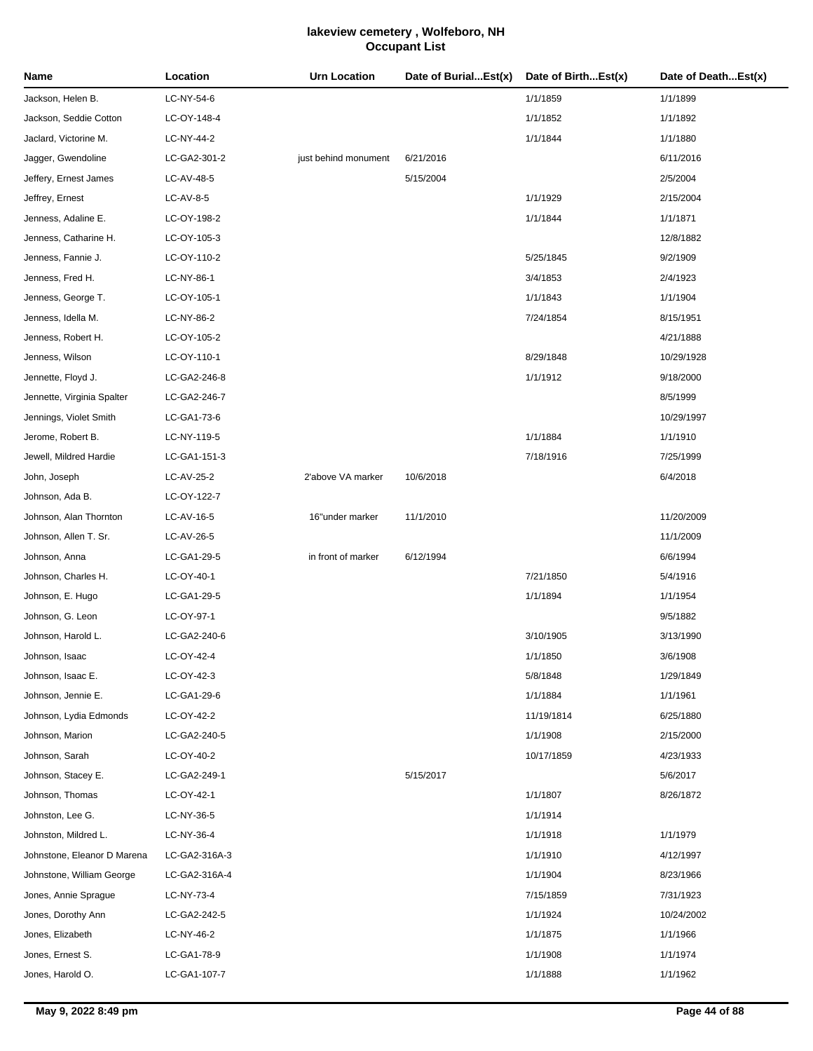| Name                        | Location      | <b>Urn Location</b>  | Date of BurialEst(x) | Date of BirthEst(x) | Date of DeathEst(x) |
|-----------------------------|---------------|----------------------|----------------------|---------------------|---------------------|
| Jackson, Helen B.           | LC-NY-54-6    |                      |                      | 1/1/1859            | 1/1/1899            |
| Jackson, Seddie Cotton      | LC-OY-148-4   |                      |                      | 1/1/1852            | 1/1/1892            |
| Jaclard, Victorine M.       | LC-NY-44-2    |                      |                      | 1/1/1844            | 1/1/1880            |
| Jagger, Gwendoline          | LC-GA2-301-2  | just behind monument | 6/21/2016            |                     | 6/11/2016           |
| Jeffery, Ernest James       | LC-AV-48-5    |                      | 5/15/2004            |                     | 2/5/2004            |
| Jeffrey, Ernest             | $LC-AV-8-5$   |                      |                      | 1/1/1929            | 2/15/2004           |
| Jenness, Adaline E.         | LC-OY-198-2   |                      |                      | 1/1/1844            | 1/1/1871            |
| Jenness, Catharine H.       | LC-OY-105-3   |                      |                      |                     | 12/8/1882           |
| Jenness, Fannie J.          | LC-OY-110-2   |                      |                      | 5/25/1845           | 9/2/1909            |
| Jenness, Fred H.            | LC-NY-86-1    |                      |                      | 3/4/1853            | 2/4/1923            |
| Jenness, George T.          | LC-OY-105-1   |                      |                      | 1/1/1843            | 1/1/1904            |
| Jenness, Idella M.          | LC-NY-86-2    |                      |                      | 7/24/1854           | 8/15/1951           |
| Jenness, Robert H.          | LC-OY-105-2   |                      |                      |                     | 4/21/1888           |
| Jenness, Wilson             | LC-OY-110-1   |                      |                      | 8/29/1848           | 10/29/1928          |
| Jennette, Floyd J.          | LC-GA2-246-8  |                      |                      | 1/1/1912            | 9/18/2000           |
| Jennette, Virginia Spalter  | LC-GA2-246-7  |                      |                      |                     | 8/5/1999            |
| Jennings, Violet Smith      | LC-GA1-73-6   |                      |                      |                     | 10/29/1997          |
| Jerome, Robert B.           | LC-NY-119-5   |                      |                      | 1/1/1884            | 1/1/1910            |
| Jewell, Mildred Hardie      | LC-GA1-151-3  |                      |                      | 7/18/1916           | 7/25/1999           |
| John, Joseph                | LC-AV-25-2    | 2'above VA marker    | 10/6/2018            |                     | 6/4/2018            |
| Johnson, Ada B.             | LC-OY-122-7   |                      |                      |                     |                     |
| Johnson, Alan Thornton      | LC-AV-16-5    | 16"under marker      | 11/1/2010            |                     | 11/20/2009          |
| Johnson, Allen T. Sr.       | LC-AV-26-5    |                      |                      |                     | 11/1/2009           |
| Johnson, Anna               | LC-GA1-29-5   | in front of marker   | 6/12/1994            |                     | 6/6/1994            |
| Johnson, Charles H.         | LC-OY-40-1    |                      |                      | 7/21/1850           | 5/4/1916            |
| Johnson, E. Hugo            | LC-GA1-29-5   |                      |                      | 1/1/1894            | 1/1/1954            |
| Johnson, G. Leon            | LC-OY-97-1    |                      |                      |                     | 9/5/1882            |
| Johnson, Harold L.          | LC-GA2-240-6  |                      |                      | 3/10/1905           | 3/13/1990           |
| Johnson, Isaac              | LC-OY-42-4    |                      |                      | 1/1/1850            | 3/6/1908            |
| Johnson, Isaac E.           | LC-OY-42-3    |                      |                      | 5/8/1848            | 1/29/1849           |
| Johnson, Jennie E.          | LC-GA1-29-6   |                      |                      | 1/1/1884            | 1/1/1961            |
| Johnson, Lydia Edmonds      | LC-OY-42-2    |                      |                      | 11/19/1814          | 6/25/1880           |
| Johnson, Marion             | LC-GA2-240-5  |                      |                      | 1/1/1908            | 2/15/2000           |
| Johnson, Sarah              | LC-OY-40-2    |                      |                      | 10/17/1859          | 4/23/1933           |
| Johnson, Stacey E.          | LC-GA2-249-1  |                      | 5/15/2017            |                     | 5/6/2017            |
| Johnson, Thomas             | LC-OY-42-1    |                      |                      | 1/1/1807            | 8/26/1872           |
| Johnston, Lee G.            | LC-NY-36-5    |                      |                      | 1/1/1914            |                     |
| Johnston, Mildred L.        | LC-NY-36-4    |                      |                      | 1/1/1918            | 1/1/1979            |
| Johnstone, Eleanor D Marena | LC-GA2-316A-3 |                      |                      | 1/1/1910            | 4/12/1997           |
| Johnstone, William George   | LC-GA2-316A-4 |                      |                      | 1/1/1904            | 8/23/1966           |
| Jones, Annie Sprague        | LC-NY-73-4    |                      |                      | 7/15/1859           | 7/31/1923           |
| Jones, Dorothy Ann          | LC-GA2-242-5  |                      |                      | 1/1/1924            | 10/24/2002          |
| Jones, Elizabeth            | LC-NY-46-2    |                      |                      | 1/1/1875            | 1/1/1966            |
| Jones, Ernest S.            | LC-GA1-78-9   |                      |                      | 1/1/1908            | 1/1/1974            |
| Jones, Harold O.            | LC-GA1-107-7  |                      |                      | 1/1/1888            | 1/1/1962            |
|                             |               |                      |                      |                     |                     |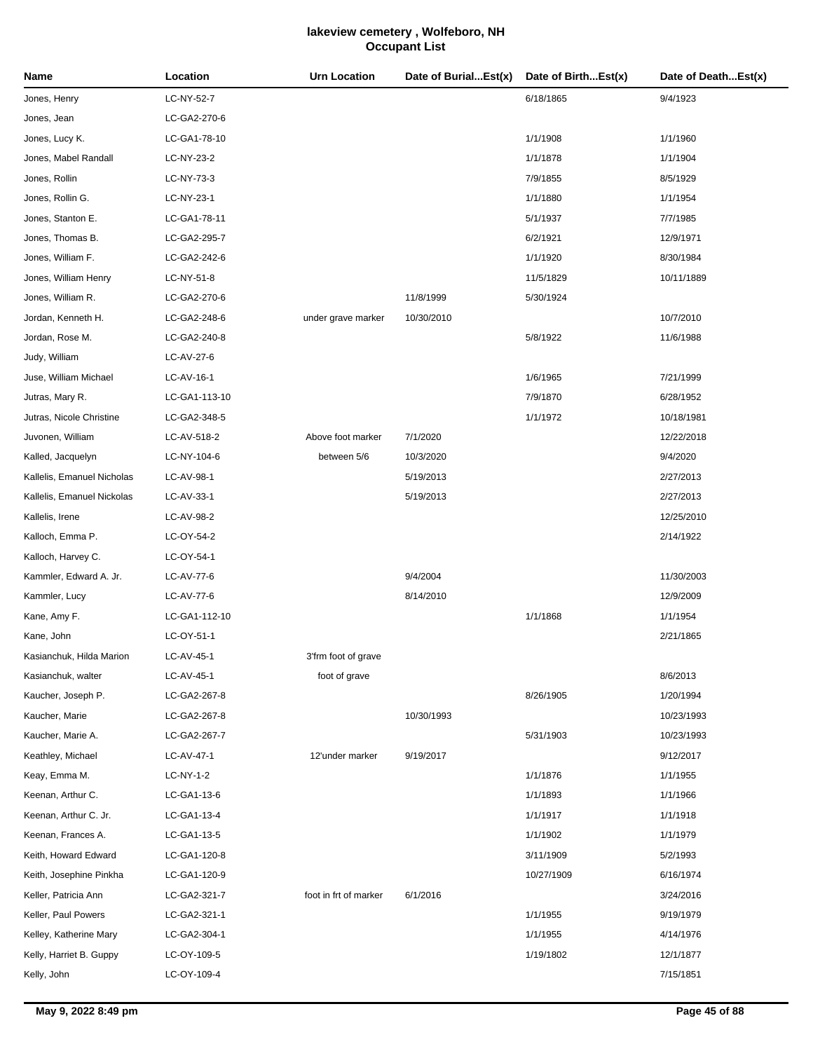| Name                       | Location      | <b>Urn Location</b>   | Date of BurialEst(x) | Date of BirthEst(x) | Date of DeathEst(x) |
|----------------------------|---------------|-----------------------|----------------------|---------------------|---------------------|
| Jones, Henry               | LC-NY-52-7    |                       |                      | 6/18/1865           | 9/4/1923            |
| Jones, Jean                | LC-GA2-270-6  |                       |                      |                     |                     |
| Jones, Lucy K.             | LC-GA1-78-10  |                       |                      | 1/1/1908            | 1/1/1960            |
| Jones, Mabel Randall       | LC-NY-23-2    |                       |                      | 1/1/1878            | 1/1/1904            |
| Jones, Rollin              | LC-NY-73-3    |                       |                      | 7/9/1855            | 8/5/1929            |
| Jones, Rollin G.           | LC-NY-23-1    |                       |                      | 1/1/1880            | 1/1/1954            |
| Jones, Stanton E.          | LC-GA1-78-11  |                       |                      | 5/1/1937            | 7/7/1985            |
| Jones, Thomas B.           | LC-GA2-295-7  |                       |                      | 6/2/1921            | 12/9/1971           |
| Jones, William F.          | LC-GA2-242-6  |                       |                      | 1/1/1920            | 8/30/1984           |
| Jones, William Henry       | LC-NY-51-8    |                       |                      | 11/5/1829           | 10/11/1889          |
| Jones, William R.          | LC-GA2-270-6  |                       | 11/8/1999            | 5/30/1924           |                     |
| Jordan, Kenneth H.         | LC-GA2-248-6  | under grave marker    | 10/30/2010           |                     | 10/7/2010           |
| Jordan, Rose M.            | LC-GA2-240-8  |                       |                      | 5/8/1922            | 11/6/1988           |
| Judy, William              | LC-AV-27-6    |                       |                      |                     |                     |
| Juse, William Michael      | LC-AV-16-1    |                       |                      | 1/6/1965            | 7/21/1999           |
| Jutras, Mary R.            | LC-GA1-113-10 |                       |                      | 7/9/1870            | 6/28/1952           |
| Jutras, Nicole Christine   | LC-GA2-348-5  |                       |                      | 1/1/1972            | 10/18/1981          |
| Juvonen, William           | LC-AV-518-2   | Above foot marker     | 7/1/2020             |                     | 12/22/2018          |
| Kalled, Jacquelyn          | LC-NY-104-6   | between 5/6           | 10/3/2020            |                     | 9/4/2020            |
| Kallelis, Emanuel Nicholas | LC-AV-98-1    |                       | 5/19/2013            |                     | 2/27/2013           |
| Kallelis, Emanuel Nickolas | LC-AV-33-1    |                       | 5/19/2013            |                     | 2/27/2013           |
| Kallelis, Irene            | LC-AV-98-2    |                       |                      |                     | 12/25/2010          |
| Kalloch, Emma P.           | LC-OY-54-2    |                       |                      |                     | 2/14/1922           |
| Kalloch, Harvey C.         | LC-OY-54-1    |                       |                      |                     |                     |
| Kammler, Edward A. Jr.     | LC-AV-77-6    |                       | 9/4/2004             |                     | 11/30/2003          |
| Kammler, Lucy              | LC-AV-77-6    |                       | 8/14/2010            |                     | 12/9/2009           |
| Kane, Amy F.               | LC-GA1-112-10 |                       |                      | 1/1/1868            | 1/1/1954            |
| Kane, John                 | LC-OY-51-1    |                       |                      |                     | 2/21/1865           |
| Kasianchuk, Hilda Marion   | LC-AV-45-1    | 3'frm foot of grave   |                      |                     |                     |
| Kasianchuk, walter         | LC-AV-45-1    | foot of grave         |                      |                     | 8/6/2013            |
| Kaucher, Joseph P.         | LC-GA2-267-8  |                       |                      | 8/26/1905           | 1/20/1994           |
| Kaucher, Marie             | LC-GA2-267-8  |                       | 10/30/1993           |                     | 10/23/1993          |
| Kaucher, Marie A.          | LC-GA2-267-7  |                       |                      | 5/31/1903           | 10/23/1993          |
| Keathley, Michael          | LC-AV-47-1    | 12'under marker       | 9/19/2017            |                     | 9/12/2017           |
| Keay, Emma M.              | LC-NY-1-2     |                       |                      | 1/1/1876            | 1/1/1955            |
| Keenan, Arthur C.          | LC-GA1-13-6   |                       |                      | 1/1/1893            | 1/1/1966            |
| Keenan, Arthur C. Jr.      | LC-GA1-13-4   |                       |                      | 1/1/1917            | 1/1/1918            |
| Keenan, Frances A.         | LC-GA1-13-5   |                       |                      | 1/1/1902            | 1/1/1979            |
| Keith, Howard Edward       | LC-GA1-120-8  |                       |                      | 3/11/1909           | 5/2/1993            |
| Keith, Josephine Pinkha    | LC-GA1-120-9  |                       |                      | 10/27/1909          | 6/16/1974           |
| Keller, Patricia Ann       | LC-GA2-321-7  | foot in frt of marker | 6/1/2016             |                     | 3/24/2016           |
| Keller, Paul Powers        | LC-GA2-321-1  |                       |                      | 1/1/1955            | 9/19/1979           |
| Kelley, Katherine Mary     | LC-GA2-304-1  |                       |                      | 1/1/1955            | 4/14/1976           |
| Kelly, Harriet B. Guppy    | LC-OY-109-5   |                       |                      | 1/19/1802           | 12/1/1877           |
| Kelly, John                | LC-OY-109-4   |                       |                      |                     | 7/15/1851           |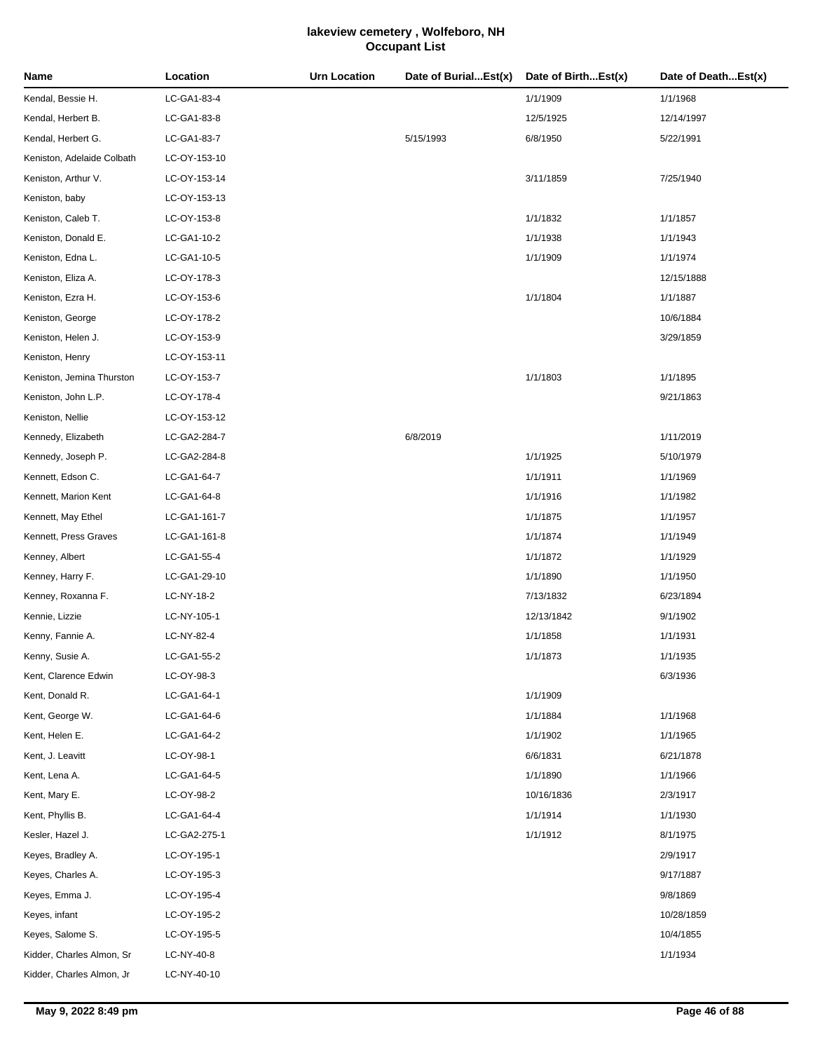| Name                       | Location     | <b>Urn Location</b> | Date of BurialEst(x) | Date of BirthEst(x) | Date of DeathEst(x) |
|----------------------------|--------------|---------------------|----------------------|---------------------|---------------------|
| Kendal, Bessie H.          | LC-GA1-83-4  |                     |                      | 1/1/1909            | 1/1/1968            |
| Kendal, Herbert B.         | LC-GA1-83-8  |                     |                      | 12/5/1925           | 12/14/1997          |
| Kendal, Herbert G.         | LC-GA1-83-7  |                     | 5/15/1993            | 6/8/1950            | 5/22/1991           |
| Keniston, Adelaide Colbath | LC-OY-153-10 |                     |                      |                     |                     |
| Keniston, Arthur V.        | LC-OY-153-14 |                     |                      | 3/11/1859           | 7/25/1940           |
| Keniston, baby             | LC-OY-153-13 |                     |                      |                     |                     |
| Keniston, Caleb T.         | LC-OY-153-8  |                     |                      | 1/1/1832            | 1/1/1857            |
| Keniston, Donald E.        | LC-GA1-10-2  |                     |                      | 1/1/1938            | 1/1/1943            |
| Keniston, Edna L.          | LC-GA1-10-5  |                     |                      | 1/1/1909            | 1/1/1974            |
| Keniston, Eliza A.         | LC-OY-178-3  |                     |                      |                     | 12/15/1888          |
| Keniston, Ezra H.          | LC-OY-153-6  |                     |                      | 1/1/1804            | 1/1/1887            |
| Keniston, George           | LC-OY-178-2  |                     |                      |                     | 10/6/1884           |
| Keniston, Helen J.         | LC-OY-153-9  |                     |                      |                     | 3/29/1859           |
| Keniston, Henry            | LC-OY-153-11 |                     |                      |                     |                     |
| Keniston, Jemina Thurston  | LC-OY-153-7  |                     |                      | 1/1/1803            | 1/1/1895            |
| Keniston, John L.P.        | LC-OY-178-4  |                     |                      |                     | 9/21/1863           |
| Keniston, Nellie           | LC-OY-153-12 |                     |                      |                     |                     |
| Kennedy, Elizabeth         | LC-GA2-284-7 |                     | 6/8/2019             |                     | 1/11/2019           |
| Kennedy, Joseph P.         | LC-GA2-284-8 |                     |                      | 1/1/1925            | 5/10/1979           |
| Kennett, Edson C.          | LC-GA1-64-7  |                     |                      | 1/1/1911            | 1/1/1969            |
| Kennett, Marion Kent       | LC-GA1-64-8  |                     |                      | 1/1/1916            | 1/1/1982            |
| Kennett, May Ethel         | LC-GA1-161-7 |                     |                      | 1/1/1875            | 1/1/1957            |
| Kennett, Press Graves      | LC-GA1-161-8 |                     |                      | 1/1/1874            | 1/1/1949            |
| Kenney, Albert             | LC-GA1-55-4  |                     |                      | 1/1/1872            | 1/1/1929            |
| Kenney, Harry F.           | LC-GA1-29-10 |                     |                      | 1/1/1890            | 1/1/1950            |
| Kenney, Roxanna F.         | LC-NY-18-2   |                     |                      | 7/13/1832           | 6/23/1894           |
| Kennie, Lizzie             | LC-NY-105-1  |                     |                      | 12/13/1842          | 9/1/1902            |
| Kenny, Fannie A.           | LC-NY-82-4   |                     |                      | 1/1/1858            | 1/1/1931            |
| Kenny, Susie A.            | LC-GA1-55-2  |                     |                      | 1/1/1873            | 1/1/1935            |
| Kent, Clarence Edwin       | LC-OY-98-3   |                     |                      |                     | 6/3/1936            |
| Kent, Donald R.            | LC-GA1-64-1  |                     |                      | 1/1/1909            |                     |
| Kent, George W.            | LC-GA1-64-6  |                     |                      | 1/1/1884            | 1/1/1968            |
| Kent, Helen E.             | LC-GA1-64-2  |                     |                      | 1/1/1902            | 1/1/1965            |
| Kent, J. Leavitt           | LC-OY-98-1   |                     |                      | 6/6/1831            | 6/21/1878           |
| Kent, Lena A.              | LC-GA1-64-5  |                     |                      | 1/1/1890            | 1/1/1966            |
| Kent, Mary E.              | LC-OY-98-2   |                     |                      | 10/16/1836          | 2/3/1917            |
| Kent, Phyllis B.           | LC-GA1-64-4  |                     |                      | 1/1/1914            | 1/1/1930            |
| Kesler, Hazel J.           | LC-GA2-275-1 |                     |                      | 1/1/1912            | 8/1/1975            |
| Keyes, Bradley A.          | LC-OY-195-1  |                     |                      |                     | 2/9/1917            |
| Keyes, Charles A.          | LC-OY-195-3  |                     |                      |                     | 9/17/1887           |
| Keyes, Emma J.             | LC-OY-195-4  |                     |                      |                     | 9/8/1869            |
| Keyes, infant              | LC-OY-195-2  |                     |                      |                     | 10/28/1859          |
| Keyes, Salome S.           | LC-OY-195-5  |                     |                      |                     | 10/4/1855           |
| Kidder, Charles Almon, Sr  | LC-NY-40-8   |                     |                      |                     | 1/1/1934            |
| Kidder, Charles Almon, Jr  | LC-NY-40-10  |                     |                      |                     |                     |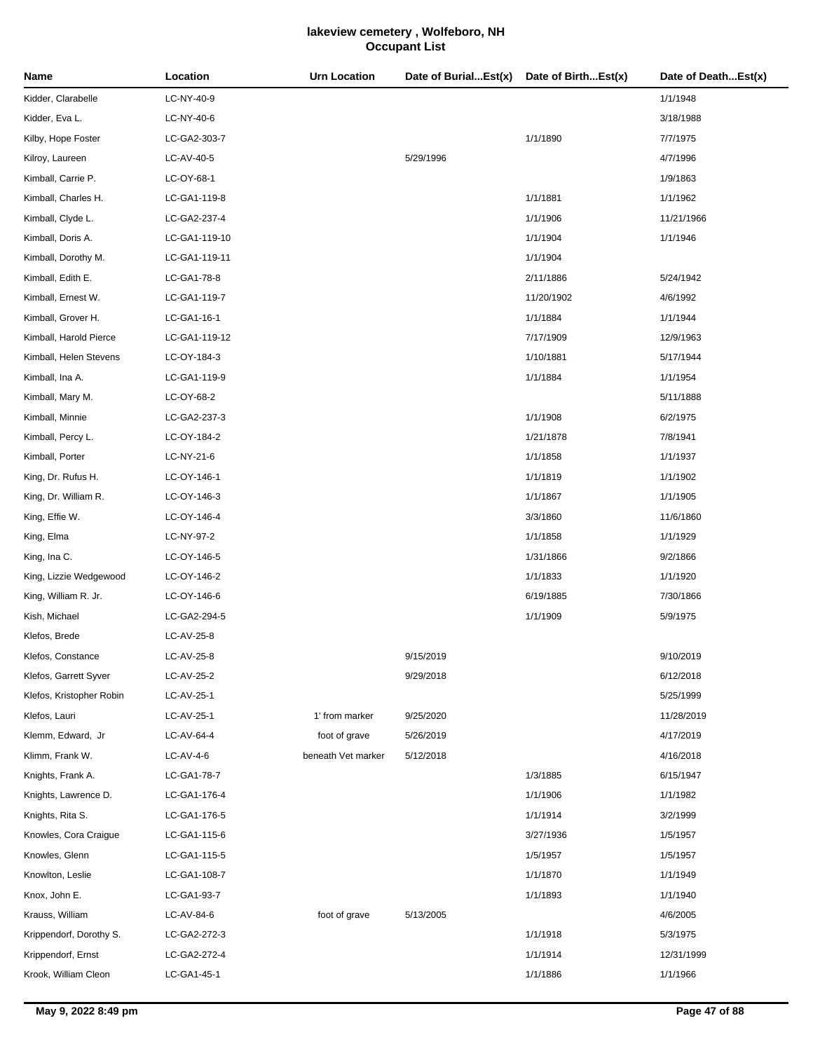| Name                     | Location      | <b>Urn Location</b> | Date of BurialEst(x) | Date of BirthEst(x) | Date of DeathEst(x) |
|--------------------------|---------------|---------------------|----------------------|---------------------|---------------------|
| Kidder, Clarabelle       | LC-NY-40-9    |                     |                      |                     | 1/1/1948            |
| Kidder, Eva L.           | LC-NY-40-6    |                     |                      |                     | 3/18/1988           |
| Kilby, Hope Foster       | LC-GA2-303-7  |                     |                      | 1/1/1890            | 7/7/1975            |
| Kilroy, Laureen          | LC-AV-40-5    |                     | 5/29/1996            |                     | 4/7/1996            |
| Kimball, Carrie P.       | LC-OY-68-1    |                     |                      |                     | 1/9/1863            |
| Kimball, Charles H.      | LC-GA1-119-8  |                     |                      | 1/1/1881            | 1/1/1962            |
| Kimball, Clyde L.        | LC-GA2-237-4  |                     |                      | 1/1/1906            | 11/21/1966          |
| Kimball, Doris A.        | LC-GA1-119-10 |                     |                      | 1/1/1904            | 1/1/1946            |
| Kimball, Dorothy M.      | LC-GA1-119-11 |                     |                      | 1/1/1904            |                     |
| Kimball, Edith E.        | LC-GA1-78-8   |                     |                      | 2/11/1886           | 5/24/1942           |
| Kimball, Ernest W.       | LC-GA1-119-7  |                     |                      | 11/20/1902          | 4/6/1992            |
| Kimball, Grover H.       | LC-GA1-16-1   |                     |                      | 1/1/1884            | 1/1/1944            |
| Kimball, Harold Pierce   | LC-GA1-119-12 |                     |                      | 7/17/1909           | 12/9/1963           |
| Kimball, Helen Stevens   | LC-OY-184-3   |                     |                      | 1/10/1881           | 5/17/1944           |
| Kimball, Ina A.          | LC-GA1-119-9  |                     |                      | 1/1/1884            | 1/1/1954            |
| Kimball, Mary M.         | LC-OY-68-2    |                     |                      |                     | 5/11/1888           |
| Kimball, Minnie          | LC-GA2-237-3  |                     |                      | 1/1/1908            | 6/2/1975            |
| Kimball, Percy L.        | LC-OY-184-2   |                     |                      | 1/21/1878           | 7/8/1941            |
| Kimball, Porter          | LC-NY-21-6    |                     |                      | 1/1/1858            | 1/1/1937            |
| King, Dr. Rufus H.       | LC-OY-146-1   |                     |                      | 1/1/1819            | 1/1/1902            |
| King, Dr. William R.     | LC-OY-146-3   |                     |                      | 1/1/1867            | 1/1/1905            |
| King, Effie W.           | LC-OY-146-4   |                     |                      | 3/3/1860            | 11/6/1860           |
| King, Elma               | LC-NY-97-2    |                     |                      | 1/1/1858            | 1/1/1929            |
| King, Ina C.             | LC-OY-146-5   |                     |                      | 1/31/1866           | 9/2/1866            |
| King, Lizzie Wedgewood   | LC-OY-146-2   |                     |                      | 1/1/1833            | 1/1/1920            |
| King, William R. Jr.     | LC-OY-146-6   |                     |                      | 6/19/1885           | 7/30/1866           |
| Kish, Michael            | LC-GA2-294-5  |                     |                      | 1/1/1909            | 5/9/1975            |
| Klefos, Brede            | LC-AV-25-8    |                     |                      |                     |                     |
| Klefos, Constance        | LC-AV-25-8    |                     | 9/15/2019            |                     | 9/10/2019           |
| Klefos, Garrett Syver    | LC-AV-25-2    |                     | 9/29/2018            |                     | 6/12/2018           |
| Klefos, Kristopher Robin | LC-AV-25-1    |                     |                      |                     | 5/25/1999           |
| Klefos, Lauri            | LC-AV-25-1    | 1' from marker      | 9/25/2020            |                     | 11/28/2019          |
| Klemm, Edward, Jr        | LC-AV-64-4    | foot of grave       | 5/26/2019            |                     | 4/17/2019           |
| Klimm, Frank W.          | $LC-AV-4-6$   | beneath Vet marker  | 5/12/2018            |                     | 4/16/2018           |
| Knights, Frank A.        | LC-GA1-78-7   |                     |                      | 1/3/1885            | 6/15/1947           |
| Knights, Lawrence D.     | LC-GA1-176-4  |                     |                      | 1/1/1906            | 1/1/1982            |
| Knights, Rita S.         | LC-GA1-176-5  |                     |                      | 1/1/1914            | 3/2/1999            |
| Knowles, Cora Craigue    | LC-GA1-115-6  |                     |                      | 3/27/1936           | 1/5/1957            |
| Knowles, Glenn           | LC-GA1-115-5  |                     |                      | 1/5/1957            | 1/5/1957            |
| Knowlton, Leslie         | LC-GA1-108-7  |                     |                      | 1/1/1870            | 1/1/1949            |
| Knox, John E.            | LC-GA1-93-7   |                     |                      | 1/1/1893            | 1/1/1940            |
| Krauss, William          | LC-AV-84-6    | foot of grave       | 5/13/2005            |                     | 4/6/2005            |
| Krippendorf, Dorothy S.  | LC-GA2-272-3  |                     |                      | 1/1/1918            | 5/3/1975            |
| Krippendorf, Ernst       | LC-GA2-272-4  |                     |                      | 1/1/1914            | 12/31/1999          |
| Krook, William Cleon     | LC-GA1-45-1   |                     |                      | 1/1/1886            | 1/1/1966            |
|                          |               |                     |                      |                     |                     |

÷.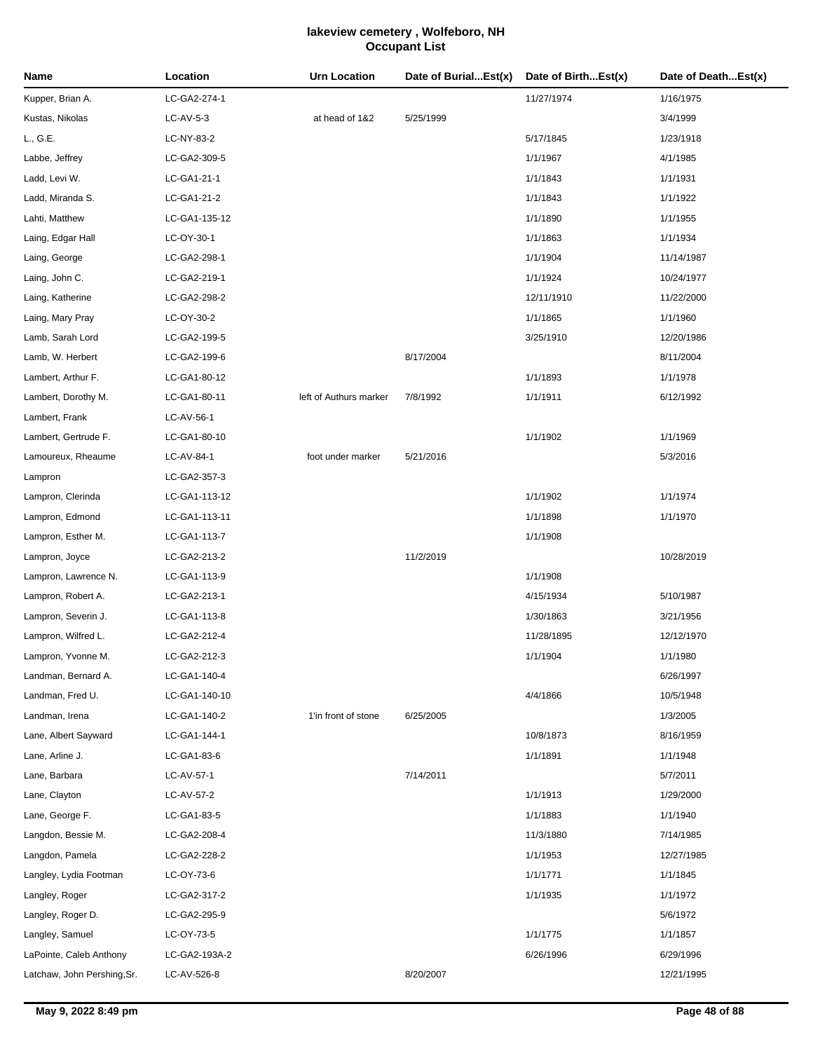| Name                        | Location      | Urn Location           | Date of BurialEst(x) | Date of BirthEst(x) | Date of DeathEst(x) |
|-----------------------------|---------------|------------------------|----------------------|---------------------|---------------------|
| Kupper, Brian A.            | LC-GA2-274-1  |                        |                      | 11/27/1974          | 1/16/1975           |
| Kustas, Nikolas             | $LC-AV-5-3$   | at head of 1&2         | 5/25/1999            |                     | 3/4/1999            |
| L., G.E.                    | LC-NY-83-2    |                        |                      | 5/17/1845           | 1/23/1918           |
| Labbe, Jeffrey              | LC-GA2-309-5  |                        |                      | 1/1/1967            | 4/1/1985            |
| Ladd, Levi W.               | LC-GA1-21-1   |                        |                      | 1/1/1843            | 1/1/1931            |
| Ladd, Miranda S.            | LC-GA1-21-2   |                        |                      | 1/1/1843            | 1/1/1922            |
| Lahti, Matthew              | LC-GA1-135-12 |                        |                      | 1/1/1890            | 1/1/1955            |
| Laing, Edgar Hall           | LC-OY-30-1    |                        |                      | 1/1/1863            | 1/1/1934            |
| Laing, George               | LC-GA2-298-1  |                        |                      | 1/1/1904            | 11/14/1987          |
| Laing, John C.              | LC-GA2-219-1  |                        |                      | 1/1/1924            | 10/24/1977          |
| Laing, Katherine            | LC-GA2-298-2  |                        |                      | 12/11/1910          | 11/22/2000          |
| Laing, Mary Pray            | LC-OY-30-2    |                        |                      | 1/1/1865            | 1/1/1960            |
| Lamb, Sarah Lord            | LC-GA2-199-5  |                        |                      | 3/25/1910           | 12/20/1986          |
| Lamb, W. Herbert            | LC-GA2-199-6  |                        | 8/17/2004            |                     | 8/11/2004           |
| Lambert, Arthur F.          | LC-GA1-80-12  |                        |                      | 1/1/1893            | 1/1/1978            |
| Lambert, Dorothy M.         | LC-GA1-80-11  | left of Authurs marker | 7/8/1992             | 1/1/1911            | 6/12/1992           |
| Lambert, Frank              | LC-AV-56-1    |                        |                      |                     |                     |
| Lambert, Gertrude F.        | LC-GA1-80-10  |                        |                      | 1/1/1902            | 1/1/1969            |
| Lamoureux, Rheaume          | LC-AV-84-1    | foot under marker      | 5/21/2016            |                     | 5/3/2016            |
| Lampron                     | LC-GA2-357-3  |                        |                      |                     |                     |
| Lampron, Clerinda           | LC-GA1-113-12 |                        |                      | 1/1/1902            | 1/1/1974            |
| Lampron, Edmond             | LC-GA1-113-11 |                        |                      | 1/1/1898            | 1/1/1970            |
| Lampron, Esther M.          | LC-GA1-113-7  |                        |                      | 1/1/1908            |                     |
| Lampron, Joyce              | LC-GA2-213-2  |                        | 11/2/2019            |                     | 10/28/2019          |
| Lampron, Lawrence N.        | LC-GA1-113-9  |                        |                      | 1/1/1908            |                     |
| Lampron, Robert A.          | LC-GA2-213-1  |                        |                      | 4/15/1934           | 5/10/1987           |
| Lampron, Severin J.         | LC-GA1-113-8  |                        |                      | 1/30/1863           | 3/21/1956           |
| Lampron, Wilfred L.         | LC-GA2-212-4  |                        |                      | 11/28/1895          | 12/12/1970          |
| Lampron, Yvonne M.          | LC-GA2-212-3  |                        |                      | 1/1/1904            | 1/1/1980            |
| Landman, Bernard A.         | LC-GA1-140-4  |                        |                      |                     | 6/26/1997           |
| Landman, Fred U.            | LC-GA1-140-10 |                        |                      | 4/4/1866            | 10/5/1948           |
| Landman, Irena              | LC-GA1-140-2  | 1'in front of stone    | 6/25/2005            |                     | 1/3/2005            |
| Lane, Albert Sayward        | LC-GA1-144-1  |                        |                      | 10/8/1873           | 8/16/1959           |
| Lane, Arline J.             | LC-GA1-83-6   |                        |                      | 1/1/1891            | 1/1/1948            |
| Lane, Barbara               | LC-AV-57-1    |                        | 7/14/2011            |                     | 5/7/2011            |
| Lane, Clayton               | LC-AV-57-2    |                        |                      | 1/1/1913            | 1/29/2000           |
| Lane, George F.             | LC-GA1-83-5   |                        |                      | 1/1/1883            | 1/1/1940            |
| Langdon, Bessie M.          | LC-GA2-208-4  |                        |                      | 11/3/1880           | 7/14/1985           |
| Langdon, Pamela             | LC-GA2-228-2  |                        |                      | 1/1/1953            | 12/27/1985          |
| Langley, Lydia Footman      | LC-OY-73-6    |                        |                      | 1/1/1771            | 1/1/1845            |
| Langley, Roger              | LC-GA2-317-2  |                        |                      | 1/1/1935            | 1/1/1972            |
| Langley, Roger D.           | LC-GA2-295-9  |                        |                      |                     | 5/6/1972            |
| Langley, Samuel             | LC-OY-73-5    |                        |                      | 1/1/1775            | 1/1/1857            |
| LaPointe, Caleb Anthony     | LC-GA2-193A-2 |                        |                      | 6/26/1996           | 6/29/1996           |
| Latchaw, John Pershing, Sr. | LC-AV-526-8   |                        | 8/20/2007            |                     | 12/21/1995          |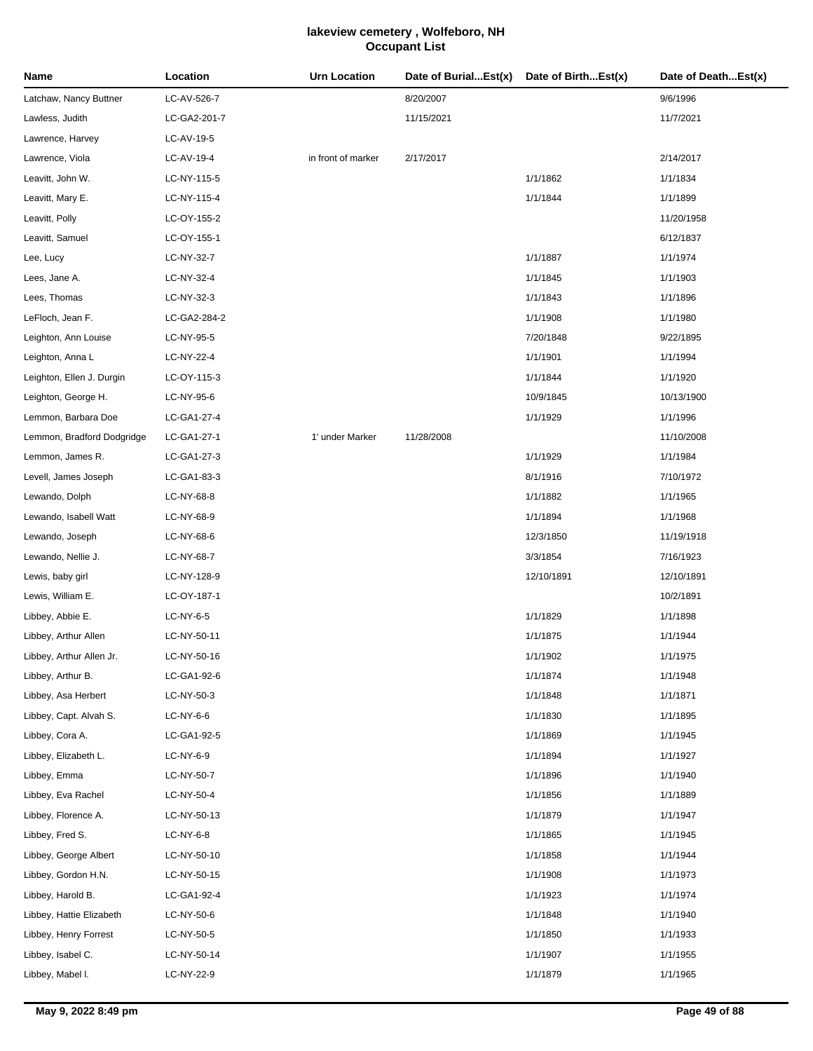| Name                       | Location     | <b>Urn Location</b> | Date of BurialEst(x) | Date of BirthEst(x) | Date of DeathEst(x) |
|----------------------------|--------------|---------------------|----------------------|---------------------|---------------------|
| Latchaw, Nancy Buttner     | LC-AV-526-7  |                     | 8/20/2007            |                     | 9/6/1996            |
| Lawless, Judith            | LC-GA2-201-7 |                     | 11/15/2021           |                     | 11/7/2021           |
| Lawrence, Harvey           | LC-AV-19-5   |                     |                      |                     |                     |
| Lawrence, Viola            | LC-AV-19-4   | in front of marker  | 2/17/2017            |                     | 2/14/2017           |
| Leavitt, John W.           | LC-NY-115-5  |                     |                      | 1/1/1862            | 1/1/1834            |
| Leavitt, Mary E.           | LC-NY-115-4  |                     |                      | 1/1/1844            | 1/1/1899            |
| Leavitt, Polly             | LC-OY-155-2  |                     |                      |                     | 11/20/1958          |
| Leavitt, Samuel            | LC-OY-155-1  |                     |                      |                     | 6/12/1837           |
| Lee, Lucy                  | LC-NY-32-7   |                     |                      | 1/1/1887            | 1/1/1974            |
| Lees, Jane A.              | LC-NY-32-4   |                     |                      | 1/1/1845            | 1/1/1903            |
| Lees, Thomas               | LC-NY-32-3   |                     |                      | 1/1/1843            | 1/1/1896            |
| LeFloch, Jean F.           | LC-GA2-284-2 |                     |                      | 1/1/1908            | 1/1/1980            |
| Leighton, Ann Louise       | LC-NY-95-5   |                     |                      | 7/20/1848           | 9/22/1895           |
| Leighton, Anna L           | LC-NY-22-4   |                     |                      | 1/1/1901            | 1/1/1994            |
| Leighton, Ellen J. Durgin  | LC-OY-115-3  |                     |                      | 1/1/1844            | 1/1/1920            |
| Leighton, George H.        | LC-NY-95-6   |                     |                      | 10/9/1845           | 10/13/1900          |
| Lemmon, Barbara Doe        | LC-GA1-27-4  |                     |                      | 1/1/1929            | 1/1/1996            |
| Lemmon, Bradford Dodgridge | LC-GA1-27-1  | 1' under Marker     | 11/28/2008           |                     | 11/10/2008          |
| Lemmon, James R.           | LC-GA1-27-3  |                     |                      | 1/1/1929            | 1/1/1984            |
| Levell, James Joseph       | LC-GA1-83-3  |                     |                      | 8/1/1916            | 7/10/1972           |
| Lewando, Dolph             | LC-NY-68-8   |                     |                      | 1/1/1882            | 1/1/1965            |
| Lewando, Isabell Watt      | LC-NY-68-9   |                     |                      | 1/1/1894            | 1/1/1968            |
| Lewando, Joseph            | LC-NY-68-6   |                     |                      | 12/3/1850           | 11/19/1918          |
| Lewando, Nellie J.         | LC-NY-68-7   |                     |                      | 3/3/1854            | 7/16/1923           |
| Lewis, baby girl           | LC-NY-128-9  |                     |                      | 12/10/1891          | 12/10/1891          |
| Lewis, William E.          | LC-OY-187-1  |                     |                      |                     | 10/2/1891           |
| Libbey, Abbie E.           | LC-NY-6-5    |                     |                      | 1/1/1829            | 1/1/1898            |
| Libbey, Arthur Allen       | LC-NY-50-11  |                     |                      | 1/1/1875            | 1/1/1944            |
| Libbey, Arthur Allen Jr.   | LC-NY-50-16  |                     |                      | 1/1/1902            | 1/1/1975            |
| Libbey, Arthur B.          | LC-GA1-92-6  |                     |                      | 1/1/1874            | 1/1/1948            |
| Libbey, Asa Herbert        | LC-NY-50-3   |                     |                      | 1/1/1848            | 1/1/1871            |
| Libbey, Capt. Alvah S.     | $LC-NY-6-6$  |                     |                      | 1/1/1830            | 1/1/1895            |
| Libbey, Cora A.            | LC-GA1-92-5  |                     |                      | 1/1/1869            | 1/1/1945            |
| Libbey, Elizabeth L.       | LC-NY-6-9    |                     |                      | 1/1/1894            | 1/1/1927            |
| Libbey, Emma               | LC-NY-50-7   |                     |                      | 1/1/1896            | 1/1/1940            |
| Libbey, Eva Rachel         | LC-NY-50-4   |                     |                      | 1/1/1856            | 1/1/1889            |
| Libbey, Florence A.        | LC-NY-50-13  |                     |                      | 1/1/1879            | 1/1/1947            |
| Libbey, Fred S.            | LC-NY-6-8    |                     |                      | 1/1/1865            | 1/1/1945            |
| Libbey, George Albert      | LC-NY-50-10  |                     |                      | 1/1/1858            | 1/1/1944            |
| Libbey, Gordon H.N.        | LC-NY-50-15  |                     |                      | 1/1/1908            | 1/1/1973            |
| Libbey, Harold B.          | LC-GA1-92-4  |                     |                      | 1/1/1923            | 1/1/1974            |
| Libbey, Hattie Elizabeth   | LC-NY-50-6   |                     |                      | 1/1/1848            | 1/1/1940            |
| Libbey, Henry Forrest      | LC-NY-50-5   |                     |                      | 1/1/1850            | 1/1/1933            |
| Libbey, Isabel C.          | LC-NY-50-14  |                     |                      | 1/1/1907            | 1/1/1955            |
| Libbey, Mabel I.           | LC-NY-22-9   |                     |                      | 1/1/1879            | 1/1/1965            |

J.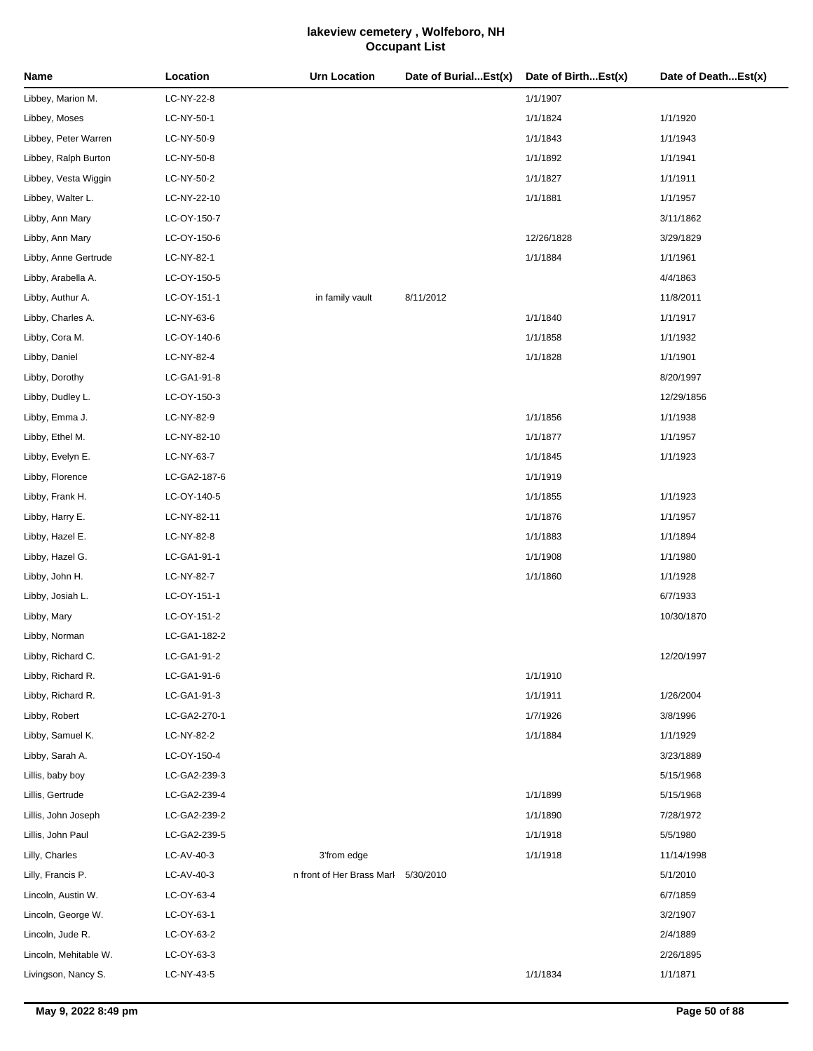| Name                  | Location     | <b>Urn Location</b>                 | Date of BurialEst(x) | Date of BirthEst(x) | Date of DeathEst(x) |
|-----------------------|--------------|-------------------------------------|----------------------|---------------------|---------------------|
| Libbey, Marion M.     | LC-NY-22-8   |                                     |                      | 1/1/1907            |                     |
| Libbey, Moses         | LC-NY-50-1   |                                     |                      | 1/1/1824            | 1/1/1920            |
| Libbey, Peter Warren  | LC-NY-50-9   |                                     |                      | 1/1/1843            | 1/1/1943            |
| Libbey, Ralph Burton  | LC-NY-50-8   |                                     |                      | 1/1/1892            | 1/1/1941            |
| Libbey, Vesta Wiggin  | LC-NY-50-2   |                                     |                      | 1/1/1827            | 1/1/1911            |
| Libbey, Walter L.     | LC-NY-22-10  |                                     |                      | 1/1/1881            | 1/1/1957            |
| Libby, Ann Mary       | LC-OY-150-7  |                                     |                      |                     | 3/11/1862           |
| Libby, Ann Mary       | LC-OY-150-6  |                                     |                      | 12/26/1828          | 3/29/1829           |
| Libby, Anne Gertrude  | LC-NY-82-1   |                                     |                      | 1/1/1884            | 1/1/1961            |
| Libby, Arabella A.    | LC-OY-150-5  |                                     |                      |                     | 4/4/1863            |
| Libby, Authur A.      | LC-OY-151-1  | in family vault                     | 8/11/2012            |                     | 11/8/2011           |
| Libby, Charles A.     | LC-NY-63-6   |                                     |                      | 1/1/1840            | 1/1/1917            |
| Libby, Cora M.        | LC-OY-140-6  |                                     |                      | 1/1/1858            | 1/1/1932            |
| Libby, Daniel         | LC-NY-82-4   |                                     |                      | 1/1/1828            | 1/1/1901            |
| Libby, Dorothy        | LC-GA1-91-8  |                                     |                      |                     | 8/20/1997           |
| Libby, Dudley L.      | LC-OY-150-3  |                                     |                      |                     | 12/29/1856          |
| Libby, Emma J.        | LC-NY-82-9   |                                     |                      | 1/1/1856            | 1/1/1938            |
| Libby, Ethel M.       | LC-NY-82-10  |                                     |                      | 1/1/1877            | 1/1/1957            |
| Libby, Evelyn E.      | LC-NY-63-7   |                                     |                      | 1/1/1845            | 1/1/1923            |
| Libby, Florence       | LC-GA2-187-6 |                                     |                      | 1/1/1919            |                     |
| Libby, Frank H.       | LC-OY-140-5  |                                     |                      | 1/1/1855            | 1/1/1923            |
| Libby, Harry E.       | LC-NY-82-11  |                                     |                      | 1/1/1876            | 1/1/1957            |
| Libby, Hazel E.       | LC-NY-82-8   |                                     |                      | 1/1/1883            | 1/1/1894            |
| Libby, Hazel G.       | LC-GA1-91-1  |                                     |                      | 1/1/1908            | 1/1/1980            |
| Libby, John H.        | LC-NY-82-7   |                                     |                      | 1/1/1860            | 1/1/1928            |
| Libby, Josiah L.      | LC-OY-151-1  |                                     |                      |                     | 6/7/1933            |
| Libby, Mary           | LC-OY-151-2  |                                     |                      |                     | 10/30/1870          |
| Libby, Norman         | LC-GA1-182-2 |                                     |                      |                     |                     |
| Libby, Richard C.     | LC-GA1-91-2  |                                     |                      |                     | 12/20/1997          |
| Libby, Richard R.     | LC-GA1-91-6  |                                     |                      | 1/1/1910            |                     |
| Libby, Richard R.     | LC-GA1-91-3  |                                     |                      | 1/1/1911            | 1/26/2004           |
| Libby, Robert         | LC-GA2-270-1 |                                     |                      | 1/7/1926            | 3/8/1996            |
| Libby, Samuel K.      | LC-NY-82-2   |                                     |                      | 1/1/1884            | 1/1/1929            |
| Libby, Sarah A.       | LC-OY-150-4  |                                     |                      |                     | 3/23/1889           |
| Lillis, baby boy      | LC-GA2-239-3 |                                     |                      |                     | 5/15/1968           |
| Lillis, Gertrude      | LC-GA2-239-4 |                                     |                      | 1/1/1899            | 5/15/1968           |
| Lillis, John Joseph   | LC-GA2-239-2 |                                     |                      | 1/1/1890            | 7/28/1972           |
| Lillis, John Paul     | LC-GA2-239-5 |                                     |                      | 1/1/1918            | 5/5/1980            |
| Lilly, Charles        | LC-AV-40-3   | 3'from edge                         |                      | 1/1/1918            | 11/14/1998          |
| Lilly, Francis P.     | LC-AV-40-3   | n front of Her Brass Marl 5/30/2010 |                      |                     | 5/1/2010            |
| Lincoln, Austin W.    | LC-OY-63-4   |                                     |                      |                     | 6/7/1859            |
| Lincoln, George W.    | LC-OY-63-1   |                                     |                      |                     | 3/2/1907            |
| Lincoln, Jude R.      | LC-OY-63-2   |                                     |                      |                     | 2/4/1889            |
| Lincoln, Mehitable W. | LC-OY-63-3   |                                     |                      |                     | 2/26/1895           |
| Livingson, Nancy S.   | LC-NY-43-5   |                                     |                      | 1/1/1834            | 1/1/1871            |
|                       |              |                                     |                      |                     |                     |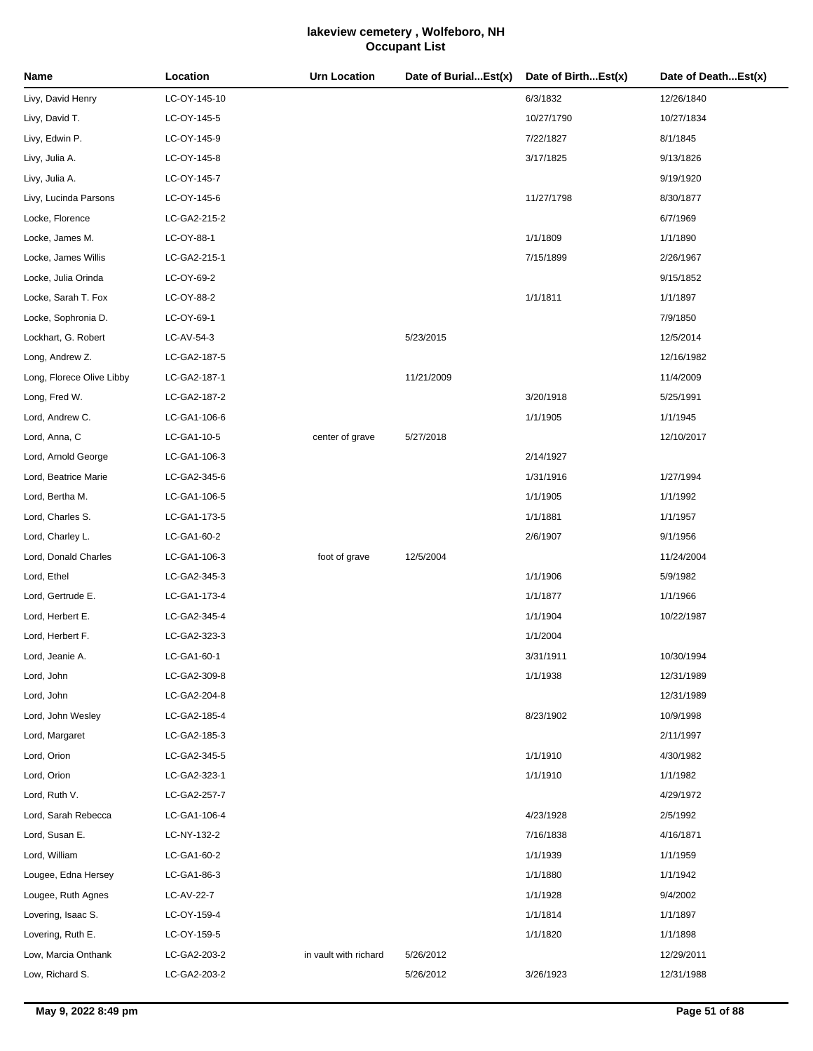| Name                      | Location     | <b>Urn Location</b>   | Date of BurialEst(x) | Date of BirthEst(x) | Date of DeathEst(x) |
|---------------------------|--------------|-----------------------|----------------------|---------------------|---------------------|
| Livy, David Henry         | LC-OY-145-10 |                       |                      | 6/3/1832            | 12/26/1840          |
| Livy, David T.            | LC-OY-145-5  |                       |                      | 10/27/1790          | 10/27/1834          |
| Livy, Edwin P.            | LC-OY-145-9  |                       |                      | 7/22/1827           | 8/1/1845            |
| Livy, Julia A.            | LC-OY-145-8  |                       |                      | 3/17/1825           | 9/13/1826           |
| Livy, Julia A.            | LC-OY-145-7  |                       |                      |                     | 9/19/1920           |
| Livy, Lucinda Parsons     | LC-OY-145-6  |                       |                      | 11/27/1798          | 8/30/1877           |
| Locke, Florence           | LC-GA2-215-2 |                       |                      |                     | 6/7/1969            |
| Locke, James M.           | LC-OY-88-1   |                       |                      | 1/1/1809            | 1/1/1890            |
| Locke, James Willis       | LC-GA2-215-1 |                       |                      | 7/15/1899           | 2/26/1967           |
| Locke, Julia Orinda       | LC-OY-69-2   |                       |                      |                     | 9/15/1852           |
| Locke, Sarah T. Fox       | LC-OY-88-2   |                       |                      | 1/1/1811            | 1/1/1897            |
| Locke, Sophronia D.       | LC-OY-69-1   |                       |                      |                     | 7/9/1850            |
| Lockhart, G. Robert       | LC-AV-54-3   |                       | 5/23/2015            |                     | 12/5/2014           |
| Long, Andrew Z.           | LC-GA2-187-5 |                       |                      |                     | 12/16/1982          |
| Long, Florece Olive Libby | LC-GA2-187-1 |                       | 11/21/2009           |                     | 11/4/2009           |
| Long, Fred W.             | LC-GA2-187-2 |                       |                      | 3/20/1918           | 5/25/1991           |
| Lord, Andrew C.           | LC-GA1-106-6 |                       |                      | 1/1/1905            | 1/1/1945            |
| Lord, Anna, C             | LC-GA1-10-5  | center of grave       | 5/27/2018            |                     | 12/10/2017          |
| Lord, Arnold George       | LC-GA1-106-3 |                       |                      | 2/14/1927           |                     |
| Lord, Beatrice Marie      | LC-GA2-345-6 |                       |                      | 1/31/1916           | 1/27/1994           |
| Lord, Bertha M.           | LC-GA1-106-5 |                       |                      | 1/1/1905            | 1/1/1992            |
| Lord, Charles S.          | LC-GA1-173-5 |                       |                      | 1/1/1881            | 1/1/1957            |
| Lord, Charley L.          | LC-GA1-60-2  |                       |                      | 2/6/1907            | 9/1/1956            |
| Lord, Donald Charles      | LC-GA1-106-3 | foot of grave         | 12/5/2004            |                     | 11/24/2004          |
| Lord, Ethel               | LC-GA2-345-3 |                       |                      | 1/1/1906            | 5/9/1982            |
| Lord, Gertrude E.         | LC-GA1-173-4 |                       |                      | 1/1/1877            | 1/1/1966            |
| Lord, Herbert E.          | LC-GA2-345-4 |                       |                      | 1/1/1904            | 10/22/1987          |
| Lord, Herbert F.          | LC-GA2-323-3 |                       |                      | 1/1/2004            |                     |
| Lord, Jeanie A.           | LC-GA1-60-1  |                       |                      | 3/31/1911           | 10/30/1994          |
| Lord, John                | LC-GA2-309-8 |                       |                      | 1/1/1938            | 12/31/1989          |
| Lord, John                | LC-GA2-204-8 |                       |                      |                     | 12/31/1989          |
| Lord, John Wesley         | LC-GA2-185-4 |                       |                      | 8/23/1902           | 10/9/1998           |
| Lord, Margaret            | LC-GA2-185-3 |                       |                      |                     | 2/11/1997           |
| Lord, Orion               | LC-GA2-345-5 |                       |                      | 1/1/1910            | 4/30/1982           |
| Lord, Orion               | LC-GA2-323-1 |                       |                      | 1/1/1910            | 1/1/1982            |
| Lord, Ruth V.             | LC-GA2-257-7 |                       |                      |                     | 4/29/1972           |
| Lord, Sarah Rebecca       | LC-GA1-106-4 |                       |                      | 4/23/1928           | 2/5/1992            |
| Lord, Susan E.            | LC-NY-132-2  |                       |                      | 7/16/1838           | 4/16/1871           |
| Lord, William             | LC-GA1-60-2  |                       |                      | 1/1/1939            | 1/1/1959            |
| Lougee, Edna Hersey       | LC-GA1-86-3  |                       |                      | 1/1/1880            | 1/1/1942            |
| Lougee, Ruth Agnes        | LC-AV-22-7   |                       |                      | 1/1/1928            | 9/4/2002            |
| Lovering, Isaac S.        | LC-OY-159-4  |                       |                      | 1/1/1814            | 1/1/1897            |
| Lovering, Ruth E.         | LC-OY-159-5  |                       |                      | 1/1/1820            | 1/1/1898            |
| Low, Marcia Onthank       | LC-GA2-203-2 | in vault with richard | 5/26/2012            |                     | 12/29/2011          |
| Low, Richard S.           | LC-GA2-203-2 |                       | 5/26/2012            | 3/26/1923           | 12/31/1988          |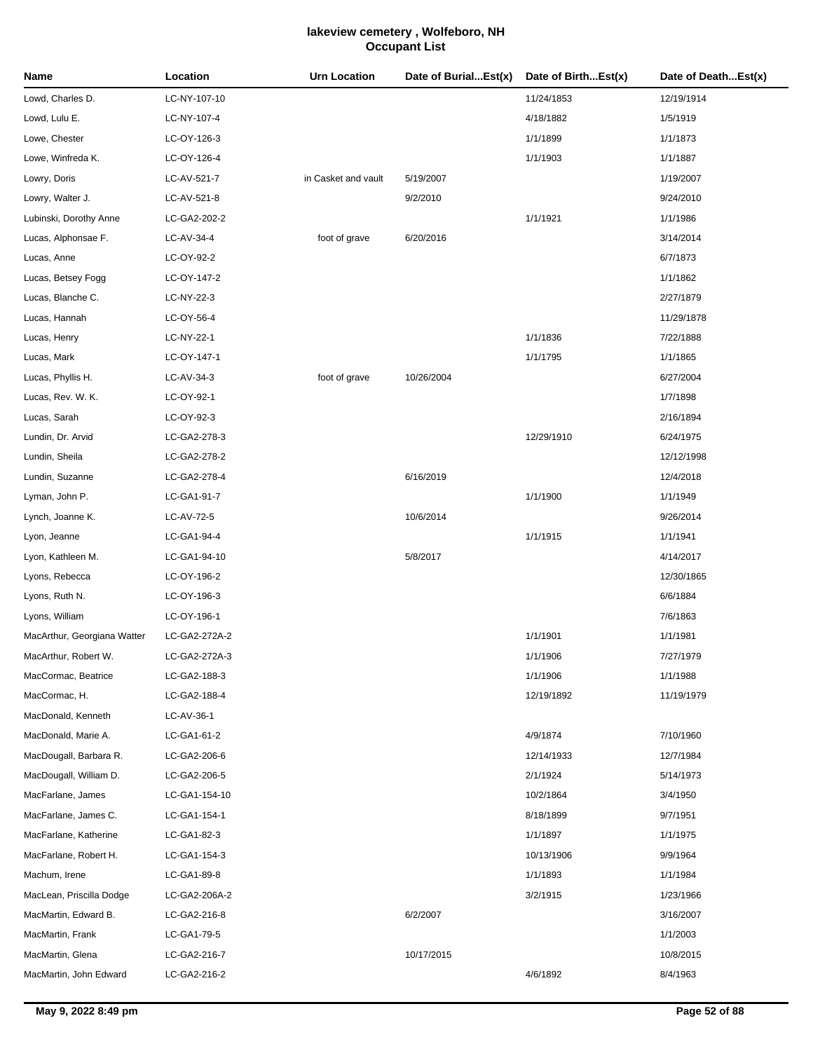| Name                        | Location      | <b>Urn Location</b> | Date of BurialEst(x) | Date of BirthEst(x) | Date of DeathEst(x) |
|-----------------------------|---------------|---------------------|----------------------|---------------------|---------------------|
| Lowd, Charles D.            | LC-NY-107-10  |                     |                      | 11/24/1853          | 12/19/1914          |
| Lowd, Lulu E.               | LC-NY-107-4   |                     |                      | 4/18/1882           | 1/5/1919            |
| Lowe, Chester               | LC-OY-126-3   |                     |                      | 1/1/1899            | 1/1/1873            |
| Lowe, Winfreda K.           | LC-OY-126-4   |                     |                      | 1/1/1903            | 1/1/1887            |
| Lowry, Doris                | LC-AV-521-7   | in Casket and vault | 5/19/2007            |                     | 1/19/2007           |
| Lowry, Walter J.            | LC-AV-521-8   |                     | 9/2/2010             |                     | 9/24/2010           |
| Lubinski, Dorothy Anne      | LC-GA2-202-2  |                     |                      | 1/1/1921            | 1/1/1986            |
| Lucas, Alphonsae F.         | LC-AV-34-4    | foot of grave       | 6/20/2016            |                     | 3/14/2014           |
| Lucas, Anne                 | LC-OY-92-2    |                     |                      |                     | 6/7/1873            |
| Lucas, Betsey Fogg          | LC-OY-147-2   |                     |                      |                     | 1/1/1862            |
| Lucas, Blanche C.           | LC-NY-22-3    |                     |                      |                     | 2/27/1879           |
| Lucas, Hannah               | LC-OY-56-4    |                     |                      |                     | 11/29/1878          |
| Lucas, Henry                | LC-NY-22-1    |                     |                      | 1/1/1836            | 7/22/1888           |
| Lucas, Mark                 | LC-OY-147-1   |                     |                      | 1/1/1795            | 1/1/1865            |
| Lucas, Phyllis H.           | LC-AV-34-3    | foot of grave       | 10/26/2004           |                     | 6/27/2004           |
| Lucas, Rev. W. K.           | LC-OY-92-1    |                     |                      |                     | 1/7/1898            |
| Lucas, Sarah                | LC-OY-92-3    |                     |                      |                     | 2/16/1894           |
| Lundin, Dr. Arvid           | LC-GA2-278-3  |                     |                      | 12/29/1910          | 6/24/1975           |
| Lundin, Sheila              | LC-GA2-278-2  |                     |                      |                     | 12/12/1998          |
| Lundin, Suzanne             | LC-GA2-278-4  |                     | 6/16/2019            |                     | 12/4/2018           |
| Lyman, John P.              | LC-GA1-91-7   |                     |                      | 1/1/1900            | 1/1/1949            |
| Lynch, Joanne K.            | LC-AV-72-5    |                     | 10/6/2014            |                     | 9/26/2014           |
| Lyon, Jeanne                | LC-GA1-94-4   |                     |                      | 1/1/1915            | 1/1/1941            |
| Lyon, Kathleen M.           | LC-GA1-94-10  |                     | 5/8/2017             |                     | 4/14/2017           |
| Lyons, Rebecca              | LC-OY-196-2   |                     |                      |                     | 12/30/1865          |
| Lyons, Ruth N.              | LC-OY-196-3   |                     |                      |                     | 6/6/1884            |
| Lyons, William              | LC-OY-196-1   |                     |                      |                     | 7/6/1863            |
| MacArthur, Georgiana Watter | LC-GA2-272A-2 |                     |                      | 1/1/1901            | 1/1/1981            |
| MacArthur, Robert W.        | LC-GA2-272A-3 |                     |                      | 1/1/1906            | 7/27/1979           |
| MacCormac, Beatrice         | LC-GA2-188-3  |                     |                      | 1/1/1906            | 1/1/1988            |
| MacCormac, H.               | LC-GA2-188-4  |                     |                      | 12/19/1892          | 11/19/1979          |
| MacDonald, Kenneth          | LC-AV-36-1    |                     |                      |                     |                     |
| MacDonald, Marie A.         | LC-GA1-61-2   |                     |                      | 4/9/1874            | 7/10/1960           |
| MacDougall, Barbara R.      | LC-GA2-206-6  |                     |                      | 12/14/1933          | 12/7/1984           |
| MacDougall, William D.      | LC-GA2-206-5  |                     |                      | 2/1/1924            | 5/14/1973           |
| MacFarlane, James           | LC-GA1-154-10 |                     |                      | 10/2/1864           | 3/4/1950            |
| MacFarlane, James C.        | LC-GA1-154-1  |                     |                      | 8/18/1899           | 9/7/1951            |
| MacFarlane, Katherine       | LC-GA1-82-3   |                     |                      | 1/1/1897            | 1/1/1975            |
| MacFarlane, Robert H.       | LC-GA1-154-3  |                     |                      | 10/13/1906          | 9/9/1964            |
| Machum, Irene               | LC-GA1-89-8   |                     |                      | 1/1/1893            | 1/1/1984            |
| MacLean, Priscilla Dodge    | LC-GA2-206A-2 |                     |                      | 3/2/1915            | 1/23/1966           |
| MacMartin, Edward B.        | LC-GA2-216-8  |                     | 6/2/2007             |                     | 3/16/2007           |
| MacMartin, Frank            | LC-GA1-79-5   |                     |                      |                     | 1/1/2003            |
| MacMartin, Glena            | LC-GA2-216-7  |                     | 10/17/2015           |                     | 10/8/2015           |
| MacMartin, John Edward      | LC-GA2-216-2  |                     |                      | 4/6/1892            | 8/4/1963            |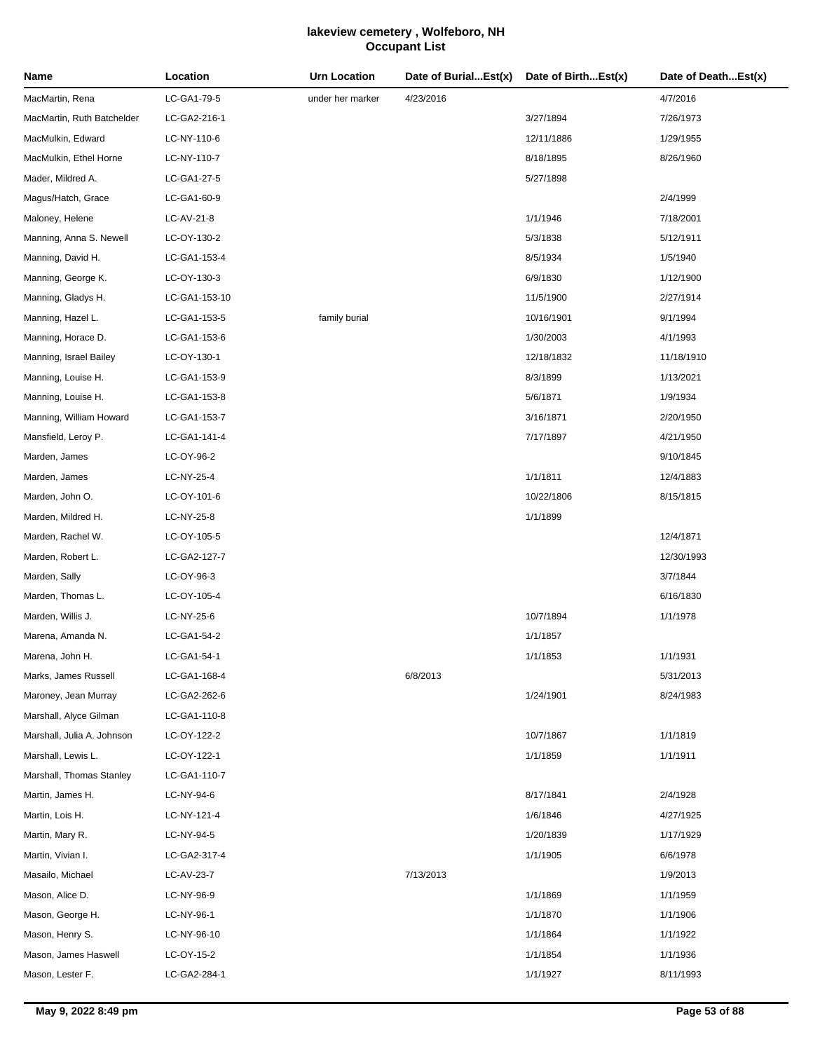| Name                       | Location      | <b>Urn Location</b> | Date of BurialEst(x) | Date of BirthEst(x) | Date of DeathEst(x) |
|----------------------------|---------------|---------------------|----------------------|---------------------|---------------------|
| MacMartin, Rena            | LC-GA1-79-5   | under her marker    | 4/23/2016            |                     | 4/7/2016            |
| MacMartin, Ruth Batchelder | LC-GA2-216-1  |                     |                      | 3/27/1894           | 7/26/1973           |
| MacMulkin, Edward          | LC-NY-110-6   |                     |                      | 12/11/1886          | 1/29/1955           |
| MacMulkin, Ethel Horne     | LC-NY-110-7   |                     |                      | 8/18/1895           | 8/26/1960           |
| Mader, Mildred A.          | LC-GA1-27-5   |                     |                      | 5/27/1898           |                     |
| Magus/Hatch, Grace         | LC-GA1-60-9   |                     |                      |                     | 2/4/1999            |
| Maloney, Helene            | LC-AV-21-8    |                     |                      | 1/1/1946            | 7/18/2001           |
| Manning, Anna S. Newell    | LC-OY-130-2   |                     |                      | 5/3/1838            | 5/12/1911           |
| Manning, David H.          | LC-GA1-153-4  |                     |                      | 8/5/1934            | 1/5/1940            |
| Manning, George K.         | LC-OY-130-3   |                     |                      | 6/9/1830            | 1/12/1900           |
| Manning, Gladys H.         | LC-GA1-153-10 |                     |                      | 11/5/1900           | 2/27/1914           |
| Manning, Hazel L.          | LC-GA1-153-5  | family burial       |                      | 10/16/1901          | 9/1/1994            |
| Manning, Horace D.         | LC-GA1-153-6  |                     |                      | 1/30/2003           | 4/1/1993            |
| Manning, Israel Bailey     | LC-OY-130-1   |                     |                      | 12/18/1832          | 11/18/1910          |
| Manning, Louise H.         | LC-GA1-153-9  |                     |                      | 8/3/1899            | 1/13/2021           |
| Manning, Louise H.         | LC-GA1-153-8  |                     |                      | 5/6/1871            | 1/9/1934            |
| Manning, William Howard    | LC-GA1-153-7  |                     |                      | 3/16/1871           | 2/20/1950           |
| Mansfield, Leroy P.        | LC-GA1-141-4  |                     |                      | 7/17/1897           | 4/21/1950           |
| Marden, James              | LC-OY-96-2    |                     |                      |                     | 9/10/1845           |
| Marden, James              | LC-NY-25-4    |                     |                      | 1/1/1811            | 12/4/1883           |
| Marden, John O.            | LC-OY-101-6   |                     |                      | 10/22/1806          | 8/15/1815           |
| Marden, Mildred H.         | LC-NY-25-8    |                     |                      | 1/1/1899            |                     |
| Marden, Rachel W.          | LC-OY-105-5   |                     |                      |                     | 12/4/1871           |
| Marden, Robert L.          | LC-GA2-127-7  |                     |                      |                     | 12/30/1993          |
| Marden, Sally              | LC-OY-96-3    |                     |                      |                     | 3/7/1844            |
| Marden, Thomas L.          | LC-OY-105-4   |                     |                      |                     | 6/16/1830           |
| Marden, Willis J.          | LC-NY-25-6    |                     |                      | 10/7/1894           | 1/1/1978            |
| Marena, Amanda N.          | LC-GA1-54-2   |                     |                      | 1/1/1857            |                     |
| Marena, John H.            | LC-GA1-54-1   |                     |                      | 1/1/1853            | 1/1/1931            |
| Marks, James Russell       | LC-GA1-168-4  |                     | 6/8/2013             |                     | 5/31/2013           |
| Maroney, Jean Murray       | LC-GA2-262-6  |                     |                      | 1/24/1901           | 8/24/1983           |
| Marshall, Alyce Gilman     | LC-GA1-110-8  |                     |                      |                     |                     |
| Marshall, Julia A. Johnson | LC-OY-122-2   |                     |                      | 10/7/1867           | 1/1/1819            |
| Marshall, Lewis L.         | LC-OY-122-1   |                     |                      | 1/1/1859            | 1/1/1911            |
| Marshall, Thomas Stanley   | LC-GA1-110-7  |                     |                      |                     |                     |
| Martin, James H.           | LC-NY-94-6    |                     |                      | 8/17/1841           | 2/4/1928            |
| Martin, Lois H.            | LC-NY-121-4   |                     |                      | 1/6/1846            | 4/27/1925           |
| Martin, Mary R.            | LC-NY-94-5    |                     |                      | 1/20/1839           | 1/17/1929           |
| Martin, Vivian I.          | LC-GA2-317-4  |                     |                      | 1/1/1905            | 6/6/1978            |
| Masailo, Michael           | LC-AV-23-7    |                     | 7/13/2013            |                     | 1/9/2013            |
| Mason, Alice D.            | LC-NY-96-9    |                     |                      | 1/1/1869            | 1/1/1959            |
| Mason, George H.           | LC-NY-96-1    |                     |                      | 1/1/1870            | 1/1/1906            |
| Mason, Henry S.            | LC-NY-96-10   |                     |                      | 1/1/1864            | 1/1/1922            |
| Mason, James Haswell       | LC-OY-15-2    |                     |                      | 1/1/1854            | 1/1/1936            |
| Mason, Lester F.           | LC-GA2-284-1  |                     |                      | 1/1/1927            | 8/11/1993           |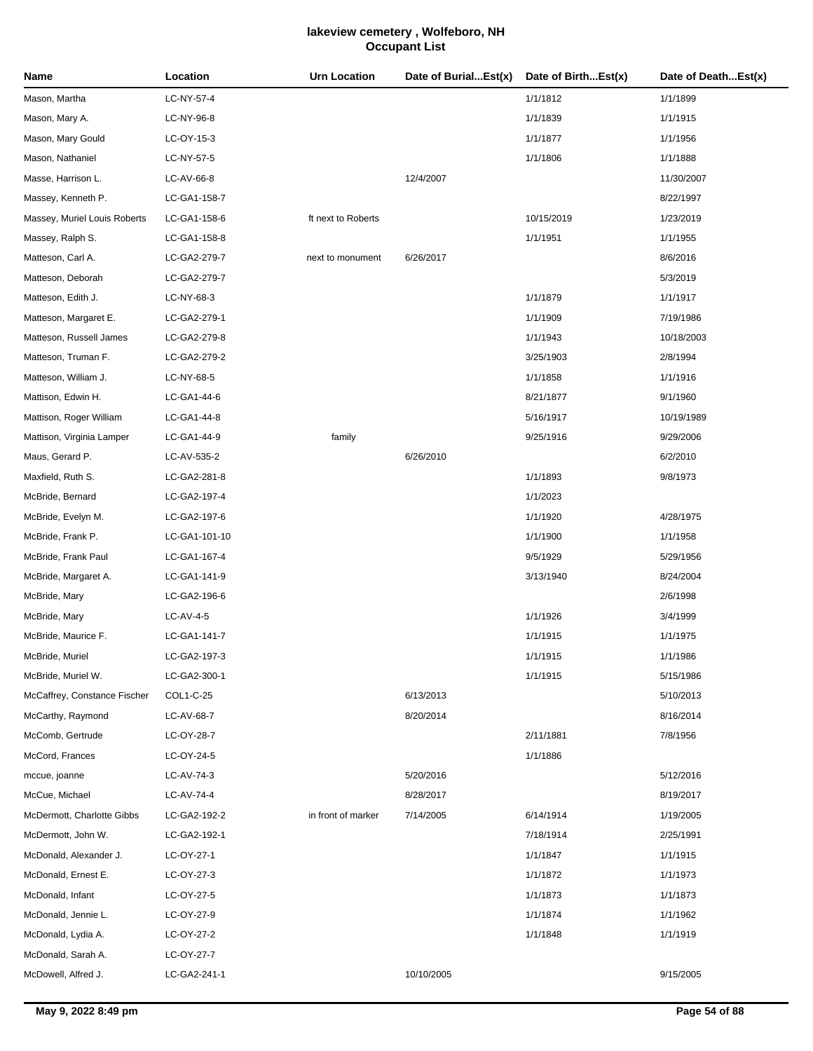| Name                         | Location      | <b>Urn Location</b> | Date of BurialEst(x) | Date of BirthEst(x) | Date of DeathEst(x) |
|------------------------------|---------------|---------------------|----------------------|---------------------|---------------------|
| Mason, Martha                | LC-NY-57-4    |                     |                      | 1/1/1812            | 1/1/1899            |
| Mason, Mary A.               | LC-NY-96-8    |                     |                      | 1/1/1839            | 1/1/1915            |
| Mason, Mary Gould            | LC-OY-15-3    |                     |                      | 1/1/1877            | 1/1/1956            |
| Mason, Nathaniel             | LC-NY-57-5    |                     |                      | 1/1/1806            | 1/1/1888            |
| Masse, Harrison L.           | LC-AV-66-8    |                     | 12/4/2007            |                     | 11/30/2007          |
| Massey, Kenneth P.           | LC-GA1-158-7  |                     |                      |                     | 8/22/1997           |
| Massey, Muriel Louis Roberts | LC-GA1-158-6  | ft next to Roberts  |                      | 10/15/2019          | 1/23/2019           |
| Massey, Ralph S.             | LC-GA1-158-8  |                     |                      | 1/1/1951            | 1/1/1955            |
| Matteson, Carl A.            | LC-GA2-279-7  | next to monument    | 6/26/2017            |                     | 8/6/2016            |
| Matteson, Deborah            | LC-GA2-279-7  |                     |                      |                     | 5/3/2019            |
| Matteson, Edith J.           | LC-NY-68-3    |                     |                      | 1/1/1879            | 1/1/1917            |
| Matteson, Margaret E.        | LC-GA2-279-1  |                     |                      | 1/1/1909            | 7/19/1986           |
| Matteson, Russell James      | LC-GA2-279-8  |                     |                      | 1/1/1943            | 10/18/2003          |
| Matteson, Truman F.          | LC-GA2-279-2  |                     |                      | 3/25/1903           | 2/8/1994            |
| Matteson, William J.         | LC-NY-68-5    |                     |                      | 1/1/1858            | 1/1/1916            |
| Mattison, Edwin H.           | LC-GA1-44-6   |                     |                      | 8/21/1877           | 9/1/1960            |
| Mattison, Roger William      | LC-GA1-44-8   |                     |                      | 5/16/1917           | 10/19/1989          |
| Mattison, Virginia Lamper    | LC-GA1-44-9   | family              |                      | 9/25/1916           | 9/29/2006           |
| Maus, Gerard P.              | LC-AV-535-2   |                     | 6/26/2010            |                     | 6/2/2010            |
| Maxfield, Ruth S.            | LC-GA2-281-8  |                     |                      | 1/1/1893            | 9/8/1973            |
| McBride, Bernard             | LC-GA2-197-4  |                     |                      | 1/1/2023            |                     |
| McBride, Evelyn M.           | LC-GA2-197-6  |                     |                      | 1/1/1920            | 4/28/1975           |
| McBride, Frank P.            | LC-GA1-101-10 |                     |                      | 1/1/1900            | 1/1/1958            |
| McBride, Frank Paul          | LC-GA1-167-4  |                     |                      | 9/5/1929            | 5/29/1956           |
| McBride, Margaret A.         | LC-GA1-141-9  |                     |                      | 3/13/1940           | 8/24/2004           |
| McBride, Mary                | LC-GA2-196-6  |                     |                      |                     | 2/6/1998            |
| McBride, Mary                | LC-AV-4-5     |                     |                      | 1/1/1926            | 3/4/1999            |
| McBride, Maurice F.          | LC-GA1-141-7  |                     |                      | 1/1/1915            | 1/1/1975            |
| McBride, Muriel              | LC-GA2-197-3  |                     |                      | 1/1/1915            | 1/1/1986            |
| McBride, Muriel W.           | LC-GA2-300-1  |                     |                      | 1/1/1915            | 5/15/1986           |
| McCaffrey, Constance Fischer | COL1-C-25     |                     | 6/13/2013            |                     | 5/10/2013           |
| McCarthy, Raymond            | LC-AV-68-7    |                     | 8/20/2014            |                     | 8/16/2014           |
| McComb, Gertrude             | LC-OY-28-7    |                     |                      | 2/11/1881           | 7/8/1956            |
| McCord, Frances              | LC-OY-24-5    |                     |                      | 1/1/1886            |                     |
| mccue, joanne                | LC-AV-74-3    |                     | 5/20/2016            |                     | 5/12/2016           |
| McCue, Michael               | LC-AV-74-4    |                     | 8/28/2017            |                     | 8/19/2017           |
| McDermott, Charlotte Gibbs   | LC-GA2-192-2  | in front of marker  | 7/14/2005            | 6/14/1914           | 1/19/2005           |
| McDermott, John W.           | LC-GA2-192-1  |                     |                      | 7/18/1914           | 2/25/1991           |
| McDonald, Alexander J.       | LC-OY-27-1    |                     |                      | 1/1/1847            | 1/1/1915            |
| McDonald, Ernest E.          | LC-OY-27-3    |                     |                      | 1/1/1872            | 1/1/1973            |
| McDonald, Infant             | LC-OY-27-5    |                     |                      | 1/1/1873            | 1/1/1873            |
| McDonald, Jennie L.          | LC-OY-27-9    |                     |                      | 1/1/1874            | 1/1/1962            |
| McDonald, Lydia A.           | LC-OY-27-2    |                     |                      | 1/1/1848            | 1/1/1919            |
| McDonald, Sarah A.           | LC-OY-27-7    |                     |                      |                     |                     |
| McDowell, Alfred J.          | LC-GA2-241-1  |                     | 10/10/2005           |                     | 9/15/2005           |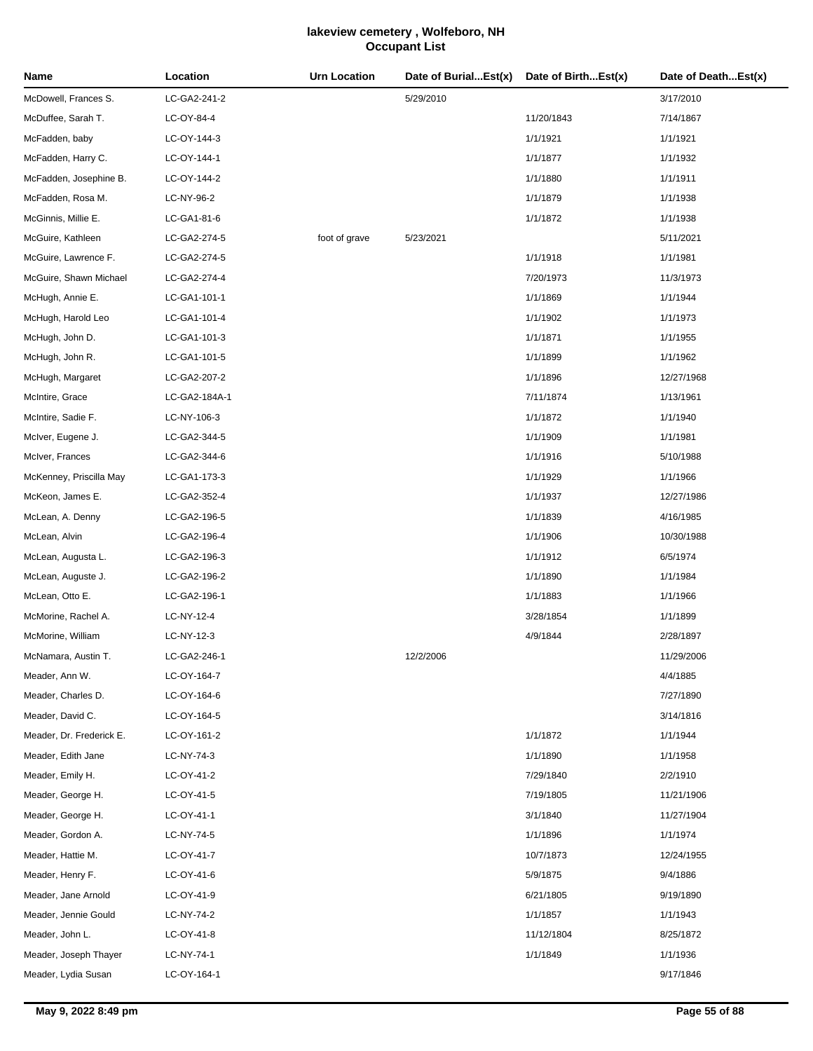| Name                     | Location      | <b>Urn Location</b> | Date of BurialEst(x) | Date of BirthEst(x) | Date of DeathEst(x) |
|--------------------------|---------------|---------------------|----------------------|---------------------|---------------------|
| McDowell, Frances S.     | LC-GA2-241-2  |                     | 5/29/2010            |                     | 3/17/2010           |
| McDuffee, Sarah T.       | LC-OY-84-4    |                     |                      | 11/20/1843          | 7/14/1867           |
| McFadden, baby           | LC-OY-144-3   |                     |                      | 1/1/1921            | 1/1/1921            |
| McFadden, Harry C.       | LC-OY-144-1   |                     |                      | 1/1/1877            | 1/1/1932            |
| McFadden, Josephine B.   | LC-OY-144-2   |                     |                      | 1/1/1880            | 1/1/1911            |
| McFadden, Rosa M.        | LC-NY-96-2    |                     |                      | 1/1/1879            | 1/1/1938            |
| McGinnis, Millie E.      | LC-GA1-81-6   |                     |                      | 1/1/1872            | 1/1/1938            |
| McGuire, Kathleen        | LC-GA2-274-5  | foot of grave       | 5/23/2021            |                     | 5/11/2021           |
| McGuire, Lawrence F.     | LC-GA2-274-5  |                     |                      | 1/1/1918            | 1/1/1981            |
| McGuire, Shawn Michael   | LC-GA2-274-4  |                     |                      | 7/20/1973           | 11/3/1973           |
| McHugh, Annie E.         | LC-GA1-101-1  |                     |                      | 1/1/1869            | 1/1/1944            |
| McHugh, Harold Leo       | LC-GA1-101-4  |                     |                      | 1/1/1902            | 1/1/1973            |
| McHugh, John D.          | LC-GA1-101-3  |                     |                      | 1/1/1871            | 1/1/1955            |
| McHugh, John R.          | LC-GA1-101-5  |                     |                      | 1/1/1899            | 1/1/1962            |
| McHugh, Margaret         | LC-GA2-207-2  |                     |                      | 1/1/1896            | 12/27/1968          |
| McIntire, Grace          | LC-GA2-184A-1 |                     |                      | 7/11/1874           | 1/13/1961           |
| McIntire, Sadie F.       | LC-NY-106-3   |                     |                      | 1/1/1872            | 1/1/1940            |
| McIver, Eugene J.        | LC-GA2-344-5  |                     |                      | 1/1/1909            | 1/1/1981            |
| McIver, Frances          | LC-GA2-344-6  |                     |                      | 1/1/1916            | 5/10/1988           |
| McKenney, Priscilla May  | LC-GA1-173-3  |                     |                      | 1/1/1929            | 1/1/1966            |
| McKeon, James E.         | LC-GA2-352-4  |                     |                      | 1/1/1937            | 12/27/1986          |
| McLean, A. Denny         | LC-GA2-196-5  |                     |                      | 1/1/1839            | 4/16/1985           |
| McLean, Alvin            | LC-GA2-196-4  |                     |                      | 1/1/1906            | 10/30/1988          |
| McLean, Augusta L.       | LC-GA2-196-3  |                     |                      | 1/1/1912            | 6/5/1974            |
| McLean, Auguste J.       | LC-GA2-196-2  |                     |                      | 1/1/1890            | 1/1/1984            |
| McLean, Otto E.          | LC-GA2-196-1  |                     |                      | 1/1/1883            | 1/1/1966            |
| McMorine, Rachel A.      | LC-NY-12-4    |                     |                      | 3/28/1854           | 1/1/1899            |
| McMorine, William        | LC-NY-12-3    |                     |                      | 4/9/1844            | 2/28/1897           |
| McNamara, Austin T.      | LC-GA2-246-1  |                     | 12/2/2006            |                     | 11/29/2006          |
| Meader, Ann W.           | LC-OY-164-7   |                     |                      |                     | 4/4/1885            |
| Meader, Charles D.       | LC-OY-164-6   |                     |                      |                     | 7/27/1890           |
| Meader, David C.         | LC-OY-164-5   |                     |                      |                     | 3/14/1816           |
| Meader, Dr. Frederick E. | LC-OY-161-2   |                     |                      | 1/1/1872            | 1/1/1944            |
| Meader, Edith Jane       | LC-NY-74-3    |                     |                      | 1/1/1890            | 1/1/1958            |
| Meader, Emily H.         | LC-OY-41-2    |                     |                      | 7/29/1840           | 2/2/1910            |
| Meader, George H.        | LC-OY-41-5    |                     |                      | 7/19/1805           | 11/21/1906          |
| Meader, George H.        | LC-OY-41-1    |                     |                      | 3/1/1840            | 11/27/1904          |
| Meader, Gordon A.        | LC-NY-74-5    |                     |                      | 1/1/1896            | 1/1/1974            |
| Meader, Hattie M.        | LC-OY-41-7    |                     |                      | 10/7/1873           | 12/24/1955          |
| Meader, Henry F.         | LC-OY-41-6    |                     |                      | 5/9/1875            | 9/4/1886            |
| Meader, Jane Arnold      | LC-OY-41-9    |                     |                      | 6/21/1805           | 9/19/1890           |
| Meader, Jennie Gould     | LC-NY-74-2    |                     |                      | 1/1/1857            | 1/1/1943            |
| Meader, John L.          | LC-OY-41-8    |                     |                      | 11/12/1804          | 8/25/1872           |
| Meader, Joseph Thayer    | LC-NY-74-1    |                     |                      | 1/1/1849            | 1/1/1936            |
| Meader, Lydia Susan      | LC-OY-164-1   |                     |                      |                     | 9/17/1846           |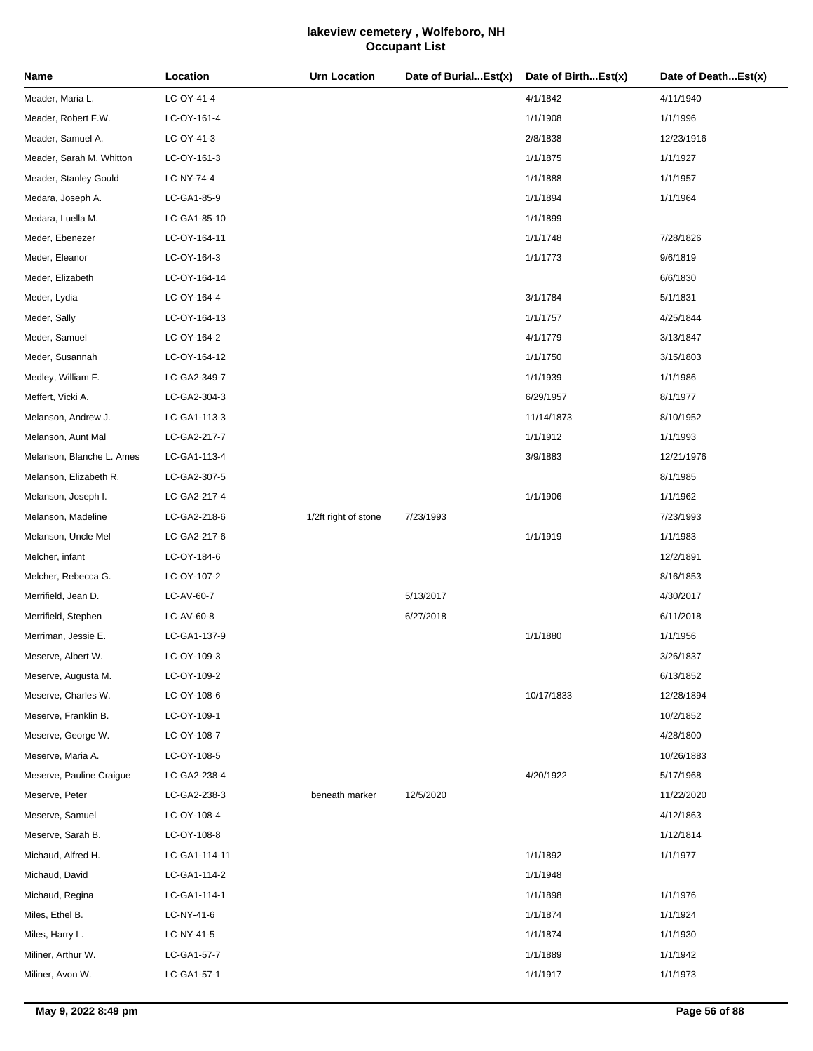| LC-OY-41-4<br>4/1/1842<br>Meader, Maria L.<br>4/11/1940<br>Meader, Robert F.W.<br>1/1/1908<br>LC-OY-161-4<br>1/1/1996<br>Meader, Samuel A.<br>LC-OY-41-3<br>2/8/1838<br>12/23/1916<br>Meader, Sarah M. Whitton<br>LC-OY-161-3<br>1/1/1875<br>1/1/1927<br>Meader, Stanley Gould<br>LC-NY-74-4<br>1/1/1888<br>1/1/1957<br>Medara, Joseph A.<br>1/1/1894<br>1/1/1964<br>LC-GA1-85-9<br>LC-GA1-85-10<br>1/1/1899<br>Medara, Luella M.<br>Meder, Ebenezer<br>LC-OY-164-11<br>1/1/1748<br>7/28/1826<br>Meder, Eleanor<br>LC-OY-164-3<br>1/1/1773<br>9/6/1819<br>Meder, Elizabeth<br>6/6/1830<br>LC-OY-164-14<br>Meder, Lydia<br>LC-OY-164-4<br>3/1/1784<br>5/1/1831<br>Meder, Sally<br>1/1/1757<br>4/25/1844<br>LC-OY-164-13<br>Meder, Samuel<br>LC-OY-164-2<br>4/1/1779<br>3/13/1847<br>Meder, Susannah<br>1/1/1750<br>LC-OY-164-12<br>3/15/1803<br>Medley, William F.<br>LC-GA2-349-7<br>1/1/1939<br>1/1/1986<br>Meffert, Vicki A.<br>LC-GA2-304-3<br>6/29/1957<br>8/1/1977<br>Melanson, Andrew J.<br>LC-GA1-113-3<br>11/14/1873<br>8/10/1952<br>1/1/1912<br>Melanson, Aunt Mal<br>1/1/1993<br>LC-GA2-217-7<br>Melanson, Blanche L. Ames<br>3/9/1883<br>LC-GA1-113-4<br>12/21/1976<br>Melanson, Elizabeth R.<br>8/1/1985<br>LC-GA2-307-5<br>Melanson, Joseph I.<br>1/1/1906<br>1/1/1962<br>LC-GA2-217-4<br>Melanson, Madeline<br>1/2ft right of stone<br>7/23/1993<br>7/23/1993<br>LC-GA2-218-6<br>Melanson, Uncle Mel<br>LC-GA2-217-6<br>1/1/1919<br>1/1/1983<br>Melcher, infant<br>LC-OY-184-6<br>12/2/1891<br>Melcher, Rebecca G.<br>LC-OY-107-2<br>8/16/1853<br>5/13/2017<br>LC-AV-60-7<br>4/30/2017<br>6/27/2018<br>Merrifield, Stephen<br>LC-AV-60-8<br>6/11/2018<br>Merriman, Jessie E.<br>LC-GA1-137-9<br>1/1/1880<br>1/1/1956<br>LC-OY-109-3<br>3/26/1837<br>Meserve, Albert W.<br>Meserve, Augusta M.<br>LC-OY-109-2<br>6/13/1852<br>10/17/1833<br>Meserve, Charles W.<br>LC-OY-108-6<br>12/28/1894<br>Meserve, Franklin B.<br>LC-OY-109-1<br>10/2/1852<br>Meserve, George W.<br>LC-OY-108-7<br>4/28/1800<br>LC-OY-108-5<br>10/26/1883<br>Meserve, Pauline Craigue<br>LC-GA2-238-4<br>4/20/1922<br>5/17/1968<br>LC-GA2-238-3<br>beneath marker<br>12/5/2020<br>11/22/2020<br>Meserve, Samuel<br>LC-OY-108-4<br>4/12/1863<br>Meserve, Sarah B.<br>LC-OY-108-8<br>1/12/1814<br>Michaud, Alfred H.<br>LC-GA1-114-11<br>1/1/1892<br>1/1/1977<br>LC-GA1-114-2<br>1/1/1948<br>Michaud, Regina<br>LC-GA1-114-1<br>1/1/1898<br>1/1/1976<br>Miles, Ethel B.<br>LC-NY-41-6<br>1/1/1874<br>1/1/1924<br>Miles, Harry L.<br>LC-NY-41-5<br>1/1/1874<br>1/1/1930<br>Miliner, Arthur W.<br>1/1/1889<br>1/1/1942<br>LC-GA1-57-7<br>Miliner, Avon W.<br>LC-GA1-57-1<br>1/1/1917<br>1/1/1973 | Name                | Location | <b>Urn Location</b> | Date of BurialEst(x) | Date of BirthEst(x) | Date of DeathEst(x) |
|---------------------------------------------------------------------------------------------------------------------------------------------------------------------------------------------------------------------------------------------------------------------------------------------------------------------------------------------------------------------------------------------------------------------------------------------------------------------------------------------------------------------------------------------------------------------------------------------------------------------------------------------------------------------------------------------------------------------------------------------------------------------------------------------------------------------------------------------------------------------------------------------------------------------------------------------------------------------------------------------------------------------------------------------------------------------------------------------------------------------------------------------------------------------------------------------------------------------------------------------------------------------------------------------------------------------------------------------------------------------------------------------------------------------------------------------------------------------------------------------------------------------------------------------------------------------------------------------------------------------------------------------------------------------------------------------------------------------------------------------------------------------------------------------------------------------------------------------------------------------------------------------------------------------------------------------------------------------------------------------------------------------------------------------------------------------------------------------------------------------------------------------------------------------------------------------------------------------------------------------------------------------------------------------------------------------------------------------------------------------------------------------------------------------------------------------------------------------------------------------------------------------------------------------------------------------------------------------------------------------------------------------------------------------------------|---------------------|----------|---------------------|----------------------|---------------------|---------------------|
|                                                                                                                                                                                                                                                                                                                                                                                                                                                                                                                                                                                                                                                                                                                                                                                                                                                                                                                                                                                                                                                                                                                                                                                                                                                                                                                                                                                                                                                                                                                                                                                                                                                                                                                                                                                                                                                                                                                                                                                                                                                                                                                                                                                                                                                                                                                                                                                                                                                                                                                                                                                                                                                                                 |                     |          |                     |                      |                     |                     |
|                                                                                                                                                                                                                                                                                                                                                                                                                                                                                                                                                                                                                                                                                                                                                                                                                                                                                                                                                                                                                                                                                                                                                                                                                                                                                                                                                                                                                                                                                                                                                                                                                                                                                                                                                                                                                                                                                                                                                                                                                                                                                                                                                                                                                                                                                                                                                                                                                                                                                                                                                                                                                                                                                 |                     |          |                     |                      |                     |                     |
|                                                                                                                                                                                                                                                                                                                                                                                                                                                                                                                                                                                                                                                                                                                                                                                                                                                                                                                                                                                                                                                                                                                                                                                                                                                                                                                                                                                                                                                                                                                                                                                                                                                                                                                                                                                                                                                                                                                                                                                                                                                                                                                                                                                                                                                                                                                                                                                                                                                                                                                                                                                                                                                                                 |                     |          |                     |                      |                     |                     |
|                                                                                                                                                                                                                                                                                                                                                                                                                                                                                                                                                                                                                                                                                                                                                                                                                                                                                                                                                                                                                                                                                                                                                                                                                                                                                                                                                                                                                                                                                                                                                                                                                                                                                                                                                                                                                                                                                                                                                                                                                                                                                                                                                                                                                                                                                                                                                                                                                                                                                                                                                                                                                                                                                 |                     |          |                     |                      |                     |                     |
|                                                                                                                                                                                                                                                                                                                                                                                                                                                                                                                                                                                                                                                                                                                                                                                                                                                                                                                                                                                                                                                                                                                                                                                                                                                                                                                                                                                                                                                                                                                                                                                                                                                                                                                                                                                                                                                                                                                                                                                                                                                                                                                                                                                                                                                                                                                                                                                                                                                                                                                                                                                                                                                                                 |                     |          |                     |                      |                     |                     |
|                                                                                                                                                                                                                                                                                                                                                                                                                                                                                                                                                                                                                                                                                                                                                                                                                                                                                                                                                                                                                                                                                                                                                                                                                                                                                                                                                                                                                                                                                                                                                                                                                                                                                                                                                                                                                                                                                                                                                                                                                                                                                                                                                                                                                                                                                                                                                                                                                                                                                                                                                                                                                                                                                 |                     |          |                     |                      |                     |                     |
|                                                                                                                                                                                                                                                                                                                                                                                                                                                                                                                                                                                                                                                                                                                                                                                                                                                                                                                                                                                                                                                                                                                                                                                                                                                                                                                                                                                                                                                                                                                                                                                                                                                                                                                                                                                                                                                                                                                                                                                                                                                                                                                                                                                                                                                                                                                                                                                                                                                                                                                                                                                                                                                                                 |                     |          |                     |                      |                     |                     |
|                                                                                                                                                                                                                                                                                                                                                                                                                                                                                                                                                                                                                                                                                                                                                                                                                                                                                                                                                                                                                                                                                                                                                                                                                                                                                                                                                                                                                                                                                                                                                                                                                                                                                                                                                                                                                                                                                                                                                                                                                                                                                                                                                                                                                                                                                                                                                                                                                                                                                                                                                                                                                                                                                 |                     |          |                     |                      |                     |                     |
|                                                                                                                                                                                                                                                                                                                                                                                                                                                                                                                                                                                                                                                                                                                                                                                                                                                                                                                                                                                                                                                                                                                                                                                                                                                                                                                                                                                                                                                                                                                                                                                                                                                                                                                                                                                                                                                                                                                                                                                                                                                                                                                                                                                                                                                                                                                                                                                                                                                                                                                                                                                                                                                                                 |                     |          |                     |                      |                     |                     |
|                                                                                                                                                                                                                                                                                                                                                                                                                                                                                                                                                                                                                                                                                                                                                                                                                                                                                                                                                                                                                                                                                                                                                                                                                                                                                                                                                                                                                                                                                                                                                                                                                                                                                                                                                                                                                                                                                                                                                                                                                                                                                                                                                                                                                                                                                                                                                                                                                                                                                                                                                                                                                                                                                 |                     |          |                     |                      |                     |                     |
|                                                                                                                                                                                                                                                                                                                                                                                                                                                                                                                                                                                                                                                                                                                                                                                                                                                                                                                                                                                                                                                                                                                                                                                                                                                                                                                                                                                                                                                                                                                                                                                                                                                                                                                                                                                                                                                                                                                                                                                                                                                                                                                                                                                                                                                                                                                                                                                                                                                                                                                                                                                                                                                                                 |                     |          |                     |                      |                     |                     |
|                                                                                                                                                                                                                                                                                                                                                                                                                                                                                                                                                                                                                                                                                                                                                                                                                                                                                                                                                                                                                                                                                                                                                                                                                                                                                                                                                                                                                                                                                                                                                                                                                                                                                                                                                                                                                                                                                                                                                                                                                                                                                                                                                                                                                                                                                                                                                                                                                                                                                                                                                                                                                                                                                 |                     |          |                     |                      |                     |                     |
|                                                                                                                                                                                                                                                                                                                                                                                                                                                                                                                                                                                                                                                                                                                                                                                                                                                                                                                                                                                                                                                                                                                                                                                                                                                                                                                                                                                                                                                                                                                                                                                                                                                                                                                                                                                                                                                                                                                                                                                                                                                                                                                                                                                                                                                                                                                                                                                                                                                                                                                                                                                                                                                                                 |                     |          |                     |                      |                     |                     |
|                                                                                                                                                                                                                                                                                                                                                                                                                                                                                                                                                                                                                                                                                                                                                                                                                                                                                                                                                                                                                                                                                                                                                                                                                                                                                                                                                                                                                                                                                                                                                                                                                                                                                                                                                                                                                                                                                                                                                                                                                                                                                                                                                                                                                                                                                                                                                                                                                                                                                                                                                                                                                                                                                 |                     |          |                     |                      |                     |                     |
|                                                                                                                                                                                                                                                                                                                                                                                                                                                                                                                                                                                                                                                                                                                                                                                                                                                                                                                                                                                                                                                                                                                                                                                                                                                                                                                                                                                                                                                                                                                                                                                                                                                                                                                                                                                                                                                                                                                                                                                                                                                                                                                                                                                                                                                                                                                                                                                                                                                                                                                                                                                                                                                                                 |                     |          |                     |                      |                     |                     |
|                                                                                                                                                                                                                                                                                                                                                                                                                                                                                                                                                                                                                                                                                                                                                                                                                                                                                                                                                                                                                                                                                                                                                                                                                                                                                                                                                                                                                                                                                                                                                                                                                                                                                                                                                                                                                                                                                                                                                                                                                                                                                                                                                                                                                                                                                                                                                                                                                                                                                                                                                                                                                                                                                 |                     |          |                     |                      |                     |                     |
|                                                                                                                                                                                                                                                                                                                                                                                                                                                                                                                                                                                                                                                                                                                                                                                                                                                                                                                                                                                                                                                                                                                                                                                                                                                                                                                                                                                                                                                                                                                                                                                                                                                                                                                                                                                                                                                                                                                                                                                                                                                                                                                                                                                                                                                                                                                                                                                                                                                                                                                                                                                                                                                                                 |                     |          |                     |                      |                     |                     |
|                                                                                                                                                                                                                                                                                                                                                                                                                                                                                                                                                                                                                                                                                                                                                                                                                                                                                                                                                                                                                                                                                                                                                                                                                                                                                                                                                                                                                                                                                                                                                                                                                                                                                                                                                                                                                                                                                                                                                                                                                                                                                                                                                                                                                                                                                                                                                                                                                                                                                                                                                                                                                                                                                 |                     |          |                     |                      |                     |                     |
|                                                                                                                                                                                                                                                                                                                                                                                                                                                                                                                                                                                                                                                                                                                                                                                                                                                                                                                                                                                                                                                                                                                                                                                                                                                                                                                                                                                                                                                                                                                                                                                                                                                                                                                                                                                                                                                                                                                                                                                                                                                                                                                                                                                                                                                                                                                                                                                                                                                                                                                                                                                                                                                                                 |                     |          |                     |                      |                     |                     |
|                                                                                                                                                                                                                                                                                                                                                                                                                                                                                                                                                                                                                                                                                                                                                                                                                                                                                                                                                                                                                                                                                                                                                                                                                                                                                                                                                                                                                                                                                                                                                                                                                                                                                                                                                                                                                                                                                                                                                                                                                                                                                                                                                                                                                                                                                                                                                                                                                                                                                                                                                                                                                                                                                 |                     |          |                     |                      |                     |                     |
|                                                                                                                                                                                                                                                                                                                                                                                                                                                                                                                                                                                                                                                                                                                                                                                                                                                                                                                                                                                                                                                                                                                                                                                                                                                                                                                                                                                                                                                                                                                                                                                                                                                                                                                                                                                                                                                                                                                                                                                                                                                                                                                                                                                                                                                                                                                                                                                                                                                                                                                                                                                                                                                                                 |                     |          |                     |                      |                     |                     |
|                                                                                                                                                                                                                                                                                                                                                                                                                                                                                                                                                                                                                                                                                                                                                                                                                                                                                                                                                                                                                                                                                                                                                                                                                                                                                                                                                                                                                                                                                                                                                                                                                                                                                                                                                                                                                                                                                                                                                                                                                                                                                                                                                                                                                                                                                                                                                                                                                                                                                                                                                                                                                                                                                 |                     |          |                     |                      |                     |                     |
|                                                                                                                                                                                                                                                                                                                                                                                                                                                                                                                                                                                                                                                                                                                                                                                                                                                                                                                                                                                                                                                                                                                                                                                                                                                                                                                                                                                                                                                                                                                                                                                                                                                                                                                                                                                                                                                                                                                                                                                                                                                                                                                                                                                                                                                                                                                                                                                                                                                                                                                                                                                                                                                                                 |                     |          |                     |                      |                     |                     |
|                                                                                                                                                                                                                                                                                                                                                                                                                                                                                                                                                                                                                                                                                                                                                                                                                                                                                                                                                                                                                                                                                                                                                                                                                                                                                                                                                                                                                                                                                                                                                                                                                                                                                                                                                                                                                                                                                                                                                                                                                                                                                                                                                                                                                                                                                                                                                                                                                                                                                                                                                                                                                                                                                 |                     |          |                     |                      |                     |                     |
|                                                                                                                                                                                                                                                                                                                                                                                                                                                                                                                                                                                                                                                                                                                                                                                                                                                                                                                                                                                                                                                                                                                                                                                                                                                                                                                                                                                                                                                                                                                                                                                                                                                                                                                                                                                                                                                                                                                                                                                                                                                                                                                                                                                                                                                                                                                                                                                                                                                                                                                                                                                                                                                                                 |                     |          |                     |                      |                     |                     |
|                                                                                                                                                                                                                                                                                                                                                                                                                                                                                                                                                                                                                                                                                                                                                                                                                                                                                                                                                                                                                                                                                                                                                                                                                                                                                                                                                                                                                                                                                                                                                                                                                                                                                                                                                                                                                                                                                                                                                                                                                                                                                                                                                                                                                                                                                                                                                                                                                                                                                                                                                                                                                                                                                 | Merrifield, Jean D. |          |                     |                      |                     |                     |
|                                                                                                                                                                                                                                                                                                                                                                                                                                                                                                                                                                                                                                                                                                                                                                                                                                                                                                                                                                                                                                                                                                                                                                                                                                                                                                                                                                                                                                                                                                                                                                                                                                                                                                                                                                                                                                                                                                                                                                                                                                                                                                                                                                                                                                                                                                                                                                                                                                                                                                                                                                                                                                                                                 |                     |          |                     |                      |                     |                     |
|                                                                                                                                                                                                                                                                                                                                                                                                                                                                                                                                                                                                                                                                                                                                                                                                                                                                                                                                                                                                                                                                                                                                                                                                                                                                                                                                                                                                                                                                                                                                                                                                                                                                                                                                                                                                                                                                                                                                                                                                                                                                                                                                                                                                                                                                                                                                                                                                                                                                                                                                                                                                                                                                                 |                     |          |                     |                      |                     |                     |
|                                                                                                                                                                                                                                                                                                                                                                                                                                                                                                                                                                                                                                                                                                                                                                                                                                                                                                                                                                                                                                                                                                                                                                                                                                                                                                                                                                                                                                                                                                                                                                                                                                                                                                                                                                                                                                                                                                                                                                                                                                                                                                                                                                                                                                                                                                                                                                                                                                                                                                                                                                                                                                                                                 |                     |          |                     |                      |                     |                     |
|                                                                                                                                                                                                                                                                                                                                                                                                                                                                                                                                                                                                                                                                                                                                                                                                                                                                                                                                                                                                                                                                                                                                                                                                                                                                                                                                                                                                                                                                                                                                                                                                                                                                                                                                                                                                                                                                                                                                                                                                                                                                                                                                                                                                                                                                                                                                                                                                                                                                                                                                                                                                                                                                                 |                     |          |                     |                      |                     |                     |
|                                                                                                                                                                                                                                                                                                                                                                                                                                                                                                                                                                                                                                                                                                                                                                                                                                                                                                                                                                                                                                                                                                                                                                                                                                                                                                                                                                                                                                                                                                                                                                                                                                                                                                                                                                                                                                                                                                                                                                                                                                                                                                                                                                                                                                                                                                                                                                                                                                                                                                                                                                                                                                                                                 |                     |          |                     |                      |                     |                     |
|                                                                                                                                                                                                                                                                                                                                                                                                                                                                                                                                                                                                                                                                                                                                                                                                                                                                                                                                                                                                                                                                                                                                                                                                                                                                                                                                                                                                                                                                                                                                                                                                                                                                                                                                                                                                                                                                                                                                                                                                                                                                                                                                                                                                                                                                                                                                                                                                                                                                                                                                                                                                                                                                                 |                     |          |                     |                      |                     |                     |
|                                                                                                                                                                                                                                                                                                                                                                                                                                                                                                                                                                                                                                                                                                                                                                                                                                                                                                                                                                                                                                                                                                                                                                                                                                                                                                                                                                                                                                                                                                                                                                                                                                                                                                                                                                                                                                                                                                                                                                                                                                                                                                                                                                                                                                                                                                                                                                                                                                                                                                                                                                                                                                                                                 |                     |          |                     |                      |                     |                     |
|                                                                                                                                                                                                                                                                                                                                                                                                                                                                                                                                                                                                                                                                                                                                                                                                                                                                                                                                                                                                                                                                                                                                                                                                                                                                                                                                                                                                                                                                                                                                                                                                                                                                                                                                                                                                                                                                                                                                                                                                                                                                                                                                                                                                                                                                                                                                                                                                                                                                                                                                                                                                                                                                                 | Meserve, Maria A.   |          |                     |                      |                     |                     |
|                                                                                                                                                                                                                                                                                                                                                                                                                                                                                                                                                                                                                                                                                                                                                                                                                                                                                                                                                                                                                                                                                                                                                                                                                                                                                                                                                                                                                                                                                                                                                                                                                                                                                                                                                                                                                                                                                                                                                                                                                                                                                                                                                                                                                                                                                                                                                                                                                                                                                                                                                                                                                                                                                 |                     |          |                     |                      |                     |                     |
|                                                                                                                                                                                                                                                                                                                                                                                                                                                                                                                                                                                                                                                                                                                                                                                                                                                                                                                                                                                                                                                                                                                                                                                                                                                                                                                                                                                                                                                                                                                                                                                                                                                                                                                                                                                                                                                                                                                                                                                                                                                                                                                                                                                                                                                                                                                                                                                                                                                                                                                                                                                                                                                                                 | Meserve, Peter      |          |                     |                      |                     |                     |
|                                                                                                                                                                                                                                                                                                                                                                                                                                                                                                                                                                                                                                                                                                                                                                                                                                                                                                                                                                                                                                                                                                                                                                                                                                                                                                                                                                                                                                                                                                                                                                                                                                                                                                                                                                                                                                                                                                                                                                                                                                                                                                                                                                                                                                                                                                                                                                                                                                                                                                                                                                                                                                                                                 |                     |          |                     |                      |                     |                     |
|                                                                                                                                                                                                                                                                                                                                                                                                                                                                                                                                                                                                                                                                                                                                                                                                                                                                                                                                                                                                                                                                                                                                                                                                                                                                                                                                                                                                                                                                                                                                                                                                                                                                                                                                                                                                                                                                                                                                                                                                                                                                                                                                                                                                                                                                                                                                                                                                                                                                                                                                                                                                                                                                                 |                     |          |                     |                      |                     |                     |
|                                                                                                                                                                                                                                                                                                                                                                                                                                                                                                                                                                                                                                                                                                                                                                                                                                                                                                                                                                                                                                                                                                                                                                                                                                                                                                                                                                                                                                                                                                                                                                                                                                                                                                                                                                                                                                                                                                                                                                                                                                                                                                                                                                                                                                                                                                                                                                                                                                                                                                                                                                                                                                                                                 |                     |          |                     |                      |                     |                     |
|                                                                                                                                                                                                                                                                                                                                                                                                                                                                                                                                                                                                                                                                                                                                                                                                                                                                                                                                                                                                                                                                                                                                                                                                                                                                                                                                                                                                                                                                                                                                                                                                                                                                                                                                                                                                                                                                                                                                                                                                                                                                                                                                                                                                                                                                                                                                                                                                                                                                                                                                                                                                                                                                                 | Michaud, David      |          |                     |                      |                     |                     |
|                                                                                                                                                                                                                                                                                                                                                                                                                                                                                                                                                                                                                                                                                                                                                                                                                                                                                                                                                                                                                                                                                                                                                                                                                                                                                                                                                                                                                                                                                                                                                                                                                                                                                                                                                                                                                                                                                                                                                                                                                                                                                                                                                                                                                                                                                                                                                                                                                                                                                                                                                                                                                                                                                 |                     |          |                     |                      |                     |                     |
|                                                                                                                                                                                                                                                                                                                                                                                                                                                                                                                                                                                                                                                                                                                                                                                                                                                                                                                                                                                                                                                                                                                                                                                                                                                                                                                                                                                                                                                                                                                                                                                                                                                                                                                                                                                                                                                                                                                                                                                                                                                                                                                                                                                                                                                                                                                                                                                                                                                                                                                                                                                                                                                                                 |                     |          |                     |                      |                     |                     |
|                                                                                                                                                                                                                                                                                                                                                                                                                                                                                                                                                                                                                                                                                                                                                                                                                                                                                                                                                                                                                                                                                                                                                                                                                                                                                                                                                                                                                                                                                                                                                                                                                                                                                                                                                                                                                                                                                                                                                                                                                                                                                                                                                                                                                                                                                                                                                                                                                                                                                                                                                                                                                                                                                 |                     |          |                     |                      |                     |                     |
|                                                                                                                                                                                                                                                                                                                                                                                                                                                                                                                                                                                                                                                                                                                                                                                                                                                                                                                                                                                                                                                                                                                                                                                                                                                                                                                                                                                                                                                                                                                                                                                                                                                                                                                                                                                                                                                                                                                                                                                                                                                                                                                                                                                                                                                                                                                                                                                                                                                                                                                                                                                                                                                                                 |                     |          |                     |                      |                     |                     |
|                                                                                                                                                                                                                                                                                                                                                                                                                                                                                                                                                                                                                                                                                                                                                                                                                                                                                                                                                                                                                                                                                                                                                                                                                                                                                                                                                                                                                                                                                                                                                                                                                                                                                                                                                                                                                                                                                                                                                                                                                                                                                                                                                                                                                                                                                                                                                                                                                                                                                                                                                                                                                                                                                 |                     |          |                     |                      |                     |                     |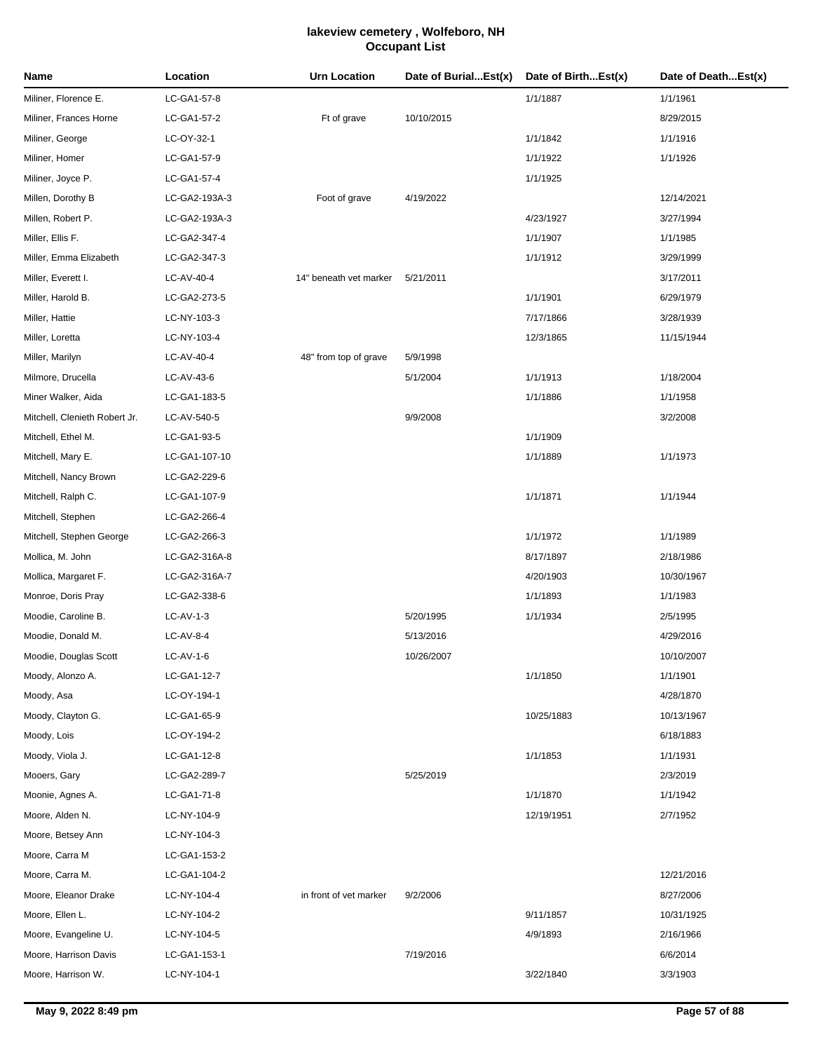| Name                          | Location      | Urn Location           | Date of BurialEst(x) | Date of BirthEst(x) | Date of DeathEst(x) |
|-------------------------------|---------------|------------------------|----------------------|---------------------|---------------------|
| Miliner, Florence E.          | LC-GA1-57-8   |                        |                      | 1/1/1887            | 1/1/1961            |
| Miliner, Frances Horne        | LC-GA1-57-2   | Ft of grave            | 10/10/2015           |                     | 8/29/2015           |
| Miliner, George               | LC-OY-32-1    |                        |                      | 1/1/1842            | 1/1/1916            |
| Miliner, Homer                | LC-GA1-57-9   |                        |                      | 1/1/1922            | 1/1/1926            |
| Miliner, Joyce P.             | LC-GA1-57-4   |                        |                      | 1/1/1925            |                     |
| Millen, Dorothy B             | LC-GA2-193A-3 | Foot of grave          | 4/19/2022            |                     | 12/14/2021          |
| Millen, Robert P.             | LC-GA2-193A-3 |                        |                      | 4/23/1927           | 3/27/1994           |
| Miller, Ellis F.              | LC-GA2-347-4  |                        |                      | 1/1/1907            | 1/1/1985            |
| Miller, Emma Elizabeth        | LC-GA2-347-3  |                        |                      | 1/1/1912            | 3/29/1999           |
| Miller, Everett I.            | LC-AV-40-4    | 14" beneath vet marker | 5/21/2011            |                     | 3/17/2011           |
| Miller, Harold B.             | LC-GA2-273-5  |                        |                      | 1/1/1901            | 6/29/1979           |
| Miller, Hattie                | LC-NY-103-3   |                        |                      | 7/17/1866           | 3/28/1939           |
| Miller, Loretta               | LC-NY-103-4   |                        |                      | 12/3/1865           | 11/15/1944          |
| Miller, Marilyn               | LC-AV-40-4    | 48" from top of grave  | 5/9/1998             |                     |                     |
| Milmore, Drucella             | LC-AV-43-6    |                        | 5/1/2004             | 1/1/1913            | 1/18/2004           |
| Miner Walker, Aida            | LC-GA1-183-5  |                        |                      | 1/1/1886            | 1/1/1958            |
| Mitchell, Clenieth Robert Jr. | LC-AV-540-5   |                        | 9/9/2008             |                     | 3/2/2008            |
| Mitchell, Ethel M.            | LC-GA1-93-5   |                        |                      | 1/1/1909            |                     |
| Mitchell, Mary E.             | LC-GA1-107-10 |                        |                      | 1/1/1889            | 1/1/1973            |
| Mitchell, Nancy Brown         | LC-GA2-229-6  |                        |                      |                     |                     |
| Mitchell, Ralph C.            | LC-GA1-107-9  |                        |                      | 1/1/1871            | 1/1/1944            |
| Mitchell, Stephen             | LC-GA2-266-4  |                        |                      |                     |                     |
| Mitchell, Stephen George      | LC-GA2-266-3  |                        |                      | 1/1/1972            | 1/1/1989            |
| Mollica, M. John              | LC-GA2-316A-8 |                        |                      | 8/17/1897           | 2/18/1986           |
| Mollica, Margaret F.          | LC-GA2-316A-7 |                        |                      | 4/20/1903           | 10/30/1967          |
| Monroe, Doris Pray            | LC-GA2-338-6  |                        |                      | 1/1/1893            | 1/1/1983            |
| Moodie, Caroline B.           | LC-AV-1-3     |                        | 5/20/1995            | 1/1/1934            | 2/5/1995            |
| Moodie, Donald M.             | LC-AV-8-4     |                        | 5/13/2016            |                     | 4/29/2016           |
| Moodie, Douglas Scott         | LC-AV-1-6     |                        | 10/26/2007           |                     | 10/10/2007          |
| Moody, Alonzo A.              | LC-GA1-12-7   |                        |                      | 1/1/1850            | 1/1/1901            |
| Moody, Asa                    | LC-OY-194-1   |                        |                      |                     | 4/28/1870           |
| Moody, Clayton G.             | LC-GA1-65-9   |                        |                      | 10/25/1883          | 10/13/1967          |
| Moody, Lois                   | LC-OY-194-2   |                        |                      |                     | 6/18/1883           |
| Moody, Viola J.               | LC-GA1-12-8   |                        |                      | 1/1/1853            | 1/1/1931            |
| Mooers, Gary                  | LC-GA2-289-7  |                        | 5/25/2019            |                     | 2/3/2019            |
| Moonie, Agnes A.              | LC-GA1-71-8   |                        |                      | 1/1/1870            | 1/1/1942            |
| Moore, Alden N.               | LC-NY-104-9   |                        |                      | 12/19/1951          | 2/7/1952            |
| Moore, Betsey Ann             | LC-NY-104-3   |                        |                      |                     |                     |
| Moore, Carra M                | LC-GA1-153-2  |                        |                      |                     |                     |
| Moore, Carra M.               | LC-GA1-104-2  |                        |                      |                     | 12/21/2016          |
| Moore, Eleanor Drake          | LC-NY-104-4   | in front of vet marker | 9/2/2006             |                     | 8/27/2006           |
| Moore, Ellen L.               | LC-NY-104-2   |                        |                      | 9/11/1857           | 10/31/1925          |
| Moore, Evangeline U.          | LC-NY-104-5   |                        |                      | 4/9/1893            | 2/16/1966           |
| Moore, Harrison Davis         | LC-GA1-153-1  |                        | 7/19/2016            |                     | 6/6/2014            |
| Moore, Harrison W.            | LC-NY-104-1   |                        |                      | 3/22/1840           | 3/3/1903            |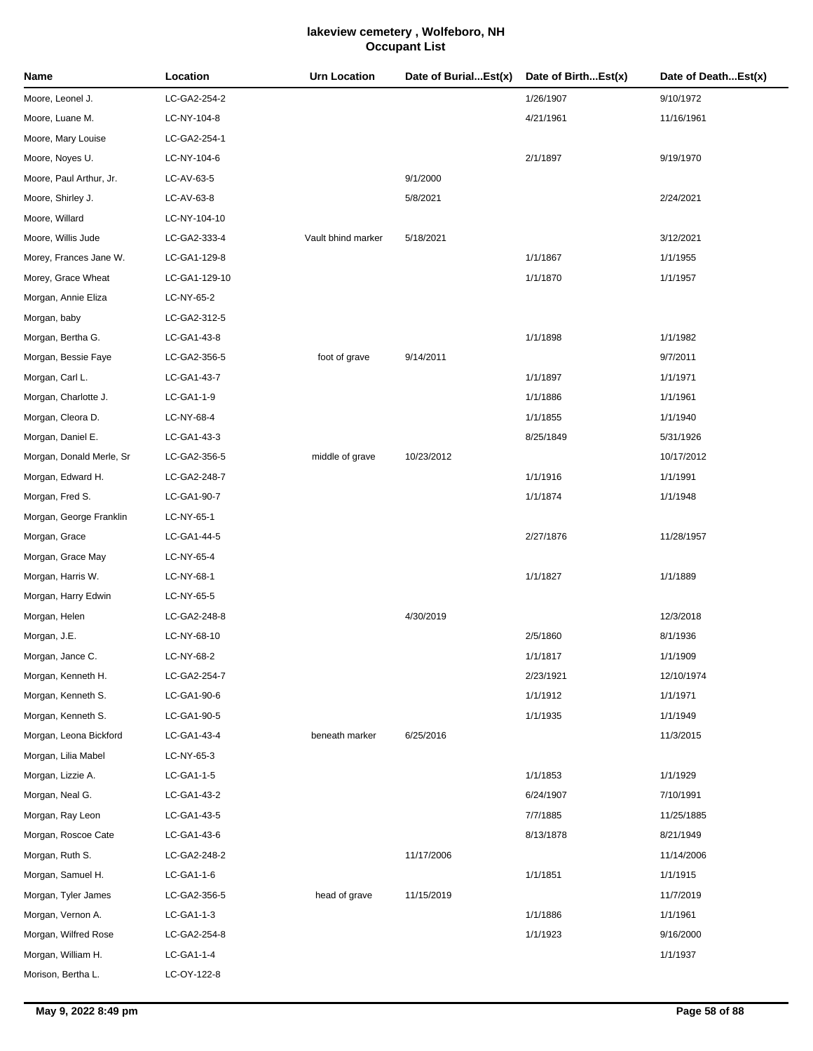| Name                     | Location      | Urn Location       | Date of BurialEst(x) | Date of BirthEst(x) | Date of DeathEst(x) |
|--------------------------|---------------|--------------------|----------------------|---------------------|---------------------|
| Moore, Leonel J.         | LC-GA2-254-2  |                    |                      | 1/26/1907           | 9/10/1972           |
| Moore, Luane M.          | LC-NY-104-8   |                    |                      | 4/21/1961           | 11/16/1961          |
| Moore, Mary Louise       | LC-GA2-254-1  |                    |                      |                     |                     |
| Moore, Noyes U.          | LC-NY-104-6   |                    |                      | 2/1/1897            | 9/19/1970           |
| Moore, Paul Arthur, Jr.  | LC-AV-63-5    |                    | 9/1/2000             |                     |                     |
| Moore, Shirley J.        | LC-AV-63-8    |                    | 5/8/2021             |                     | 2/24/2021           |
| Moore, Willard           | LC-NY-104-10  |                    |                      |                     |                     |
| Moore, Willis Jude       | LC-GA2-333-4  | Vault bhind marker | 5/18/2021            |                     | 3/12/2021           |
| Morey, Frances Jane W.   | LC-GA1-129-8  |                    |                      | 1/1/1867            | 1/1/1955            |
| Morey, Grace Wheat       | LC-GA1-129-10 |                    |                      | 1/1/1870            | 1/1/1957            |
| Morgan, Annie Eliza      | LC-NY-65-2    |                    |                      |                     |                     |
| Morgan, baby             | LC-GA2-312-5  |                    |                      |                     |                     |
| Morgan, Bertha G.        | LC-GA1-43-8   |                    |                      | 1/1/1898            | 1/1/1982            |
| Morgan, Bessie Faye      | LC-GA2-356-5  | foot of grave      | 9/14/2011            |                     | 9/7/2011            |
| Morgan, Carl L.          | LC-GA1-43-7   |                    |                      | 1/1/1897            | 1/1/1971            |
| Morgan, Charlotte J.     | LC-GA1-1-9    |                    |                      | 1/1/1886            | 1/1/1961            |
| Morgan, Cleora D.        | LC-NY-68-4    |                    |                      | 1/1/1855            | 1/1/1940            |
| Morgan, Daniel E.        | LC-GA1-43-3   |                    |                      | 8/25/1849           | 5/31/1926           |
| Morgan, Donald Merle, Sr | LC-GA2-356-5  | middle of grave    | 10/23/2012           |                     | 10/17/2012          |
| Morgan, Edward H.        | LC-GA2-248-7  |                    |                      | 1/1/1916            | 1/1/1991            |
| Morgan, Fred S.          | LC-GA1-90-7   |                    |                      | 1/1/1874            | 1/1/1948            |
| Morgan, George Franklin  | LC-NY-65-1    |                    |                      |                     |                     |
| Morgan, Grace            | LC-GA1-44-5   |                    |                      | 2/27/1876           | 11/28/1957          |
| Morgan, Grace May        | LC-NY-65-4    |                    |                      |                     |                     |
| Morgan, Harris W.        | LC-NY-68-1    |                    |                      | 1/1/1827            | 1/1/1889            |
| Morgan, Harry Edwin      | LC-NY-65-5    |                    |                      |                     |                     |
| Morgan, Helen            | LC-GA2-248-8  |                    | 4/30/2019            |                     | 12/3/2018           |
| Morgan, J.E.             | LC-NY-68-10   |                    |                      | 2/5/1860            | 8/1/1936            |
| Morgan, Jance C.         | LC-NY-68-2    |                    |                      | 1/1/1817            | 1/1/1909            |
| Morgan, Kenneth H.       | LC-GA2-254-7  |                    |                      | 2/23/1921           | 12/10/1974          |
| Morgan, Kenneth S.       | LC-GA1-90-6   |                    |                      | 1/1/1912            | 1/1/1971            |
| Morgan, Kenneth S.       | LC-GA1-90-5   |                    |                      | 1/1/1935            | 1/1/1949            |
| Morgan, Leona Bickford   | LC-GA1-43-4   | beneath marker     | 6/25/2016            |                     | 11/3/2015           |
| Morgan, Lilia Mabel      | LC-NY-65-3    |                    |                      |                     |                     |
| Morgan, Lizzie A.        | LC-GA1-1-5    |                    |                      | 1/1/1853            | 1/1/1929            |
| Morgan, Neal G.          | LC-GA1-43-2   |                    |                      | 6/24/1907           | 7/10/1991           |
| Morgan, Ray Leon         | LC-GA1-43-5   |                    |                      | 7/7/1885            | 11/25/1885          |
| Morgan, Roscoe Cate      | LC-GA1-43-6   |                    |                      | 8/13/1878           | 8/21/1949           |
| Morgan, Ruth S.          | LC-GA2-248-2  |                    | 11/17/2006           |                     | 11/14/2006          |
| Morgan, Samuel H.        | LC-GA1-1-6    |                    |                      | 1/1/1851            | 1/1/1915            |
| Morgan, Tyler James      | LC-GA2-356-5  | head of grave      | 11/15/2019           |                     | 11/7/2019           |
| Morgan, Vernon A.        | LC-GA1-1-3    |                    |                      | 1/1/1886            | 1/1/1961            |
| Morgan, Wilfred Rose     | LC-GA2-254-8  |                    |                      | 1/1/1923            | 9/16/2000           |
| Morgan, William H.       | LC-GA1-1-4    |                    |                      |                     | 1/1/1937            |
| Morison, Bertha L.       | LC-OY-122-8   |                    |                      |                     |                     |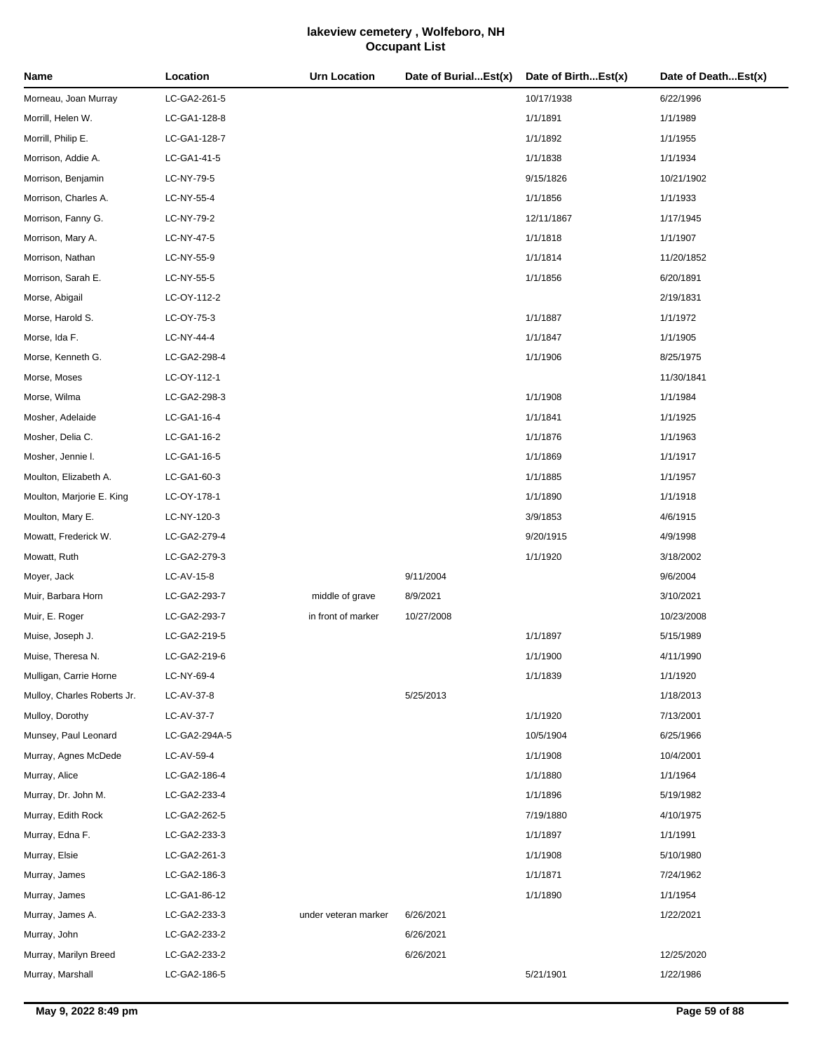| Name                        | Location      | <b>Urn Location</b>  | Date of BurialEst(x) | Date of BirthEst(x) | Date of DeathEst(x) |
|-----------------------------|---------------|----------------------|----------------------|---------------------|---------------------|
| Morneau, Joan Murray        | LC-GA2-261-5  |                      |                      | 10/17/1938          | 6/22/1996           |
| Morrill, Helen W.           | LC-GA1-128-8  |                      |                      | 1/1/1891            | 1/1/1989            |
| Morrill, Philip E.          | LC-GA1-128-7  |                      |                      | 1/1/1892            | 1/1/1955            |
| Morrison, Addie A.          | LC-GA1-41-5   |                      |                      | 1/1/1838            | 1/1/1934            |
| Morrison, Benjamin          | LC-NY-79-5    |                      |                      | 9/15/1826           | 10/21/1902          |
| Morrison, Charles A.        | LC-NY-55-4    |                      |                      | 1/1/1856            | 1/1/1933            |
| Morrison, Fanny G.          | LC-NY-79-2    |                      |                      | 12/11/1867          | 1/17/1945           |
| Morrison, Mary A.           | LC-NY-47-5    |                      |                      | 1/1/1818            | 1/1/1907            |
| Morrison, Nathan            | LC-NY-55-9    |                      |                      | 1/1/1814            | 11/20/1852          |
| Morrison, Sarah E.          | LC-NY-55-5    |                      |                      | 1/1/1856            | 6/20/1891           |
| Morse, Abigail              | LC-OY-112-2   |                      |                      |                     | 2/19/1831           |
| Morse, Harold S.            | LC-OY-75-3    |                      |                      | 1/1/1887            | 1/1/1972            |
| Morse, Ida F.               | LC-NY-44-4    |                      |                      | 1/1/1847            | 1/1/1905            |
| Morse, Kenneth G.           | LC-GA2-298-4  |                      |                      | 1/1/1906            | 8/25/1975           |
| Morse, Moses                | LC-OY-112-1   |                      |                      |                     | 11/30/1841          |
| Morse, Wilma                | LC-GA2-298-3  |                      |                      | 1/1/1908            | 1/1/1984            |
| Mosher, Adelaide            | LC-GA1-16-4   |                      |                      | 1/1/1841            | 1/1/1925            |
| Mosher, Delia C.            | LC-GA1-16-2   |                      |                      | 1/1/1876            | 1/1/1963            |
| Mosher, Jennie I.           | LC-GA1-16-5   |                      |                      | 1/1/1869            | 1/1/1917            |
| Moulton, Elizabeth A.       | LC-GA1-60-3   |                      |                      | 1/1/1885            | 1/1/1957            |
| Moulton, Marjorie E. King   | LC-OY-178-1   |                      |                      | 1/1/1890            | 1/1/1918            |
| Moulton, Mary E.            | LC-NY-120-3   |                      |                      | 3/9/1853            | 4/6/1915            |
| Mowatt, Frederick W.        | LC-GA2-279-4  |                      |                      | 9/20/1915           | 4/9/1998            |
| Mowatt, Ruth                | LC-GA2-279-3  |                      |                      | 1/1/1920            | 3/18/2002           |
| Moyer, Jack                 | LC-AV-15-8    |                      | 9/11/2004            |                     | 9/6/2004            |
| Muir, Barbara Horn          | LC-GA2-293-7  | middle of grave      | 8/9/2021             |                     | 3/10/2021           |
| Muir, E. Roger              | LC-GA2-293-7  | in front of marker   | 10/27/2008           |                     | 10/23/2008          |
| Muise, Joseph J.            | LC-GA2-219-5  |                      |                      | 1/1/1897            | 5/15/1989           |
| Muise, Theresa N.           | LC-GA2-219-6  |                      |                      | 1/1/1900            | 4/11/1990           |
| Mulligan, Carrie Horne      | LC-NY-69-4    |                      |                      | 1/1/1839            | 1/1/1920            |
| Mulloy, Charles Roberts Jr. | LC-AV-37-8    |                      | 5/25/2013            |                     | 1/18/2013           |
| Mulloy, Dorothy             | LC-AV-37-7    |                      |                      | 1/1/1920            | 7/13/2001           |
| Munsey, Paul Leonard        | LC-GA2-294A-5 |                      |                      | 10/5/1904           | 6/25/1966           |
| Murray, Agnes McDede        | LC-AV-59-4    |                      |                      | 1/1/1908            | 10/4/2001           |
| Murray, Alice               | LC-GA2-186-4  |                      |                      | 1/1/1880            | 1/1/1964            |
| Murray, Dr. John M.         | LC-GA2-233-4  |                      |                      | 1/1/1896            | 5/19/1982           |
| Murray, Edith Rock          | LC-GA2-262-5  |                      |                      | 7/19/1880           | 4/10/1975           |
| Murray, Edna F.             | LC-GA2-233-3  |                      |                      | 1/1/1897            | 1/1/1991            |
| Murray, Elsie               | LC-GA2-261-3  |                      |                      | 1/1/1908            | 5/10/1980           |
| Murray, James               | LC-GA2-186-3  |                      |                      | 1/1/1871            | 7/24/1962           |
| Murray, James               | LC-GA1-86-12  |                      |                      | 1/1/1890            | 1/1/1954            |
| Murray, James A.            | LC-GA2-233-3  | under veteran marker | 6/26/2021            |                     | 1/22/2021           |
| Murray, John                | LC-GA2-233-2  |                      | 6/26/2021            |                     |                     |
| Murray, Marilyn Breed       | LC-GA2-233-2  |                      | 6/26/2021            |                     | 12/25/2020          |
| Murray, Marshall            | LC-GA2-186-5  |                      |                      | 5/21/1901           | 1/22/1986           |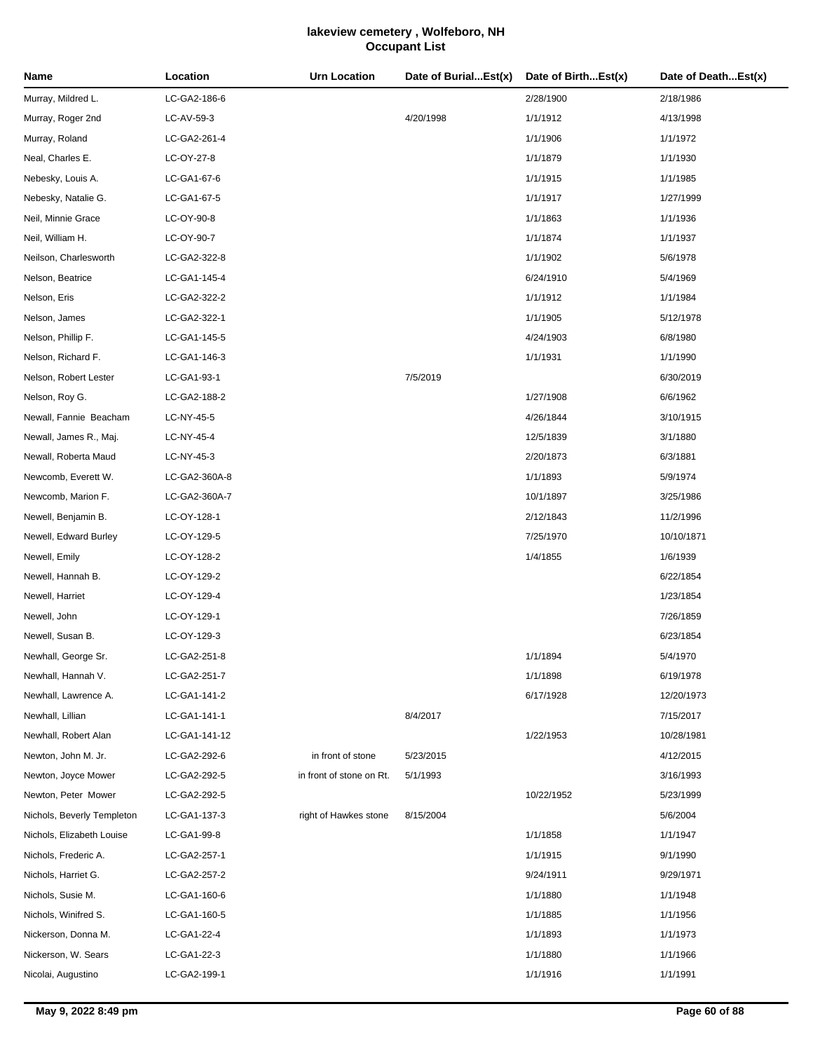| Name                       | Location      | <b>Urn Location</b>      | Date of BurialEst(x) | Date of BirthEst(x) | Date of DeathEst(x) |
|----------------------------|---------------|--------------------------|----------------------|---------------------|---------------------|
| Murray, Mildred L.         | LC-GA2-186-6  |                          |                      | 2/28/1900           | 2/18/1986           |
| Murray, Roger 2nd          | LC-AV-59-3    |                          | 4/20/1998            | 1/1/1912            | 4/13/1998           |
| Murray, Roland             | LC-GA2-261-4  |                          |                      | 1/1/1906            | 1/1/1972            |
| Neal, Charles E.           | LC-OY-27-8    |                          |                      | 1/1/1879            | 1/1/1930            |
| Nebesky, Louis A.          | LC-GA1-67-6   |                          |                      | 1/1/1915            | 1/1/1985            |
| Nebesky, Natalie G.        | LC-GA1-67-5   |                          |                      | 1/1/1917            | 1/27/1999           |
| Neil, Minnie Grace         | LC-OY-90-8    |                          |                      | 1/1/1863            | 1/1/1936            |
| Neil, William H.           | LC-OY-90-7    |                          |                      | 1/1/1874            | 1/1/1937            |
| Neilson, Charlesworth      | LC-GA2-322-8  |                          |                      | 1/1/1902            | 5/6/1978            |
| Nelson, Beatrice           | LC-GA1-145-4  |                          |                      | 6/24/1910           | 5/4/1969            |
| Nelson, Eris               | LC-GA2-322-2  |                          |                      | 1/1/1912            | 1/1/1984            |
| Nelson, James              | LC-GA2-322-1  |                          |                      | 1/1/1905            | 5/12/1978           |
| Nelson, Phillip F.         | LC-GA1-145-5  |                          |                      | 4/24/1903           | 6/8/1980            |
| Nelson, Richard F.         | LC-GA1-146-3  |                          |                      | 1/1/1931            | 1/1/1990            |
| Nelson, Robert Lester      | LC-GA1-93-1   |                          | 7/5/2019             |                     | 6/30/2019           |
| Nelson, Roy G.             | LC-GA2-188-2  |                          |                      | 1/27/1908           | 6/6/1962            |
| Newall, Fannie Beacham     | LC-NY-45-5    |                          |                      | 4/26/1844           | 3/10/1915           |
| Newall, James R., Maj.     | LC-NY-45-4    |                          |                      | 12/5/1839           | 3/1/1880            |
| Newall, Roberta Maud       | LC-NY-45-3    |                          |                      | 2/20/1873           | 6/3/1881            |
| Newcomb, Everett W.        | LC-GA2-360A-8 |                          |                      | 1/1/1893            | 5/9/1974            |
| Newcomb, Marion F.         | LC-GA2-360A-7 |                          |                      | 10/1/1897           | 3/25/1986           |
| Newell, Benjamin B.        | LC-OY-128-1   |                          |                      | 2/12/1843           | 11/2/1996           |
| Newell, Edward Burley      | LC-OY-129-5   |                          |                      | 7/25/1970           | 10/10/1871          |
| Newell, Emily              | LC-OY-128-2   |                          |                      | 1/4/1855            | 1/6/1939            |
| Newell, Hannah B.          | LC-OY-129-2   |                          |                      |                     | 6/22/1854           |
| Newell, Harriet            | LC-OY-129-4   |                          |                      |                     | 1/23/1854           |
| Newell, John               | LC-OY-129-1   |                          |                      |                     | 7/26/1859           |
| Newell, Susan B.           | LC-OY-129-3   |                          |                      |                     | 6/23/1854           |
| Newhall, George Sr.        | LC-GA2-251-8  |                          |                      | 1/1/1894            | 5/4/1970            |
| Newhall, Hannah V.         | LC-GA2-251-7  |                          |                      | 1/1/1898            | 6/19/1978           |
| Newhall, Lawrence A.       | LC-GA1-141-2  |                          |                      | 6/17/1928           | 12/20/1973          |
| Newhall, Lillian           | LC-GA1-141-1  |                          | 8/4/2017             |                     | 7/15/2017           |
| Newhall, Robert Alan       | LC-GA1-141-12 |                          |                      | 1/22/1953           | 10/28/1981          |
| Newton, John M. Jr.        | LC-GA2-292-6  | in front of stone        | 5/23/2015            |                     | 4/12/2015           |
| Newton, Joyce Mower        | LC-GA2-292-5  | in front of stone on Rt. | 5/1/1993             |                     | 3/16/1993           |
| Newton, Peter Mower        | LC-GA2-292-5  |                          |                      | 10/22/1952          | 5/23/1999           |
| Nichols, Beverly Templeton | LC-GA1-137-3  | right of Hawkes stone    | 8/15/2004            |                     | 5/6/2004            |
| Nichols, Elizabeth Louise  | LC-GA1-99-8   |                          |                      | 1/1/1858            | 1/1/1947            |
| Nichols, Frederic A.       | LC-GA2-257-1  |                          |                      | 1/1/1915            | 9/1/1990            |
| Nichols, Harriet G.        | LC-GA2-257-2  |                          |                      | 9/24/1911           | 9/29/1971           |
| Nichols, Susie M.          | LC-GA1-160-6  |                          |                      | 1/1/1880            | 1/1/1948            |
| Nichols, Winifred S.       | LC-GA1-160-5  |                          |                      | 1/1/1885            | 1/1/1956            |
| Nickerson, Donna M.        | LC-GA1-22-4   |                          |                      | 1/1/1893            | 1/1/1973            |
| Nickerson, W. Sears        | LC-GA1-22-3   |                          |                      | 1/1/1880            | 1/1/1966            |
| Nicolai, Augustino         | LC-GA2-199-1  |                          |                      | 1/1/1916            | 1/1/1991            |
|                            |               |                          |                      |                     |                     |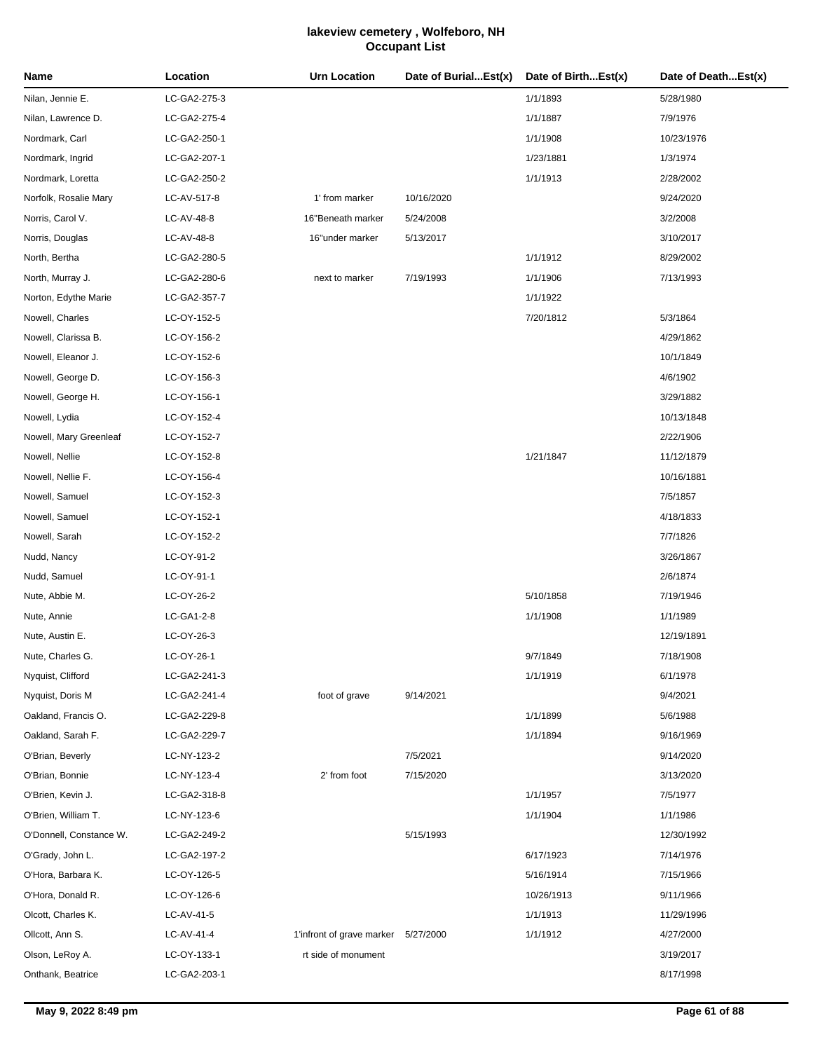| Name                    | Location     | <b>Urn Location</b>                 | Date of BurialEst(x) | Date of BirthEst(x) | Date of DeathEst(x) |
|-------------------------|--------------|-------------------------------------|----------------------|---------------------|---------------------|
| Nilan, Jennie E.        | LC-GA2-275-3 |                                     |                      | 1/1/1893            | 5/28/1980           |
| Nilan, Lawrence D.      | LC-GA2-275-4 |                                     |                      | 1/1/1887            | 7/9/1976            |
| Nordmark, Carl          | LC-GA2-250-1 |                                     |                      | 1/1/1908            | 10/23/1976          |
| Nordmark, Ingrid        | LC-GA2-207-1 |                                     |                      | 1/23/1881           | 1/3/1974            |
| Nordmark, Loretta       | LC-GA2-250-2 |                                     |                      | 1/1/1913            | 2/28/2002           |
| Norfolk, Rosalie Mary   | LC-AV-517-8  | 1' from marker                      | 10/16/2020           |                     | 9/24/2020           |
| Norris, Carol V.        | LC-AV-48-8   | 16"Beneath marker                   | 5/24/2008            |                     | 3/2/2008            |
| Norris, Douglas         | LC-AV-48-8   | 16"under marker                     | 5/13/2017            |                     | 3/10/2017           |
| North, Bertha           | LC-GA2-280-5 |                                     |                      | 1/1/1912            | 8/29/2002           |
| North, Murray J.        | LC-GA2-280-6 | next to marker                      | 7/19/1993            | 1/1/1906            | 7/13/1993           |
| Norton, Edythe Marie    | LC-GA2-357-7 |                                     |                      | 1/1/1922            |                     |
| Nowell, Charles         | LC-OY-152-5  |                                     |                      | 7/20/1812           | 5/3/1864            |
| Nowell, Clarissa B.     | LC-OY-156-2  |                                     |                      |                     | 4/29/1862           |
| Nowell, Eleanor J.      | LC-OY-152-6  |                                     |                      |                     | 10/1/1849           |
| Nowell, George D.       | LC-OY-156-3  |                                     |                      |                     | 4/6/1902            |
| Nowell, George H.       | LC-OY-156-1  |                                     |                      |                     | 3/29/1882           |
| Nowell, Lydia           | LC-OY-152-4  |                                     |                      |                     | 10/13/1848          |
| Nowell, Mary Greenleaf  | LC-OY-152-7  |                                     |                      |                     | 2/22/1906           |
| Nowell, Nellie          | LC-OY-152-8  |                                     |                      | 1/21/1847           | 11/12/1879          |
| Nowell, Nellie F.       | LC-OY-156-4  |                                     |                      |                     | 10/16/1881          |
| Nowell, Samuel          | LC-OY-152-3  |                                     |                      |                     | 7/5/1857            |
| Nowell, Samuel          | LC-OY-152-1  |                                     |                      |                     | 4/18/1833           |
| Nowell, Sarah           | LC-OY-152-2  |                                     |                      |                     | 7/7/1826            |
| Nudd, Nancy             | LC-OY-91-2   |                                     |                      |                     | 3/26/1867           |
| Nudd, Samuel            | LC-OY-91-1   |                                     |                      |                     | 2/6/1874            |
| Nute, Abbie M.          | LC-OY-26-2   |                                     |                      | 5/10/1858           | 7/19/1946           |
| Nute, Annie             | LC-GA1-2-8   |                                     |                      | 1/1/1908            | 1/1/1989            |
| Nute, Austin E.         | LC-OY-26-3   |                                     |                      |                     | 12/19/1891          |
| Nute, Charles G.        | LC-OY-26-1   |                                     |                      | 9/7/1849            | 7/18/1908           |
| Nyquist, Clifford       | LC-GA2-241-3 |                                     |                      | 1/1/1919            | 6/1/1978            |
| Nyquist, Doris M        | LC-GA2-241-4 | foot of grave                       | 9/14/2021            |                     | 9/4/2021            |
| Oakland, Francis O.     | LC-GA2-229-8 |                                     |                      | 1/1/1899            | 5/6/1988            |
| Oakland, Sarah F.       | LC-GA2-229-7 |                                     |                      | 1/1/1894            | 9/16/1969           |
| O'Brian, Beverly        | LC-NY-123-2  |                                     | 7/5/2021             |                     | 9/14/2020           |
| O'Brian, Bonnie         | LC-NY-123-4  | 2' from foot                        | 7/15/2020            |                     | 3/13/2020           |
| O'Brien, Kevin J.       | LC-GA2-318-8 |                                     |                      | 1/1/1957            | 7/5/1977            |
| O'Brien, William T.     | LC-NY-123-6  |                                     |                      | 1/1/1904            | 1/1/1986            |
| O'Donnell, Constance W. | LC-GA2-249-2 |                                     | 5/15/1993            |                     | 12/30/1992          |
| O'Grady, John L.        | LC-GA2-197-2 |                                     |                      | 6/17/1923           | 7/14/1976           |
| O'Hora, Barbara K.      | LC-OY-126-5  |                                     |                      | 5/16/1914           | 7/15/1966           |
| O'Hora, Donald R.       | LC-OY-126-6  |                                     |                      | 10/26/1913          | 9/11/1966           |
| Olcott, Charles K.      | LC-AV-41-5   |                                     |                      | 1/1/1913            | 11/29/1996          |
| Ollcott, Ann S.         | LC-AV-41-4   | 1'infront of grave marker 5/27/2000 |                      | 1/1/1912            | 4/27/2000           |
| Olson, LeRoy A.         | LC-OY-133-1  | rt side of monument                 |                      |                     | 3/19/2017           |
| Onthank, Beatrice       | LC-GA2-203-1 |                                     |                      |                     | 8/17/1998           |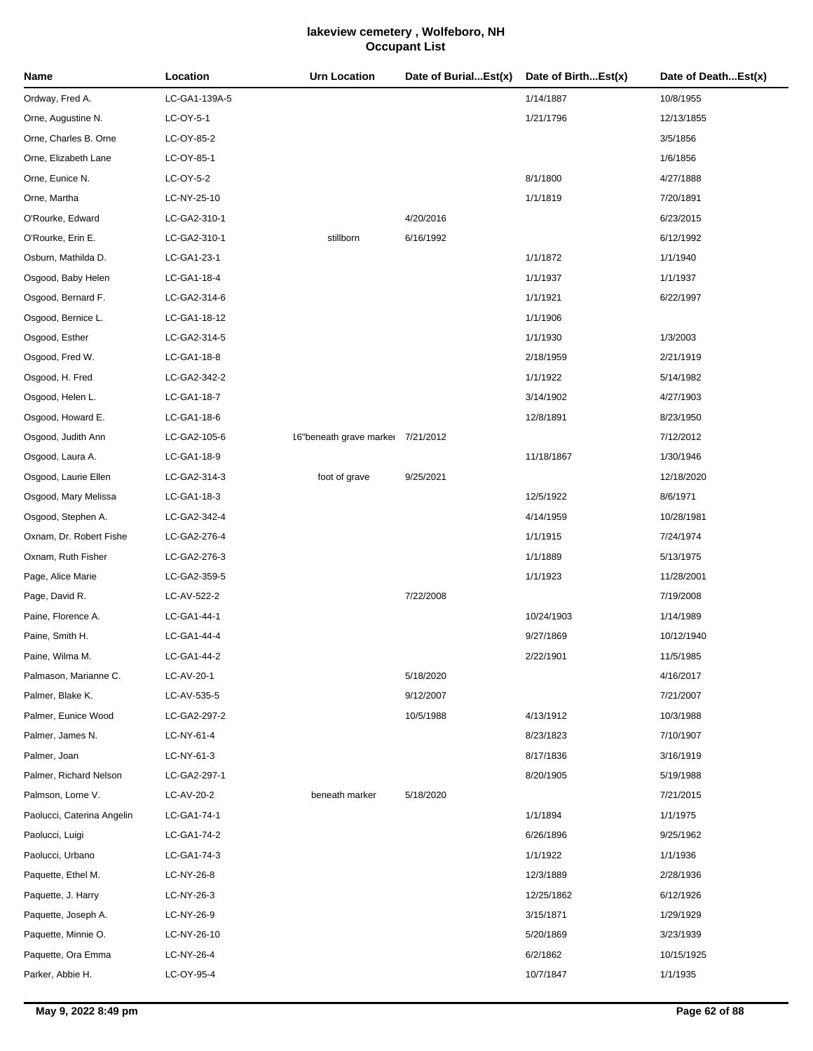| Name                       | Location      | <b>Urn Location</b>               | Date of BurialEst(x) | Date of BirthEst(x) | Date of DeathEst(x) |
|----------------------------|---------------|-----------------------------------|----------------------|---------------------|---------------------|
| Ordway, Fred A.            | LC-GA1-139A-5 |                                   |                      | 1/14/1887           | 10/8/1955           |
| Orne, Augustine N.         | LC-OY-5-1     |                                   |                      | 1/21/1796           | 12/13/1855          |
| Orne, Charles B. Orne      | LC-OY-85-2    |                                   |                      |                     | 3/5/1856            |
| Orne, Elizabeth Lane       | LC-OY-85-1    |                                   |                      |                     | 1/6/1856            |
| Orne, Eunice N.            | LC-OY-5-2     |                                   |                      | 8/1/1800            | 4/27/1888           |
| Orne, Martha               | LC-NY-25-10   |                                   |                      | 1/1/1819            | 7/20/1891           |
| O'Rourke, Edward           | LC-GA2-310-1  |                                   | 4/20/2016            |                     | 6/23/2015           |
| O'Rourke, Erin E.          | LC-GA2-310-1  | stillborn                         | 6/16/1992            |                     | 6/12/1992           |
| Osburn, Mathilda D.        | LC-GA1-23-1   |                                   |                      | 1/1/1872            | 1/1/1940            |
| Osgood, Baby Helen         | LC-GA1-18-4   |                                   |                      | 1/1/1937            | 1/1/1937            |
| Osgood, Bernard F.         | LC-GA2-314-6  |                                   |                      | 1/1/1921            | 6/22/1997           |
| Osgood, Bernice L.         | LC-GA1-18-12  |                                   |                      | 1/1/1906            |                     |
| Osgood, Esther             | LC-GA2-314-5  |                                   |                      | 1/1/1930            | 1/3/2003            |
| Osgood, Fred W.            | LC-GA1-18-8   |                                   |                      | 2/18/1959           | 2/21/1919           |
| Osgood, H. Fred            | LC-GA2-342-2  |                                   |                      | 1/1/1922            | 5/14/1982           |
| Osgood, Helen L.           | LC-GA1-18-7   |                                   |                      | 3/14/1902           | 4/27/1903           |
| Osgood, Howard E.          | LC-GA1-18-6   |                                   |                      | 12/8/1891           | 8/23/1950           |
| Osgood, Judith Ann         | LC-GA2-105-6  | 16"beneath grave marker 7/21/2012 |                      |                     | 7/12/2012           |
| Osgood, Laura A.           | LC-GA1-18-9   |                                   |                      | 11/18/1867          | 1/30/1946           |
| Osgood, Laurie Ellen       | LC-GA2-314-3  | foot of grave                     | 9/25/2021            |                     | 12/18/2020          |
| Osgood, Mary Melissa       | LC-GA1-18-3   |                                   |                      | 12/5/1922           | 8/6/1971            |
| Osgood, Stephen A.         | LC-GA2-342-4  |                                   |                      | 4/14/1959           | 10/28/1981          |
| Oxnam, Dr. Robert Fishe    | LC-GA2-276-4  |                                   |                      | 1/1/1915            | 7/24/1974           |
| Oxnam, Ruth Fisher         | LC-GA2-276-3  |                                   |                      | 1/1/1889            | 5/13/1975           |
| Page, Alice Marie          | LC-GA2-359-5  |                                   |                      | 1/1/1923            | 11/28/2001          |
| Page, David R.             | LC-AV-522-2   |                                   | 7/22/2008            |                     | 7/19/2008           |
| Paine, Florence A.         | LC-GA1-44-1   |                                   |                      | 10/24/1903          | 1/14/1989           |
| Paine, Smith H.            | LC-GA1-44-4   |                                   |                      | 9/27/1869           | 10/12/1940          |
| Paine, Wilma M.            | LC-GA1-44-2   |                                   |                      | 2/22/1901           | 11/5/1985           |
| Palmason, Marianne C.      | LC-AV-20-1    |                                   | 5/18/2020            |                     | 4/16/2017           |
| Palmer, Blake K.           | LC-AV-535-5   |                                   | 9/12/2007            |                     | 7/21/2007           |
| Palmer, Eunice Wood        | LC-GA2-297-2  |                                   | 10/5/1988            | 4/13/1912           | 10/3/1988           |
| Palmer, James N.           | LC-NY-61-4    |                                   |                      | 8/23/1823           | 7/10/1907           |
| Palmer, Joan               | LC-NY-61-3    |                                   |                      | 8/17/1836           | 3/16/1919           |
| Palmer, Richard Nelson     | LC-GA2-297-1  |                                   |                      | 8/20/1905           | 5/19/1988           |
| Palmson, Lorne V.          | LC-AV-20-2    | beneath marker                    | 5/18/2020            |                     | 7/21/2015           |
| Paolucci, Caterina Angelin | LC-GA1-74-1   |                                   |                      | 1/1/1894            | 1/1/1975            |
| Paolucci, Luigi            | LC-GA1-74-2   |                                   |                      | 6/26/1896           | 9/25/1962           |
| Paolucci, Urbano           | LC-GA1-74-3   |                                   |                      | 1/1/1922            | 1/1/1936            |
| Paquette, Ethel M.         | LC-NY-26-8    |                                   |                      | 12/3/1889           | 2/28/1936           |
| Paquette, J. Harry         | LC-NY-26-3    |                                   |                      | 12/25/1862          | 6/12/1926           |
| Paquette, Joseph A.        | LC-NY-26-9    |                                   |                      | 3/15/1871           | 1/29/1929           |
| Paquette, Minnie O.        | LC-NY-26-10   |                                   |                      | 5/20/1869           | 3/23/1939           |
| Paquette, Ora Emma         | LC-NY-26-4    |                                   |                      | 6/2/1862            | 10/15/1925          |
| Parker, Abbie H.           | LC-OY-95-4    |                                   |                      | 10/7/1847           | 1/1/1935            |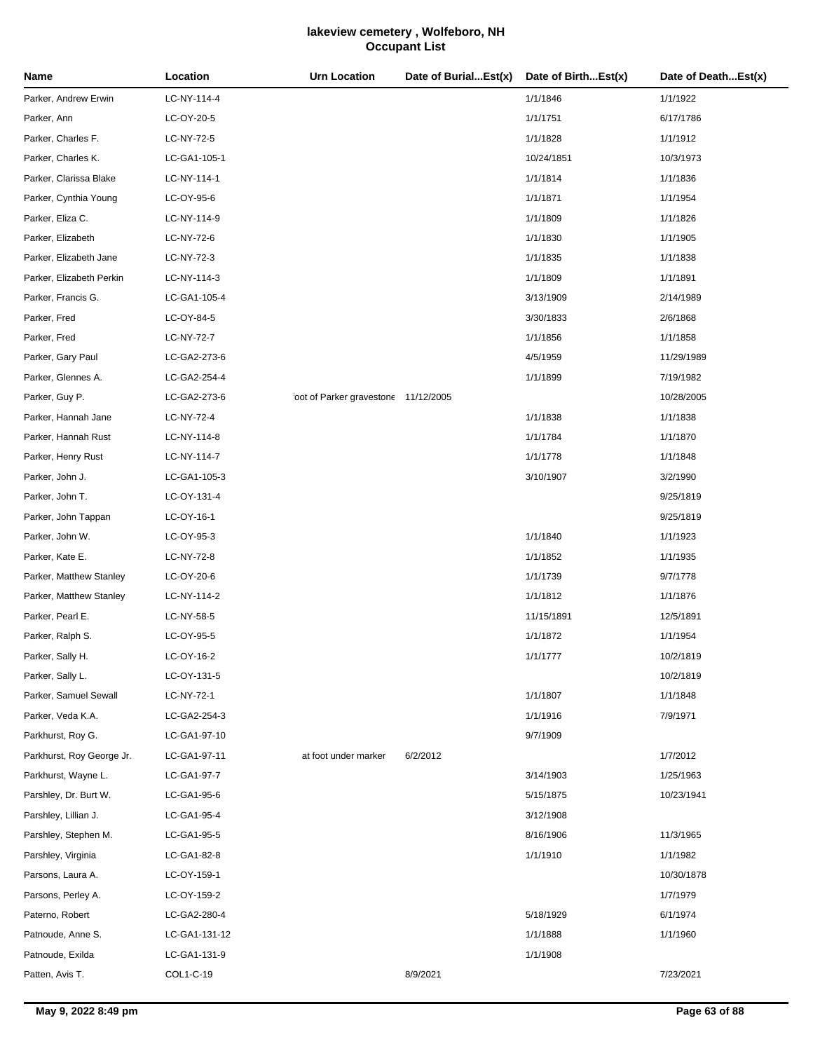| Name                      | Location      | <b>Urn Location</b>                  | Date of BurialEst(x) | Date of BirthEst(x) | Date of DeathEst(x) |
|---------------------------|---------------|--------------------------------------|----------------------|---------------------|---------------------|
| Parker, Andrew Erwin      | LC-NY-114-4   |                                      |                      | 1/1/1846            | 1/1/1922            |
| Parker, Ann               | LC-OY-20-5    |                                      |                      | 1/1/1751            | 6/17/1786           |
| Parker, Charles F.        | LC-NY-72-5    |                                      |                      | 1/1/1828            | 1/1/1912            |
| Parker, Charles K.        | LC-GA1-105-1  |                                      |                      | 10/24/1851          | 10/3/1973           |
| Parker, Clarissa Blake    | LC-NY-114-1   |                                      |                      | 1/1/1814            | 1/1/1836            |
| Parker, Cynthia Young     | LC-OY-95-6    |                                      |                      | 1/1/1871            | 1/1/1954            |
| Parker, Eliza C.          | LC-NY-114-9   |                                      |                      | 1/1/1809            | 1/1/1826            |
| Parker, Elizabeth         | LC-NY-72-6    |                                      |                      | 1/1/1830            | 1/1/1905            |
| Parker, Elizabeth Jane    | LC-NY-72-3    |                                      |                      | 1/1/1835            | 1/1/1838            |
| Parker, Elizabeth Perkin  | LC-NY-114-3   |                                      |                      | 1/1/1809            | 1/1/1891            |
| Parker, Francis G.        | LC-GA1-105-4  |                                      |                      | 3/13/1909           | 2/14/1989           |
| Parker, Fred              | LC-OY-84-5    |                                      |                      | 3/30/1833           | 2/6/1868            |
| Parker, Fred              | LC-NY-72-7    |                                      |                      | 1/1/1856            | 1/1/1858            |
| Parker, Gary Paul         | LC-GA2-273-6  |                                      |                      | 4/5/1959            | 11/29/1989          |
| Parker, Glennes A.        | LC-GA2-254-4  |                                      |                      | 1/1/1899            | 7/19/1982           |
| Parker, Guy P.            | LC-GA2-273-6  | foot of Parker gravestone 11/12/2005 |                      |                     | 10/28/2005          |
| Parker, Hannah Jane       | LC-NY-72-4    |                                      |                      | 1/1/1838            | 1/1/1838            |
| Parker, Hannah Rust       | LC-NY-114-8   |                                      |                      | 1/1/1784            | 1/1/1870            |
| Parker, Henry Rust        | LC-NY-114-7   |                                      |                      | 1/1/1778            | 1/1/1848            |
| Parker, John J.           | LC-GA1-105-3  |                                      |                      | 3/10/1907           | 3/2/1990            |
| Parker, John T.           | LC-OY-131-4   |                                      |                      |                     | 9/25/1819           |
| Parker, John Tappan       | LC-OY-16-1    |                                      |                      |                     | 9/25/1819           |
| Parker, John W.           | LC-OY-95-3    |                                      |                      | 1/1/1840            | 1/1/1923            |
| Parker, Kate E.           | LC-NY-72-8    |                                      |                      | 1/1/1852            | 1/1/1935            |
| Parker, Matthew Stanley   | LC-OY-20-6    |                                      |                      | 1/1/1739            | 9/7/1778            |
| Parker, Matthew Stanley   | LC-NY-114-2   |                                      |                      | 1/1/1812            | 1/1/1876            |
| Parker, Pearl E.          | LC-NY-58-5    |                                      |                      | 11/15/1891          | 12/5/1891           |
| Parker, Ralph S.          | LC-OY-95-5    |                                      |                      | 1/1/1872            | 1/1/1954            |
| Parker, Sally H.          | LC-OY-16-2    |                                      |                      | 1/1/1777            | 10/2/1819           |
| Parker, Sally L.          | LC-OY-131-5   |                                      |                      |                     | 10/2/1819           |
| Parker, Samuel Sewall     | LC-NY-72-1    |                                      |                      | 1/1/1807            | 1/1/1848            |
| Parker, Veda K.A.         | LC-GA2-254-3  |                                      |                      | 1/1/1916            | 7/9/1971            |
| Parkhurst, Roy G.         | LC-GA1-97-10  |                                      |                      | 9/7/1909            |                     |
| Parkhurst, Roy George Jr. | LC-GA1-97-11  | at foot under marker                 | 6/2/2012             |                     | 1/7/2012            |
| Parkhurst, Wayne L.       | LC-GA1-97-7   |                                      |                      | 3/14/1903           | 1/25/1963           |
| Parshley, Dr. Burt W.     | LC-GA1-95-6   |                                      |                      | 5/15/1875           | 10/23/1941          |
| Parshley, Lillian J.      | LC-GA1-95-4   |                                      |                      | 3/12/1908           |                     |
| Parshley, Stephen M.      | LC-GA1-95-5   |                                      |                      | 8/16/1906           | 11/3/1965           |
| Parshley, Virginia        | LC-GA1-82-8   |                                      |                      | 1/1/1910            | 1/1/1982            |
| Parsons, Laura A.         | LC-OY-159-1   |                                      |                      |                     | 10/30/1878          |
| Parsons, Perley A.        | LC-OY-159-2   |                                      |                      |                     | 1/7/1979            |
| Paterno, Robert           | LC-GA2-280-4  |                                      |                      | 5/18/1929           | 6/1/1974            |
| Patnoude, Anne S.         | LC-GA1-131-12 |                                      |                      | 1/1/1888            | 1/1/1960            |
| Patnoude, Exilda          | LC-GA1-131-9  |                                      |                      | 1/1/1908            |                     |
| Patten, Avis T.           | COL1-C-19     |                                      | 8/9/2021             |                     | 7/23/2021           |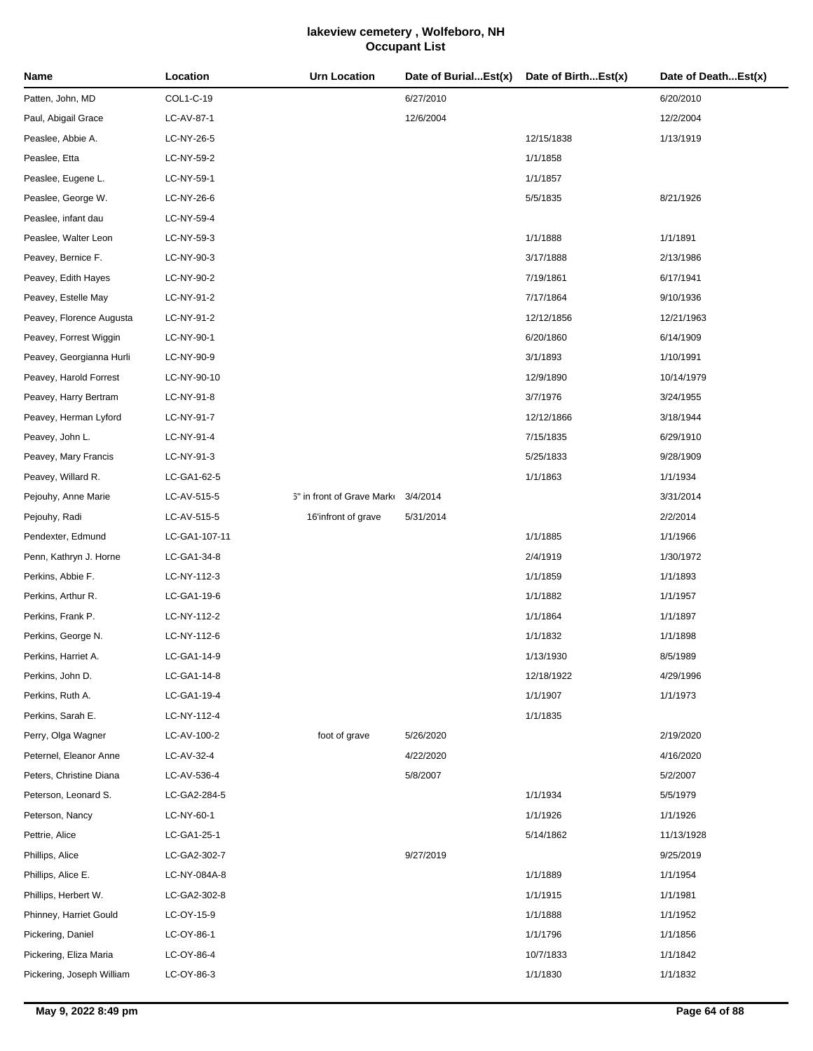| Name                      | Location      | <b>Urn Location</b>        | Date of BurialEst(x) | Date of BirthEst(x) | Date of DeathEst(x) |
|---------------------------|---------------|----------------------------|----------------------|---------------------|---------------------|
| Patten, John, MD          | COL1-C-19     |                            | 6/27/2010            |                     | 6/20/2010           |
| Paul, Abigail Grace       | LC-AV-87-1    |                            | 12/6/2004            |                     | 12/2/2004           |
| Peaslee, Abbie A.         | LC-NY-26-5    |                            |                      | 12/15/1838          | 1/13/1919           |
| Peaslee, Etta             | LC-NY-59-2    |                            |                      | 1/1/1858            |                     |
| Peaslee, Eugene L.        | LC-NY-59-1    |                            |                      | 1/1/1857            |                     |
| Peaslee, George W.        | LC-NY-26-6    |                            |                      | 5/5/1835            | 8/21/1926           |
| Peaslee, infant dau       | LC-NY-59-4    |                            |                      |                     |                     |
| Peaslee, Walter Leon      | LC-NY-59-3    |                            |                      | 1/1/1888            | 1/1/1891            |
| Peavey, Bernice F.        | LC-NY-90-3    |                            |                      | 3/17/1888           | 2/13/1986           |
| Peavey, Edith Hayes       | LC-NY-90-2    |                            |                      | 7/19/1861           | 6/17/1941           |
| Peavey, Estelle May       | LC-NY-91-2    |                            |                      | 7/17/1864           | 9/10/1936           |
| Peavey, Florence Augusta  | LC-NY-91-2    |                            |                      | 12/12/1856          | 12/21/1963          |
| Peavey, Forrest Wiggin    | LC-NY-90-1    |                            |                      | 6/20/1860           | 6/14/1909           |
| Peavey, Georgianna Hurli  | LC-NY-90-9    |                            |                      | 3/1/1893            | 1/10/1991           |
| Peavey, Harold Forrest    | LC-NY-90-10   |                            |                      | 12/9/1890           | 10/14/1979          |
| Peavey, Harry Bertram     | LC-NY-91-8    |                            |                      | 3/7/1976            | 3/24/1955           |
| Peavey, Herman Lyford     | LC-NY-91-7    |                            |                      | 12/12/1866          | 3/18/1944           |
| Peavey, John L.           | LC-NY-91-4    |                            |                      | 7/15/1835           | 6/29/1910           |
| Peavey, Mary Francis      | LC-NY-91-3    |                            |                      | 5/25/1833           | 9/28/1909           |
| Peavey, Willard R.        | LC-GA1-62-5   |                            |                      | 1/1/1863            | 1/1/1934            |
| Pejouhy, Anne Marie       | LC-AV-515-5   | 6" in front of Grave Marke | 3/4/2014             |                     | 3/31/2014           |
| Pejouhy, Radi             | LC-AV-515-5   | 16'infront of grave        | 5/31/2014            |                     | 2/2/2014            |
| Pendexter, Edmund         | LC-GA1-107-11 |                            |                      | 1/1/1885            | 1/1/1966            |
| Penn, Kathryn J. Horne    | LC-GA1-34-8   |                            |                      | 2/4/1919            | 1/30/1972           |
| Perkins, Abbie F.         | LC-NY-112-3   |                            |                      | 1/1/1859            | 1/1/1893            |
| Perkins, Arthur R.        | LC-GA1-19-6   |                            |                      | 1/1/1882            | 1/1/1957            |
| Perkins, Frank P.         | LC-NY-112-2   |                            |                      | 1/1/1864            | 1/1/1897            |
| Perkins, George N.        | LC-NY-112-6   |                            |                      | 1/1/1832            | 1/1/1898            |
| Perkins, Harriet A.       | LC-GA1-14-9   |                            |                      | 1/13/1930           | 8/5/1989            |
| Perkins, John D.          | LC-GA1-14-8   |                            |                      | 12/18/1922          | 4/29/1996           |
| Perkins, Ruth A.          | LC-GA1-19-4   |                            |                      | 1/1/1907            | 1/1/1973            |
| Perkins, Sarah E.         | LC-NY-112-4   |                            |                      | 1/1/1835            |                     |
| Perry, Olga Wagner        | LC-AV-100-2   | foot of grave              | 5/26/2020            |                     | 2/19/2020           |
| Peternel, Eleanor Anne    | LC-AV-32-4    |                            | 4/22/2020            |                     | 4/16/2020           |
| Peters, Christine Diana   | LC-AV-536-4   |                            | 5/8/2007             |                     | 5/2/2007            |
| Peterson, Leonard S.      | LC-GA2-284-5  |                            |                      | 1/1/1934            | 5/5/1979            |
| Peterson, Nancy           | LC-NY-60-1    |                            |                      | 1/1/1926            | 1/1/1926            |
| Pettrie, Alice            | LC-GA1-25-1   |                            |                      | 5/14/1862           | 11/13/1928          |
| Phillips, Alice           | LC-GA2-302-7  |                            | 9/27/2019            |                     | 9/25/2019           |
| Phillips, Alice E.        | LC-NY-084A-8  |                            |                      | 1/1/1889            | 1/1/1954            |
| Phillips, Herbert W.      | LC-GA2-302-8  |                            |                      | 1/1/1915            | 1/1/1981            |
| Phinney, Harriet Gould    | LC-OY-15-9    |                            |                      | 1/1/1888            | 1/1/1952            |
| Pickering, Daniel         | LC-OY-86-1    |                            |                      | 1/1/1796            | 1/1/1856            |
| Pickering, Eliza Maria    | LC-OY-86-4    |                            |                      | 10/7/1833           | 1/1/1842            |
| Pickering, Joseph William | LC-OY-86-3    |                            |                      | 1/1/1830            | 1/1/1832            |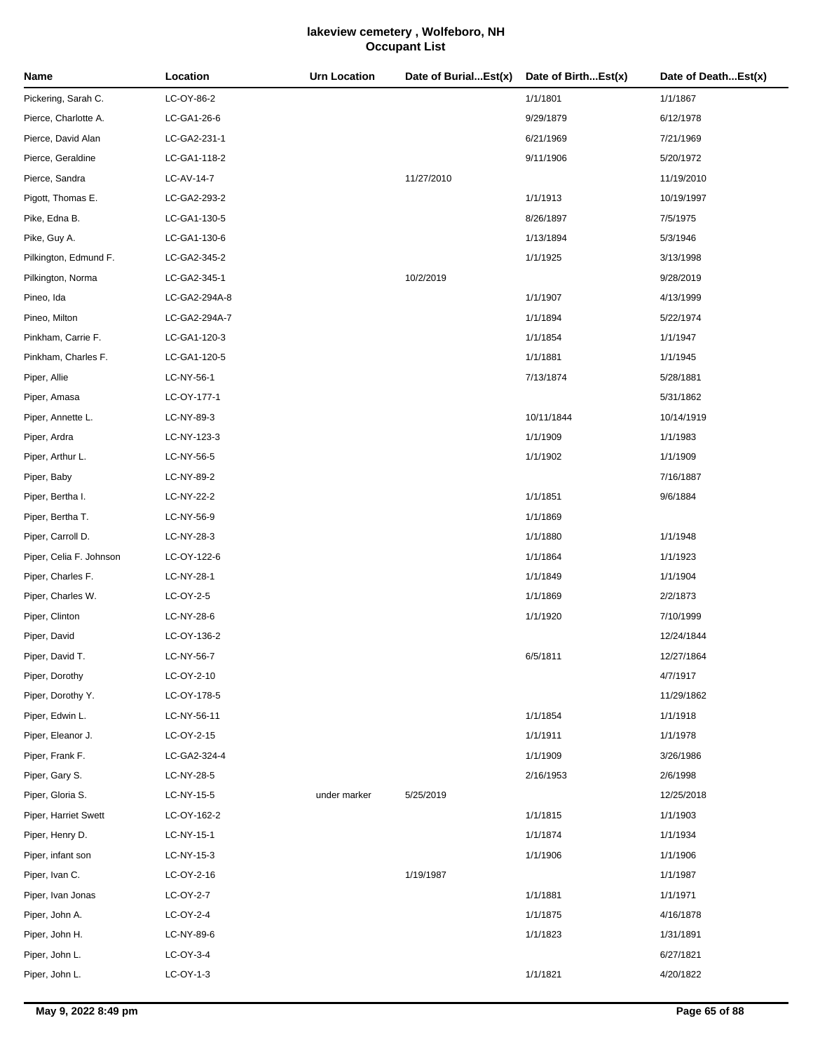| Name                    | Location      | <b>Urn Location</b> | Date of BurialEst(x) | Date of BirthEst(x) | Date of DeathEst(x) |
|-------------------------|---------------|---------------------|----------------------|---------------------|---------------------|
| Pickering, Sarah C.     | LC-OY-86-2    |                     |                      | 1/1/1801            | 1/1/1867            |
| Pierce, Charlotte A.    | LC-GA1-26-6   |                     |                      | 9/29/1879           | 6/12/1978           |
| Pierce, David Alan      | LC-GA2-231-1  |                     |                      | 6/21/1969           | 7/21/1969           |
| Pierce, Geraldine       | LC-GA1-118-2  |                     |                      | 9/11/1906           | 5/20/1972           |
| Pierce, Sandra          | LC-AV-14-7    |                     | 11/27/2010           |                     | 11/19/2010          |
| Pigott, Thomas E.       | LC-GA2-293-2  |                     |                      | 1/1/1913            | 10/19/1997          |
| Pike, Edna B.           | LC-GA1-130-5  |                     |                      | 8/26/1897           | 7/5/1975            |
| Pike, Guy A.            | LC-GA1-130-6  |                     |                      | 1/13/1894           | 5/3/1946            |
| Pilkington, Edmund F.   | LC-GA2-345-2  |                     |                      | 1/1/1925            | 3/13/1998           |
| Pilkington, Norma       | LC-GA2-345-1  |                     | 10/2/2019            |                     | 9/28/2019           |
| Pineo, Ida              | LC-GA2-294A-8 |                     |                      | 1/1/1907            | 4/13/1999           |
| Pineo, Milton           | LC-GA2-294A-7 |                     |                      | 1/1/1894            | 5/22/1974           |
| Pinkham, Carrie F.      | LC-GA1-120-3  |                     |                      | 1/1/1854            | 1/1/1947            |
| Pinkham, Charles F.     | LC-GA1-120-5  |                     |                      | 1/1/1881            | 1/1/1945            |
| Piper, Allie            | LC-NY-56-1    |                     |                      | 7/13/1874           | 5/28/1881           |
| Piper, Amasa            | LC-OY-177-1   |                     |                      |                     | 5/31/1862           |
| Piper, Annette L.       | LC-NY-89-3    |                     |                      | 10/11/1844          | 10/14/1919          |
| Piper, Ardra            | LC-NY-123-3   |                     |                      | 1/1/1909            | 1/1/1983            |
| Piper, Arthur L.        | LC-NY-56-5    |                     |                      | 1/1/1902            | 1/1/1909            |
| Piper, Baby             | LC-NY-89-2    |                     |                      |                     | 7/16/1887           |
| Piper, Bertha I.        | LC-NY-22-2    |                     |                      | 1/1/1851            | 9/6/1884            |
| Piper, Bertha T.        | LC-NY-56-9    |                     |                      | 1/1/1869            |                     |
| Piper, Carroll D.       | LC-NY-28-3    |                     |                      | 1/1/1880            | 1/1/1948            |
| Piper, Celia F. Johnson | LC-OY-122-6   |                     |                      | 1/1/1864            | 1/1/1923            |
| Piper, Charles F.       | LC-NY-28-1    |                     |                      | 1/1/1849            | 1/1/1904            |
| Piper, Charles W.       | LC-OY-2-5     |                     |                      | 1/1/1869            | 2/2/1873            |
| Piper, Clinton          | LC-NY-28-6    |                     |                      | 1/1/1920            | 7/10/1999           |
| Piper, David            | LC-OY-136-2   |                     |                      |                     | 12/24/1844          |
| Piper, David T.         | LC-NY-56-7    |                     |                      | 6/5/1811            | 12/27/1864          |
| Piper, Dorothy          | LC-OY-2-10    |                     |                      |                     | 4/7/1917            |
| Piper, Dorothy Y.       | LC-OY-178-5   |                     |                      |                     | 11/29/1862          |
| Piper, Edwin L.         | LC-NY-56-11   |                     |                      | 1/1/1854            | 1/1/1918            |
| Piper, Eleanor J.       | LC-OY-2-15    |                     |                      | 1/1/1911            | 1/1/1978            |
| Piper, Frank F.         | LC-GA2-324-4  |                     |                      | 1/1/1909            | 3/26/1986           |
| Piper, Gary S.          | LC-NY-28-5    |                     |                      | 2/16/1953           | 2/6/1998            |
| Piper, Gloria S.        | LC-NY-15-5    | under marker        | 5/25/2019            |                     | 12/25/2018          |
| Piper, Harriet Swett    | LC-OY-162-2   |                     |                      | 1/1/1815            | 1/1/1903            |
| Piper, Henry D.         | LC-NY-15-1    |                     |                      | 1/1/1874            | 1/1/1934            |
| Piper, infant son       | LC-NY-15-3    |                     |                      | 1/1/1906            | 1/1/1906            |
| Piper, Ivan C.          | LC-OY-2-16    |                     | 1/19/1987            |                     | 1/1/1987            |
| Piper, Ivan Jonas       | LC-OY-2-7     |                     |                      | 1/1/1881            | 1/1/1971            |
| Piper, John A.          | LC-OY-2-4     |                     |                      | 1/1/1875            | 4/16/1878           |
| Piper, John H.          | LC-NY-89-6    |                     |                      | 1/1/1823            | 1/31/1891           |
| Piper, John L.          | LC-OY-3-4     |                     |                      |                     | 6/27/1821           |
| Piper, John L.          | LC-OY-1-3     |                     |                      | 1/1/1821            | 4/20/1822           |
|                         |               |                     |                      |                     |                     |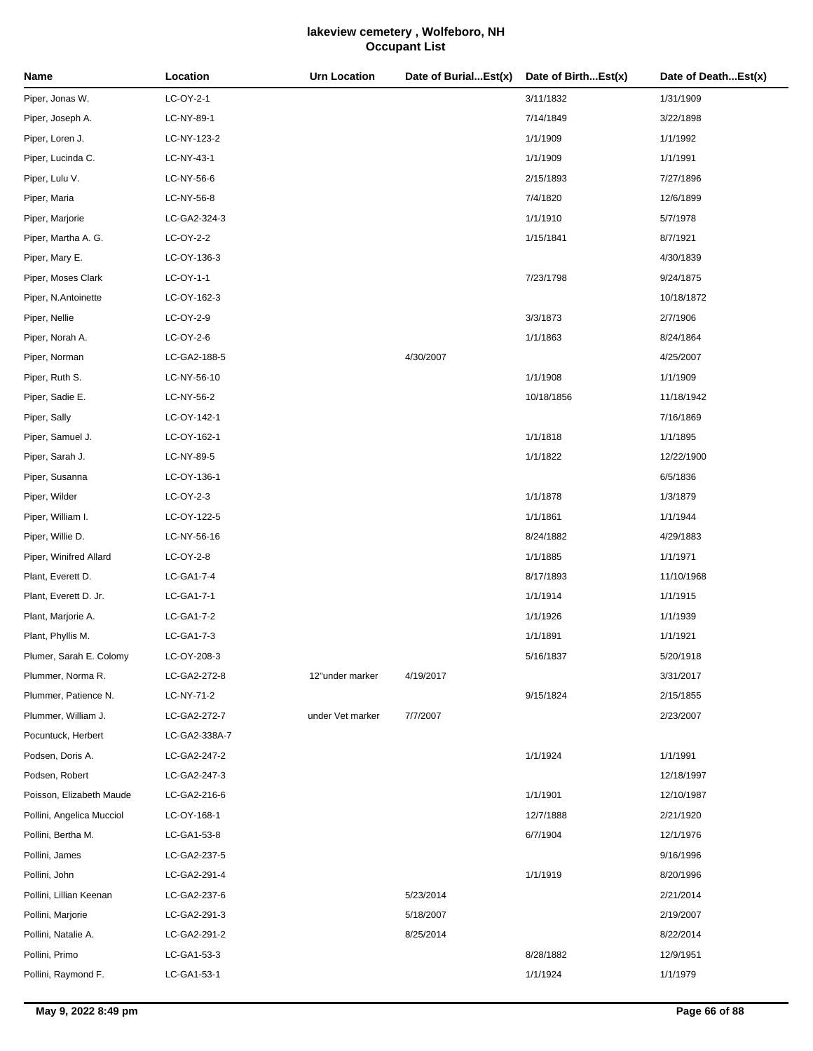| Name                      | Location      | <b>Urn Location</b> | Date of BurialEst(x) | Date of BirthEst(x) | Date of DeathEst(x) |
|---------------------------|---------------|---------------------|----------------------|---------------------|---------------------|
| Piper, Jonas W.           | LC-OY-2-1     |                     |                      | 3/11/1832           | 1/31/1909           |
| Piper, Joseph A.          | LC-NY-89-1    |                     |                      | 7/14/1849           | 3/22/1898           |
| Piper, Loren J.           | LC-NY-123-2   |                     |                      | 1/1/1909            | 1/1/1992            |
| Piper, Lucinda C.         | LC-NY-43-1    |                     |                      | 1/1/1909            | 1/1/1991            |
| Piper, Lulu V.            | LC-NY-56-6    |                     |                      | 2/15/1893           | 7/27/1896           |
| Piper, Maria              | LC-NY-56-8    |                     |                      | 7/4/1820            | 12/6/1899           |
| Piper, Marjorie           | LC-GA2-324-3  |                     |                      | 1/1/1910            | 5/7/1978            |
| Piper, Martha A. G.       | LC-OY-2-2     |                     |                      | 1/15/1841           | 8/7/1921            |
| Piper, Mary E.            | LC-OY-136-3   |                     |                      |                     | 4/30/1839           |
| Piper, Moses Clark        | LC-OY-1-1     |                     |                      | 7/23/1798           | 9/24/1875           |
| Piper, N.Antoinette       | LC-OY-162-3   |                     |                      |                     | 10/18/1872          |
| Piper, Nellie             | LC-OY-2-9     |                     |                      | 3/3/1873            | 2/7/1906            |
| Piper, Norah A.           | LC-OY-2-6     |                     |                      | 1/1/1863            | 8/24/1864           |
| Piper, Norman             | LC-GA2-188-5  |                     | 4/30/2007            |                     | 4/25/2007           |
| Piper, Ruth S.            | LC-NY-56-10   |                     |                      | 1/1/1908            | 1/1/1909            |
| Piper, Sadie E.           | LC-NY-56-2    |                     |                      | 10/18/1856          | 11/18/1942          |
| Piper, Sally              | LC-OY-142-1   |                     |                      |                     | 7/16/1869           |
| Piper, Samuel J.          | LC-OY-162-1   |                     |                      | 1/1/1818            | 1/1/1895            |
| Piper, Sarah J.           | LC-NY-89-5    |                     |                      | 1/1/1822            | 12/22/1900          |
| Piper, Susanna            | LC-OY-136-1   |                     |                      |                     | 6/5/1836            |
| Piper, Wilder             | LC-OY-2-3     |                     |                      | 1/1/1878            | 1/3/1879            |
| Piper, William I.         | LC-OY-122-5   |                     |                      | 1/1/1861            | 1/1/1944            |
| Piper, Willie D.          | LC-NY-56-16   |                     |                      | 8/24/1882           | 4/29/1883           |
| Piper, Winifred Allard    | LC-OY-2-8     |                     |                      | 1/1/1885            | 1/1/1971            |
| Plant, Everett D.         | LC-GA1-7-4    |                     |                      | 8/17/1893           | 11/10/1968          |
| Plant, Everett D. Jr.     | LC-GA1-7-1    |                     |                      | 1/1/1914            | 1/1/1915            |
| Plant, Marjorie A.        | LC-GA1-7-2    |                     |                      | 1/1/1926            | 1/1/1939            |
| Plant, Phyllis M.         | LC-GA1-7-3    |                     |                      | 1/1/1891            | 1/1/1921            |
| Plumer, Sarah E. Colomy   | LC-OY-208-3   |                     |                      | 5/16/1837           | 5/20/1918           |
| Plummer, Norma R.         | LC-GA2-272-8  | 12"under marker     | 4/19/2017            |                     | 3/31/2017           |
| Plummer, Patience N.      | LC-NY-71-2    |                     |                      | 9/15/1824           | 2/15/1855           |
| Plummer, William J.       | LC-GA2-272-7  | under Vet marker    | 7/7/2007             |                     | 2/23/2007           |
| Pocuntuck, Herbert        | LC-GA2-338A-7 |                     |                      |                     |                     |
| Podsen, Doris A.          | LC-GA2-247-2  |                     |                      | 1/1/1924            | 1/1/1991            |
| Podsen, Robert            | LC-GA2-247-3  |                     |                      |                     | 12/18/1997          |
| Poisson, Elizabeth Maude  | LC-GA2-216-6  |                     |                      | 1/1/1901            | 12/10/1987          |
| Pollini, Angelica Mucciol | LC-OY-168-1   |                     |                      | 12/7/1888           | 2/21/1920           |
| Pollini, Bertha M.        | LC-GA1-53-8   |                     |                      | 6/7/1904            | 12/1/1976           |
| Pollini, James            | LC-GA2-237-5  |                     |                      |                     | 9/16/1996           |
| Pollini, John             | LC-GA2-291-4  |                     |                      | 1/1/1919            | 8/20/1996           |
| Pollini, Lillian Keenan   | LC-GA2-237-6  |                     | 5/23/2014            |                     | 2/21/2014           |
| Pollini, Marjorie         | LC-GA2-291-3  |                     | 5/18/2007            |                     | 2/19/2007           |
| Pollini, Natalie A.       | LC-GA2-291-2  |                     | 8/25/2014            |                     | 8/22/2014           |
| Pollini, Primo            | LC-GA1-53-3   |                     |                      | 8/28/1882           | 12/9/1951           |
| Pollini, Raymond F.       | LC-GA1-53-1   |                     |                      | 1/1/1924            | 1/1/1979            |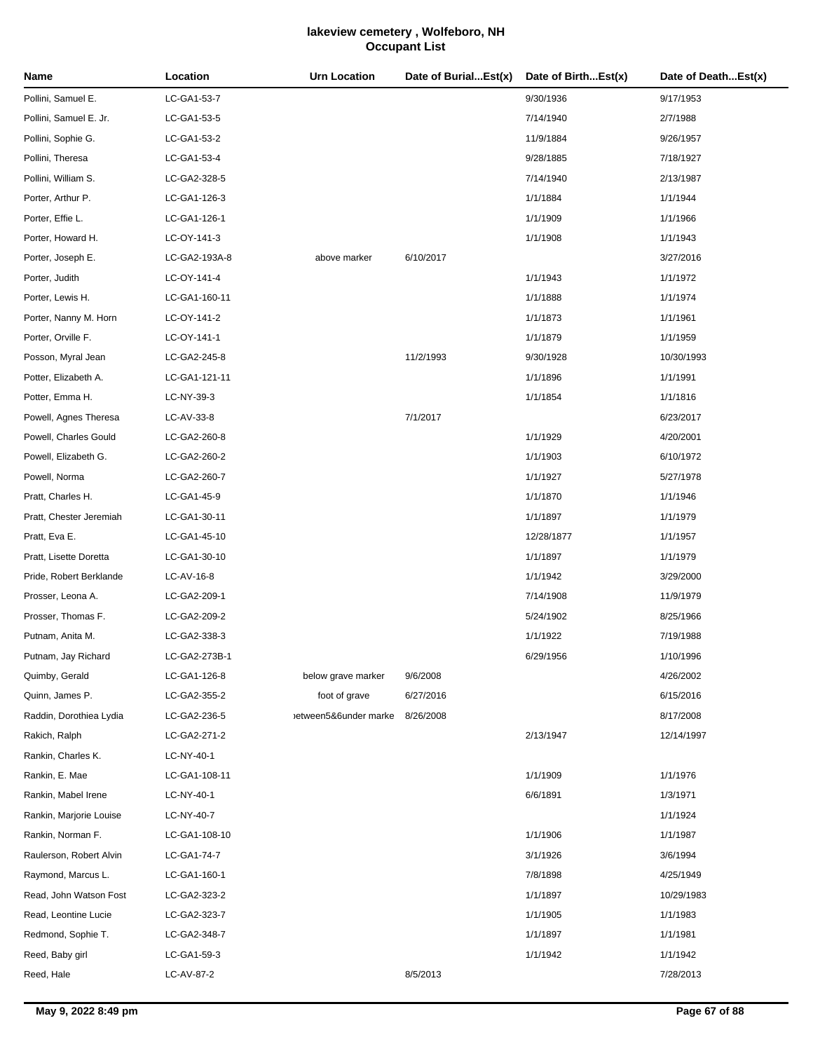| Name                    | Location      | Urn Location          | Date of BurialEst(x) | Date of BirthEst(x) | Date of DeathEst(x) |
|-------------------------|---------------|-----------------------|----------------------|---------------------|---------------------|
| Pollini, Samuel E.      | LC-GA1-53-7   |                       |                      | 9/30/1936           | 9/17/1953           |
| Pollini, Samuel E. Jr.  | LC-GA1-53-5   |                       |                      | 7/14/1940           | 2/7/1988            |
| Pollini, Sophie G.      | LC-GA1-53-2   |                       |                      | 11/9/1884           | 9/26/1957           |
| Pollini, Theresa        | LC-GA1-53-4   |                       |                      | 9/28/1885           | 7/18/1927           |
| Pollini, William S.     | LC-GA2-328-5  |                       |                      | 7/14/1940           | 2/13/1987           |
| Porter, Arthur P.       | LC-GA1-126-3  |                       |                      | 1/1/1884            | 1/1/1944            |
| Porter, Effie L.        | LC-GA1-126-1  |                       |                      | 1/1/1909            | 1/1/1966            |
| Porter, Howard H.       | LC-OY-141-3   |                       |                      | 1/1/1908            | 1/1/1943            |
| Porter, Joseph E.       | LC-GA2-193A-8 | above marker          | 6/10/2017            |                     | 3/27/2016           |
| Porter, Judith          | LC-OY-141-4   |                       |                      | 1/1/1943            | 1/1/1972            |
| Porter, Lewis H.        | LC-GA1-160-11 |                       |                      | 1/1/1888            | 1/1/1974            |
| Porter, Nanny M. Horn   | LC-OY-141-2   |                       |                      | 1/1/1873            | 1/1/1961            |
| Porter, Orville F.      | LC-OY-141-1   |                       |                      | 1/1/1879            | 1/1/1959            |
| Posson, Myral Jean      | LC-GA2-245-8  |                       | 11/2/1993            | 9/30/1928           | 10/30/1993          |
| Potter, Elizabeth A.    | LC-GA1-121-11 |                       |                      | 1/1/1896            | 1/1/1991            |
| Potter, Emma H.         | LC-NY-39-3    |                       |                      | 1/1/1854            | 1/1/1816            |
| Powell, Agnes Theresa   | LC-AV-33-8    |                       | 7/1/2017             |                     | 6/23/2017           |
| Powell, Charles Gould   | LC-GA2-260-8  |                       |                      | 1/1/1929            | 4/20/2001           |
| Powell, Elizabeth G.    | LC-GA2-260-2  |                       |                      | 1/1/1903            | 6/10/1972           |
| Powell, Norma           | LC-GA2-260-7  |                       |                      | 1/1/1927            | 5/27/1978           |
| Pratt, Charles H.       | LC-GA1-45-9   |                       |                      | 1/1/1870            | 1/1/1946            |
| Pratt, Chester Jeremiah | LC-GA1-30-11  |                       |                      | 1/1/1897            | 1/1/1979            |
| Pratt, Eva E.           | LC-GA1-45-10  |                       |                      | 12/28/1877          | 1/1/1957            |
| Pratt, Lisette Doretta  | LC-GA1-30-10  |                       |                      | 1/1/1897            | 1/1/1979            |
| Pride, Robert Berklande | LC-AV-16-8    |                       |                      | 1/1/1942            | 3/29/2000           |
| Prosser, Leona A.       | LC-GA2-209-1  |                       |                      | 7/14/1908           | 11/9/1979           |
| Prosser, Thomas F.      | LC-GA2-209-2  |                       |                      | 5/24/1902           | 8/25/1966           |
| Putnam, Anita M.        | LC-GA2-338-3  |                       |                      | 1/1/1922            | 7/19/1988           |
| Putnam, Jay Richard     | LC-GA2-273B-1 |                       |                      | 6/29/1956           | 1/10/1996           |
| Quimby, Gerald          | LC-GA1-126-8  | below grave marker    | 9/6/2008             |                     | 4/26/2002           |
| Quinn, James P.         | LC-GA2-355-2  | foot of grave         | 6/27/2016            |                     | 6/15/2016           |
| Raddin, Dorothiea Lydia | LC-GA2-236-5  | between5&6under marke | 8/26/2008            |                     | 8/17/2008           |
| Rakich, Ralph           | LC-GA2-271-2  |                       |                      | 2/13/1947           | 12/14/1997          |
| Rankin, Charles K.      | LC-NY-40-1    |                       |                      |                     |                     |
| Rankin, E. Mae          | LC-GA1-108-11 |                       |                      | 1/1/1909            | 1/1/1976            |
| Rankin, Mabel Irene     | LC-NY-40-1    |                       |                      | 6/6/1891            | 1/3/1971            |
| Rankin, Marjorie Louise | LC-NY-40-7    |                       |                      |                     | 1/1/1924            |
| Rankin, Norman F.       | LC-GA1-108-10 |                       |                      | 1/1/1906            | 1/1/1987            |
| Raulerson, Robert Alvin | LC-GA1-74-7   |                       |                      | 3/1/1926            | 3/6/1994            |
| Raymond, Marcus L.      | LC-GA1-160-1  |                       |                      | 7/8/1898            | 4/25/1949           |
| Read, John Watson Fost  | LC-GA2-323-2  |                       |                      | 1/1/1897            | 10/29/1983          |
| Read, Leontine Lucie    | LC-GA2-323-7  |                       |                      | 1/1/1905            | 1/1/1983            |
| Redmond, Sophie T.      | LC-GA2-348-7  |                       |                      | 1/1/1897            | 1/1/1981            |
| Reed, Baby girl         | LC-GA1-59-3   |                       |                      | 1/1/1942            | 1/1/1942            |
| Reed, Hale              | LC-AV-87-2    |                       | 8/5/2013             |                     | 7/28/2013           |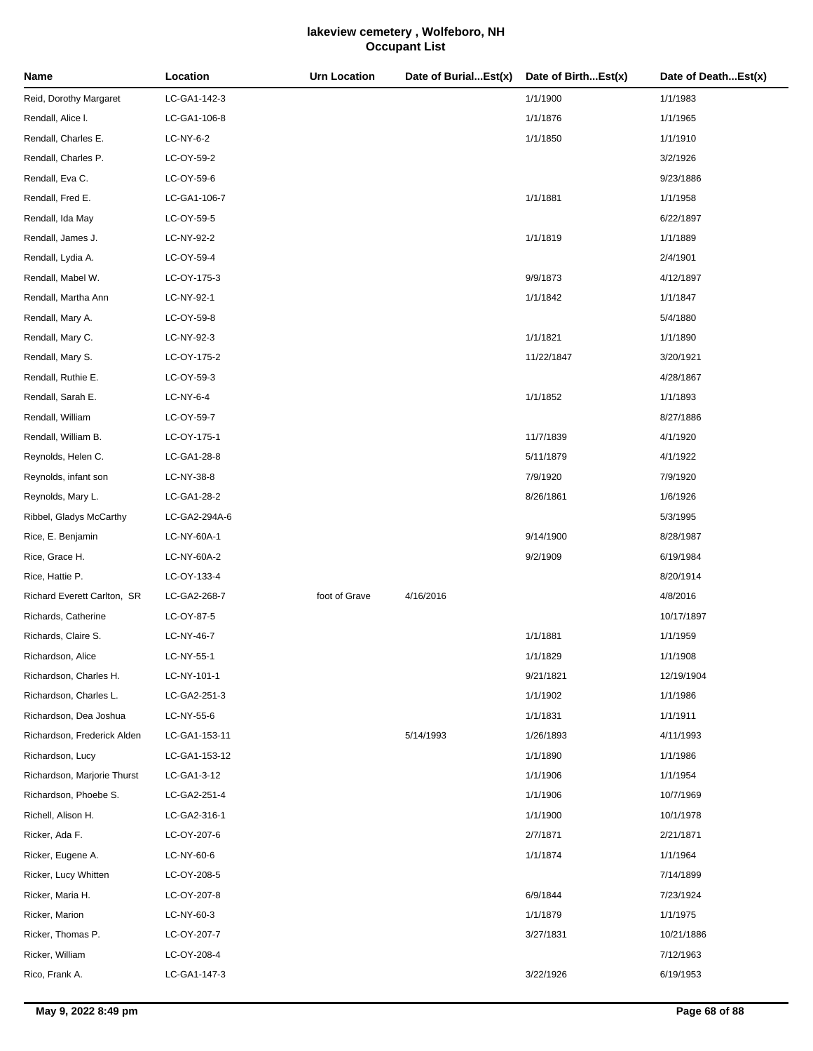| Name                        | Location      | <b>Urn Location</b> | Date of BurialEst(x) | Date of BirthEst(x) | Date of DeathEst(x) |
|-----------------------------|---------------|---------------------|----------------------|---------------------|---------------------|
| Reid, Dorothy Margaret      | LC-GA1-142-3  |                     |                      | 1/1/1900            | 1/1/1983            |
| Rendall, Alice I.           | LC-GA1-106-8  |                     |                      | 1/1/1876            | 1/1/1965            |
| Rendall, Charles E.         | LC-NY-6-2     |                     |                      | 1/1/1850            | 1/1/1910            |
| Rendall, Charles P.         | LC-OY-59-2    |                     |                      |                     | 3/2/1926            |
| Rendall, Eva C.             | LC-OY-59-6    |                     |                      |                     | 9/23/1886           |
| Rendall, Fred E.            | LC-GA1-106-7  |                     |                      | 1/1/1881            | 1/1/1958            |
| Rendall, Ida May            | LC-OY-59-5    |                     |                      |                     | 6/22/1897           |
| Rendall, James J.           | LC-NY-92-2    |                     |                      | 1/1/1819            | 1/1/1889            |
| Rendall, Lydia A.           | LC-OY-59-4    |                     |                      |                     | 2/4/1901            |
| Rendall, Mabel W.           | LC-OY-175-3   |                     |                      | 9/9/1873            | 4/12/1897           |
| Rendall, Martha Ann         | LC-NY-92-1    |                     |                      | 1/1/1842            | 1/1/1847            |
| Rendall, Mary A.            | LC-OY-59-8    |                     |                      |                     | 5/4/1880            |
| Rendall, Mary C.            | LC-NY-92-3    |                     |                      | 1/1/1821            | 1/1/1890            |
| Rendall, Mary S.            | LC-OY-175-2   |                     |                      | 11/22/1847          | 3/20/1921           |
| Rendall, Ruthie E.          | LC-OY-59-3    |                     |                      |                     | 4/28/1867           |
| Rendall, Sarah E.           | LC-NY-6-4     |                     |                      | 1/1/1852            | 1/1/1893            |
| Rendall, William            | LC-OY-59-7    |                     |                      |                     | 8/27/1886           |
| Rendall, William B.         | LC-OY-175-1   |                     |                      | 11/7/1839           | 4/1/1920            |
| Reynolds, Helen C.          | LC-GA1-28-8   |                     |                      | 5/11/1879           | 4/1/1922            |
| Reynolds, infant son        | LC-NY-38-8    |                     |                      | 7/9/1920            | 7/9/1920            |
| Reynolds, Mary L.           | LC-GA1-28-2   |                     |                      | 8/26/1861           | 1/6/1926            |
| Ribbel, Gladys McCarthy     | LC-GA2-294A-6 |                     |                      |                     | 5/3/1995            |
| Rice, E. Benjamin           | LC-NY-60A-1   |                     |                      | 9/14/1900           | 8/28/1987           |
| Rice, Grace H.              | LC-NY-60A-2   |                     |                      | 9/2/1909            | 6/19/1984           |
| Rice, Hattie P.             | LC-OY-133-4   |                     |                      |                     | 8/20/1914           |
| Richard Everett Carlton, SR | LC-GA2-268-7  | foot of Grave       | 4/16/2016            |                     | 4/8/2016            |
| Richards, Catherine         | LC-OY-87-5    |                     |                      |                     | 10/17/1897          |
| Richards, Claire S.         | LC-NY-46-7    |                     |                      | 1/1/1881            | 1/1/1959            |
| Richardson, Alice           | LC-NY-55-1    |                     |                      | 1/1/1829            | 1/1/1908            |
| Richardson, Charles H.      | LC-NY-101-1   |                     |                      | 9/21/1821           | 12/19/1904          |
| Richardson, Charles L.      | LC-GA2-251-3  |                     |                      | 1/1/1902            | 1/1/1986            |
| Richardson, Dea Joshua      | LC-NY-55-6    |                     |                      | 1/1/1831            | 1/1/1911            |
| Richardson, Frederick Alden | LC-GA1-153-11 |                     | 5/14/1993            | 1/26/1893           | 4/11/1993           |
| Richardson, Lucy            | LC-GA1-153-12 |                     |                      | 1/1/1890            | 1/1/1986            |
| Richardson, Marjorie Thurst | LC-GA1-3-12   |                     |                      | 1/1/1906            | 1/1/1954            |
| Richardson, Phoebe S.       | LC-GA2-251-4  |                     |                      | 1/1/1906            | 10/7/1969           |
| Richell, Alison H.          | LC-GA2-316-1  |                     |                      | 1/1/1900            | 10/1/1978           |
| Ricker, Ada F.              | LC-OY-207-6   |                     |                      | 2/7/1871            | 2/21/1871           |
| Ricker, Eugene A.           | LC-NY-60-6    |                     |                      | 1/1/1874            | 1/1/1964            |
| Ricker, Lucy Whitten        | LC-OY-208-5   |                     |                      |                     | 7/14/1899           |
| Ricker, Maria H.            | LC-OY-207-8   |                     |                      | 6/9/1844            | 7/23/1924           |
| Ricker, Marion              | LC-NY-60-3    |                     |                      | 1/1/1879            | 1/1/1975            |
| Ricker, Thomas P.           | LC-OY-207-7   |                     |                      | 3/27/1831           | 10/21/1886          |
| Ricker, William             | LC-OY-208-4   |                     |                      |                     | 7/12/1963           |
| Rico, Frank A.              | LC-GA1-147-3  |                     |                      | 3/22/1926           | 6/19/1953           |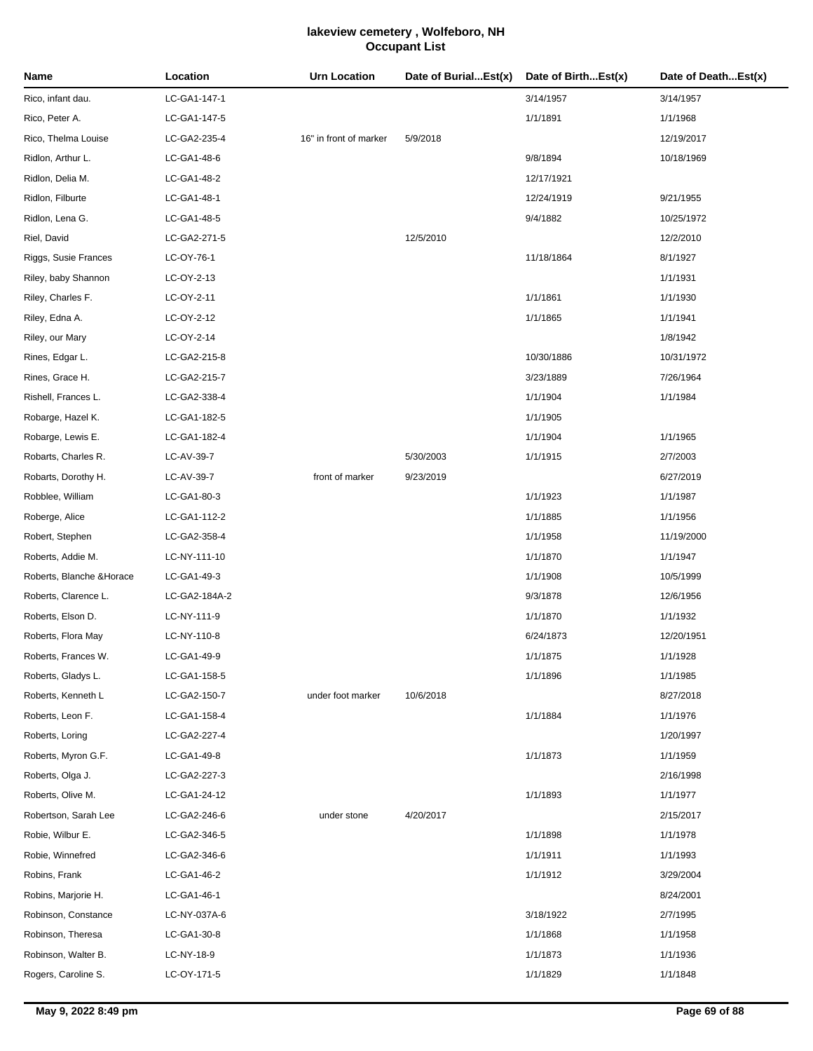| Name                      | Location      | <b>Urn Location</b>    | Date of BurialEst(x) | Date of BirthEst(x) | Date of DeathEst(x) |
|---------------------------|---------------|------------------------|----------------------|---------------------|---------------------|
| Rico, infant dau.         | LC-GA1-147-1  |                        |                      | 3/14/1957           | 3/14/1957           |
| Rico, Peter A.            | LC-GA1-147-5  |                        |                      | 1/1/1891            | 1/1/1968            |
| Rico, Thelma Louise       | LC-GA2-235-4  | 16" in front of marker | 5/9/2018             |                     | 12/19/2017          |
| Ridlon, Arthur L.         | LC-GA1-48-6   |                        |                      | 9/8/1894            | 10/18/1969          |
| Ridlon, Delia M.          | LC-GA1-48-2   |                        |                      | 12/17/1921          |                     |
| Ridlon, Filburte          | LC-GA1-48-1   |                        |                      | 12/24/1919          | 9/21/1955           |
| Ridlon, Lena G.           | LC-GA1-48-5   |                        |                      | 9/4/1882            | 10/25/1972          |
| Riel, David               | LC-GA2-271-5  |                        | 12/5/2010            |                     | 12/2/2010           |
| Riggs, Susie Frances      | LC-OY-76-1    |                        |                      | 11/18/1864          | 8/1/1927            |
| Riley, baby Shannon       | LC-OY-2-13    |                        |                      |                     | 1/1/1931            |
| Riley, Charles F.         | LC-OY-2-11    |                        |                      | 1/1/1861            | 1/1/1930            |
| Riley, Edna A.            | LC-OY-2-12    |                        |                      | 1/1/1865            | 1/1/1941            |
| Riley, our Mary           | LC-OY-2-14    |                        |                      |                     | 1/8/1942            |
| Rines, Edgar L.           | LC-GA2-215-8  |                        |                      | 10/30/1886          | 10/31/1972          |
| Rines, Grace H.           | LC-GA2-215-7  |                        |                      | 3/23/1889           | 7/26/1964           |
| Rishell, Frances L.       | LC-GA2-338-4  |                        |                      | 1/1/1904            | 1/1/1984            |
| Robarge, Hazel K.         | LC-GA1-182-5  |                        |                      | 1/1/1905            |                     |
| Robarge, Lewis E.         | LC-GA1-182-4  |                        |                      | 1/1/1904            | 1/1/1965            |
| Robarts, Charles R.       | LC-AV-39-7    |                        | 5/30/2003            | 1/1/1915            | 2/7/2003            |
| Robarts, Dorothy H.       | LC-AV-39-7    | front of marker        | 9/23/2019            |                     | 6/27/2019           |
| Robblee, William          | LC-GA1-80-3   |                        |                      | 1/1/1923            | 1/1/1987            |
| Roberge, Alice            | LC-GA1-112-2  |                        |                      | 1/1/1885            | 1/1/1956            |
| Robert, Stephen           | LC-GA2-358-4  |                        |                      | 1/1/1958            | 11/19/2000          |
| Roberts, Addie M.         | LC-NY-111-10  |                        |                      | 1/1/1870            | 1/1/1947            |
| Roberts, Blanche & Horace | LC-GA1-49-3   |                        |                      | 1/1/1908            | 10/5/1999           |
| Roberts, Clarence L.      | LC-GA2-184A-2 |                        |                      | 9/3/1878            | 12/6/1956           |
| Roberts, Elson D.         | LC-NY-111-9   |                        |                      | 1/1/1870            | 1/1/1932            |
| Roberts, Flora May        | LC-NY-110-8   |                        |                      | 6/24/1873           | 12/20/1951          |
| Roberts, Frances W.       | LC-GA1-49-9   |                        |                      | 1/1/1875            | 1/1/1928            |
| Roberts, Gladys L.        | LC-GA1-158-5  |                        |                      | 1/1/1896            | 1/1/1985            |
| Roberts, Kenneth L        | LC-GA2-150-7  | under foot marker      | 10/6/2018            |                     | 8/27/2018           |
| Roberts, Leon F.          | LC-GA1-158-4  |                        |                      | 1/1/1884            | 1/1/1976            |
| Roberts, Loring           | LC-GA2-227-4  |                        |                      |                     | 1/20/1997           |
| Roberts, Myron G.F.       | LC-GA1-49-8   |                        |                      | 1/1/1873            | 1/1/1959            |
| Roberts, Olga J.          | LC-GA2-227-3  |                        |                      |                     | 2/16/1998           |
| Roberts, Olive M.         | LC-GA1-24-12  |                        |                      | 1/1/1893            | 1/1/1977            |
| Robertson, Sarah Lee      | LC-GA2-246-6  | under stone            | 4/20/2017            |                     | 2/15/2017           |
| Robie, Wilbur E.          | LC-GA2-346-5  |                        |                      | 1/1/1898            | 1/1/1978            |
| Robie, Winnefred          | LC-GA2-346-6  |                        |                      | 1/1/1911            | 1/1/1993            |
| Robins, Frank             | LC-GA1-46-2   |                        |                      | 1/1/1912            | 3/29/2004           |
| Robins, Marjorie H.       | LC-GA1-46-1   |                        |                      |                     | 8/24/2001           |
| Robinson, Constance       | LC-NY-037A-6  |                        |                      | 3/18/1922           | 2/7/1995            |
| Robinson, Theresa         | LC-GA1-30-8   |                        |                      | 1/1/1868            | 1/1/1958            |
| Robinson, Walter B.       | LC-NY-18-9    |                        |                      | 1/1/1873            | 1/1/1936            |
| Rogers, Caroline S.       | LC-OY-171-5   |                        |                      | 1/1/1829            | 1/1/1848            |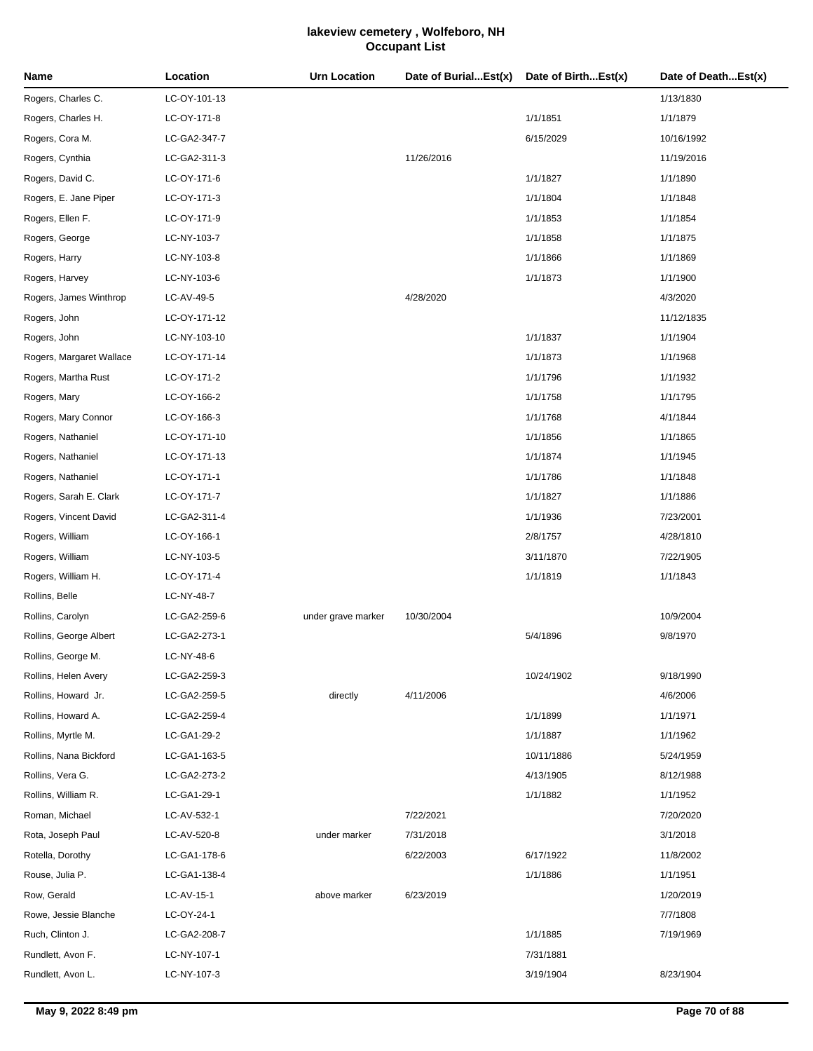| Name                     | Location     | <b>Urn Location</b> | Date of BurialEst(x) | Date of BirthEst(x) | Date of DeathEst(x) |
|--------------------------|--------------|---------------------|----------------------|---------------------|---------------------|
| Rogers, Charles C.       | LC-OY-101-13 |                     |                      |                     | 1/13/1830           |
| Rogers, Charles H.       | LC-OY-171-8  |                     |                      | 1/1/1851            | 1/1/1879            |
| Rogers, Cora M.          | LC-GA2-347-7 |                     |                      | 6/15/2029           | 10/16/1992          |
| Rogers, Cynthia          | LC-GA2-311-3 |                     | 11/26/2016           |                     | 11/19/2016          |
| Rogers, David C.         | LC-OY-171-6  |                     |                      | 1/1/1827            | 1/1/1890            |
| Rogers, E. Jane Piper    | LC-OY-171-3  |                     |                      | 1/1/1804            | 1/1/1848            |
| Rogers, Ellen F.         | LC-OY-171-9  |                     |                      | 1/1/1853            | 1/1/1854            |
| Rogers, George           | LC-NY-103-7  |                     |                      | 1/1/1858            | 1/1/1875            |
| Rogers, Harry            | LC-NY-103-8  |                     |                      | 1/1/1866            | 1/1/1869            |
| Rogers, Harvey           | LC-NY-103-6  |                     |                      | 1/1/1873            | 1/1/1900            |
| Rogers, James Winthrop   | LC-AV-49-5   |                     | 4/28/2020            |                     | 4/3/2020            |
| Rogers, John             | LC-OY-171-12 |                     |                      |                     | 11/12/1835          |
| Rogers, John             | LC-NY-103-10 |                     |                      | 1/1/1837            | 1/1/1904            |
| Rogers, Margaret Wallace | LC-OY-171-14 |                     |                      | 1/1/1873            | 1/1/1968            |
| Rogers, Martha Rust      | LC-OY-171-2  |                     |                      | 1/1/1796            | 1/1/1932            |
| Rogers, Mary             | LC-OY-166-2  |                     |                      | 1/1/1758            | 1/1/1795            |
| Rogers, Mary Connor      | LC-OY-166-3  |                     |                      | 1/1/1768            | 4/1/1844            |
| Rogers, Nathaniel        | LC-OY-171-10 |                     |                      | 1/1/1856            | 1/1/1865            |
| Rogers, Nathaniel        | LC-OY-171-13 |                     |                      | 1/1/1874            | 1/1/1945            |
| Rogers, Nathaniel        | LC-OY-171-1  |                     |                      | 1/1/1786            | 1/1/1848            |
| Rogers, Sarah E. Clark   | LC-OY-171-7  |                     |                      | 1/1/1827            | 1/1/1886            |
| Rogers, Vincent David    | LC-GA2-311-4 |                     |                      | 1/1/1936            | 7/23/2001           |
| Rogers, William          | LC-OY-166-1  |                     |                      | 2/8/1757            | 4/28/1810           |
| Rogers, William          | LC-NY-103-5  |                     |                      | 3/11/1870           | 7/22/1905           |
| Rogers, William H.       | LC-OY-171-4  |                     |                      | 1/1/1819            | 1/1/1843            |
| Rollins, Belle           | LC-NY-48-7   |                     |                      |                     |                     |
| Rollins, Carolyn         | LC-GA2-259-6 | under grave marker  | 10/30/2004           |                     | 10/9/2004           |
| Rollins, George Albert   | LC-GA2-273-1 |                     |                      | 5/4/1896            | 9/8/1970            |
| Rollins, George M.       | LC-NY-48-6   |                     |                      |                     |                     |
| Rollins, Helen Avery     | LC-GA2-259-3 |                     |                      | 10/24/1902          | 9/18/1990           |
| Rollins, Howard Jr.      | LC-GA2-259-5 | directly            | 4/11/2006            |                     | 4/6/2006            |
| Rollins, Howard A.       | LC-GA2-259-4 |                     |                      | 1/1/1899            | 1/1/1971            |
| Rollins, Myrtle M.       | LC-GA1-29-2  |                     |                      | 1/1/1887            | 1/1/1962            |
| Rollins, Nana Bickford   | LC-GA1-163-5 |                     |                      | 10/11/1886          | 5/24/1959           |
| Rollins, Vera G.         | LC-GA2-273-2 |                     |                      | 4/13/1905           | 8/12/1988           |
| Rollins, William R.      | LC-GA1-29-1  |                     |                      | 1/1/1882            | 1/1/1952            |
| Roman, Michael           | LC-AV-532-1  |                     | 7/22/2021            |                     | 7/20/2020           |
| Rota, Joseph Paul        | LC-AV-520-8  | under marker        | 7/31/2018            |                     | 3/1/2018            |
| Rotella, Dorothy         | LC-GA1-178-6 |                     | 6/22/2003            | 6/17/1922           | 11/8/2002           |
| Rouse, Julia P.          | LC-GA1-138-4 |                     |                      | 1/1/1886            | 1/1/1951            |
| Row, Gerald              | LC-AV-15-1   | above marker        | 6/23/2019            |                     | 1/20/2019           |
| Rowe, Jessie Blanche     | LC-OY-24-1   |                     |                      |                     | 7/7/1808            |
| Ruch, Clinton J.         | LC-GA2-208-7 |                     |                      | 1/1/1885            | 7/19/1969           |
| Rundlett, Avon F.        | LC-NY-107-1  |                     |                      | 7/31/1881           |                     |
| Rundlett, Avon L.        | LC-NY-107-3  |                     |                      | 3/19/1904           | 8/23/1904           |
|                          |              |                     |                      |                     |                     |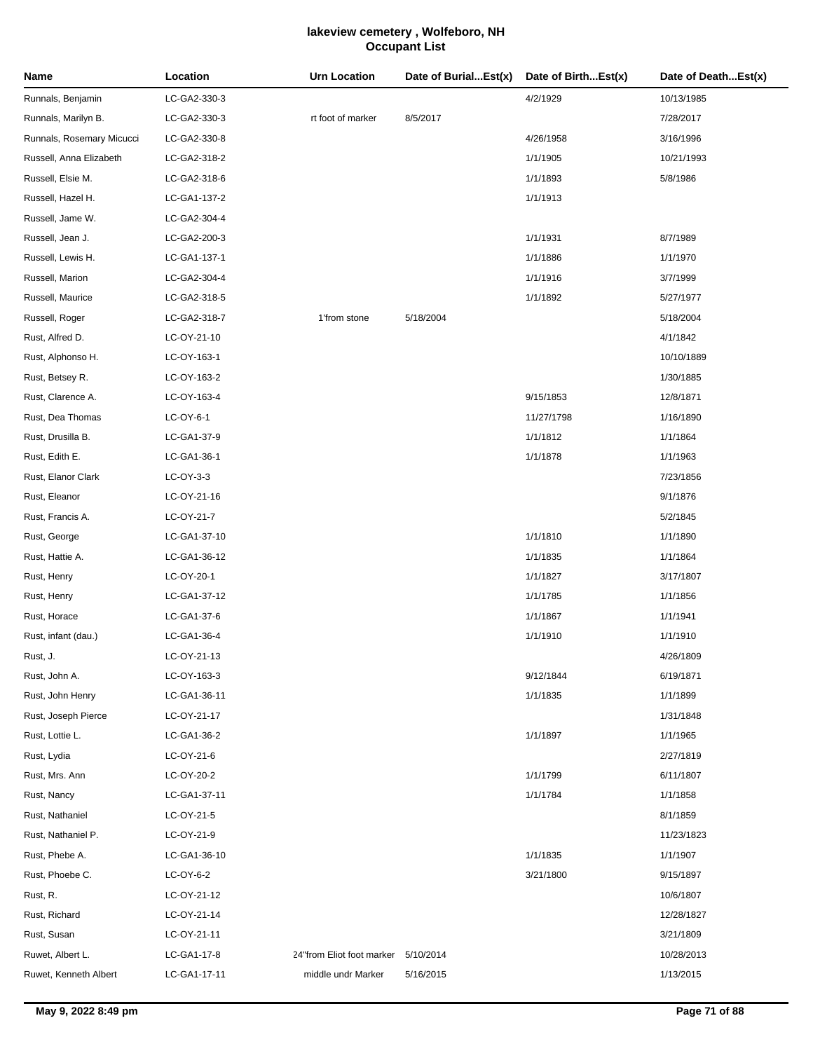| Name                      | Location     | <b>Urn Location</b>       | Date of BurialEst(x) | Date of BirthEst(x) | Date of DeathEst(x) |
|---------------------------|--------------|---------------------------|----------------------|---------------------|---------------------|
| Runnals, Benjamin         | LC-GA2-330-3 |                           |                      | 4/2/1929            | 10/13/1985          |
| Runnals, Marilyn B.       | LC-GA2-330-3 | rt foot of marker         | 8/5/2017             |                     | 7/28/2017           |
| Runnals, Rosemary Micucci | LC-GA2-330-8 |                           |                      | 4/26/1958           | 3/16/1996           |
| Russell, Anna Elizabeth   | LC-GA2-318-2 |                           |                      | 1/1/1905            | 10/21/1993          |
| Russell, Elsie M.         | LC-GA2-318-6 |                           |                      | 1/1/1893            | 5/8/1986            |
| Russell, Hazel H.         | LC-GA1-137-2 |                           |                      | 1/1/1913            |                     |
| Russell, Jame W.          | LC-GA2-304-4 |                           |                      |                     |                     |
| Russell, Jean J.          | LC-GA2-200-3 |                           |                      | 1/1/1931            | 8/7/1989            |
| Russell, Lewis H.         | LC-GA1-137-1 |                           |                      | 1/1/1886            | 1/1/1970            |
| Russell, Marion           | LC-GA2-304-4 |                           |                      | 1/1/1916            | 3/7/1999            |
| Russell, Maurice          | LC-GA2-318-5 |                           |                      | 1/1/1892            | 5/27/1977           |
| Russell, Roger            | LC-GA2-318-7 | 1'from stone              | 5/18/2004            |                     | 5/18/2004           |
| Rust, Alfred D.           | LC-OY-21-10  |                           |                      |                     | 4/1/1842            |
| Rust, Alphonso H.         | LC-OY-163-1  |                           |                      |                     | 10/10/1889          |
| Rust, Betsey R.           | LC-OY-163-2  |                           |                      |                     | 1/30/1885           |
| Rust, Clarence A.         | LC-OY-163-4  |                           |                      | 9/15/1853           | 12/8/1871           |
| Rust, Dea Thomas          | LC-OY-6-1    |                           |                      | 11/27/1798          | 1/16/1890           |
| Rust, Drusilla B.         | LC-GA1-37-9  |                           |                      | 1/1/1812            | 1/1/1864            |
| Rust, Edith E.            | LC-GA1-36-1  |                           |                      | 1/1/1878            | 1/1/1963            |
| Rust, Elanor Clark        | LC-OY-3-3    |                           |                      |                     | 7/23/1856           |
| Rust, Eleanor             | LC-OY-21-16  |                           |                      |                     | 9/1/1876            |
| Rust, Francis A.          | LC-OY-21-7   |                           |                      |                     | 5/2/1845            |
| Rust, George              | LC-GA1-37-10 |                           |                      | 1/1/1810            | 1/1/1890            |
| Rust, Hattie A.           | LC-GA1-36-12 |                           |                      | 1/1/1835            | 1/1/1864            |
| Rust, Henry               | LC-OY-20-1   |                           |                      | 1/1/1827            | 3/17/1807           |
| Rust, Henry               | LC-GA1-37-12 |                           |                      | 1/1/1785            | 1/1/1856            |
| Rust, Horace              | LC-GA1-37-6  |                           |                      | 1/1/1867            | 1/1/1941            |
| Rust, infant (dau.)       | LC-GA1-36-4  |                           |                      | 1/1/1910            | 1/1/1910            |
| Rust, J.                  | LC-OY-21-13  |                           |                      |                     | 4/26/1809           |
| Rust, John A.             | LC-OY-163-3  |                           |                      | 9/12/1844           | 6/19/1871           |
| Rust, John Henry          | LC-GA1-36-11 |                           |                      | 1/1/1835            | 1/1/1899            |
| Rust, Joseph Pierce       | LC-OY-21-17  |                           |                      |                     | 1/31/1848           |
| Rust, Lottie L.           | LC-GA1-36-2  |                           |                      | 1/1/1897            | 1/1/1965            |
| Rust, Lydia               | LC-OY-21-6   |                           |                      |                     | 2/27/1819           |
| Rust, Mrs. Ann            | LC-OY-20-2   |                           |                      | 1/1/1799            | 6/11/1807           |
| Rust, Nancy               | LC-GA1-37-11 |                           |                      | 1/1/1784            | 1/1/1858            |
| Rust, Nathaniel           | LC-OY-21-5   |                           |                      |                     | 8/1/1859            |
| Rust, Nathaniel P.        | LC-OY-21-9   |                           |                      |                     | 11/23/1823          |
| Rust, Phebe A.            | LC-GA1-36-10 |                           |                      | 1/1/1835            | 1/1/1907            |
| Rust, Phoebe C.           | LC-OY-6-2    |                           |                      | 3/21/1800           | 9/15/1897           |
| Rust, R.                  | LC-OY-21-12  |                           |                      |                     | 10/6/1807           |
| Rust, Richard             | LC-OY-21-14  |                           |                      |                     | 12/28/1827          |
| Rust, Susan               | LC-OY-21-11  |                           |                      |                     | 3/21/1809           |
| Ruwet, Albert L.          | LC-GA1-17-8  | 24"from Eliot foot marker | 5/10/2014            |                     | 10/28/2013          |
| Ruwet, Kenneth Albert     | LC-GA1-17-11 | middle undr Marker        | 5/16/2015            |                     | 1/13/2015           |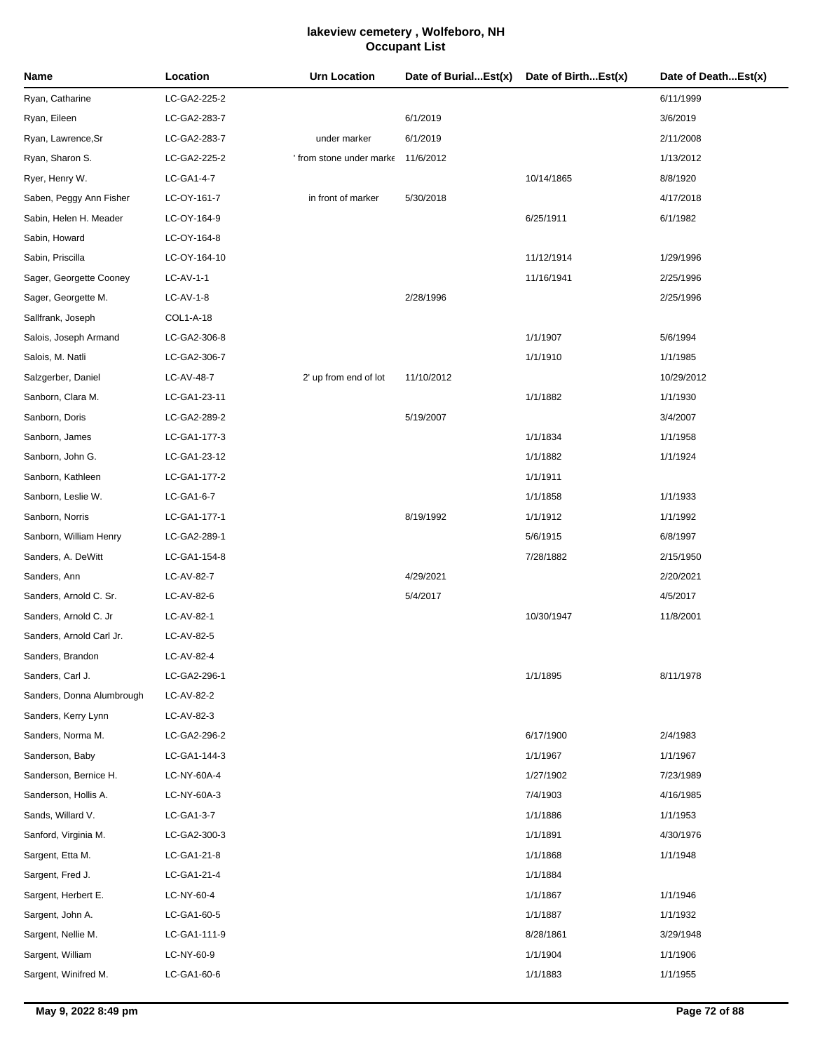| Name                      | Location     | <b>Urn Location</b>    | Date of BurialEst(x) | Date of BirthEst(x) | Date of DeathEst(x) |
|---------------------------|--------------|------------------------|----------------------|---------------------|---------------------|
| Ryan, Catharine           | LC-GA2-225-2 |                        |                      |                     | 6/11/1999           |
| Ryan, Eileen              | LC-GA2-283-7 |                        | 6/1/2019             |                     | 3/6/2019            |
| Ryan, Lawrence, Sr        | LC-GA2-283-7 | under marker           | 6/1/2019             |                     | 2/11/2008           |
| Ryan, Sharon S.           | LC-GA2-225-2 | from stone under marke | 11/6/2012            |                     | 1/13/2012           |
| Ryer, Henry W.            | LC-GA1-4-7   |                        |                      | 10/14/1865          | 8/8/1920            |
| Saben, Peggy Ann Fisher   | LC-OY-161-7  | in front of marker     | 5/30/2018            |                     | 4/17/2018           |
| Sabin, Helen H. Meader    | LC-OY-164-9  |                        |                      | 6/25/1911           | 6/1/1982            |
| Sabin, Howard             | LC-OY-164-8  |                        |                      |                     |                     |
| Sabin, Priscilla          | LC-OY-164-10 |                        |                      | 11/12/1914          | 1/29/1996           |
| Sager, Georgette Cooney   | LC-AV-1-1    |                        |                      | 11/16/1941          | 2/25/1996           |
| Sager, Georgette M.       | $LC-AV-1-8$  |                        | 2/28/1996            |                     | 2/25/1996           |
| Sallfrank, Joseph         | COL1-A-18    |                        |                      |                     |                     |
| Salois, Joseph Armand     | LC-GA2-306-8 |                        |                      | 1/1/1907            | 5/6/1994            |
| Salois, M. Natli          | LC-GA2-306-7 |                        |                      | 1/1/1910            | 1/1/1985            |
| Salzgerber, Daniel        | LC-AV-48-7   | 2' up from end of lot  | 11/10/2012           |                     | 10/29/2012          |
| Sanborn, Clara M.         | LC-GA1-23-11 |                        |                      | 1/1/1882            | 1/1/1930            |
| Sanborn, Doris            | LC-GA2-289-2 |                        | 5/19/2007            |                     | 3/4/2007            |
| Sanborn, James            | LC-GA1-177-3 |                        |                      | 1/1/1834            | 1/1/1958            |
| Sanborn, John G.          | LC-GA1-23-12 |                        |                      | 1/1/1882            | 1/1/1924            |
| Sanborn, Kathleen         | LC-GA1-177-2 |                        |                      | 1/1/1911            |                     |
| Sanborn, Leslie W.        | LC-GA1-6-7   |                        |                      | 1/1/1858            | 1/1/1933            |
| Sanborn, Norris           | LC-GA1-177-1 |                        | 8/19/1992            | 1/1/1912            | 1/1/1992            |
| Sanborn, William Henry    | LC-GA2-289-1 |                        |                      | 5/6/1915            | 6/8/1997            |
| Sanders, A. DeWitt        | LC-GA1-154-8 |                        |                      | 7/28/1882           | 2/15/1950           |
| Sanders, Ann              | LC-AV-82-7   |                        | 4/29/2021            |                     | 2/20/2021           |
| Sanders, Arnold C. Sr.    | LC-AV-82-6   |                        | 5/4/2017             |                     | 4/5/2017            |
| Sanders, Arnold C. Jr     | LC-AV-82-1   |                        |                      | 10/30/1947          | 11/8/2001           |
| Sanders, Arnold Carl Jr.  | LC-AV-82-5   |                        |                      |                     |                     |
| Sanders, Brandon          | LC-AV-82-4   |                        |                      |                     |                     |
| Sanders, Carl J.          | LC-GA2-296-1 |                        |                      | 1/1/1895            | 8/11/1978           |
| Sanders, Donna Alumbrough | LC-AV-82-2   |                        |                      |                     |                     |
| Sanders, Kerry Lynn       | LC-AV-82-3   |                        |                      |                     |                     |
| Sanders, Norma M.         | LC-GA2-296-2 |                        |                      | 6/17/1900           | 2/4/1983            |
| Sanderson, Baby           | LC-GA1-144-3 |                        |                      | 1/1/1967            | 1/1/1967            |
| Sanderson, Bernice H.     | LC-NY-60A-4  |                        |                      | 1/27/1902           | 7/23/1989           |
| Sanderson, Hollis A.      | LC-NY-60A-3  |                        |                      | 7/4/1903            | 4/16/1985           |
| Sands, Willard V.         | LC-GA1-3-7   |                        |                      | 1/1/1886            | 1/1/1953            |
| Sanford, Virginia M.      | LC-GA2-300-3 |                        |                      | 1/1/1891            | 4/30/1976           |
| Sargent, Etta M.          | LC-GA1-21-8  |                        |                      | 1/1/1868            | 1/1/1948            |
| Sargent, Fred J.          | LC-GA1-21-4  |                        |                      | 1/1/1884            |                     |
| Sargent, Herbert E.       | LC-NY-60-4   |                        |                      | 1/1/1867            | 1/1/1946            |
| Sargent, John A.          | LC-GA1-60-5  |                        |                      | 1/1/1887            | 1/1/1932            |
| Sargent, Nellie M.        | LC-GA1-111-9 |                        |                      | 8/28/1861           | 3/29/1948           |
| Sargent, William          | LC-NY-60-9   |                        |                      | 1/1/1904            | 1/1/1906            |
| Sargent, Winifred M.      | LC-GA1-60-6  |                        |                      | 1/1/1883            | 1/1/1955            |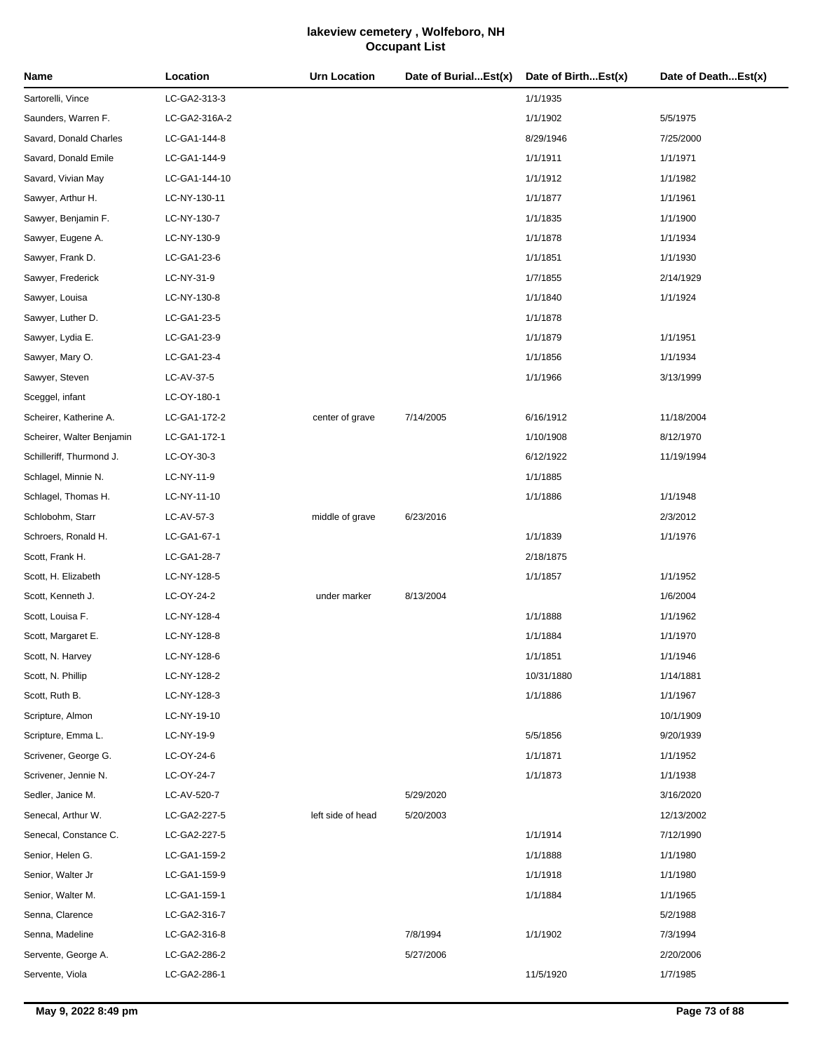| Name                      | Location      | <b>Urn Location</b> | Date of BurialEst(x) | Date of BirthEst(x) | Date of DeathEst(x) |
|---------------------------|---------------|---------------------|----------------------|---------------------|---------------------|
| Sartorelli, Vince         | LC-GA2-313-3  |                     |                      | 1/1/1935            |                     |
| Saunders, Warren F.       | LC-GA2-316A-2 |                     |                      | 1/1/1902            | 5/5/1975            |
| Savard, Donald Charles    | LC-GA1-144-8  |                     |                      | 8/29/1946           | 7/25/2000           |
| Savard, Donald Emile      | LC-GA1-144-9  |                     |                      | 1/1/1911            | 1/1/1971            |
| Savard, Vivian May        | LC-GA1-144-10 |                     |                      | 1/1/1912            | 1/1/1982            |
| Sawyer, Arthur H.         | LC-NY-130-11  |                     |                      | 1/1/1877            | 1/1/1961            |
| Sawyer, Benjamin F.       | LC-NY-130-7   |                     |                      | 1/1/1835            | 1/1/1900            |
| Sawyer, Eugene A.         | LC-NY-130-9   |                     |                      | 1/1/1878            | 1/1/1934            |
| Sawyer, Frank D.          | LC-GA1-23-6   |                     |                      | 1/1/1851            | 1/1/1930            |
| Sawyer, Frederick         | LC-NY-31-9    |                     |                      | 1/7/1855            | 2/14/1929           |
| Sawyer, Louisa            | LC-NY-130-8   |                     |                      | 1/1/1840            | 1/1/1924            |
| Sawyer, Luther D.         | LC-GA1-23-5   |                     |                      | 1/1/1878            |                     |
| Sawyer, Lydia E.          | LC-GA1-23-9   |                     |                      | 1/1/1879            | 1/1/1951            |
| Sawyer, Mary O.           | LC-GA1-23-4   |                     |                      | 1/1/1856            | 1/1/1934            |
| Sawyer, Steven            | LC-AV-37-5    |                     |                      | 1/1/1966            | 3/13/1999           |
| Sceggel, infant           | LC-OY-180-1   |                     |                      |                     |                     |
| Scheirer, Katherine A.    | LC-GA1-172-2  | center of grave     | 7/14/2005            | 6/16/1912           | 11/18/2004          |
| Scheirer, Walter Benjamin | LC-GA1-172-1  |                     |                      | 1/10/1908           | 8/12/1970           |
| Schilleriff, Thurmond J.  | LC-OY-30-3    |                     |                      | 6/12/1922           | 11/19/1994          |
| Schlagel, Minnie N.       | LC-NY-11-9    |                     |                      | 1/1/1885            |                     |
| Schlagel, Thomas H.       | LC-NY-11-10   |                     |                      | 1/1/1886            | 1/1/1948            |
| Schlobohm, Starr          | LC-AV-57-3    | middle of grave     | 6/23/2016            |                     | 2/3/2012            |
| Schroers, Ronald H.       | LC-GA1-67-1   |                     |                      | 1/1/1839            | 1/1/1976            |
| Scott, Frank H.           | LC-GA1-28-7   |                     |                      | 2/18/1875           |                     |
| Scott, H. Elizabeth       | LC-NY-128-5   |                     |                      | 1/1/1857            | 1/1/1952            |
| Scott, Kenneth J.         | LC-OY-24-2    | under marker        | 8/13/2004            |                     | 1/6/2004            |
| Scott, Louisa F.          | LC-NY-128-4   |                     |                      | 1/1/1888            | 1/1/1962            |
| Scott, Margaret E.        | LC-NY-128-8   |                     |                      | 1/1/1884            | 1/1/1970            |
| Scott, N. Harvey          | LC-NY-128-6   |                     |                      | 1/1/1851            | 1/1/1946            |
| Scott, N. Phillip         | LC-NY-128-2   |                     |                      | 10/31/1880          | 1/14/1881           |
| Scott, Ruth B.            | LC-NY-128-3   |                     |                      | 1/1/1886            | 1/1/1967            |
| Scripture, Almon          | LC-NY-19-10   |                     |                      |                     | 10/1/1909           |
| Scripture, Emma L.        | LC-NY-19-9    |                     |                      | 5/5/1856            | 9/20/1939           |
| Scrivener, George G.      | LC-OY-24-6    |                     |                      | 1/1/1871            | 1/1/1952            |
| Scrivener, Jennie N.      | LC-OY-24-7    |                     |                      | 1/1/1873            | 1/1/1938            |
| Sedler, Janice M.         | LC-AV-520-7   |                     | 5/29/2020            |                     | 3/16/2020           |
| Senecal, Arthur W.        | LC-GA2-227-5  | left side of head   | 5/20/2003            |                     | 12/13/2002          |
| Senecal, Constance C.     | LC-GA2-227-5  |                     |                      | 1/1/1914            | 7/12/1990           |
| Senior, Helen G.          | LC-GA1-159-2  |                     |                      | 1/1/1888            | 1/1/1980            |
| Senior, Walter Jr         | LC-GA1-159-9  |                     |                      | 1/1/1918            | 1/1/1980            |
| Senior, Walter M.         | LC-GA1-159-1  |                     |                      | 1/1/1884            | 1/1/1965            |
| Senna, Clarence           | LC-GA2-316-7  |                     |                      |                     | 5/2/1988            |
| Senna, Madeline           | LC-GA2-316-8  |                     | 7/8/1994             | 1/1/1902            | 7/3/1994            |
| Servente, George A.       | LC-GA2-286-2  |                     | 5/27/2006            |                     | 2/20/2006           |
| Servente, Viola           | LC-GA2-286-1  |                     |                      | 11/5/1920           | 1/7/1985            |

J.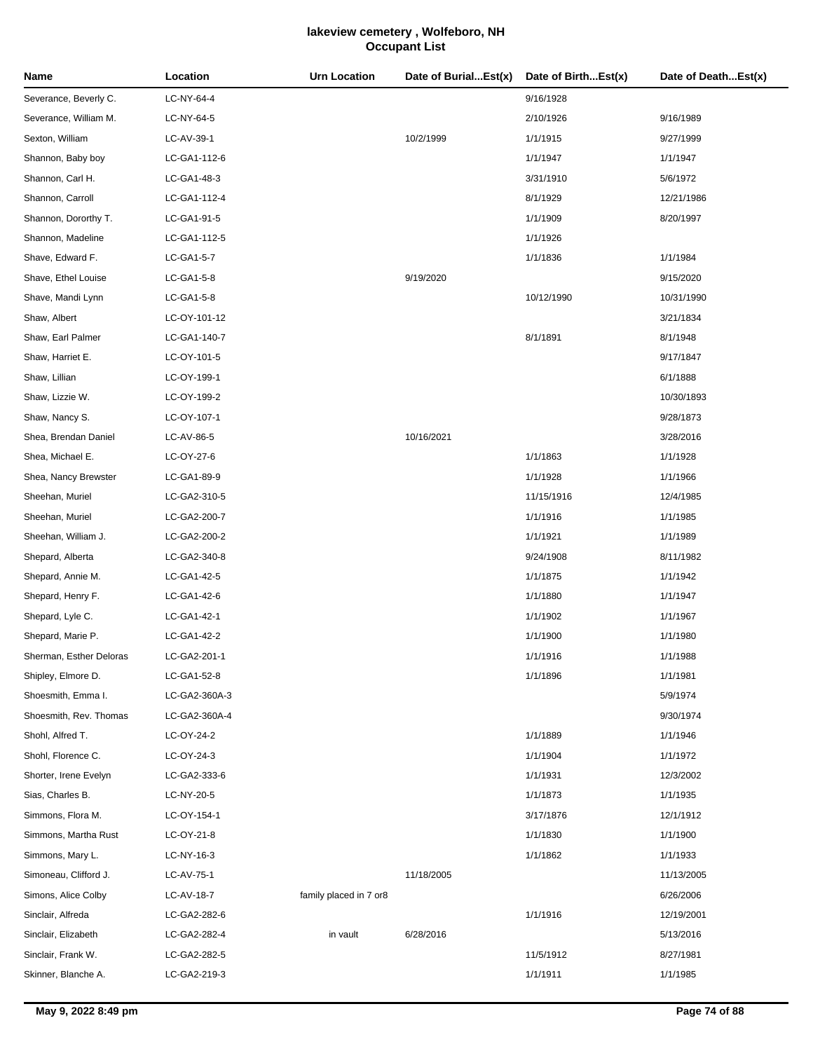| Name                    | Location      | <b>Urn Location</b>    | Date of BurialEst(x) | Date of BirthEst(x) | Date of DeathEst(x) |
|-------------------------|---------------|------------------------|----------------------|---------------------|---------------------|
| Severance, Beverly C.   | LC-NY-64-4    |                        |                      | 9/16/1928           |                     |
| Severance, William M.   | LC-NY-64-5    |                        |                      | 2/10/1926           | 9/16/1989           |
| Sexton, William         | LC-AV-39-1    |                        | 10/2/1999            | 1/1/1915            | 9/27/1999           |
| Shannon, Baby boy       | LC-GA1-112-6  |                        |                      | 1/1/1947            | 1/1/1947            |
| Shannon, Carl H.        | LC-GA1-48-3   |                        |                      | 3/31/1910           | 5/6/1972            |
| Shannon, Carroll        | LC-GA1-112-4  |                        |                      | 8/1/1929            | 12/21/1986          |
| Shannon, Dororthy T.    | LC-GA1-91-5   |                        |                      | 1/1/1909            | 8/20/1997           |
| Shannon, Madeline       | LC-GA1-112-5  |                        |                      | 1/1/1926            |                     |
| Shave, Edward F.        | LC-GA1-5-7    |                        |                      | 1/1/1836            | 1/1/1984            |
| Shave, Ethel Louise     | LC-GA1-5-8    |                        | 9/19/2020            |                     | 9/15/2020           |
| Shave, Mandi Lynn       | LC-GA1-5-8    |                        |                      | 10/12/1990          | 10/31/1990          |
| Shaw, Albert            | LC-OY-101-12  |                        |                      |                     | 3/21/1834           |
| Shaw, Earl Palmer       | LC-GA1-140-7  |                        |                      | 8/1/1891            | 8/1/1948            |
| Shaw, Harriet E.        | LC-OY-101-5   |                        |                      |                     | 9/17/1847           |
| Shaw, Lillian           | LC-OY-199-1   |                        |                      |                     | 6/1/1888            |
| Shaw, Lizzie W.         | LC-OY-199-2   |                        |                      |                     | 10/30/1893          |
| Shaw, Nancy S.          | LC-OY-107-1   |                        |                      |                     | 9/28/1873           |
| Shea, Brendan Daniel    | LC-AV-86-5    |                        | 10/16/2021           |                     | 3/28/2016           |
| Shea, Michael E.        | LC-OY-27-6    |                        |                      | 1/1/1863            | 1/1/1928            |
| Shea, Nancy Brewster    | LC-GA1-89-9   |                        |                      | 1/1/1928            | 1/1/1966            |
| Sheehan, Muriel         | LC-GA2-310-5  |                        |                      | 11/15/1916          | 12/4/1985           |
| Sheehan, Muriel         | LC-GA2-200-7  |                        |                      | 1/1/1916            | 1/1/1985            |
| Sheehan, William J.     | LC-GA2-200-2  |                        |                      | 1/1/1921            | 1/1/1989            |
| Shepard, Alberta        | LC-GA2-340-8  |                        |                      | 9/24/1908           | 8/11/1982           |
| Shepard, Annie M.       | LC-GA1-42-5   |                        |                      | 1/1/1875            | 1/1/1942            |
| Shepard, Henry F.       | LC-GA1-42-6   |                        |                      | 1/1/1880            | 1/1/1947            |
| Shepard, Lyle C.        | LC-GA1-42-1   |                        |                      | 1/1/1902            | 1/1/1967            |
| Shepard, Marie P.       | LC-GA1-42-2   |                        |                      | 1/1/1900            | 1/1/1980            |
| Sherman, Esther Deloras | LC-GA2-201-1  |                        |                      | 1/1/1916            | 1/1/1988            |
| Shipley, Elmore D.      | LC-GA1-52-8   |                        |                      | 1/1/1896            | 1/1/1981            |
| Shoesmith, Emma I.      | LC-GA2-360A-3 |                        |                      |                     | 5/9/1974            |
| Shoesmith, Rev. Thomas  | LC-GA2-360A-4 |                        |                      |                     | 9/30/1974           |
| Shohl, Alfred T.        | LC-OY-24-2    |                        |                      | 1/1/1889            | 1/1/1946            |
| Shohl, Florence C.      | LC-OY-24-3    |                        |                      | 1/1/1904            | 1/1/1972            |
| Shorter, Irene Evelyn   | LC-GA2-333-6  |                        |                      | 1/1/1931            | 12/3/2002           |
| Sias, Charles B.        | LC-NY-20-5    |                        |                      | 1/1/1873            | 1/1/1935            |
| Simmons, Flora M.       | LC-OY-154-1   |                        |                      | 3/17/1876           | 12/1/1912           |
| Simmons, Martha Rust    | LC-OY-21-8    |                        |                      | 1/1/1830            | 1/1/1900            |
| Simmons, Mary L.        | LC-NY-16-3    |                        |                      | 1/1/1862            | 1/1/1933            |
| Simoneau, Clifford J.   | LC-AV-75-1    |                        | 11/18/2005           |                     | 11/13/2005          |
| Simons, Alice Colby     | LC-AV-18-7    | family placed in 7 or8 |                      |                     | 6/26/2006           |
| Sinclair, Alfreda       | LC-GA2-282-6  |                        |                      | 1/1/1916            | 12/19/2001          |
| Sinclair, Elizabeth     | LC-GA2-282-4  | in vault               | 6/28/2016            |                     | 5/13/2016           |
| Sinclair, Frank W.      | LC-GA2-282-5  |                        |                      | 11/5/1912           | 8/27/1981           |
| Skinner, Blanche A.     | LC-GA2-219-3  |                        |                      | 1/1/1911            | 1/1/1985            |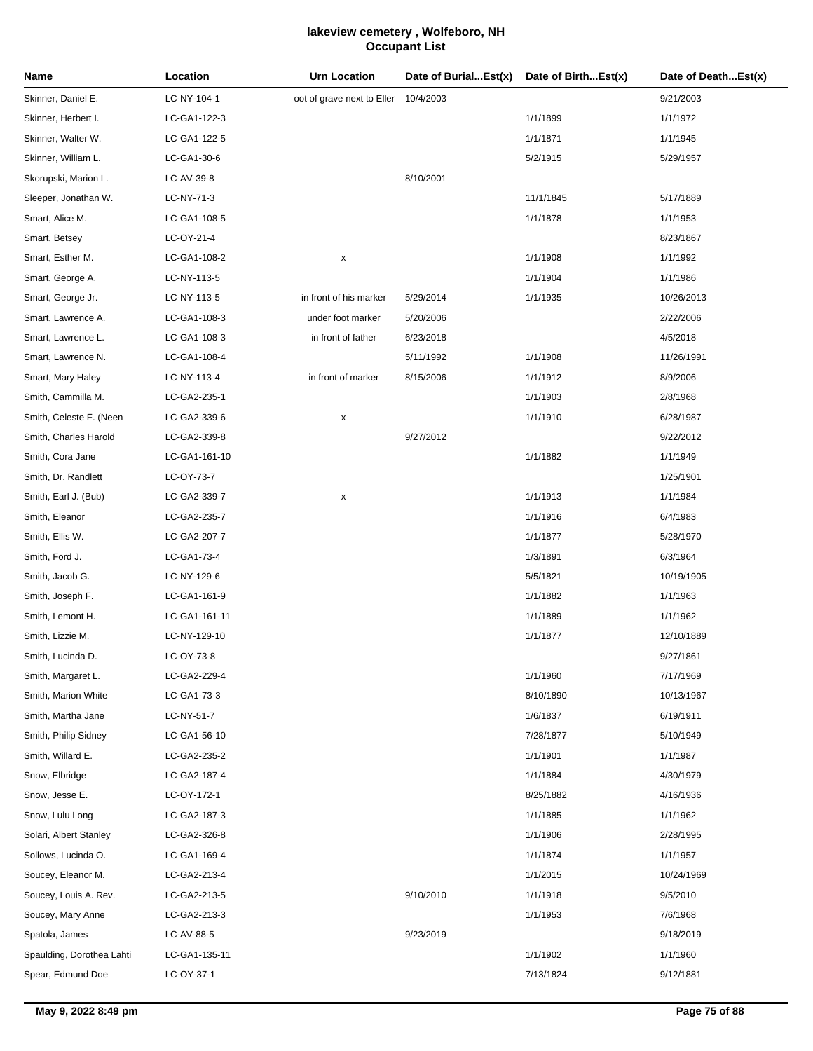| Name                      | Location      | Urn Location                         | Date of BurialEst(x) | Date of BirthEst(x) | Date of DeathEst(x) |
|---------------------------|---------------|--------------------------------------|----------------------|---------------------|---------------------|
| Skinner, Daniel E.        | LC-NY-104-1   | oot of grave next to Eller 10/4/2003 |                      |                     | 9/21/2003           |
| Skinner, Herbert I.       | LC-GA1-122-3  |                                      |                      | 1/1/1899            | 1/1/1972            |
| Skinner, Walter W.        | LC-GA1-122-5  |                                      |                      | 1/1/1871            | 1/1/1945            |
| Skinner, William L.       | LC-GA1-30-6   |                                      |                      | 5/2/1915            | 5/29/1957           |
| Skorupski, Marion L.      | LC-AV-39-8    |                                      | 8/10/2001            |                     |                     |
| Sleeper, Jonathan W.      | LC-NY-71-3    |                                      |                      | 11/1/1845           | 5/17/1889           |
| Smart, Alice M.           | LC-GA1-108-5  |                                      |                      | 1/1/1878            | 1/1/1953            |
| Smart, Betsey             | LC-OY-21-4    |                                      |                      |                     | 8/23/1867           |
| Smart, Esther M.          | LC-GA1-108-2  | x                                    |                      | 1/1/1908            | 1/1/1992            |
| Smart, George A.          | LC-NY-113-5   |                                      |                      | 1/1/1904            | 1/1/1986            |
| Smart, George Jr.         | LC-NY-113-5   | in front of his marker               | 5/29/2014            | 1/1/1935            | 10/26/2013          |
| Smart, Lawrence A.        | LC-GA1-108-3  | under foot marker                    | 5/20/2006            |                     | 2/22/2006           |
| Smart, Lawrence L.        | LC-GA1-108-3  | in front of father                   | 6/23/2018            |                     | 4/5/2018            |
| Smart, Lawrence N.        | LC-GA1-108-4  |                                      | 5/11/1992            | 1/1/1908            | 11/26/1991          |
| Smart, Mary Haley         | LC-NY-113-4   | in front of marker                   | 8/15/2006            | 1/1/1912            | 8/9/2006            |
| Smith, Cammilla M.        | LC-GA2-235-1  |                                      |                      | 1/1/1903            | 2/8/1968            |
| Smith, Celeste F. (Neen   | LC-GA2-339-6  | x                                    |                      | 1/1/1910            | 6/28/1987           |
| Smith, Charles Harold     | LC-GA2-339-8  |                                      | 9/27/2012            |                     | 9/22/2012           |
| Smith, Cora Jane          | LC-GA1-161-10 |                                      |                      | 1/1/1882            | 1/1/1949            |
| Smith, Dr. Randlett       | LC-OY-73-7    |                                      |                      |                     | 1/25/1901           |
| Smith, Earl J. (Bub)      | LC-GA2-339-7  | x                                    |                      | 1/1/1913            | 1/1/1984            |
| Smith, Eleanor            | LC-GA2-235-7  |                                      |                      | 1/1/1916            | 6/4/1983            |
| Smith, Ellis W.           | LC-GA2-207-7  |                                      |                      | 1/1/1877            | 5/28/1970           |
| Smith, Ford J.            | LC-GA1-73-4   |                                      |                      | 1/3/1891            | 6/3/1964            |
| Smith, Jacob G.           | LC-NY-129-6   |                                      |                      | 5/5/1821            | 10/19/1905          |
| Smith, Joseph F.          | LC-GA1-161-9  |                                      |                      | 1/1/1882            | 1/1/1963            |
| Smith, Lemont H.          | LC-GA1-161-11 |                                      |                      | 1/1/1889            | 1/1/1962            |
| Smith, Lizzie M.          | LC-NY-129-10  |                                      |                      | 1/1/1877            | 12/10/1889          |
| Smith, Lucinda D.         | LC-OY-73-8    |                                      |                      |                     | 9/27/1861           |
| Smith, Margaret L.        | LC-GA2-229-4  |                                      |                      | 1/1/1960            | 7/17/1969           |
| Smith, Marion White       | LC-GA1-73-3   |                                      |                      | 8/10/1890           | 10/13/1967          |
| Smith, Martha Jane        | LC-NY-51-7    |                                      |                      | 1/6/1837            | 6/19/1911           |
| Smith, Philip Sidney      | LC-GA1-56-10  |                                      |                      | 7/28/1877           | 5/10/1949           |
| Smith, Willard E.         | LC-GA2-235-2  |                                      |                      | 1/1/1901            | 1/1/1987            |
| Snow, Elbridge            | LC-GA2-187-4  |                                      |                      | 1/1/1884            | 4/30/1979           |
| Snow, Jesse E.            | LC-OY-172-1   |                                      |                      | 8/25/1882           | 4/16/1936           |
| Snow, Lulu Long           | LC-GA2-187-3  |                                      |                      | 1/1/1885            | 1/1/1962            |
| Solari, Albert Stanley    | LC-GA2-326-8  |                                      |                      | 1/1/1906            | 2/28/1995           |
| Sollows, Lucinda O.       | LC-GA1-169-4  |                                      |                      | 1/1/1874            | 1/1/1957            |
| Soucey, Eleanor M.        | LC-GA2-213-4  |                                      |                      | 1/1/2015            | 10/24/1969          |
| Soucey, Louis A. Rev.     | LC-GA2-213-5  |                                      | 9/10/2010            | 1/1/1918            | 9/5/2010            |
| Soucey, Mary Anne         | LC-GA2-213-3  |                                      |                      | 1/1/1953            | 7/6/1968            |
| Spatola, James            | LC-AV-88-5    |                                      | 9/23/2019            |                     | 9/18/2019           |
| Spaulding, Dorothea Lahti | LC-GA1-135-11 |                                      |                      | 1/1/1902            | 1/1/1960            |
| Spear, Edmund Doe         | LC-OY-37-1    |                                      |                      | 7/13/1824           | 9/12/1881           |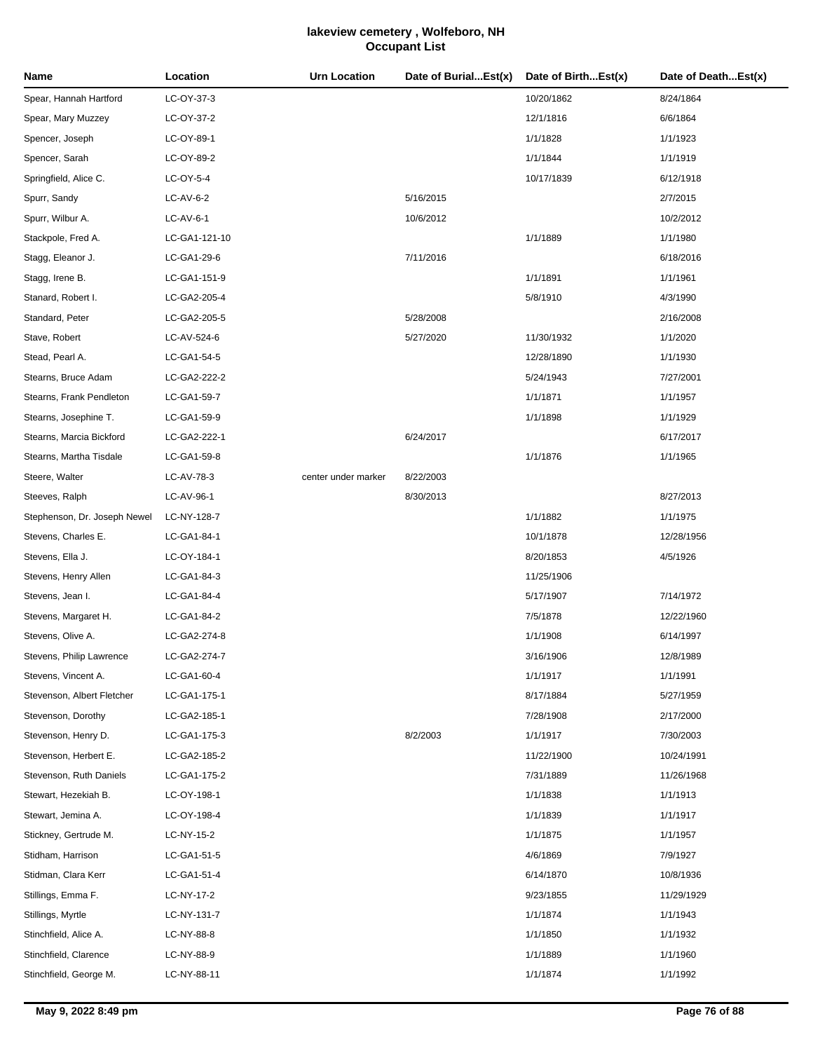| LC-OY-37-3<br>10/20/1862<br>8/24/1864<br>12/1/1816<br>6/6/1864<br>LC-OY-37-2<br>LC-OY-89-1<br>1/1/1828<br>1/1/1923<br>LC-OY-89-2<br>1/1/1844<br>1/1/1919<br>LC-OY-5-4<br>10/17/1839<br>6/12/1918<br>5/16/2015<br>2/7/2015<br>LC-AV-6-2<br>$LC-AV-6-1$<br>10/6/2012<br>10/2/2012<br>LC-GA1-121-10<br>1/1/1889<br>1/1/1980<br>LC-GA1-29-6<br>7/11/2016<br>6/18/2016<br>1/1/1891<br>1/1/1961<br>LC-GA1-151-9<br>LC-GA2-205-4<br>5/8/1910<br>4/3/1990<br>LC-GA2-205-5<br>5/28/2008<br>2/16/2008<br>LC-AV-524-6<br>5/27/2020<br>11/30/1932<br>1/1/2020<br>LC-GA1-54-5<br>12/28/1890<br>1/1/1930<br>LC-GA2-222-2<br>5/24/1943<br>7/27/2001<br>LC-GA1-59-7<br>1/1/1871<br>1/1/1957<br>1/1/1898<br>LC-GA1-59-9<br>1/1/1929<br>6/24/2017<br>6/17/2017<br>LC-GA2-222-1<br>LC-GA1-59-8<br>1/1/1876<br>1/1/1965<br>center under marker<br>8/22/2003<br>LC-AV-78-3<br>8/30/2013<br>8/27/2013<br>LC-AV-96-1<br>LC-NY-128-7<br>1/1/1882<br>1/1/1975<br>LC-GA1-84-1<br>10/1/1878<br>12/28/1956<br>LC-OY-184-1<br>8/20/1853<br>4/5/1926<br>LC-GA1-84-3<br>11/25/1906<br>LC-GA1-84-4<br>5/17/1907<br>7/14/1972<br>LC-GA1-84-2<br>7/5/1878<br>12/22/1960<br>LC-GA2-274-8<br>1/1/1908<br>6/14/1997<br>LC-GA2-274-7<br>3/16/1906<br>12/8/1989<br>1/1/1917<br>LC-GA1-60-4<br>1/1/1991<br>LC-GA1-175-1<br>8/17/1884<br>5/27/1959<br>LC-GA2-185-1<br>7/28/1908<br>2/17/2000<br>LC-GA1-175-3<br>8/2/2003<br>1/1/1917<br>7/30/2003<br>LC-GA2-185-2<br>11/22/1900<br>10/24/1991<br>LC-GA1-175-2<br>7/31/1889<br>11/26/1968<br>LC-OY-198-1<br>1/1/1838<br>1/1/1913<br>LC-OY-198-4<br>1/1/1839<br>1/1/1917<br>LC-NY-15-2<br>1/1/1875<br>1/1/1957<br>LC-GA1-51-5<br>4/6/1869<br>7/9/1927<br>6/14/1870<br>10/8/1936<br>LC-GA1-51-4<br>LC-NY-17-2<br>9/23/1855<br>11/29/1929<br>LC-NY-131-7<br>1/1/1874<br>1/1/1943<br>LC-NY-88-8<br>1/1/1850<br>1/1/1932<br>LC-NY-88-9<br>1/1/1889<br>1/1/1960<br>LC-NY-88-11<br>1/1/1874<br>1/1/1992 | Name                         | Location | Urn Location | Date of BurialEst(x) | Date of BirthEst(x) | Date of DeathEst(x) |
|--------------------------------------------------------------------------------------------------------------------------------------------------------------------------------------------------------------------------------------------------------------------------------------------------------------------------------------------------------------------------------------------------------------------------------------------------------------------------------------------------------------------------------------------------------------------------------------------------------------------------------------------------------------------------------------------------------------------------------------------------------------------------------------------------------------------------------------------------------------------------------------------------------------------------------------------------------------------------------------------------------------------------------------------------------------------------------------------------------------------------------------------------------------------------------------------------------------------------------------------------------------------------------------------------------------------------------------------------------------------------------------------------------------------------------------------------------------------------------------------------------------------------------------------------------------------------------------------------------------------------------------------------------------------------------------------------------------------------------------------------------------------------------------------------------------------------------------------------------------------------------------------------------|------------------------------|----------|--------------|----------------------|---------------------|---------------------|
|                                                                                                                                                                                                                                                                                                                                                                                                                                                                                                                                                                                                                                                                                                                                                                                                                                                                                                                                                                                                                                                                                                                                                                                                                                                                                                                                                                                                                                                                                                                                                                                                                                                                                                                                                                                                                                                                                                        | Spear, Hannah Hartford       |          |              |                      |                     |                     |
|                                                                                                                                                                                                                                                                                                                                                                                                                                                                                                                                                                                                                                                                                                                                                                                                                                                                                                                                                                                                                                                                                                                                                                                                                                                                                                                                                                                                                                                                                                                                                                                                                                                                                                                                                                                                                                                                                                        | Spear, Mary Muzzey           |          |              |                      |                     |                     |
|                                                                                                                                                                                                                                                                                                                                                                                                                                                                                                                                                                                                                                                                                                                                                                                                                                                                                                                                                                                                                                                                                                                                                                                                                                                                                                                                                                                                                                                                                                                                                                                                                                                                                                                                                                                                                                                                                                        | Spencer, Joseph              |          |              |                      |                     |                     |
|                                                                                                                                                                                                                                                                                                                                                                                                                                                                                                                                                                                                                                                                                                                                                                                                                                                                                                                                                                                                                                                                                                                                                                                                                                                                                                                                                                                                                                                                                                                                                                                                                                                                                                                                                                                                                                                                                                        | Spencer, Sarah               |          |              |                      |                     |                     |
|                                                                                                                                                                                                                                                                                                                                                                                                                                                                                                                                                                                                                                                                                                                                                                                                                                                                                                                                                                                                                                                                                                                                                                                                                                                                                                                                                                                                                                                                                                                                                                                                                                                                                                                                                                                                                                                                                                        | Springfield, Alice C.        |          |              |                      |                     |                     |
|                                                                                                                                                                                                                                                                                                                                                                                                                                                                                                                                                                                                                                                                                                                                                                                                                                                                                                                                                                                                                                                                                                                                                                                                                                                                                                                                                                                                                                                                                                                                                                                                                                                                                                                                                                                                                                                                                                        | Spurr, Sandy                 |          |              |                      |                     |                     |
|                                                                                                                                                                                                                                                                                                                                                                                                                                                                                                                                                                                                                                                                                                                                                                                                                                                                                                                                                                                                                                                                                                                                                                                                                                                                                                                                                                                                                                                                                                                                                                                                                                                                                                                                                                                                                                                                                                        | Spurr, Wilbur A.             |          |              |                      |                     |                     |
|                                                                                                                                                                                                                                                                                                                                                                                                                                                                                                                                                                                                                                                                                                                                                                                                                                                                                                                                                                                                                                                                                                                                                                                                                                                                                                                                                                                                                                                                                                                                                                                                                                                                                                                                                                                                                                                                                                        | Stackpole, Fred A.           |          |              |                      |                     |                     |
|                                                                                                                                                                                                                                                                                                                                                                                                                                                                                                                                                                                                                                                                                                                                                                                                                                                                                                                                                                                                                                                                                                                                                                                                                                                                                                                                                                                                                                                                                                                                                                                                                                                                                                                                                                                                                                                                                                        | Stagg, Eleanor J.            |          |              |                      |                     |                     |
|                                                                                                                                                                                                                                                                                                                                                                                                                                                                                                                                                                                                                                                                                                                                                                                                                                                                                                                                                                                                                                                                                                                                                                                                                                                                                                                                                                                                                                                                                                                                                                                                                                                                                                                                                                                                                                                                                                        | Stagg, Irene B.              |          |              |                      |                     |                     |
|                                                                                                                                                                                                                                                                                                                                                                                                                                                                                                                                                                                                                                                                                                                                                                                                                                                                                                                                                                                                                                                                                                                                                                                                                                                                                                                                                                                                                                                                                                                                                                                                                                                                                                                                                                                                                                                                                                        | Stanard, Robert I.           |          |              |                      |                     |                     |
|                                                                                                                                                                                                                                                                                                                                                                                                                                                                                                                                                                                                                                                                                                                                                                                                                                                                                                                                                                                                                                                                                                                                                                                                                                                                                                                                                                                                                                                                                                                                                                                                                                                                                                                                                                                                                                                                                                        | Standard, Peter              |          |              |                      |                     |                     |
|                                                                                                                                                                                                                                                                                                                                                                                                                                                                                                                                                                                                                                                                                                                                                                                                                                                                                                                                                                                                                                                                                                                                                                                                                                                                                                                                                                                                                                                                                                                                                                                                                                                                                                                                                                                                                                                                                                        | Stave, Robert                |          |              |                      |                     |                     |
|                                                                                                                                                                                                                                                                                                                                                                                                                                                                                                                                                                                                                                                                                                                                                                                                                                                                                                                                                                                                                                                                                                                                                                                                                                                                                                                                                                                                                                                                                                                                                                                                                                                                                                                                                                                                                                                                                                        | Stead, Pearl A.              |          |              |                      |                     |                     |
|                                                                                                                                                                                                                                                                                                                                                                                                                                                                                                                                                                                                                                                                                                                                                                                                                                                                                                                                                                                                                                                                                                                                                                                                                                                                                                                                                                                                                                                                                                                                                                                                                                                                                                                                                                                                                                                                                                        | Stearns, Bruce Adam          |          |              |                      |                     |                     |
|                                                                                                                                                                                                                                                                                                                                                                                                                                                                                                                                                                                                                                                                                                                                                                                                                                                                                                                                                                                                                                                                                                                                                                                                                                                                                                                                                                                                                                                                                                                                                                                                                                                                                                                                                                                                                                                                                                        | Stearns, Frank Pendleton     |          |              |                      |                     |                     |
|                                                                                                                                                                                                                                                                                                                                                                                                                                                                                                                                                                                                                                                                                                                                                                                                                                                                                                                                                                                                                                                                                                                                                                                                                                                                                                                                                                                                                                                                                                                                                                                                                                                                                                                                                                                                                                                                                                        | Stearns, Josephine T.        |          |              |                      |                     |                     |
|                                                                                                                                                                                                                                                                                                                                                                                                                                                                                                                                                                                                                                                                                                                                                                                                                                                                                                                                                                                                                                                                                                                                                                                                                                                                                                                                                                                                                                                                                                                                                                                                                                                                                                                                                                                                                                                                                                        | Stearns, Marcia Bickford     |          |              |                      |                     |                     |
|                                                                                                                                                                                                                                                                                                                                                                                                                                                                                                                                                                                                                                                                                                                                                                                                                                                                                                                                                                                                                                                                                                                                                                                                                                                                                                                                                                                                                                                                                                                                                                                                                                                                                                                                                                                                                                                                                                        | Stearns, Martha Tisdale      |          |              |                      |                     |                     |
|                                                                                                                                                                                                                                                                                                                                                                                                                                                                                                                                                                                                                                                                                                                                                                                                                                                                                                                                                                                                                                                                                                                                                                                                                                                                                                                                                                                                                                                                                                                                                                                                                                                                                                                                                                                                                                                                                                        | Steere, Walter               |          |              |                      |                     |                     |
|                                                                                                                                                                                                                                                                                                                                                                                                                                                                                                                                                                                                                                                                                                                                                                                                                                                                                                                                                                                                                                                                                                                                                                                                                                                                                                                                                                                                                                                                                                                                                                                                                                                                                                                                                                                                                                                                                                        | Steeves, Ralph               |          |              |                      |                     |                     |
|                                                                                                                                                                                                                                                                                                                                                                                                                                                                                                                                                                                                                                                                                                                                                                                                                                                                                                                                                                                                                                                                                                                                                                                                                                                                                                                                                                                                                                                                                                                                                                                                                                                                                                                                                                                                                                                                                                        | Stephenson, Dr. Joseph Newel |          |              |                      |                     |                     |
|                                                                                                                                                                                                                                                                                                                                                                                                                                                                                                                                                                                                                                                                                                                                                                                                                                                                                                                                                                                                                                                                                                                                                                                                                                                                                                                                                                                                                                                                                                                                                                                                                                                                                                                                                                                                                                                                                                        | Stevens, Charles E.          |          |              |                      |                     |                     |
|                                                                                                                                                                                                                                                                                                                                                                                                                                                                                                                                                                                                                                                                                                                                                                                                                                                                                                                                                                                                                                                                                                                                                                                                                                                                                                                                                                                                                                                                                                                                                                                                                                                                                                                                                                                                                                                                                                        | Stevens, Ella J.             |          |              |                      |                     |                     |
|                                                                                                                                                                                                                                                                                                                                                                                                                                                                                                                                                                                                                                                                                                                                                                                                                                                                                                                                                                                                                                                                                                                                                                                                                                                                                                                                                                                                                                                                                                                                                                                                                                                                                                                                                                                                                                                                                                        | Stevens, Henry Allen         |          |              |                      |                     |                     |
|                                                                                                                                                                                                                                                                                                                                                                                                                                                                                                                                                                                                                                                                                                                                                                                                                                                                                                                                                                                                                                                                                                                                                                                                                                                                                                                                                                                                                                                                                                                                                                                                                                                                                                                                                                                                                                                                                                        | Stevens, Jean I.             |          |              |                      |                     |                     |
|                                                                                                                                                                                                                                                                                                                                                                                                                                                                                                                                                                                                                                                                                                                                                                                                                                                                                                                                                                                                                                                                                                                                                                                                                                                                                                                                                                                                                                                                                                                                                                                                                                                                                                                                                                                                                                                                                                        | Stevens, Margaret H.         |          |              |                      |                     |                     |
|                                                                                                                                                                                                                                                                                                                                                                                                                                                                                                                                                                                                                                                                                                                                                                                                                                                                                                                                                                                                                                                                                                                                                                                                                                                                                                                                                                                                                                                                                                                                                                                                                                                                                                                                                                                                                                                                                                        | Stevens, Olive A.            |          |              |                      |                     |                     |
|                                                                                                                                                                                                                                                                                                                                                                                                                                                                                                                                                                                                                                                                                                                                                                                                                                                                                                                                                                                                                                                                                                                                                                                                                                                                                                                                                                                                                                                                                                                                                                                                                                                                                                                                                                                                                                                                                                        | Stevens, Philip Lawrence     |          |              |                      |                     |                     |
|                                                                                                                                                                                                                                                                                                                                                                                                                                                                                                                                                                                                                                                                                                                                                                                                                                                                                                                                                                                                                                                                                                                                                                                                                                                                                                                                                                                                                                                                                                                                                                                                                                                                                                                                                                                                                                                                                                        | Stevens, Vincent A.          |          |              |                      |                     |                     |
|                                                                                                                                                                                                                                                                                                                                                                                                                                                                                                                                                                                                                                                                                                                                                                                                                                                                                                                                                                                                                                                                                                                                                                                                                                                                                                                                                                                                                                                                                                                                                                                                                                                                                                                                                                                                                                                                                                        | Stevenson, Albert Fletcher   |          |              |                      |                     |                     |
|                                                                                                                                                                                                                                                                                                                                                                                                                                                                                                                                                                                                                                                                                                                                                                                                                                                                                                                                                                                                                                                                                                                                                                                                                                                                                                                                                                                                                                                                                                                                                                                                                                                                                                                                                                                                                                                                                                        | Stevenson, Dorothy           |          |              |                      |                     |                     |
|                                                                                                                                                                                                                                                                                                                                                                                                                                                                                                                                                                                                                                                                                                                                                                                                                                                                                                                                                                                                                                                                                                                                                                                                                                                                                                                                                                                                                                                                                                                                                                                                                                                                                                                                                                                                                                                                                                        | Stevenson, Henry D.          |          |              |                      |                     |                     |
|                                                                                                                                                                                                                                                                                                                                                                                                                                                                                                                                                                                                                                                                                                                                                                                                                                                                                                                                                                                                                                                                                                                                                                                                                                                                                                                                                                                                                                                                                                                                                                                                                                                                                                                                                                                                                                                                                                        | Stevenson, Herbert E.        |          |              |                      |                     |                     |
|                                                                                                                                                                                                                                                                                                                                                                                                                                                                                                                                                                                                                                                                                                                                                                                                                                                                                                                                                                                                                                                                                                                                                                                                                                                                                                                                                                                                                                                                                                                                                                                                                                                                                                                                                                                                                                                                                                        | Stevenson, Ruth Daniels      |          |              |                      |                     |                     |
|                                                                                                                                                                                                                                                                                                                                                                                                                                                                                                                                                                                                                                                                                                                                                                                                                                                                                                                                                                                                                                                                                                                                                                                                                                                                                                                                                                                                                                                                                                                                                                                                                                                                                                                                                                                                                                                                                                        | Stewart, Hezekiah B.         |          |              |                      |                     |                     |
|                                                                                                                                                                                                                                                                                                                                                                                                                                                                                                                                                                                                                                                                                                                                                                                                                                                                                                                                                                                                                                                                                                                                                                                                                                                                                                                                                                                                                                                                                                                                                                                                                                                                                                                                                                                                                                                                                                        | Stewart, Jemina A.           |          |              |                      |                     |                     |
|                                                                                                                                                                                                                                                                                                                                                                                                                                                                                                                                                                                                                                                                                                                                                                                                                                                                                                                                                                                                                                                                                                                                                                                                                                                                                                                                                                                                                                                                                                                                                                                                                                                                                                                                                                                                                                                                                                        | Stickney, Gertrude M.        |          |              |                      |                     |                     |
|                                                                                                                                                                                                                                                                                                                                                                                                                                                                                                                                                                                                                                                                                                                                                                                                                                                                                                                                                                                                                                                                                                                                                                                                                                                                                                                                                                                                                                                                                                                                                                                                                                                                                                                                                                                                                                                                                                        | Stidham, Harrison            |          |              |                      |                     |                     |
|                                                                                                                                                                                                                                                                                                                                                                                                                                                                                                                                                                                                                                                                                                                                                                                                                                                                                                                                                                                                                                                                                                                                                                                                                                                                                                                                                                                                                                                                                                                                                                                                                                                                                                                                                                                                                                                                                                        | Stidman, Clara Kerr          |          |              |                      |                     |                     |
|                                                                                                                                                                                                                                                                                                                                                                                                                                                                                                                                                                                                                                                                                                                                                                                                                                                                                                                                                                                                                                                                                                                                                                                                                                                                                                                                                                                                                                                                                                                                                                                                                                                                                                                                                                                                                                                                                                        | Stillings, Emma F.           |          |              |                      |                     |                     |
|                                                                                                                                                                                                                                                                                                                                                                                                                                                                                                                                                                                                                                                                                                                                                                                                                                                                                                                                                                                                                                                                                                                                                                                                                                                                                                                                                                                                                                                                                                                                                                                                                                                                                                                                                                                                                                                                                                        | Stillings, Myrtle            |          |              |                      |                     |                     |
|                                                                                                                                                                                                                                                                                                                                                                                                                                                                                                                                                                                                                                                                                                                                                                                                                                                                                                                                                                                                                                                                                                                                                                                                                                                                                                                                                                                                                                                                                                                                                                                                                                                                                                                                                                                                                                                                                                        | Stinchfield, Alice A.        |          |              |                      |                     |                     |
|                                                                                                                                                                                                                                                                                                                                                                                                                                                                                                                                                                                                                                                                                                                                                                                                                                                                                                                                                                                                                                                                                                                                                                                                                                                                                                                                                                                                                                                                                                                                                                                                                                                                                                                                                                                                                                                                                                        | Stinchfield, Clarence        |          |              |                      |                     |                     |
|                                                                                                                                                                                                                                                                                                                                                                                                                                                                                                                                                                                                                                                                                                                                                                                                                                                                                                                                                                                                                                                                                                                                                                                                                                                                                                                                                                                                                                                                                                                                                                                                                                                                                                                                                                                                                                                                                                        | Stinchfield, George M.       |          |              |                      |                     |                     |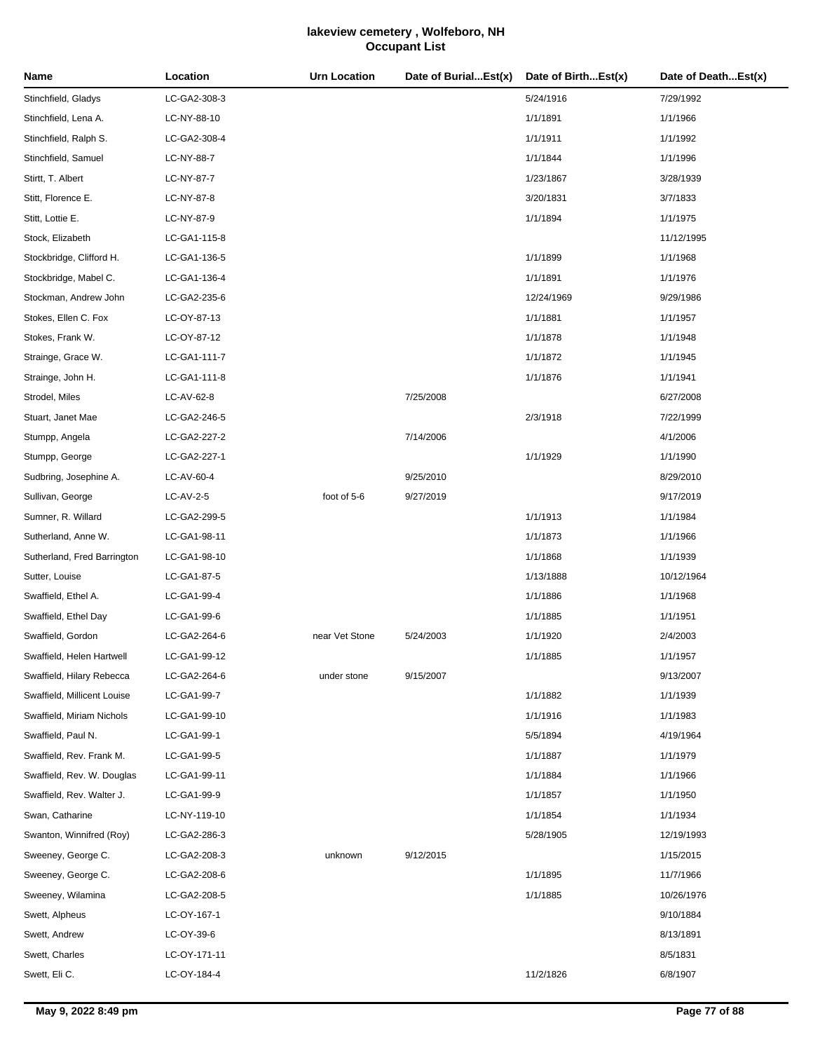| Name                        | Location     | <b>Urn Location</b> | Date of BurialEst(x) | Date of BirthEst(x) | Date of DeathEst(x) |
|-----------------------------|--------------|---------------------|----------------------|---------------------|---------------------|
| Stinchfield, Gladys         | LC-GA2-308-3 |                     |                      | 5/24/1916           | 7/29/1992           |
| Stinchfield, Lena A.        | LC-NY-88-10  |                     |                      | 1/1/1891            | 1/1/1966            |
| Stinchfield, Ralph S.       | LC-GA2-308-4 |                     |                      | 1/1/1911            | 1/1/1992            |
| Stinchfield, Samuel         | LC-NY-88-7   |                     |                      | 1/1/1844            | 1/1/1996            |
| Stirtt, T. Albert           | LC-NY-87-7   |                     |                      | 1/23/1867           | 3/28/1939           |
| Stitt, Florence E.          | LC-NY-87-8   |                     |                      | 3/20/1831           | 3/7/1833            |
| Stitt, Lottie E.            | LC-NY-87-9   |                     |                      | 1/1/1894            | 1/1/1975            |
| Stock, Elizabeth            | LC-GA1-115-8 |                     |                      |                     | 11/12/1995          |
| Stockbridge, Clifford H.    | LC-GA1-136-5 |                     |                      | 1/1/1899            | 1/1/1968            |
| Stockbridge, Mabel C.       | LC-GA1-136-4 |                     |                      | 1/1/1891            | 1/1/1976            |
| Stockman, Andrew John       | LC-GA2-235-6 |                     |                      | 12/24/1969          | 9/29/1986           |
| Stokes, Ellen C. Fox        | LC-OY-87-13  |                     |                      | 1/1/1881            | 1/1/1957            |
| Stokes, Frank W.            | LC-OY-87-12  |                     |                      | 1/1/1878            | 1/1/1948            |
| Strainge, Grace W.          | LC-GA1-111-7 |                     |                      | 1/1/1872            | 1/1/1945            |
| Strainge, John H.           | LC-GA1-111-8 |                     |                      | 1/1/1876            | 1/1/1941            |
| Strodel, Miles              | LC-AV-62-8   |                     | 7/25/2008            |                     | 6/27/2008           |
| Stuart, Janet Mae           | LC-GA2-246-5 |                     |                      | 2/3/1918            | 7/22/1999           |
| Stumpp, Angela              | LC-GA2-227-2 |                     | 7/14/2006            |                     | 4/1/2006            |
| Stumpp, George              | LC-GA2-227-1 |                     |                      | 1/1/1929            | 1/1/1990            |
| Sudbring, Josephine A.      | LC-AV-60-4   |                     | 9/25/2010            |                     | 8/29/2010           |
| Sullivan, George            | LC-AV-2-5    | foot of 5-6         | 9/27/2019            |                     | 9/17/2019           |
| Sumner, R. Willard          | LC-GA2-299-5 |                     |                      | 1/1/1913            | 1/1/1984            |
| Sutherland, Anne W.         | LC-GA1-98-11 |                     |                      | 1/1/1873            | 1/1/1966            |
| Sutherland, Fred Barrington | LC-GA1-98-10 |                     |                      | 1/1/1868            | 1/1/1939            |
| Sutter, Louise              | LC-GA1-87-5  |                     |                      | 1/13/1888           | 10/12/1964          |
| Swaffield, Ethel A.         | LC-GA1-99-4  |                     |                      | 1/1/1886            | 1/1/1968            |
| Swaffield, Ethel Day        | LC-GA1-99-6  |                     |                      | 1/1/1885            | 1/1/1951            |
| Swaffield, Gordon           | LC-GA2-264-6 | near Vet Stone      | 5/24/2003            | 1/1/1920            | 2/4/2003            |
| Swaffield, Helen Hartwell   | LC-GA1-99-12 |                     |                      | 1/1/1885            | 1/1/1957            |
| Swaffield, Hilary Rebecca   | LC-GA2-264-6 | under stone         | 9/15/2007            |                     | 9/13/2007           |
| Swaffield, Millicent Louise | LC-GA1-99-7  |                     |                      | 1/1/1882            | 1/1/1939            |
| Swaffield, Miriam Nichols   | LC-GA1-99-10 |                     |                      | 1/1/1916            | 1/1/1983            |
| Swaffield, Paul N.          | LC-GA1-99-1  |                     |                      | 5/5/1894            | 4/19/1964           |
| Swaffield, Rev. Frank M.    | LC-GA1-99-5  |                     |                      | 1/1/1887            | 1/1/1979            |
| Swaffield, Rev. W. Douglas  | LC-GA1-99-11 |                     |                      | 1/1/1884            | 1/1/1966            |
| Swaffield, Rev. Walter J.   | LC-GA1-99-9  |                     |                      | 1/1/1857            | 1/1/1950            |
| Swan, Catharine             | LC-NY-119-10 |                     |                      | 1/1/1854            | 1/1/1934            |
| Swanton, Winnifred (Roy)    | LC-GA2-286-3 |                     |                      | 5/28/1905           | 12/19/1993          |
| Sweeney, George C.          | LC-GA2-208-3 | unknown             | 9/12/2015            |                     | 1/15/2015           |
| Sweeney, George C.          | LC-GA2-208-6 |                     |                      | 1/1/1895            | 11/7/1966           |
| Sweeney, Wilamina           | LC-GA2-208-5 |                     |                      | 1/1/1885            | 10/26/1976          |
| Swett, Alpheus              | LC-OY-167-1  |                     |                      |                     | 9/10/1884           |
| Swett, Andrew               | LC-OY-39-6   |                     |                      |                     | 8/13/1891           |
| Swett, Charles              | LC-OY-171-11 |                     |                      |                     | 8/5/1831            |
| Swett, Eli C.               | LC-OY-184-4  |                     |                      | 11/2/1826           | 6/8/1907            |
|                             |              |                     |                      |                     |                     |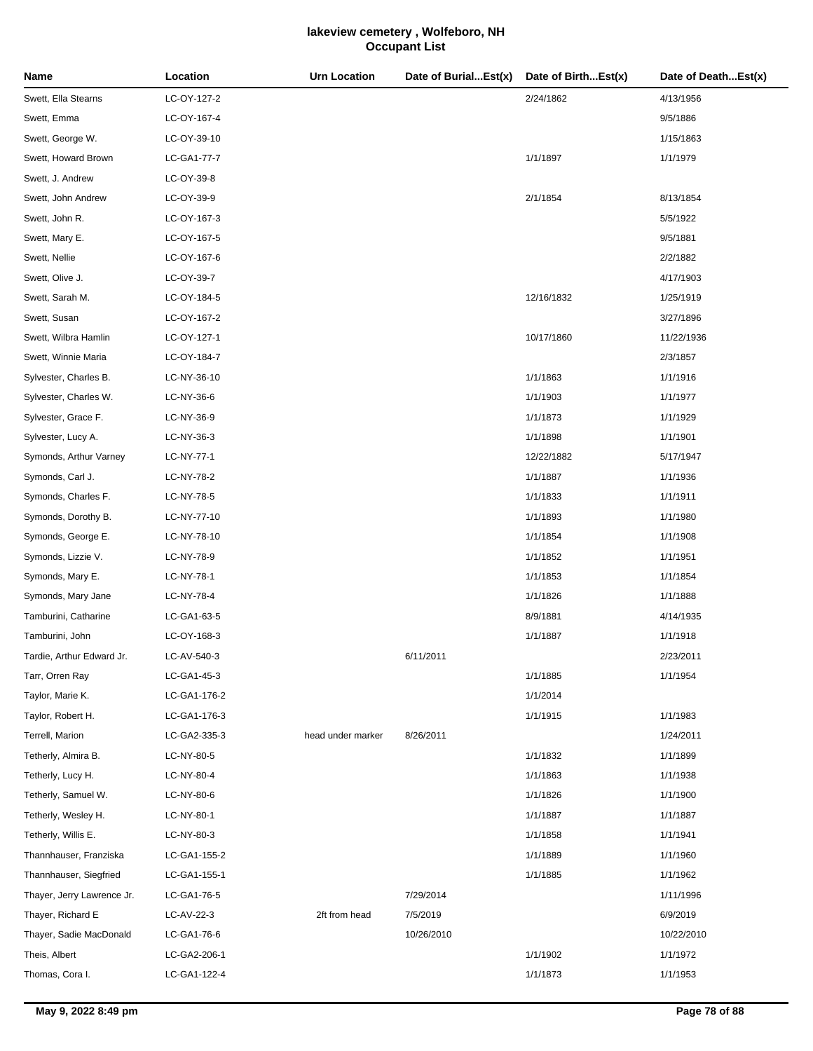| Name                       | Location     | <b>Urn Location</b> | Date of BurialEst(x) | Date of BirthEst(x) | Date of DeathEst(x) |
|----------------------------|--------------|---------------------|----------------------|---------------------|---------------------|
| Swett, Ella Stearns        | LC-OY-127-2  |                     |                      | 2/24/1862           | 4/13/1956           |
| Swett, Emma                | LC-OY-167-4  |                     |                      |                     | 9/5/1886            |
| Swett, George W.           | LC-OY-39-10  |                     |                      |                     | 1/15/1863           |
| Swett, Howard Brown        | LC-GA1-77-7  |                     |                      | 1/1/1897            | 1/1/1979            |
| Swett, J. Andrew           | LC-OY-39-8   |                     |                      |                     |                     |
| Swett, John Andrew         | LC-OY-39-9   |                     |                      | 2/1/1854            | 8/13/1854           |
| Swett, John R.             | LC-OY-167-3  |                     |                      |                     | 5/5/1922            |
| Swett, Mary E.             | LC-OY-167-5  |                     |                      |                     | 9/5/1881            |
| Swett, Nellie              | LC-OY-167-6  |                     |                      |                     | 2/2/1882            |
| Swett, Olive J.            | LC-OY-39-7   |                     |                      |                     | 4/17/1903           |
| Swett, Sarah M.            | LC-OY-184-5  |                     |                      | 12/16/1832          | 1/25/1919           |
| Swett, Susan               | LC-OY-167-2  |                     |                      |                     | 3/27/1896           |
| Swett, Wilbra Hamlin       | LC-OY-127-1  |                     |                      | 10/17/1860          | 11/22/1936          |
| Swett, Winnie Maria        | LC-OY-184-7  |                     |                      |                     | 2/3/1857            |
| Sylvester, Charles B.      | LC-NY-36-10  |                     |                      | 1/1/1863            | 1/1/1916            |
| Sylvester, Charles W.      | LC-NY-36-6   |                     |                      | 1/1/1903            | 1/1/1977            |
| Sylvester, Grace F.        | LC-NY-36-9   |                     |                      | 1/1/1873            | 1/1/1929            |
| Sylvester, Lucy A.         | LC-NY-36-3   |                     |                      | 1/1/1898            | 1/1/1901            |
| Symonds, Arthur Varney     | LC-NY-77-1   |                     |                      | 12/22/1882          | 5/17/1947           |
| Symonds, Carl J.           | LC-NY-78-2   |                     |                      | 1/1/1887            | 1/1/1936            |
| Symonds, Charles F.        | LC-NY-78-5   |                     |                      | 1/1/1833            | 1/1/1911            |
| Symonds, Dorothy B.        | LC-NY-77-10  |                     |                      | 1/1/1893            | 1/1/1980            |
| Symonds, George E.         | LC-NY-78-10  |                     |                      | 1/1/1854            | 1/1/1908            |
| Symonds, Lizzie V.         | LC-NY-78-9   |                     |                      | 1/1/1852            | 1/1/1951            |
| Symonds, Mary E.           | LC-NY-78-1   |                     |                      | 1/1/1853            | 1/1/1854            |
| Symonds, Mary Jane         | LC-NY-78-4   |                     |                      | 1/1/1826            | 1/1/1888            |
| Tamburini, Catharine       | LC-GA1-63-5  |                     |                      | 8/9/1881            | 4/14/1935           |
| Tamburini, John            | LC-OY-168-3  |                     |                      | 1/1/1887            | 1/1/1918            |
| Tardie, Arthur Edward Jr.  | LC-AV-540-3  |                     | 6/11/2011            |                     | 2/23/2011           |
| Tarr, Orren Ray            | LC-GA1-45-3  |                     |                      | 1/1/1885            | 1/1/1954            |
| Taylor, Marie K.           | LC-GA1-176-2 |                     |                      | 1/1/2014            |                     |
| Taylor, Robert H.          | LC-GA1-176-3 |                     |                      | 1/1/1915            | 1/1/1983            |
| Terrell, Marion            | LC-GA2-335-3 | head under marker   | 8/26/2011            |                     | 1/24/2011           |
| Tetherly, Almira B.        | LC-NY-80-5   |                     |                      | 1/1/1832            | 1/1/1899            |
| Tetherly, Lucy H.          | LC-NY-80-4   |                     |                      | 1/1/1863            | 1/1/1938            |
| Tetherly, Samuel W.        | LC-NY-80-6   |                     |                      | 1/1/1826            | 1/1/1900            |
| Tetherly, Wesley H.        | LC-NY-80-1   |                     |                      | 1/1/1887            | 1/1/1887            |
| Tetherly, Willis E.        | LC-NY-80-3   |                     |                      | 1/1/1858            | 1/1/1941            |
| Thannhauser, Franziska     | LC-GA1-155-2 |                     |                      | 1/1/1889            | 1/1/1960            |
| Thannhauser, Siegfried     | LC-GA1-155-1 |                     |                      | 1/1/1885            | 1/1/1962            |
| Thayer, Jerry Lawrence Jr. | LC-GA1-76-5  |                     | 7/29/2014            |                     | 1/11/1996           |
| Thayer, Richard E          | LC-AV-22-3   | 2ft from head       | 7/5/2019             |                     | 6/9/2019            |
| Thayer, Sadie MacDonald    | LC-GA1-76-6  |                     | 10/26/2010           |                     | 10/22/2010          |
| Theis, Albert              | LC-GA2-206-1 |                     |                      | 1/1/1902            | 1/1/1972            |
| Thomas, Cora I.            | LC-GA1-122-4 |                     |                      | 1/1/1873            | 1/1/1953            |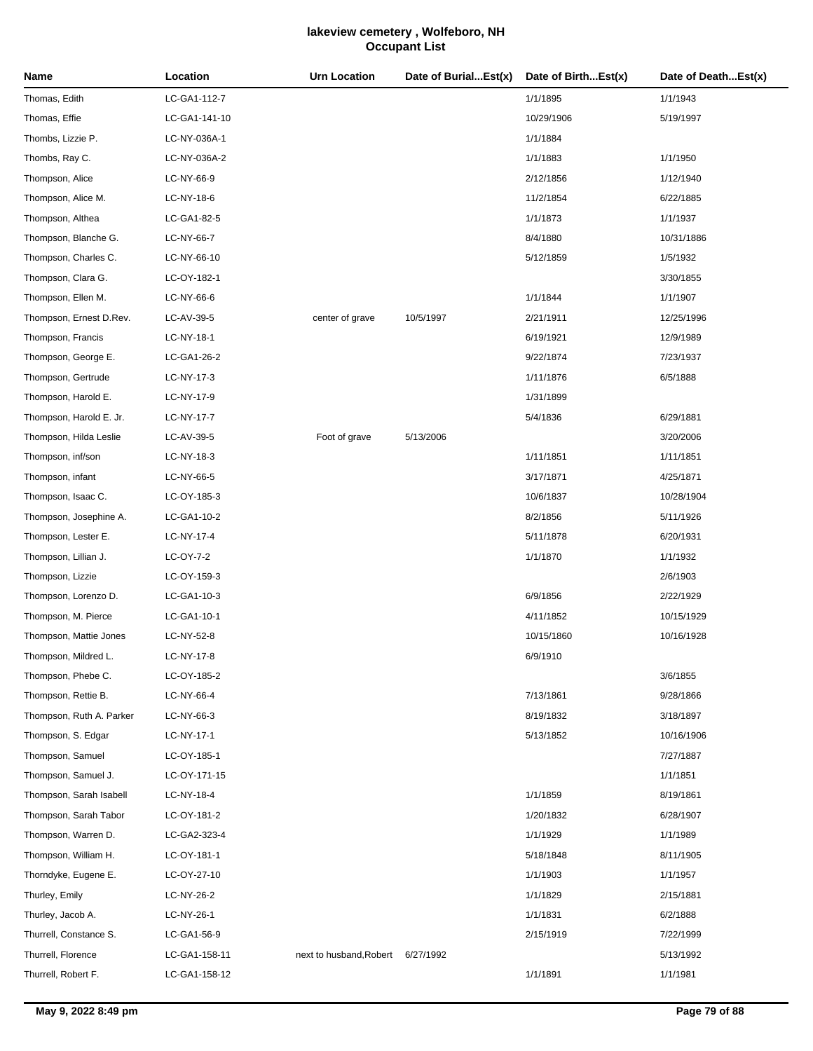| Name                     | Location      | <b>Urn Location</b>               | Date of BurialEst(x) | Date of BirthEst(x) | Date of DeathEst(x) |
|--------------------------|---------------|-----------------------------------|----------------------|---------------------|---------------------|
| Thomas, Edith            | LC-GA1-112-7  |                                   |                      | 1/1/1895            | 1/1/1943            |
| Thomas, Effie            | LC-GA1-141-10 |                                   |                      | 10/29/1906          | 5/19/1997           |
| Thombs, Lizzie P.        | LC-NY-036A-1  |                                   |                      | 1/1/1884            |                     |
| Thombs, Ray C.           | LC-NY-036A-2  |                                   |                      | 1/1/1883            | 1/1/1950            |
| Thompson, Alice          | LC-NY-66-9    |                                   |                      | 2/12/1856           | 1/12/1940           |
| Thompson, Alice M.       | LC-NY-18-6    |                                   |                      | 11/2/1854           | 6/22/1885           |
| Thompson, Althea         | LC-GA1-82-5   |                                   |                      | 1/1/1873            | 1/1/1937            |
| Thompson, Blanche G.     | LC-NY-66-7    |                                   |                      | 8/4/1880            | 10/31/1886          |
| Thompson, Charles C.     | LC-NY-66-10   |                                   |                      | 5/12/1859           | 1/5/1932            |
| Thompson, Clara G.       | LC-OY-182-1   |                                   |                      |                     | 3/30/1855           |
| Thompson, Ellen M.       | LC-NY-66-6    |                                   |                      | 1/1/1844            | 1/1/1907            |
| Thompson, Ernest D.Rev.  | LC-AV-39-5    | center of grave                   | 10/5/1997            | 2/21/1911           | 12/25/1996          |
| Thompson, Francis        | LC-NY-18-1    |                                   |                      | 6/19/1921           | 12/9/1989           |
| Thompson, George E.      | LC-GA1-26-2   |                                   |                      | 9/22/1874           | 7/23/1937           |
| Thompson, Gertrude       | LC-NY-17-3    |                                   |                      | 1/11/1876           | 6/5/1888            |
| Thompson, Harold E.      | LC-NY-17-9    |                                   |                      | 1/31/1899           |                     |
| Thompson, Harold E. Jr.  | LC-NY-17-7    |                                   |                      | 5/4/1836            | 6/29/1881           |
| Thompson, Hilda Leslie   | LC-AV-39-5    | Foot of grave                     | 5/13/2006            |                     | 3/20/2006           |
| Thompson, inf/son        | LC-NY-18-3    |                                   |                      | 1/11/1851           | 1/11/1851           |
| Thompson, infant         | LC-NY-66-5    |                                   |                      | 3/17/1871           | 4/25/1871           |
| Thompson, Isaac C.       | LC-OY-185-3   |                                   |                      | 10/6/1837           | 10/28/1904          |
| Thompson, Josephine A.   | LC-GA1-10-2   |                                   |                      | 8/2/1856            | 5/11/1926           |
| Thompson, Lester E.      | LC-NY-17-4    |                                   |                      | 5/11/1878           | 6/20/1931           |
| Thompson, Lillian J.     | LC-OY-7-2     |                                   |                      | 1/1/1870            | 1/1/1932            |
| Thompson, Lizzie         | LC-OY-159-3   |                                   |                      |                     | 2/6/1903            |
| Thompson, Lorenzo D.     | LC-GA1-10-3   |                                   |                      | 6/9/1856            | 2/22/1929           |
| Thompson, M. Pierce      | LC-GA1-10-1   |                                   |                      | 4/11/1852           | 10/15/1929          |
| Thompson, Mattie Jones   | LC-NY-52-8    |                                   |                      | 10/15/1860          | 10/16/1928          |
| Thompson, Mildred L.     | LC-NY-17-8    |                                   |                      | 6/9/1910            |                     |
| Thompson, Phebe C.       | LC-OY-185-2   |                                   |                      |                     | 3/6/1855            |
| Thompson, Rettie B.      | LC-NY-66-4    |                                   |                      | 7/13/1861           | 9/28/1866           |
| Thompson, Ruth A. Parker | LC-NY-66-3    |                                   |                      | 8/19/1832           | 3/18/1897           |
| Thompson, S. Edgar       | LC-NY-17-1    |                                   |                      | 5/13/1852           | 10/16/1906          |
| Thompson, Samuel         | LC-OY-185-1   |                                   |                      |                     | 7/27/1887           |
| Thompson, Samuel J.      | LC-OY-171-15  |                                   |                      |                     | 1/1/1851            |
| Thompson, Sarah Isabell  | LC-NY-18-4    |                                   |                      | 1/1/1859            | 8/19/1861           |
| Thompson, Sarah Tabor    | LC-OY-181-2   |                                   |                      | 1/20/1832           | 6/28/1907           |
| Thompson, Warren D.      | LC-GA2-323-4  |                                   |                      | 1/1/1929            | 1/1/1989            |
| Thompson, William H.     | LC-OY-181-1   |                                   |                      | 5/18/1848           | 8/11/1905           |
| Thorndyke, Eugene E.     | LC-OY-27-10   |                                   |                      | 1/1/1903            | 1/1/1957            |
| Thurley, Emily           | LC-NY-26-2    |                                   |                      | 1/1/1829            | 2/15/1881           |
| Thurley, Jacob A.        | LC-NY-26-1    |                                   |                      | 1/1/1831            | 6/2/1888            |
| Thurrell, Constance S.   | LC-GA1-56-9   |                                   |                      | 2/15/1919           | 7/22/1999           |
| Thurrell, Florence       | LC-GA1-158-11 | next to husband, Robert 6/27/1992 |                      |                     | 5/13/1992           |
| Thurrell, Robert F.      | LC-GA1-158-12 |                                   |                      | 1/1/1891            | 1/1/1981            |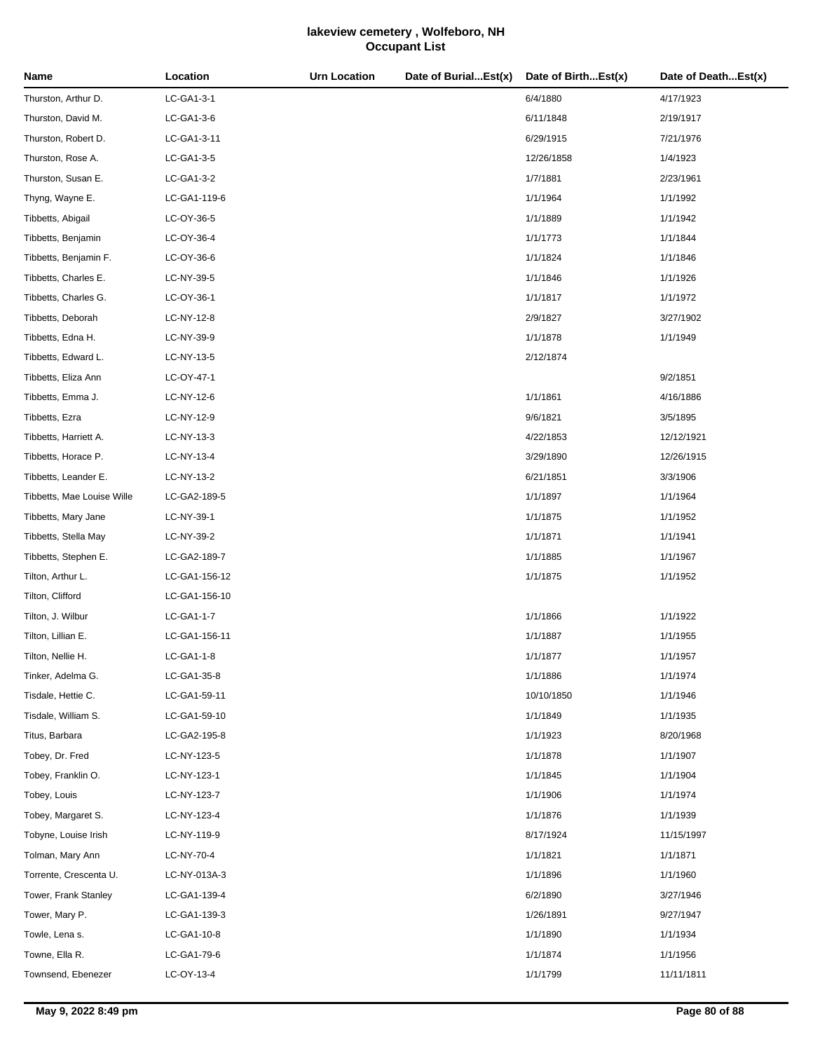| Name                       | Location      | <b>Urn Location</b> | Date of BurialEst(x) | Date of BirthEst(x) | Date of DeathEst(x) |
|----------------------------|---------------|---------------------|----------------------|---------------------|---------------------|
| Thurston, Arthur D.        | LC-GA1-3-1    |                     |                      | 6/4/1880            | 4/17/1923           |
| Thurston, David M.         | LC-GA1-3-6    |                     |                      | 6/11/1848           | 2/19/1917           |
| Thurston, Robert D.        | LC-GA1-3-11   |                     |                      | 6/29/1915           | 7/21/1976           |
| Thurston, Rose A.          | LC-GA1-3-5    |                     |                      | 12/26/1858          | 1/4/1923            |
| Thurston, Susan E.         | LC-GA1-3-2    |                     |                      | 1/7/1881            | 2/23/1961           |
| Thyng, Wayne E.            | LC-GA1-119-6  |                     |                      | 1/1/1964            | 1/1/1992            |
| Tibbetts, Abigail          | LC-OY-36-5    |                     |                      | 1/1/1889            | 1/1/1942            |
| Tibbetts, Benjamin         | LC-OY-36-4    |                     |                      | 1/1/1773            | 1/1/1844            |
| Tibbetts, Benjamin F.      | LC-OY-36-6    |                     |                      | 1/1/1824            | 1/1/1846            |
| Tibbetts, Charles E.       | LC-NY-39-5    |                     |                      | 1/1/1846            | 1/1/1926            |
| Tibbetts, Charles G.       | LC-OY-36-1    |                     |                      | 1/1/1817            | 1/1/1972            |
| Tibbetts, Deborah          | LC-NY-12-8    |                     |                      | 2/9/1827            | 3/27/1902           |
| Tibbetts, Edna H.          | LC-NY-39-9    |                     |                      | 1/1/1878            | 1/1/1949            |
| Tibbetts, Edward L.        | LC-NY-13-5    |                     |                      | 2/12/1874           |                     |
| Tibbetts, Eliza Ann        | LC-OY-47-1    |                     |                      |                     | 9/2/1851            |
| Tibbetts, Emma J.          | LC-NY-12-6    |                     |                      | 1/1/1861            | 4/16/1886           |
| Tibbetts, Ezra             | LC-NY-12-9    |                     |                      | 9/6/1821            | 3/5/1895            |
| Tibbetts, Harriett A.      | LC-NY-13-3    |                     |                      | 4/22/1853           | 12/12/1921          |
| Tibbetts, Horace P.        | LC-NY-13-4    |                     |                      | 3/29/1890           | 12/26/1915          |
| Tibbetts, Leander E.       | LC-NY-13-2    |                     |                      | 6/21/1851           | 3/3/1906            |
| Tibbetts, Mae Louise Wille | LC-GA2-189-5  |                     |                      | 1/1/1897            | 1/1/1964            |
| Tibbetts, Mary Jane        | LC-NY-39-1    |                     |                      | 1/1/1875            | 1/1/1952            |
| Tibbetts, Stella May       | LC-NY-39-2    |                     |                      | 1/1/1871            | 1/1/1941            |
| Tibbetts, Stephen E.       | LC-GA2-189-7  |                     |                      | 1/1/1885            | 1/1/1967            |
| Tilton, Arthur L.          | LC-GA1-156-12 |                     |                      | 1/1/1875            | 1/1/1952            |
| Tilton, Clifford           | LC-GA1-156-10 |                     |                      |                     |                     |
| Tilton, J. Wilbur          | LC-GA1-1-7    |                     |                      | 1/1/1866            | 1/1/1922            |
| Tilton, Lillian E.         | LC-GA1-156-11 |                     |                      | 1/1/1887            | 1/1/1955            |
| Tilton, Nellie H.          | LC-GA1-1-8    |                     |                      | 1/1/1877            | 1/1/1957            |
| Tinker, Adelma G.          | LC-GA1-35-8   |                     |                      | 1/1/1886            | 1/1/1974            |
| Tisdale, Hettie C.         | LC-GA1-59-11  |                     |                      | 10/10/1850          | 1/1/1946            |
| Tisdale, William S.        | LC-GA1-59-10  |                     |                      | 1/1/1849            | 1/1/1935            |
| Titus, Barbara             | LC-GA2-195-8  |                     |                      | 1/1/1923            | 8/20/1968           |
| Tobey, Dr. Fred            | LC-NY-123-5   |                     |                      | 1/1/1878            | 1/1/1907            |
| Tobey, Franklin O.         | LC-NY-123-1   |                     |                      | 1/1/1845            | 1/1/1904            |
| Tobey, Louis               | LC-NY-123-7   |                     |                      | 1/1/1906            | 1/1/1974            |
| Tobey, Margaret S.         | LC-NY-123-4   |                     |                      | 1/1/1876            | 1/1/1939            |
| Tobyne, Louise Irish       | LC-NY-119-9   |                     |                      | 8/17/1924           | 11/15/1997          |
| Tolman, Mary Ann           | LC-NY-70-4    |                     |                      | 1/1/1821            | 1/1/1871            |
| Torrente, Crescenta U.     | LC-NY-013A-3  |                     |                      | 1/1/1896            | 1/1/1960            |
| Tower, Frank Stanley       | LC-GA1-139-4  |                     |                      | 6/2/1890            | 3/27/1946           |
| Tower, Mary P.             | LC-GA1-139-3  |                     |                      | 1/26/1891           | 9/27/1947           |
| Towle, Lena s.             | LC-GA1-10-8   |                     |                      | 1/1/1890            | 1/1/1934            |
| Towne, Ella R.             | LC-GA1-79-6   |                     |                      | 1/1/1874            | 1/1/1956            |
| Townsend, Ebenezer         | LC-OY-13-4    |                     |                      | 1/1/1799            | 11/11/1811          |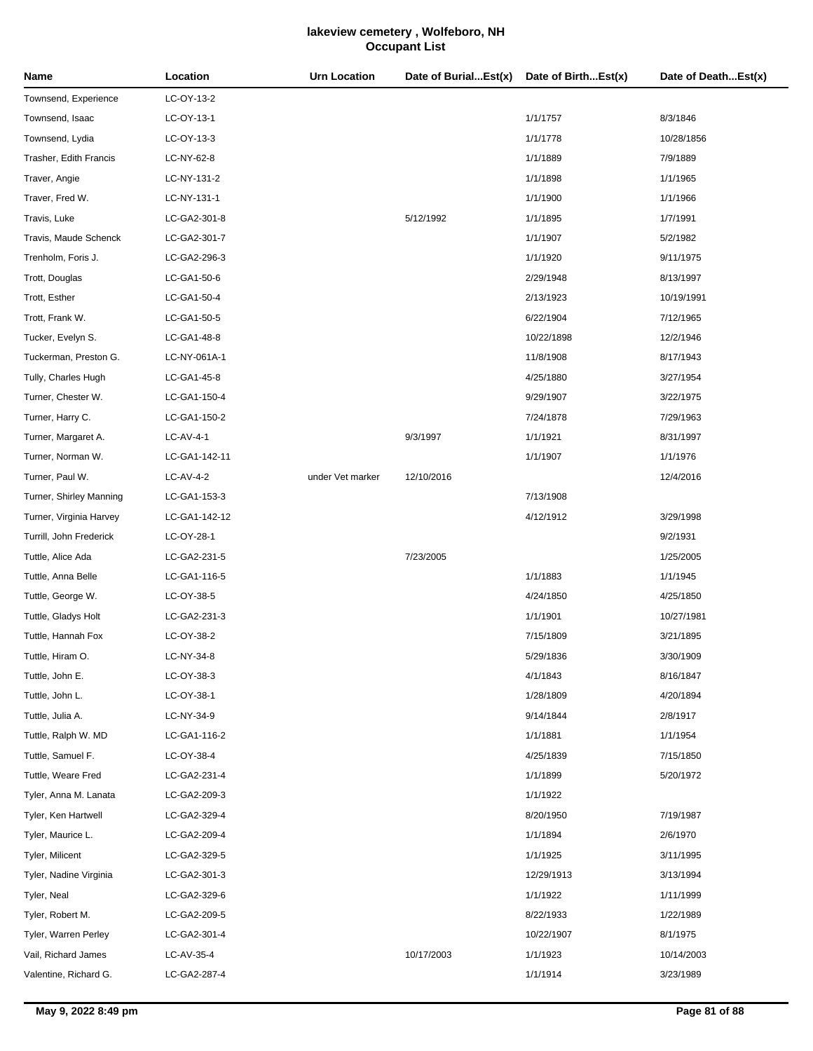| Name                    | Location      | <b>Urn Location</b> | Date of BurialEst(x) | Date of BirthEst(x) | Date of DeathEst(x) |
|-------------------------|---------------|---------------------|----------------------|---------------------|---------------------|
| Townsend, Experience    | LC-OY-13-2    |                     |                      |                     |                     |
| Townsend, Isaac         | LC-OY-13-1    |                     |                      | 1/1/1757            | 8/3/1846            |
| Townsend, Lydia         | LC-OY-13-3    |                     |                      | 1/1/1778            | 10/28/1856          |
| Trasher, Edith Francis  | LC-NY-62-8    |                     |                      | 1/1/1889            | 7/9/1889            |
| Traver, Angie           | LC-NY-131-2   |                     |                      | 1/1/1898            | 1/1/1965            |
| Traver, Fred W.         | LC-NY-131-1   |                     |                      | 1/1/1900            | 1/1/1966            |
| Travis, Luke            | LC-GA2-301-8  |                     | 5/12/1992            | 1/1/1895            | 1/7/1991            |
| Travis, Maude Schenck   | LC-GA2-301-7  |                     |                      | 1/1/1907            | 5/2/1982            |
| Trenholm, Foris J.      | LC-GA2-296-3  |                     |                      | 1/1/1920            | 9/11/1975           |
| Trott, Douglas          | LC-GA1-50-6   |                     |                      | 2/29/1948           | 8/13/1997           |
| Trott, Esther           | LC-GA1-50-4   |                     |                      | 2/13/1923           | 10/19/1991          |
| Trott, Frank W.         | LC-GA1-50-5   |                     |                      | 6/22/1904           | 7/12/1965           |
| Tucker, Evelyn S.       | LC-GA1-48-8   |                     |                      | 10/22/1898          | 12/2/1946           |
| Tuckerman, Preston G.   | LC-NY-061A-1  |                     |                      | 11/8/1908           | 8/17/1943           |
| Tully, Charles Hugh     | LC-GA1-45-8   |                     |                      | 4/25/1880           | 3/27/1954           |
| Turner, Chester W.      | LC-GA1-150-4  |                     |                      | 9/29/1907           | 3/22/1975           |
| Turner, Harry C.        | LC-GA1-150-2  |                     |                      | 7/24/1878           | 7/29/1963           |
| Turner, Margaret A.     | LC-AV-4-1     |                     | 9/3/1997             | 1/1/1921            | 8/31/1997           |
| Turner, Norman W.       | LC-GA1-142-11 |                     |                      | 1/1/1907            | 1/1/1976            |
| Turner, Paul W.         | LC-AV-4-2     | under Vet marker    | 12/10/2016           |                     | 12/4/2016           |
| Turner, Shirley Manning | LC-GA1-153-3  |                     |                      | 7/13/1908           |                     |
| Turner, Virginia Harvey | LC-GA1-142-12 |                     |                      | 4/12/1912           | 3/29/1998           |
| Turrill, John Frederick | LC-OY-28-1    |                     |                      |                     | 9/2/1931            |
| Tuttle, Alice Ada       | LC-GA2-231-5  |                     | 7/23/2005            |                     | 1/25/2005           |
| Tuttle, Anna Belle      | LC-GA1-116-5  |                     |                      | 1/1/1883            | 1/1/1945            |
| Tuttle, George W.       | LC-OY-38-5    |                     |                      | 4/24/1850           | 4/25/1850           |
| Tuttle, Gladys Holt     | LC-GA2-231-3  |                     |                      | 1/1/1901            | 10/27/1981          |
| Tuttle, Hannah Fox      | LC-OY-38-2    |                     |                      | 7/15/1809           | 3/21/1895           |
| Tuttle, Hiram O.        | LC-NY-34-8    |                     |                      | 5/29/1836           | 3/30/1909           |
| Tuttle, John E.         | LC-OY-38-3    |                     |                      | 4/1/1843            | 8/16/1847           |
| Tuttle, John L.         | LC-OY-38-1    |                     |                      | 1/28/1809           | 4/20/1894           |
| Tuttle, Julia A.        | LC-NY-34-9    |                     |                      | 9/14/1844           | 2/8/1917            |
| Tuttle, Ralph W. MD     | LC-GA1-116-2  |                     |                      | 1/1/1881            | 1/1/1954            |
| Tuttle, Samuel F.       | LC-OY-38-4    |                     |                      | 4/25/1839           | 7/15/1850           |
| Tuttle, Weare Fred      | LC-GA2-231-4  |                     |                      | 1/1/1899            | 5/20/1972           |
| Tyler, Anna M. Lanata   | LC-GA2-209-3  |                     |                      | 1/1/1922            |                     |
| Tyler, Ken Hartwell     | LC-GA2-329-4  |                     |                      | 8/20/1950           | 7/19/1987           |
| Tyler, Maurice L.       | LC-GA2-209-4  |                     |                      | 1/1/1894            | 2/6/1970            |
| Tyler, Milicent         | LC-GA2-329-5  |                     |                      | 1/1/1925            | 3/11/1995           |
| Tyler, Nadine Virginia  | LC-GA2-301-3  |                     |                      | 12/29/1913          | 3/13/1994           |
| Tyler, Neal             | LC-GA2-329-6  |                     |                      | 1/1/1922            | 1/11/1999           |
| Tyler, Robert M.        | LC-GA2-209-5  |                     |                      | 8/22/1933           | 1/22/1989           |
| Tyler, Warren Perley    | LC-GA2-301-4  |                     |                      | 10/22/1907          | 8/1/1975            |
| Vail, Richard James     | LC-AV-35-4    |                     | 10/17/2003           | 1/1/1923            | 10/14/2003          |
| Valentine, Richard G.   | LC-GA2-287-4  |                     |                      | 1/1/1914            | 3/23/1989           |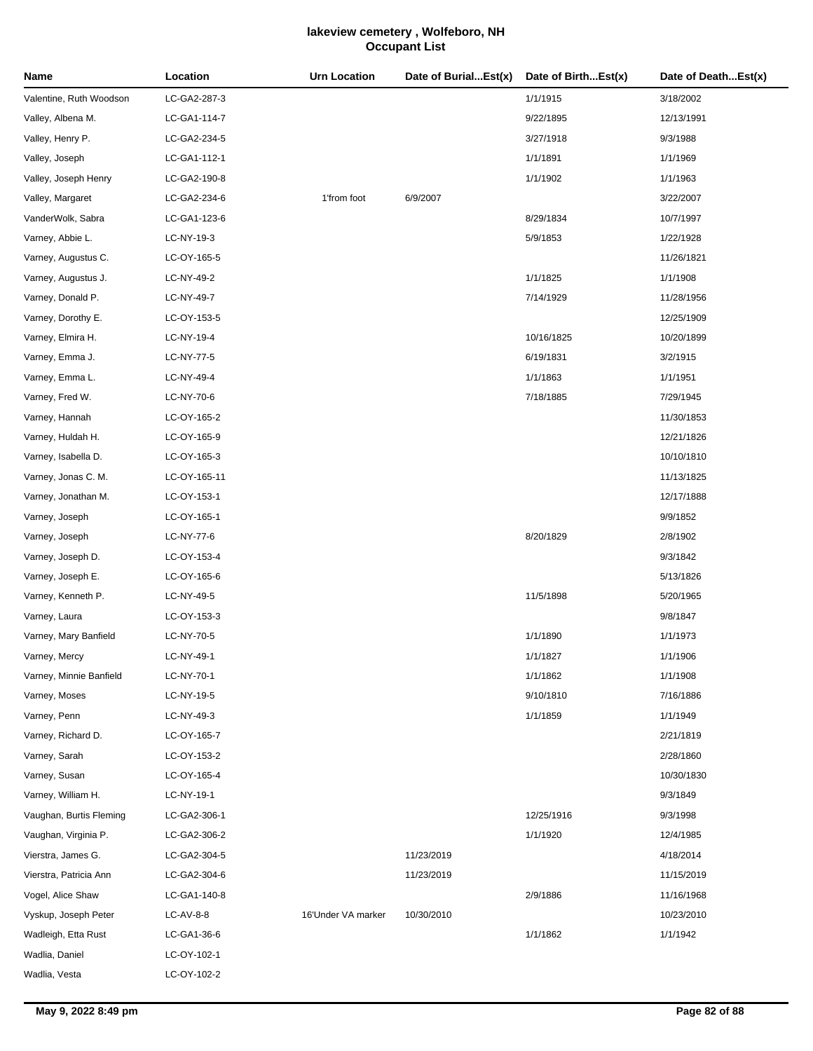| Name                    | Location     | <b>Urn Location</b> | Date of BurialEst(x) | Date of BirthEst(x) | Date of DeathEst(x) |
|-------------------------|--------------|---------------------|----------------------|---------------------|---------------------|
| Valentine, Ruth Woodson | LC-GA2-287-3 |                     |                      | 1/1/1915            | 3/18/2002           |
| Valley, Albena M.       | LC-GA1-114-7 |                     |                      | 9/22/1895           | 12/13/1991          |
| Valley, Henry P.        | LC-GA2-234-5 |                     |                      | 3/27/1918           | 9/3/1988            |
| Valley, Joseph          | LC-GA1-112-1 |                     |                      | 1/1/1891            | 1/1/1969            |
| Valley, Joseph Henry    | LC-GA2-190-8 |                     |                      | 1/1/1902            | 1/1/1963            |
| Valley, Margaret        | LC-GA2-234-6 | 1'from foot         | 6/9/2007             |                     | 3/22/2007           |
| VanderWolk, Sabra       | LC-GA1-123-6 |                     |                      | 8/29/1834           | 10/7/1997           |
| Varney, Abbie L.        | LC-NY-19-3   |                     |                      | 5/9/1853            | 1/22/1928           |
| Varney, Augustus C.     | LC-OY-165-5  |                     |                      |                     | 11/26/1821          |
| Varney, Augustus J.     | LC-NY-49-2   |                     |                      | 1/1/1825            | 1/1/1908            |
| Varney, Donald P.       | LC-NY-49-7   |                     |                      | 7/14/1929           | 11/28/1956          |
| Varney, Dorothy E.      | LC-OY-153-5  |                     |                      |                     | 12/25/1909          |
| Varney, Elmira H.       | LC-NY-19-4   |                     |                      | 10/16/1825          | 10/20/1899          |
| Varney, Emma J.         | LC-NY-77-5   |                     |                      | 6/19/1831           | 3/2/1915            |
| Varney, Emma L.         | LC-NY-49-4   |                     |                      | 1/1/1863            | 1/1/1951            |
| Varney, Fred W.         | LC-NY-70-6   |                     |                      | 7/18/1885           | 7/29/1945           |
| Varney, Hannah          | LC-OY-165-2  |                     |                      |                     | 11/30/1853          |
| Varney, Huldah H.       | LC-OY-165-9  |                     |                      |                     | 12/21/1826          |
| Varney, Isabella D.     | LC-OY-165-3  |                     |                      |                     | 10/10/1810          |
| Varney, Jonas C. M.     | LC-OY-165-11 |                     |                      |                     | 11/13/1825          |
| Varney, Jonathan M.     | LC-OY-153-1  |                     |                      |                     | 12/17/1888          |
| Varney, Joseph          | LC-OY-165-1  |                     |                      |                     | 9/9/1852            |
| Varney, Joseph          | LC-NY-77-6   |                     |                      | 8/20/1829           | 2/8/1902            |
| Varney, Joseph D.       | LC-OY-153-4  |                     |                      |                     | 9/3/1842            |
| Varney, Joseph E.       | LC-OY-165-6  |                     |                      |                     | 5/13/1826           |
| Varney, Kenneth P.      | LC-NY-49-5   |                     |                      | 11/5/1898           | 5/20/1965           |
| Varney, Laura           | LC-OY-153-3  |                     |                      |                     | 9/8/1847            |
| Varney, Mary Banfield   | LC-NY-70-5   |                     |                      | 1/1/1890            | 1/1/1973            |
| Varney, Mercy           | LC-NY-49-1   |                     |                      | 1/1/1827            | 1/1/1906            |
| Varney, Minnie Banfield | LC-NY-70-1   |                     |                      | 1/1/1862            | 1/1/1908            |
| Varney, Moses           | LC-NY-19-5   |                     |                      | 9/10/1810           | 7/16/1886           |
| Varney, Penn            | LC-NY-49-3   |                     |                      | 1/1/1859            | 1/1/1949            |
| Varney, Richard D.      | LC-OY-165-7  |                     |                      |                     | 2/21/1819           |
| Varney, Sarah           | LC-OY-153-2  |                     |                      |                     | 2/28/1860           |
| Varney, Susan           | LC-OY-165-4  |                     |                      |                     | 10/30/1830          |
| Varney, William H.      | LC-NY-19-1   |                     |                      |                     | 9/3/1849            |
| Vaughan, Burtis Fleming | LC-GA2-306-1 |                     |                      | 12/25/1916          | 9/3/1998            |
| Vaughan, Virginia P.    | LC-GA2-306-2 |                     |                      | 1/1/1920            | 12/4/1985           |
| Vierstra, James G.      | LC-GA2-304-5 |                     | 11/23/2019           |                     | 4/18/2014           |
| Vierstra, Patricia Ann  | LC-GA2-304-6 |                     | 11/23/2019           |                     | 11/15/2019          |
| Vogel, Alice Shaw       | LC-GA1-140-8 |                     |                      | 2/9/1886            | 11/16/1968          |
| Vyskup, Joseph Peter    | LC-AV-8-8    | 16'Under VA marker  | 10/30/2010           |                     | 10/23/2010          |
| Wadleigh, Etta Rust     | LC-GA1-36-6  |                     |                      | 1/1/1862            | 1/1/1942            |
| Wadlia, Daniel          | LC-OY-102-1  |                     |                      |                     |                     |
| Wadlia, Vesta           | LC-OY-102-2  |                     |                      |                     |                     |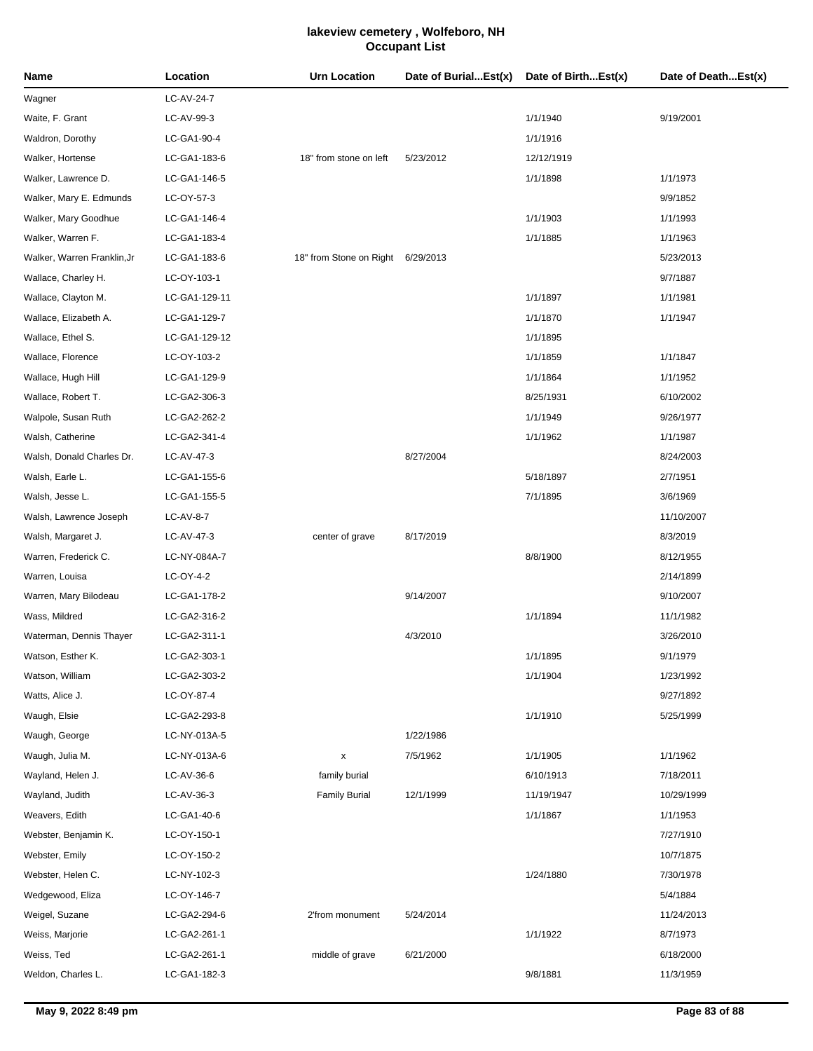| Name                        | Location      | <b>Urn Location</b>               | Date of BurialEst(x) | Date of BirthEst(x) | Date of DeathEst(x) |
|-----------------------------|---------------|-----------------------------------|----------------------|---------------------|---------------------|
| Wagner                      | LC-AV-24-7    |                                   |                      |                     |                     |
| Waite, F. Grant             | LC-AV-99-3    |                                   |                      | 1/1/1940            | 9/19/2001           |
| Waldron, Dorothy            | LC-GA1-90-4   |                                   |                      | 1/1/1916            |                     |
| Walker, Hortense            | LC-GA1-183-6  | 18" from stone on left            | 5/23/2012            | 12/12/1919          |                     |
| Walker, Lawrence D.         | LC-GA1-146-5  |                                   |                      | 1/1/1898            | 1/1/1973            |
| Walker, Mary E. Edmunds     | LC-OY-57-3    |                                   |                      |                     | 9/9/1852            |
| Walker, Mary Goodhue        | LC-GA1-146-4  |                                   |                      | 1/1/1903            | 1/1/1993            |
| Walker, Warren F.           | LC-GA1-183-4  |                                   |                      | 1/1/1885            | 1/1/1963            |
| Walker, Warren Franklin, Jr | LC-GA1-183-6  | 18" from Stone on Right 6/29/2013 |                      |                     | 5/23/2013           |
| Wallace, Charley H.         | LC-OY-103-1   |                                   |                      |                     | 9/7/1887            |
| Wallace, Clayton M.         | LC-GA1-129-11 |                                   |                      | 1/1/1897            | 1/1/1981            |
| Wallace, Elizabeth A.       | LC-GA1-129-7  |                                   |                      | 1/1/1870            | 1/1/1947            |
| Wallace, Ethel S.           | LC-GA1-129-12 |                                   |                      | 1/1/1895            |                     |
| Wallace, Florence           | LC-OY-103-2   |                                   |                      | 1/1/1859            | 1/1/1847            |
| Wallace, Hugh Hill          | LC-GA1-129-9  |                                   |                      | 1/1/1864            | 1/1/1952            |
| Wallace, Robert T.          | LC-GA2-306-3  |                                   |                      | 8/25/1931           | 6/10/2002           |
| Walpole, Susan Ruth         | LC-GA2-262-2  |                                   |                      | 1/1/1949            | 9/26/1977           |
| Walsh, Catherine            | LC-GA2-341-4  |                                   |                      | 1/1/1962            | 1/1/1987            |
| Walsh, Donald Charles Dr.   | LC-AV-47-3    |                                   | 8/27/2004            |                     | 8/24/2003           |
| Walsh, Earle L.             | LC-GA1-155-6  |                                   |                      | 5/18/1897           | 2/7/1951            |
| Walsh, Jesse L.             | LC-GA1-155-5  |                                   |                      | 7/1/1895            | 3/6/1969            |
| Walsh, Lawrence Joseph      | LC-AV-8-7     |                                   |                      |                     | 11/10/2007          |
| Walsh, Margaret J.          | LC-AV-47-3    | center of grave                   | 8/17/2019            |                     | 8/3/2019            |
| Warren, Frederick C.        | LC-NY-084A-7  |                                   |                      | 8/8/1900            | 8/12/1955           |
| Warren, Louisa              | LC-OY-4-2     |                                   |                      |                     | 2/14/1899           |
| Warren, Mary Bilodeau       | LC-GA1-178-2  |                                   | 9/14/2007            |                     | 9/10/2007           |
| Wass, Mildred               | LC-GA2-316-2  |                                   |                      | 1/1/1894            | 11/1/1982           |
| Waterman, Dennis Thayer     | LC-GA2-311-1  |                                   | 4/3/2010             |                     | 3/26/2010           |
| Watson, Esther K.           | LC-GA2-303-1  |                                   |                      | 1/1/1895            | 9/1/1979            |
| Watson, William             | LC-GA2-303-2  |                                   |                      | 1/1/1904            | 1/23/1992           |
| Watts, Alice J.             | LC-OY-87-4    |                                   |                      |                     | 9/27/1892           |
| Waugh, Elsie                | LC-GA2-293-8  |                                   |                      | 1/1/1910            | 5/25/1999           |
| Waugh, George               | LC-NY-013A-5  |                                   | 1/22/1986            |                     |                     |
| Waugh, Julia M.             | LC-NY-013A-6  | x                                 | 7/5/1962             | 1/1/1905            | 1/1/1962            |
| Wayland, Helen J.           | LC-AV-36-6    | family burial                     |                      | 6/10/1913           | 7/18/2011           |
| Wayland, Judith             | LC-AV-36-3    | <b>Family Burial</b>              | 12/1/1999            | 11/19/1947          | 10/29/1999          |
| Weavers, Edith              | LC-GA1-40-6   |                                   |                      | 1/1/1867            | 1/1/1953            |
| Webster, Benjamin K.        | LC-OY-150-1   |                                   |                      |                     | 7/27/1910           |
| Webster, Emily              | LC-OY-150-2   |                                   |                      |                     | 10/7/1875           |
| Webster, Helen C.           | LC-NY-102-3   |                                   |                      | 1/24/1880           | 7/30/1978           |
| Wedgewood, Eliza            | LC-OY-146-7   |                                   |                      |                     | 5/4/1884            |
| Weigel, Suzane              | LC-GA2-294-6  | 2'from monument                   | 5/24/2014            |                     | 11/24/2013          |
| Weiss, Marjorie             | LC-GA2-261-1  |                                   |                      | 1/1/1922            | 8/7/1973            |
| Weiss, Ted                  | LC-GA2-261-1  | middle of grave                   | 6/21/2000            |                     | 6/18/2000           |
| Weldon, Charles L.          | LC-GA1-182-3  |                                   |                      | 9/8/1881            | 11/3/1959           |
|                             |               |                                   |                      |                     |                     |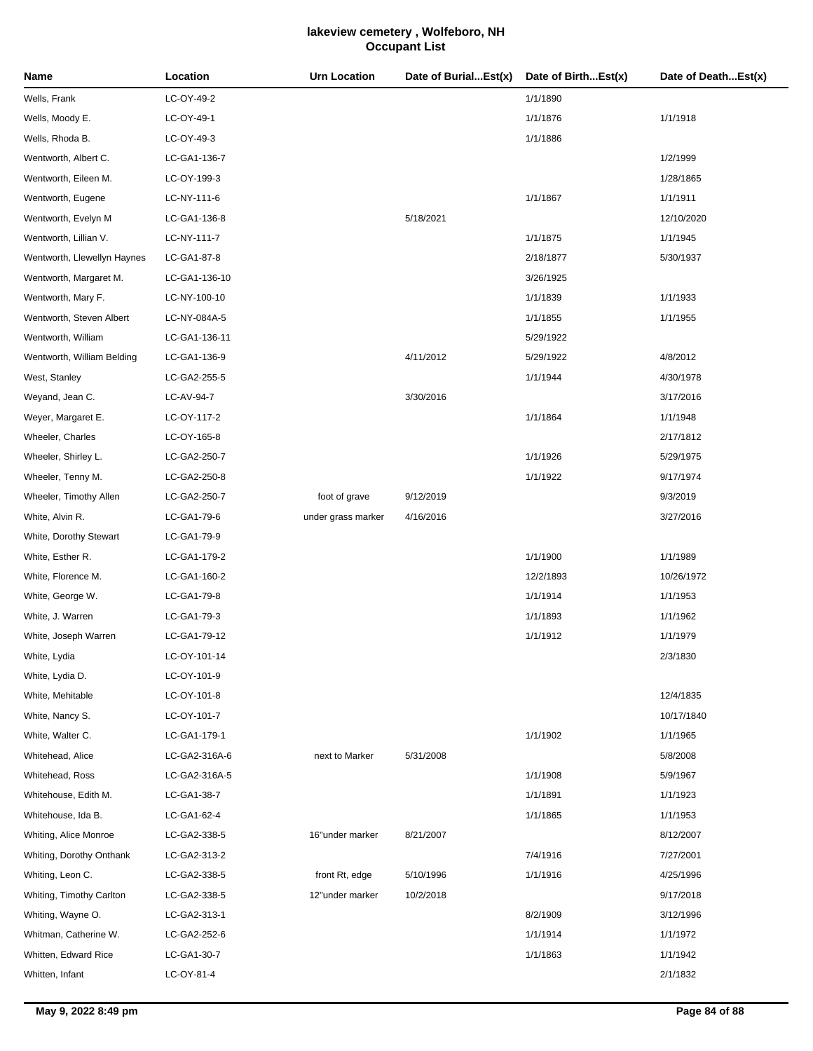| Name                        | Location      | <b>Urn Location</b> | Date of BurialEst(x) | Date of BirthEst(x) | Date of DeathEst(x) |
|-----------------------------|---------------|---------------------|----------------------|---------------------|---------------------|
| Wells, Frank                | LC-OY-49-2    |                     |                      | 1/1/1890            |                     |
| Wells, Moody E.             | LC-OY-49-1    |                     |                      | 1/1/1876            | 1/1/1918            |
| Wells, Rhoda B.             | LC-OY-49-3    |                     |                      | 1/1/1886            |                     |
| Wentworth, Albert C.        | LC-GA1-136-7  |                     |                      |                     | 1/2/1999            |
| Wentworth, Eileen M.        | LC-OY-199-3   |                     |                      |                     | 1/28/1865           |
| Wentworth, Eugene           | LC-NY-111-6   |                     |                      | 1/1/1867            | 1/1/1911            |
| Wentworth, Evelyn M         | LC-GA1-136-8  |                     | 5/18/2021            |                     | 12/10/2020          |
| Wentworth, Lillian V.       | LC-NY-111-7   |                     |                      | 1/1/1875            | 1/1/1945            |
| Wentworth, Llewellyn Haynes | LC-GA1-87-8   |                     |                      | 2/18/1877           | 5/30/1937           |
| Wentworth, Margaret M.      | LC-GA1-136-10 |                     |                      | 3/26/1925           |                     |
| Wentworth, Mary F.          | LC-NY-100-10  |                     |                      | 1/1/1839            | 1/1/1933            |
| Wentworth, Steven Albert    | LC-NY-084A-5  |                     |                      | 1/1/1855            | 1/1/1955            |
| Wentworth, William          | LC-GA1-136-11 |                     |                      | 5/29/1922           |                     |
| Wentworth, William Belding  | LC-GA1-136-9  |                     | 4/11/2012            | 5/29/1922           | 4/8/2012            |
| West, Stanley               | LC-GA2-255-5  |                     |                      | 1/1/1944            | 4/30/1978           |
| Weyand, Jean C.             | LC-AV-94-7    |                     | 3/30/2016            |                     | 3/17/2016           |
| Weyer, Margaret E.          | LC-OY-117-2   |                     |                      | 1/1/1864            | 1/1/1948            |
| Wheeler, Charles            | LC-OY-165-8   |                     |                      |                     | 2/17/1812           |
| Wheeler, Shirley L.         | LC-GA2-250-7  |                     |                      | 1/1/1926            | 5/29/1975           |
| Wheeler, Tenny M.           | LC-GA2-250-8  |                     |                      | 1/1/1922            | 9/17/1974           |
| Wheeler, Timothy Allen      | LC-GA2-250-7  | foot of grave       | 9/12/2019            |                     | 9/3/2019            |
| White, Alvin R.             | LC-GA1-79-6   | under grass marker  | 4/16/2016            |                     | 3/27/2016           |
| White, Dorothy Stewart      | LC-GA1-79-9   |                     |                      |                     |                     |
| White, Esther R.            | LC-GA1-179-2  |                     |                      | 1/1/1900            | 1/1/1989            |
| White, Florence M.          | LC-GA1-160-2  |                     |                      | 12/2/1893           | 10/26/1972          |
| White, George W.            | LC-GA1-79-8   |                     |                      | 1/1/1914            | 1/1/1953            |
| White, J. Warren            | LC-GA1-79-3   |                     |                      | 1/1/1893            | 1/1/1962            |
| White, Joseph Warren        | LC-GA1-79-12  |                     |                      | 1/1/1912            | 1/1/1979            |
| White, Lydia                | LC-OY-101-14  |                     |                      |                     | 2/3/1830            |
| White, Lydia D.             | LC-OY-101-9   |                     |                      |                     |                     |
| White, Mehitable            | LC-OY-101-8   |                     |                      |                     | 12/4/1835           |
| White, Nancy S.             | LC-OY-101-7   |                     |                      |                     | 10/17/1840          |
| White, Walter C.            | LC-GA1-179-1  |                     |                      | 1/1/1902            | 1/1/1965            |
| Whitehead, Alice            | LC-GA2-316A-6 | next to Marker      | 5/31/2008            |                     | 5/8/2008            |
| Whitehead, Ross             | LC-GA2-316A-5 |                     |                      | 1/1/1908            | 5/9/1967            |
| Whitehouse, Edith M.        | LC-GA1-38-7   |                     |                      | 1/1/1891            | 1/1/1923            |
| Whitehouse, Ida B.          | LC-GA1-62-4   |                     |                      | 1/1/1865            | 1/1/1953            |
| Whiting, Alice Monroe       | LC-GA2-338-5  | 16"under marker     | 8/21/2007            |                     | 8/12/2007           |
| Whiting, Dorothy Onthank    | LC-GA2-313-2  |                     |                      | 7/4/1916            | 7/27/2001           |
| Whiting, Leon C.            | LC-GA2-338-5  | front Rt, edge      | 5/10/1996            | 1/1/1916            | 4/25/1996           |
| Whiting, Timothy Carlton    | LC-GA2-338-5  | 12"under marker     | 10/2/2018            |                     | 9/17/2018           |
| Whiting, Wayne O.           | LC-GA2-313-1  |                     |                      | 8/2/1909            | 3/12/1996           |
| Whitman, Catherine W.       | LC-GA2-252-6  |                     |                      | 1/1/1914            | 1/1/1972            |
| Whitten, Edward Rice        | LC-GA1-30-7   |                     |                      | 1/1/1863            | 1/1/1942            |
| Whitten, Infant             | LC-OY-81-4    |                     |                      |                     | 2/1/1832            |
|                             |               |                     |                      |                     |                     |

J.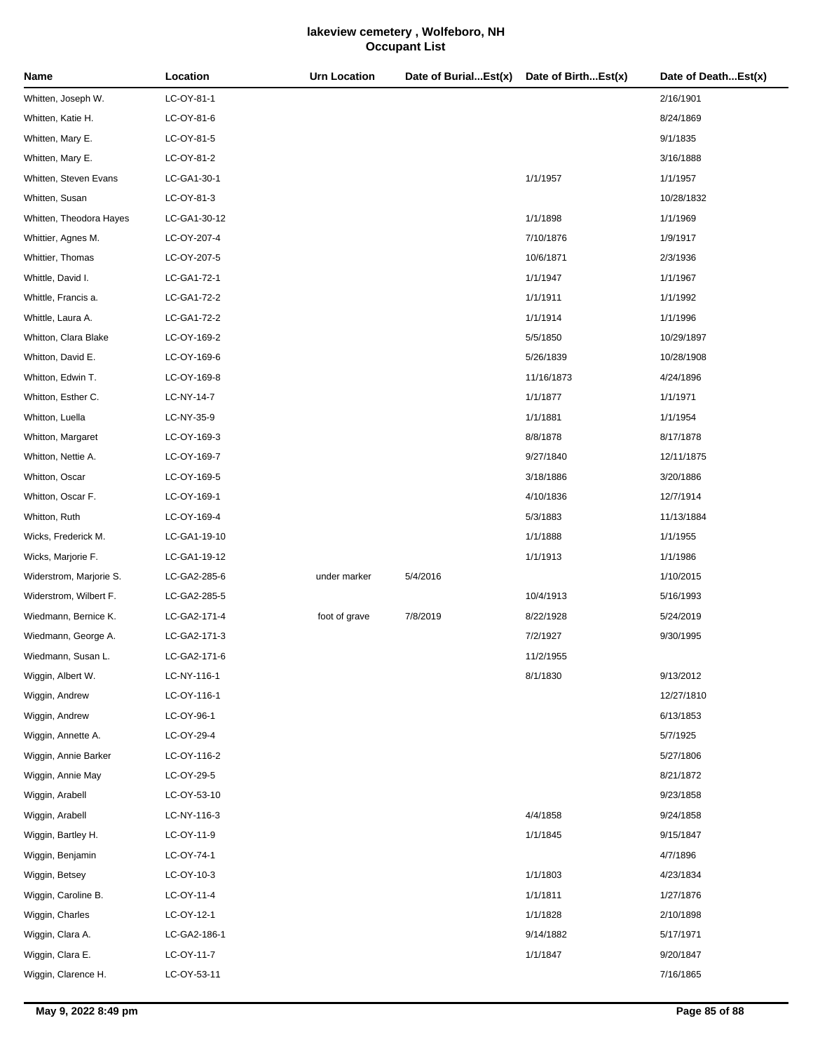| LC-OY-81-1<br>2/16/1901<br>LC-OY-81-6<br>8/24/1869<br>LC-OY-81-5<br>9/1/1835<br>LC-OY-81-2<br>3/16/1888<br>1/1/1957<br>LC-GA1-30-1<br>1/1/1957<br>LC-OY-81-3<br>10/28/1832<br>LC-GA1-30-12<br>1/1/1898<br>1/1/1969<br>LC-OY-207-4<br>7/10/1876<br>1/9/1917<br>LC-OY-207-5<br>10/6/1871<br>2/3/1936<br>LC-GA1-72-1<br>1/1/1947<br>1/1/1967<br>LC-GA1-72-2<br>1/1/1911<br>1/1/1992<br>LC-GA1-72-2<br>1/1/1914<br>1/1/1996<br>LC-OY-169-2<br>5/5/1850<br>10/29/1897<br>LC-OY-169-6<br>5/26/1839<br>10/28/1908<br>LC-OY-169-8<br>11/16/1873<br>4/24/1896<br>LC-NY-14-7<br>1/1/1877<br>1/1/1971<br>LC-NY-35-9<br>1/1/1881<br>1/1/1954<br>8/8/1878<br>LC-OY-169-3<br>8/17/1878<br>LC-OY-169-7<br>9/27/1840<br>12/11/1875<br>LC-OY-169-5<br>3/18/1886<br>3/20/1886<br>LC-OY-169-1<br>4/10/1836<br>12/7/1914<br>LC-OY-169-4<br>5/3/1883<br>11/13/1884<br>LC-GA1-19-10<br>1/1/1888<br>1/1/1955<br>1/1/1913<br>LC-GA1-19-12<br>1/1/1986<br>LC-GA2-285-6<br>5/4/2016<br>1/10/2015<br>under marker<br>LC-GA2-285-5<br>10/4/1913<br>5/16/1993<br>LC-GA2-171-4<br>foot of grave<br>7/8/2019<br>8/22/1928<br>5/24/2019<br>LC-GA2-171-3<br>7/2/1927<br>9/30/1995<br>LC-GA2-171-6<br>11/2/1955<br>8/1/1830<br>9/13/2012<br>LC-NY-116-1<br>LC-OY-116-1<br>12/27/1810<br>LC-OY-96-1<br>6/13/1853<br>LC-OY-29-4<br>5/7/1925<br>LC-OY-116-2<br>5/27/1806<br>LC-OY-29-5<br>8/21/1872<br>LC-OY-53-10<br>9/23/1858<br>4/4/1858<br>LC-NY-116-3<br>9/24/1858<br>1/1/1845<br>LC-OY-11-9<br>9/15/1847<br>LC-OY-74-1<br>4/7/1896<br>1/1/1803<br>LC-OY-10-3<br>4/23/1834<br>LC-OY-11-4<br>1/1/1811<br>1/27/1876<br>1/1/1828<br>LC-OY-12-1<br>2/10/1898<br>LC-GA2-186-1<br>9/14/1882<br>5/17/1971<br>1/1/1847<br>LC-OY-11-7<br>9/20/1847 | Name                    | Location    | <b>Urn Location</b> | Date of BurialEst(x) | Date of BirthEst(x) | Date of DeathEst(x) |
|-----------------------------------------------------------------------------------------------------------------------------------------------------------------------------------------------------------------------------------------------------------------------------------------------------------------------------------------------------------------------------------------------------------------------------------------------------------------------------------------------------------------------------------------------------------------------------------------------------------------------------------------------------------------------------------------------------------------------------------------------------------------------------------------------------------------------------------------------------------------------------------------------------------------------------------------------------------------------------------------------------------------------------------------------------------------------------------------------------------------------------------------------------------------------------------------------------------------------------------------------------------------------------------------------------------------------------------------------------------------------------------------------------------------------------------------------------------------------------------------------------------------------------------------------------------------------------------------------------------------------------------------------------------------------------------------------------------|-------------------------|-------------|---------------------|----------------------|---------------------|---------------------|
|                                                                                                                                                                                                                                                                                                                                                                                                                                                                                                                                                                                                                                                                                                                                                                                                                                                                                                                                                                                                                                                                                                                                                                                                                                                                                                                                                                                                                                                                                                                                                                                                                                                                                                           | Whitten, Joseph W.      |             |                     |                      |                     |                     |
|                                                                                                                                                                                                                                                                                                                                                                                                                                                                                                                                                                                                                                                                                                                                                                                                                                                                                                                                                                                                                                                                                                                                                                                                                                                                                                                                                                                                                                                                                                                                                                                                                                                                                                           | Whitten, Katie H.       |             |                     |                      |                     |                     |
|                                                                                                                                                                                                                                                                                                                                                                                                                                                                                                                                                                                                                                                                                                                                                                                                                                                                                                                                                                                                                                                                                                                                                                                                                                                                                                                                                                                                                                                                                                                                                                                                                                                                                                           | Whitten, Mary E.        |             |                     |                      |                     |                     |
|                                                                                                                                                                                                                                                                                                                                                                                                                                                                                                                                                                                                                                                                                                                                                                                                                                                                                                                                                                                                                                                                                                                                                                                                                                                                                                                                                                                                                                                                                                                                                                                                                                                                                                           | Whitten, Mary E.        |             |                     |                      |                     |                     |
|                                                                                                                                                                                                                                                                                                                                                                                                                                                                                                                                                                                                                                                                                                                                                                                                                                                                                                                                                                                                                                                                                                                                                                                                                                                                                                                                                                                                                                                                                                                                                                                                                                                                                                           | Whitten, Steven Evans   |             |                     |                      |                     |                     |
|                                                                                                                                                                                                                                                                                                                                                                                                                                                                                                                                                                                                                                                                                                                                                                                                                                                                                                                                                                                                                                                                                                                                                                                                                                                                                                                                                                                                                                                                                                                                                                                                                                                                                                           | Whitten, Susan          |             |                     |                      |                     |                     |
|                                                                                                                                                                                                                                                                                                                                                                                                                                                                                                                                                                                                                                                                                                                                                                                                                                                                                                                                                                                                                                                                                                                                                                                                                                                                                                                                                                                                                                                                                                                                                                                                                                                                                                           | Whitten, Theodora Hayes |             |                     |                      |                     |                     |
|                                                                                                                                                                                                                                                                                                                                                                                                                                                                                                                                                                                                                                                                                                                                                                                                                                                                                                                                                                                                                                                                                                                                                                                                                                                                                                                                                                                                                                                                                                                                                                                                                                                                                                           | Whittier, Agnes M.      |             |                     |                      |                     |                     |
|                                                                                                                                                                                                                                                                                                                                                                                                                                                                                                                                                                                                                                                                                                                                                                                                                                                                                                                                                                                                                                                                                                                                                                                                                                                                                                                                                                                                                                                                                                                                                                                                                                                                                                           | Whittier, Thomas        |             |                     |                      |                     |                     |
|                                                                                                                                                                                                                                                                                                                                                                                                                                                                                                                                                                                                                                                                                                                                                                                                                                                                                                                                                                                                                                                                                                                                                                                                                                                                                                                                                                                                                                                                                                                                                                                                                                                                                                           | Whittle, David I.       |             |                     |                      |                     |                     |
|                                                                                                                                                                                                                                                                                                                                                                                                                                                                                                                                                                                                                                                                                                                                                                                                                                                                                                                                                                                                                                                                                                                                                                                                                                                                                                                                                                                                                                                                                                                                                                                                                                                                                                           | Whittle, Francis a.     |             |                     |                      |                     |                     |
|                                                                                                                                                                                                                                                                                                                                                                                                                                                                                                                                                                                                                                                                                                                                                                                                                                                                                                                                                                                                                                                                                                                                                                                                                                                                                                                                                                                                                                                                                                                                                                                                                                                                                                           | Whittle, Laura A.       |             |                     |                      |                     |                     |
|                                                                                                                                                                                                                                                                                                                                                                                                                                                                                                                                                                                                                                                                                                                                                                                                                                                                                                                                                                                                                                                                                                                                                                                                                                                                                                                                                                                                                                                                                                                                                                                                                                                                                                           | Whitton, Clara Blake    |             |                     |                      |                     |                     |
|                                                                                                                                                                                                                                                                                                                                                                                                                                                                                                                                                                                                                                                                                                                                                                                                                                                                                                                                                                                                                                                                                                                                                                                                                                                                                                                                                                                                                                                                                                                                                                                                                                                                                                           | Whitton, David E.       |             |                     |                      |                     |                     |
|                                                                                                                                                                                                                                                                                                                                                                                                                                                                                                                                                                                                                                                                                                                                                                                                                                                                                                                                                                                                                                                                                                                                                                                                                                                                                                                                                                                                                                                                                                                                                                                                                                                                                                           | Whitton, Edwin T.       |             |                     |                      |                     |                     |
|                                                                                                                                                                                                                                                                                                                                                                                                                                                                                                                                                                                                                                                                                                                                                                                                                                                                                                                                                                                                                                                                                                                                                                                                                                                                                                                                                                                                                                                                                                                                                                                                                                                                                                           | Whitton, Esther C.      |             |                     |                      |                     |                     |
|                                                                                                                                                                                                                                                                                                                                                                                                                                                                                                                                                                                                                                                                                                                                                                                                                                                                                                                                                                                                                                                                                                                                                                                                                                                                                                                                                                                                                                                                                                                                                                                                                                                                                                           | Whitton, Luella         |             |                     |                      |                     |                     |
|                                                                                                                                                                                                                                                                                                                                                                                                                                                                                                                                                                                                                                                                                                                                                                                                                                                                                                                                                                                                                                                                                                                                                                                                                                                                                                                                                                                                                                                                                                                                                                                                                                                                                                           | Whitton, Margaret       |             |                     |                      |                     |                     |
|                                                                                                                                                                                                                                                                                                                                                                                                                                                                                                                                                                                                                                                                                                                                                                                                                                                                                                                                                                                                                                                                                                                                                                                                                                                                                                                                                                                                                                                                                                                                                                                                                                                                                                           | Whitton, Nettie A.      |             |                     |                      |                     |                     |
|                                                                                                                                                                                                                                                                                                                                                                                                                                                                                                                                                                                                                                                                                                                                                                                                                                                                                                                                                                                                                                                                                                                                                                                                                                                                                                                                                                                                                                                                                                                                                                                                                                                                                                           | Whitton, Oscar          |             |                     |                      |                     |                     |
|                                                                                                                                                                                                                                                                                                                                                                                                                                                                                                                                                                                                                                                                                                                                                                                                                                                                                                                                                                                                                                                                                                                                                                                                                                                                                                                                                                                                                                                                                                                                                                                                                                                                                                           | Whitton, Oscar F.       |             |                     |                      |                     |                     |
|                                                                                                                                                                                                                                                                                                                                                                                                                                                                                                                                                                                                                                                                                                                                                                                                                                                                                                                                                                                                                                                                                                                                                                                                                                                                                                                                                                                                                                                                                                                                                                                                                                                                                                           | Whitton, Ruth           |             |                     |                      |                     |                     |
|                                                                                                                                                                                                                                                                                                                                                                                                                                                                                                                                                                                                                                                                                                                                                                                                                                                                                                                                                                                                                                                                                                                                                                                                                                                                                                                                                                                                                                                                                                                                                                                                                                                                                                           | Wicks, Frederick M.     |             |                     |                      |                     |                     |
|                                                                                                                                                                                                                                                                                                                                                                                                                                                                                                                                                                                                                                                                                                                                                                                                                                                                                                                                                                                                                                                                                                                                                                                                                                                                                                                                                                                                                                                                                                                                                                                                                                                                                                           | Wicks, Marjorie F.      |             |                     |                      |                     |                     |
|                                                                                                                                                                                                                                                                                                                                                                                                                                                                                                                                                                                                                                                                                                                                                                                                                                                                                                                                                                                                                                                                                                                                                                                                                                                                                                                                                                                                                                                                                                                                                                                                                                                                                                           | Widerstrom, Marjorie S. |             |                     |                      |                     |                     |
|                                                                                                                                                                                                                                                                                                                                                                                                                                                                                                                                                                                                                                                                                                                                                                                                                                                                                                                                                                                                                                                                                                                                                                                                                                                                                                                                                                                                                                                                                                                                                                                                                                                                                                           | Widerstrom, Wilbert F.  |             |                     |                      |                     |                     |
|                                                                                                                                                                                                                                                                                                                                                                                                                                                                                                                                                                                                                                                                                                                                                                                                                                                                                                                                                                                                                                                                                                                                                                                                                                                                                                                                                                                                                                                                                                                                                                                                                                                                                                           | Wiedmann, Bernice K.    |             |                     |                      |                     |                     |
|                                                                                                                                                                                                                                                                                                                                                                                                                                                                                                                                                                                                                                                                                                                                                                                                                                                                                                                                                                                                                                                                                                                                                                                                                                                                                                                                                                                                                                                                                                                                                                                                                                                                                                           | Wiedmann, George A.     |             |                     |                      |                     |                     |
|                                                                                                                                                                                                                                                                                                                                                                                                                                                                                                                                                                                                                                                                                                                                                                                                                                                                                                                                                                                                                                                                                                                                                                                                                                                                                                                                                                                                                                                                                                                                                                                                                                                                                                           | Wiedmann, Susan L.      |             |                     |                      |                     |                     |
|                                                                                                                                                                                                                                                                                                                                                                                                                                                                                                                                                                                                                                                                                                                                                                                                                                                                                                                                                                                                                                                                                                                                                                                                                                                                                                                                                                                                                                                                                                                                                                                                                                                                                                           | Wiggin, Albert W.       |             |                     |                      |                     |                     |
|                                                                                                                                                                                                                                                                                                                                                                                                                                                                                                                                                                                                                                                                                                                                                                                                                                                                                                                                                                                                                                                                                                                                                                                                                                                                                                                                                                                                                                                                                                                                                                                                                                                                                                           | Wiggin, Andrew          |             |                     |                      |                     |                     |
|                                                                                                                                                                                                                                                                                                                                                                                                                                                                                                                                                                                                                                                                                                                                                                                                                                                                                                                                                                                                                                                                                                                                                                                                                                                                                                                                                                                                                                                                                                                                                                                                                                                                                                           | Wiggin, Andrew          |             |                     |                      |                     |                     |
|                                                                                                                                                                                                                                                                                                                                                                                                                                                                                                                                                                                                                                                                                                                                                                                                                                                                                                                                                                                                                                                                                                                                                                                                                                                                                                                                                                                                                                                                                                                                                                                                                                                                                                           | Wiggin, Annette A.      |             |                     |                      |                     |                     |
|                                                                                                                                                                                                                                                                                                                                                                                                                                                                                                                                                                                                                                                                                                                                                                                                                                                                                                                                                                                                                                                                                                                                                                                                                                                                                                                                                                                                                                                                                                                                                                                                                                                                                                           | Wiggin, Annie Barker    |             |                     |                      |                     |                     |
|                                                                                                                                                                                                                                                                                                                                                                                                                                                                                                                                                                                                                                                                                                                                                                                                                                                                                                                                                                                                                                                                                                                                                                                                                                                                                                                                                                                                                                                                                                                                                                                                                                                                                                           | Wiggin, Annie May       |             |                     |                      |                     |                     |
|                                                                                                                                                                                                                                                                                                                                                                                                                                                                                                                                                                                                                                                                                                                                                                                                                                                                                                                                                                                                                                                                                                                                                                                                                                                                                                                                                                                                                                                                                                                                                                                                                                                                                                           | Wiggin, Arabell         |             |                     |                      |                     |                     |
|                                                                                                                                                                                                                                                                                                                                                                                                                                                                                                                                                                                                                                                                                                                                                                                                                                                                                                                                                                                                                                                                                                                                                                                                                                                                                                                                                                                                                                                                                                                                                                                                                                                                                                           | Wiggin, Arabell         |             |                     |                      |                     |                     |
|                                                                                                                                                                                                                                                                                                                                                                                                                                                                                                                                                                                                                                                                                                                                                                                                                                                                                                                                                                                                                                                                                                                                                                                                                                                                                                                                                                                                                                                                                                                                                                                                                                                                                                           | Wiggin, Bartley H.      |             |                     |                      |                     |                     |
|                                                                                                                                                                                                                                                                                                                                                                                                                                                                                                                                                                                                                                                                                                                                                                                                                                                                                                                                                                                                                                                                                                                                                                                                                                                                                                                                                                                                                                                                                                                                                                                                                                                                                                           | Wiggin, Benjamin        |             |                     |                      |                     |                     |
|                                                                                                                                                                                                                                                                                                                                                                                                                                                                                                                                                                                                                                                                                                                                                                                                                                                                                                                                                                                                                                                                                                                                                                                                                                                                                                                                                                                                                                                                                                                                                                                                                                                                                                           | Wiggin, Betsey          |             |                     |                      |                     |                     |
|                                                                                                                                                                                                                                                                                                                                                                                                                                                                                                                                                                                                                                                                                                                                                                                                                                                                                                                                                                                                                                                                                                                                                                                                                                                                                                                                                                                                                                                                                                                                                                                                                                                                                                           | Wiggin, Caroline B.     |             |                     |                      |                     |                     |
|                                                                                                                                                                                                                                                                                                                                                                                                                                                                                                                                                                                                                                                                                                                                                                                                                                                                                                                                                                                                                                                                                                                                                                                                                                                                                                                                                                                                                                                                                                                                                                                                                                                                                                           | Wiggin, Charles         |             |                     |                      |                     |                     |
|                                                                                                                                                                                                                                                                                                                                                                                                                                                                                                                                                                                                                                                                                                                                                                                                                                                                                                                                                                                                                                                                                                                                                                                                                                                                                                                                                                                                                                                                                                                                                                                                                                                                                                           | Wiggin, Clara A.        |             |                     |                      |                     |                     |
|                                                                                                                                                                                                                                                                                                                                                                                                                                                                                                                                                                                                                                                                                                                                                                                                                                                                                                                                                                                                                                                                                                                                                                                                                                                                                                                                                                                                                                                                                                                                                                                                                                                                                                           | Wiggin, Clara E.        |             |                     |                      |                     |                     |
|                                                                                                                                                                                                                                                                                                                                                                                                                                                                                                                                                                                                                                                                                                                                                                                                                                                                                                                                                                                                                                                                                                                                                                                                                                                                                                                                                                                                                                                                                                                                                                                                                                                                                                           | Wiggin, Clarence H.     | LC-OY-53-11 |                     |                      |                     | 7/16/1865           |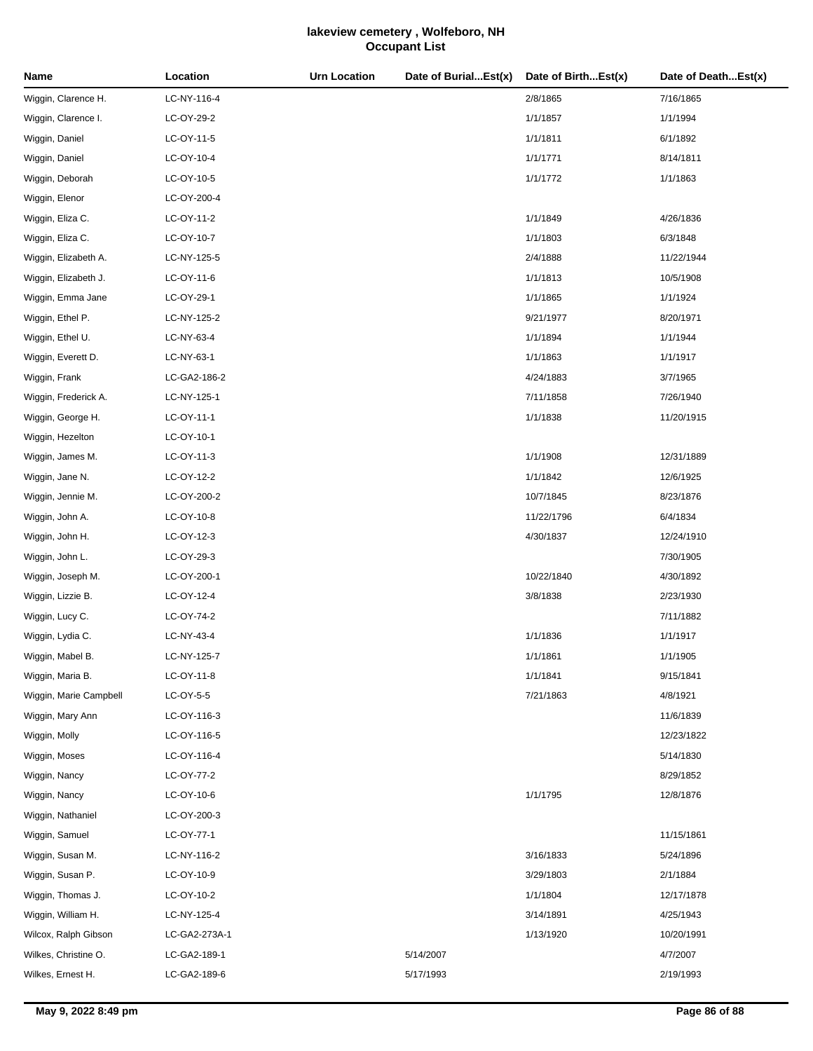| Name                   | Location      | <b>Urn Location</b> | Date of BurialEst(x) | Date of BirthEst(x) | Date of DeathEst(x) |
|------------------------|---------------|---------------------|----------------------|---------------------|---------------------|
| Wiggin, Clarence H.    | LC-NY-116-4   |                     |                      | 2/8/1865            | 7/16/1865           |
| Wiggin, Clarence I.    | LC-OY-29-2    |                     |                      | 1/1/1857            | 1/1/1994            |
| Wiggin, Daniel         | LC-OY-11-5    |                     |                      | 1/1/1811            | 6/1/1892            |
| Wiggin, Daniel         | LC-OY-10-4    |                     |                      | 1/1/1771            | 8/14/1811           |
| Wiggin, Deborah        | LC-OY-10-5    |                     |                      | 1/1/1772            | 1/1/1863            |
| Wiggin, Elenor         | LC-OY-200-4   |                     |                      |                     |                     |
| Wiggin, Eliza C.       | LC-OY-11-2    |                     |                      | 1/1/1849            | 4/26/1836           |
| Wiggin, Eliza C.       | LC-OY-10-7    |                     |                      | 1/1/1803            | 6/3/1848            |
| Wiggin, Elizabeth A.   | LC-NY-125-5   |                     |                      | 2/4/1888            | 11/22/1944          |
| Wiggin, Elizabeth J.   | LC-OY-11-6    |                     |                      | 1/1/1813            | 10/5/1908           |
| Wiggin, Emma Jane      | LC-OY-29-1    |                     |                      | 1/1/1865            | 1/1/1924            |
| Wiggin, Ethel P.       | LC-NY-125-2   |                     |                      | 9/21/1977           | 8/20/1971           |
| Wiggin, Ethel U.       | LC-NY-63-4    |                     |                      | 1/1/1894            | 1/1/1944            |
| Wiggin, Everett D.     | LC-NY-63-1    |                     |                      | 1/1/1863            | 1/1/1917            |
| Wiggin, Frank          | LC-GA2-186-2  |                     |                      | 4/24/1883           | 3/7/1965            |
| Wiggin, Frederick A.   | LC-NY-125-1   |                     |                      | 7/11/1858           | 7/26/1940           |
| Wiggin, George H.      | LC-OY-11-1    |                     |                      | 1/1/1838            | 11/20/1915          |
| Wiggin, Hezelton       | LC-OY-10-1    |                     |                      |                     |                     |
| Wiggin, James M.       | LC-OY-11-3    |                     |                      | 1/1/1908            | 12/31/1889          |
| Wiggin, Jane N.        | LC-OY-12-2    |                     |                      | 1/1/1842            | 12/6/1925           |
| Wiggin, Jennie M.      | LC-OY-200-2   |                     |                      | 10/7/1845           | 8/23/1876           |
| Wiggin, John A.        | LC-OY-10-8    |                     |                      | 11/22/1796          | 6/4/1834            |
| Wiggin, John H.        | LC-OY-12-3    |                     |                      | 4/30/1837           | 12/24/1910          |
| Wiggin, John L.        | LC-OY-29-3    |                     |                      |                     | 7/30/1905           |
| Wiggin, Joseph M.      | LC-OY-200-1   |                     |                      | 10/22/1840          | 4/30/1892           |
| Wiggin, Lizzie B.      | LC-OY-12-4    |                     |                      | 3/8/1838            | 2/23/1930           |
| Wiggin, Lucy C.        | LC-OY-74-2    |                     |                      |                     | 7/11/1882           |
| Wiggin, Lydia C.       | LC-NY-43-4    |                     |                      | 1/1/1836            | 1/1/1917            |
| Wiggin, Mabel B.       | LC-NY-125-7   |                     |                      | 1/1/1861            | 1/1/1905            |
| Wiggin, Maria B.       | LC-OY-11-8    |                     |                      | 1/1/1841            | 9/15/1841           |
| Wiggin, Marie Campbell | LC-OY-5-5     |                     |                      | 7/21/1863           | 4/8/1921            |
| Wiggin, Mary Ann       | LC-OY-116-3   |                     |                      |                     | 11/6/1839           |
| Wiggin, Molly          | LC-OY-116-5   |                     |                      |                     | 12/23/1822          |
| Wiggin, Moses          | LC-OY-116-4   |                     |                      |                     | 5/14/1830           |
| Wiggin, Nancy          | LC-OY-77-2    |                     |                      |                     | 8/29/1852           |
| Wiggin, Nancy          | LC-OY-10-6    |                     |                      | 1/1/1795            | 12/8/1876           |
| Wiggin, Nathaniel      | LC-OY-200-3   |                     |                      |                     |                     |
| Wiggin, Samuel         | LC-OY-77-1    |                     |                      |                     | 11/15/1861          |
| Wiggin, Susan M.       | LC-NY-116-2   |                     |                      | 3/16/1833           | 5/24/1896           |
| Wiggin, Susan P.       | LC-OY-10-9    |                     |                      | 3/29/1803           | 2/1/1884            |
| Wiggin, Thomas J.      | LC-OY-10-2    |                     |                      | 1/1/1804            | 12/17/1878          |
| Wiggin, William H.     | LC-NY-125-4   |                     |                      | 3/14/1891           | 4/25/1943           |
| Wilcox, Ralph Gibson   | LC-GA2-273A-1 |                     |                      | 1/13/1920           | 10/20/1991          |
| Wilkes, Christine O.   | LC-GA2-189-1  |                     | 5/14/2007            |                     | 4/7/2007            |
| Wilkes, Ernest H.      | LC-GA2-189-6  |                     | 5/17/1993            |                     | 2/19/1993           |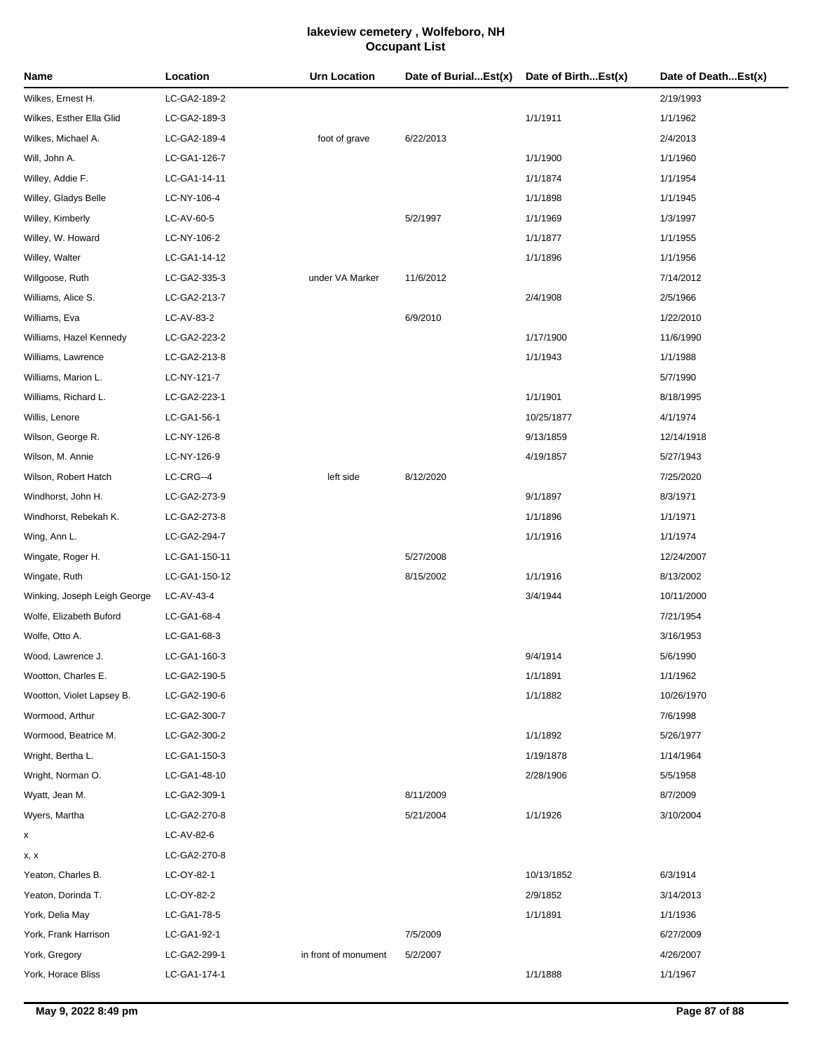| Name                         | Location      | Urn Location         | Date of BurialEst(x) | Date of BirthEst(x) | Date of DeathEst(x) |
|------------------------------|---------------|----------------------|----------------------|---------------------|---------------------|
| Wilkes, Ernest H.            | LC-GA2-189-2  |                      |                      |                     | 2/19/1993           |
| Wilkes, Esther Ella Glid     | LC-GA2-189-3  |                      |                      | 1/1/1911            | 1/1/1962            |
| Wilkes, Michael A.           | LC-GA2-189-4  | foot of grave        | 6/22/2013            |                     | 2/4/2013            |
| Will, John A.                | LC-GA1-126-7  |                      |                      | 1/1/1900            | 1/1/1960            |
| Willey, Addie F.             | LC-GA1-14-11  |                      |                      | 1/1/1874            | 1/1/1954            |
| Willey, Gladys Belle         | LC-NY-106-4   |                      |                      | 1/1/1898            | 1/1/1945            |
| Willey, Kimberly             | LC-AV-60-5    |                      | 5/2/1997             | 1/1/1969            | 1/3/1997            |
| Willey, W. Howard            | LC-NY-106-2   |                      |                      | 1/1/1877            | 1/1/1955            |
| Willey, Walter               | LC-GA1-14-12  |                      |                      | 1/1/1896            | 1/1/1956            |
| Willgoose, Ruth              | LC-GA2-335-3  | under VA Marker      | 11/6/2012            |                     | 7/14/2012           |
| Williams, Alice S.           | LC-GA2-213-7  |                      |                      | 2/4/1908            | 2/5/1966            |
| Williams, Eva                | LC-AV-83-2    |                      | 6/9/2010             |                     | 1/22/2010           |
| Williams, Hazel Kennedy      | LC-GA2-223-2  |                      |                      | 1/17/1900           | 11/6/1990           |
| Williams, Lawrence           | LC-GA2-213-8  |                      |                      | 1/1/1943            | 1/1/1988            |
| Williams, Marion L.          | LC-NY-121-7   |                      |                      |                     | 5/7/1990            |
| Williams, Richard L.         | LC-GA2-223-1  |                      |                      | 1/1/1901            | 8/18/1995           |
| Willis, Lenore               | LC-GA1-56-1   |                      |                      | 10/25/1877          | 4/1/1974            |
| Wilson, George R.            | LC-NY-126-8   |                      |                      | 9/13/1859           | 12/14/1918          |
| Wilson, M. Annie             | LC-NY-126-9   |                      |                      | 4/19/1857           | 5/27/1943           |
| Wilson, Robert Hatch         | LC-CRG--4     | left side            | 8/12/2020            |                     | 7/25/2020           |
| Windhorst, John H.           | LC-GA2-273-9  |                      |                      | 9/1/1897            | 8/3/1971            |
| Windhorst, Rebekah K.        | LC-GA2-273-8  |                      |                      | 1/1/1896            | 1/1/1971            |
| Wing, Ann L.                 | LC-GA2-294-7  |                      |                      | 1/1/1916            | 1/1/1974            |
| Wingate, Roger H.            | LC-GA1-150-11 |                      | 5/27/2008            |                     | 12/24/2007          |
| Wingate, Ruth                | LC-GA1-150-12 |                      | 8/15/2002            | 1/1/1916            | 8/13/2002           |
| Winking, Joseph Leigh George | LC-AV-43-4    |                      |                      | 3/4/1944            | 10/11/2000          |
| Wolfe, Elizabeth Buford      | LC-GA1-68-4   |                      |                      |                     | 7/21/1954           |
| Wolfe, Otto A.               | LC-GA1-68-3   |                      |                      |                     | 3/16/1953           |
| Wood, Lawrence J.            | LC-GA1-160-3  |                      |                      | 9/4/1914            | 5/6/1990            |
| Wootton, Charles E.          | LC-GA2-190-5  |                      |                      | 1/1/1891            | 1/1/1962            |
| Wootton, Violet Lapsey B.    | LC-GA2-190-6  |                      |                      | 1/1/1882            | 10/26/1970          |
| Wormood, Arthur              | LC-GA2-300-7  |                      |                      |                     | 7/6/1998            |
| Wormood, Beatrice M.         | LC-GA2-300-2  |                      |                      | 1/1/1892            | 5/26/1977           |
| Wright, Bertha L.            | LC-GA1-150-3  |                      |                      | 1/19/1878           | 1/14/1964           |
| Wright, Norman O.            | LC-GA1-48-10  |                      |                      | 2/28/1906           | 5/5/1958            |
| Wyatt, Jean M.               | LC-GA2-309-1  |                      | 8/11/2009            |                     | 8/7/2009            |
| Wyers, Martha                | LC-GA2-270-8  |                      | 5/21/2004            | 1/1/1926            | 3/10/2004           |
| x                            | LC-AV-82-6    |                      |                      |                     |                     |
| x, x                         | LC-GA2-270-8  |                      |                      |                     |                     |
| Yeaton, Charles B.           | LC-OY-82-1    |                      |                      | 10/13/1852          | 6/3/1914            |
| Yeaton, Dorinda T.           | LC-OY-82-2    |                      |                      | 2/9/1852            | 3/14/2013           |
| York, Delia May              | LC-GA1-78-5   |                      |                      | 1/1/1891            | 1/1/1936            |
| York, Frank Harrison         | LC-GA1-92-1   |                      | 7/5/2009             |                     | 6/27/2009           |
| York, Gregory                | LC-GA2-299-1  | in front of monument | 5/2/2007             |                     | 4/26/2007           |
| York, Horace Bliss           | LC-GA1-174-1  |                      |                      | 1/1/1888            | 1/1/1967            |